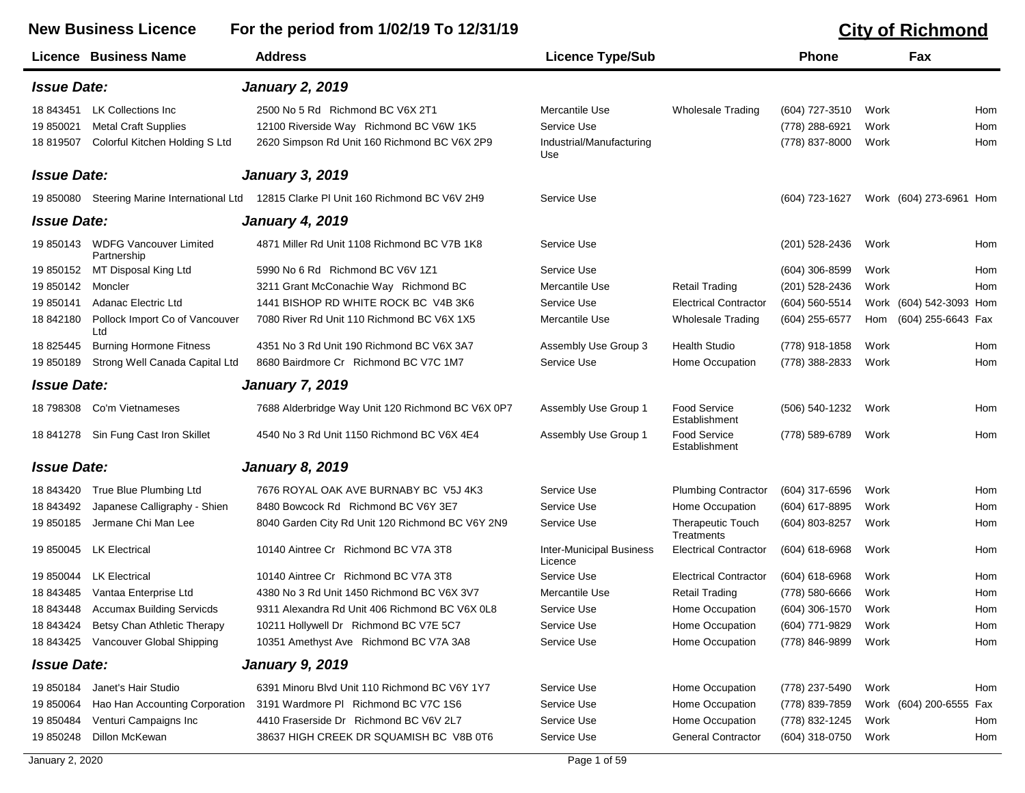## **New Business Licence For the period from 1/02/19 To 12/31/19 City of Richmond Licence Business Name Address Licence Type/Sub Phone Fax** *Issue Date: January 2, 2019* 18 843451 LK Collections Inc 2500 No 5 Rd Richmond BC V6X 2T1 Mercantile Use Wholesale Trading (604) 727-3510 Work Hom 19 850021 Metal Craft Supplies 12100 Riverside Way Richmond BC V6W 1K5 Service Use (778) 288-6921 Work Hom 18 819507 Colorful Kitchen Holding S Ltd Industrial/Manufacturing 2620 Simpson Rd Unit 160 Richmond BC V6X 2P9 (778) 837-8000 Work Hom Use *Issue Date: January 3, 2019* 19 850080 Steering Marine International Ltd 12815 Clarke Pl Unit 160 Richmond BC V6V 2H9 Service Use (604) 723-1627 Work (604) 273-6961 Hom *Issue Date: January 4, 2019* 19 850143 WDFG Vancouver Limited Partnership 4871 Miller Rd Unit 1108 Richmond BC V7B 1K8 Service Use (201) 528-2436 Work Hom 19 850152 MT Disposal King Ltd 5990 No 6 Rd Richmond BC V6V 1Z1 Service Use (604) 306-8599 Work Hom 19 850142 Moncler 3211 Grant McConachie Way Richmond BC Mercantile Use Retail Trading (201) 528-2436 Work Hom 19 850141 Adanac Electric Ltd 1441 BISHOP RD WHITE ROCK BC V4B 3K6 Service Use Electrical Contractor (604) 560-5514 Work (604) 542-3093 Hom 18 842180 Pollock Import Co of Vancouver Ltd 7080 River Rd Unit 110 Richmond BC V6X 1X5 Mercantile Use Wholesale Trading (604) 255-6577 Hom (604) 255-6643 Fax 18 825445 Burning Hormone Fitness 4351 No 3 Rd Unit 190 Richmond BC V6X 3A7 Assembly Use Group 3 Health Studio (778) 918-1858 Work Hom 19 850189 Strong Well Canada Capital Ltd 8680 Bairdmore Cr Richmond BC V7C 1M7 Service Use Home Occupation (778) 388-2833 Work Hom *Issue Date: January 7, 2019* 18 798308 Co'm Vietnameses Tablerbridge Way Unit 120 Richmond BC V6X 0P7 Assembly Use Group 1 Food Service (506) 540-1232 Work Hom Establishment 18 841278 Sin Fung Cast Iron Skillet a 4540 No 3 Rd Unit 1150 Richmond BC V6X 4E4 Assembly Use Group 1 Food Service (778) 589-6789 Work Hom Establishment *Issue Date: January 8, 2019* 18 843420 True Blue Plumbing Ltd 7676 ROYAL OAK AVE BURNABY BC V5J 4K3 Service Use Plumbing Contractor (604) 317-6596 Work Hom 18 843492 Japanese Calligraphy - Shien 8480 Bowcock Rd Richmond BC V6Y 3E7 Service Use Home Occupation (604) 617-8895 Work Hom 19 850185 Jermane Chi Man Lee 6040 Garden City Rd Unit 120 Richmond BC V6Y 2N9 Service Use Therapeutic Touch (604) 803-8257 Work Hom **Treatments** 19 850045 LK Electrical **Inter-Municipal Business** Electrical Contractor (604) 618-6968 Work Hom Hom Licence 19 850044 LK Electrical 10140 Aintree Cr Richmond BC V7A 3T8 Service Use Electrical Contractor (604) 618-6968 Work Hom 18 843485 Vantaa Enterprise Ltd 4380 No 3 Rd Unit 1450 Richmond BC V6X 3V7 Mercantile Use Retail Trading (778) 580-6666 Work Hom 18 843448 Accumax Building Servicds 9311 Alexandra Rd Unit 406 Richmond BC V6X 0L8 Service Use Home Occupation (604) 306-1570 Work Hom 18 843424 Betsy Chan Athletic Therapy 10211 Hollywell Dr Richmond BC V7E 5C7 Service Use Home Occupation (604) 771-9829 Work Hom 18 843425 Vancouver Global Shipping 10351 Amethyst Ave Richmond BC V7A 3A8 Service Use Home Occupation (778) 846-9899 Work Hom *Issue Date: January 9, 2019* 19 850184 Janet's Hair Studio 6391 Minoru Blvd Unit 110 Richmond BC V6Y 1Y7 Service Use Home Occupation (778) 237-5490 Work Hom 19 850064 Hao Han Accounting Corporation 3191 Wardmore Pl Richmond BC V7C 1S6 Service Use Home Occupation (778) 839-7859 Work (604) 200-6555 Fax 19 850484 Venturi Campaigns Inc 4410 Fraserside Dr Richmond BC V6V 2L7 Service Use Home Occupation (778) 832-1245 Work Hom

19 850248 Dillon McKewan 38637 HIGH CREEK DR SQUAMISH BC V8B 0T6 Service Use General Contractor (604) 318-0750 Work Hom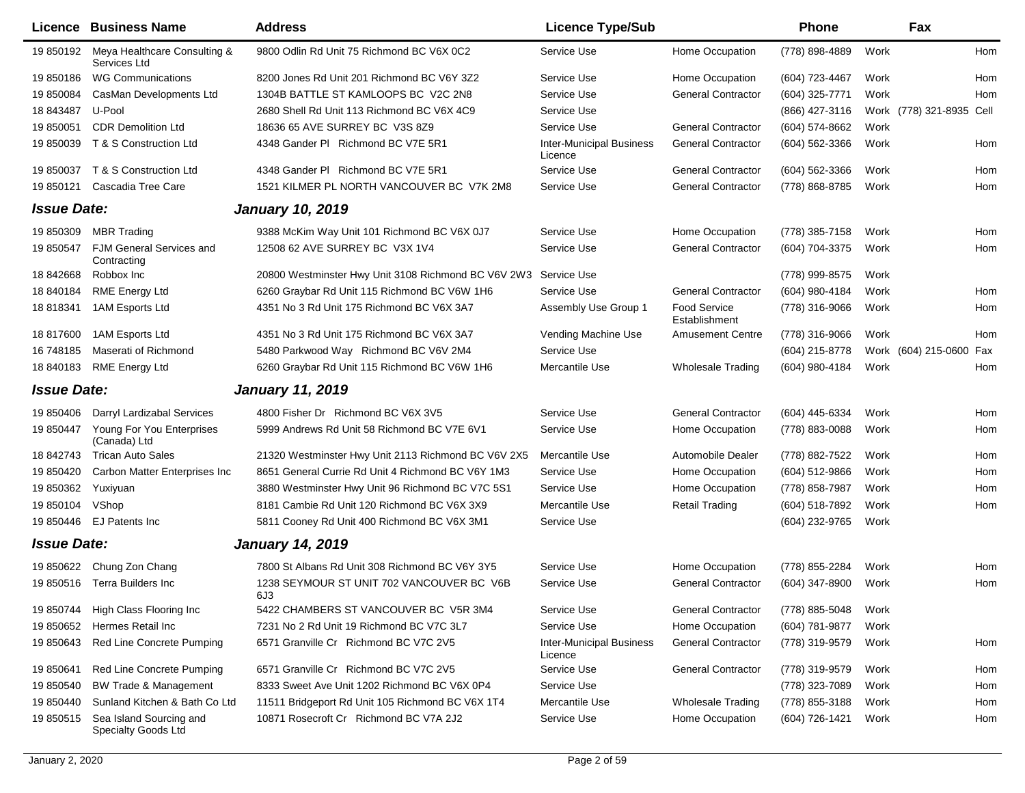|                    | <b>Licence Business Name</b>                   | <b>Address</b>                                      | <b>Licence Type/Sub</b>                    |                               | <b>Phone</b>     |      | Fax                      |     |
|--------------------|------------------------------------------------|-----------------------------------------------------|--------------------------------------------|-------------------------------|------------------|------|--------------------------|-----|
| 19 850192          | Meya Healthcare Consulting &<br>Services Ltd   | 9800 Odlin Rd Unit 75 Richmond BC V6X 0C2           | Service Use                                | Home Occupation               | (778) 898-4889   | Work |                          | Hom |
| 19 850186          | <b>WG Communications</b>                       | 8200 Jones Rd Unit 201 Richmond BC V6Y 3Z2          | Service Use                                | Home Occupation               | (604) 723-4467   | Work |                          | Hom |
| 19 850084          | CasMan Developments Ltd                        | 1304B BATTLE ST KAMLOOPS BC V2C 2N8                 | Service Use                                | <b>General Contractor</b>     | (604) 325-7771   | Work |                          | Hom |
| 18 843487          | U-Pool                                         | 2680 Shell Rd Unit 113 Richmond BC V6X 4C9          | Service Use                                |                               | (866) 427-3116   |      | Work (778) 321-8935 Cell |     |
| 19 850051          | <b>CDR Demolition Ltd</b>                      | 18636 65 AVE SURREY BC V3S 8Z9                      | Service Use                                | <b>General Contractor</b>     | (604) 574-8662   | Work |                          |     |
| 19 850039          | T & S Construction Ltd                         | 4348 Gander PI Richmond BC V7E 5R1                  | <b>Inter-Municipal Business</b><br>Licence | <b>General Contractor</b>     | $(604)$ 562-3366 | Work |                          | Hom |
|                    | 19 850037 T & S Construction Ltd               | 4348 Gander PI Richmond BC V7E 5R1                  | Service Use                                | <b>General Contractor</b>     | $(604)$ 562-3366 | Work |                          | Hom |
| 19 850121          | Cascadia Tree Care                             | 1521 KILMER PL NORTH VANCOUVER BC V7K 2M8           | Service Use                                | <b>General Contractor</b>     | (778) 868-8785   | Work |                          | Hom |
| <b>Issue Date:</b> |                                                | <b>January 10, 2019</b>                             |                                            |                               |                  |      |                          |     |
| 19 850309          | <b>MBR Trading</b>                             | 9388 McKim Way Unit 101 Richmond BC V6X 0J7         | Service Use                                | Home Occupation               | (778) 385-7158   | Work |                          | Hom |
| 19 850547          | FJM General Services and<br>Contracting        | 12508 62 AVE SURREY BC V3X 1V4                      | Service Use                                | <b>General Contractor</b>     | (604) 704-3375   | Work |                          | Hom |
| 18 842668          | Robbox Inc                                     | 20800 Westminster Hwy Unit 3108 Richmond BC V6V 2W3 | Service Use                                |                               | (778) 999-8575   | Work |                          |     |
| 18 840184          | <b>RME Energy Ltd</b>                          | 6260 Graybar Rd Unit 115 Richmond BC V6W 1H6        | Service Use                                | <b>General Contractor</b>     | (604) 980-4184   | Work |                          | Hom |
| 18 818341          | 1AM Esports Ltd                                | 4351 No 3 Rd Unit 175 Richmond BC V6X 3A7           | Assembly Use Group 1                       | Food Service<br>Establishment | (778) 316-9066   | Work |                          | Hom |
| 18 817600          | 1AM Esports Ltd                                | 4351 No 3 Rd Unit 175 Richmond BC V6X 3A7           | Vending Machine Use                        | <b>Amusement Centre</b>       | (778) 316-9066   | Work |                          | Hom |
| 16 748185          | Maserati of Richmond                           | 5480 Parkwood Way Richmond BC V6V 2M4               | Service Use                                |                               | (604) 215-8778   |      | Work (604) 215-0600 Fax  |     |
| 18 840183          | <b>RME Energy Ltd</b>                          | 6260 Graybar Rd Unit 115 Richmond BC V6W 1H6        | Mercantile Use                             | <b>Wholesale Trading</b>      | (604) 980-4184   | Work |                          | Hom |
| <b>Issue Date:</b> |                                                | <b>January 11, 2019</b>                             |                                            |                               |                  |      |                          |     |
| 19 850406          | Darryl Lardizabal Services                     | 4800 Fisher Dr Richmond BC V6X 3V5                  | Service Use                                | <b>General Contractor</b>     | (604) 445-6334   | Work |                          | Hom |
| 19 850447          | Young For You Enterprises<br>(Canada) Ltd      | 5999 Andrews Rd Unit 58 Richmond BC V7E 6V1         | Service Use                                | Home Occupation               | (778) 883-0088   | Work |                          | Hom |
| 18 842743          | <b>Trican Auto Sales</b>                       | 21320 Westminster Hwy Unit 2113 Richmond BC V6V 2X5 | Mercantile Use                             | Automobile Dealer             | (778) 882-7522   | Work |                          | Hom |
| 19 850420          | Carbon Matter Enterprises Inc                  | 8651 General Currie Rd Unit 4 Richmond BC V6Y 1M3   | Service Use                                | Home Occupation               | (604) 512-9866   | Work |                          | Hom |
| 19 850362          | Yuxiyuan                                       | 3880 Westminster Hwy Unit 96 Richmond BC V7C 5S1    | Service Use                                | Home Occupation               | (778) 858-7987   | Work |                          | Hom |
| 19 850104          | VShop                                          | 8181 Cambie Rd Unit 120 Richmond BC V6X 3X9         | Mercantile Use                             | <b>Retail Trading</b>         | (604) 518-7892   | Work |                          | Hom |
| 19 850446          | EJ Patents Inc                                 | 5811 Cooney Rd Unit 400 Richmond BC V6X 3M1         | Service Use                                |                               | (604) 232-9765   | Work |                          |     |
| <b>Issue Date:</b> |                                                | <b>January 14, 2019</b>                             |                                            |                               |                  |      |                          |     |
| 19 850622          | Chung Zon Chang                                | 7800 St Albans Rd Unit 308 Richmond BC V6Y 3Y5      | Service Use                                | Home Occupation               | (778) 855-2284   | Work |                          | Hom |
| 19 850516          | Terra Builders Inc                             | 1238 SEYMOUR ST UNIT 702 VANCOUVER BC V6B<br>6J3    | Service Use                                | <b>General Contractor</b>     | (604) 347-8900   | Work |                          | Hom |
| 19 850744          | High Class Flooring Inc                        | 5422 CHAMBERS ST VANCOUVER BC V5R 3M4               | Service Use                                | <b>General Contractor</b>     | (778) 885-5048   | Work |                          |     |
| 19 850652          | Hermes Retail Inc                              | 7231 No 2 Rd Unit 19 Richmond BC V7C 3L7            | Service Use                                | Home Occupation               | (604) 781-9877   | Work |                          |     |
| 19 850643          | Red Line Concrete Pumping                      | 6571 Granville Cr Richmond BC V7C 2V5               | <b>Inter-Municipal Business</b><br>Licence | <b>General Contractor</b>     | (778) 319-9579   | Work |                          | Hom |
| 19 850641          | Red Line Concrete Pumping                      | 6571 Granville Cr Richmond BC V7C 2V5               | Service Use                                | <b>General Contractor</b>     | (778) 319-9579   | Work |                          | Hom |
| 19 850540          | <b>BW Trade &amp; Management</b>               | 8333 Sweet Ave Unit 1202 Richmond BC V6X 0P4        | Service Use                                |                               | (778) 323-7089   | Work |                          | Hom |
| 19 850440          | Sunland Kitchen & Bath Co Ltd                  | 11511 Bridgeport Rd Unit 105 Richmond BC V6X 1T4    | Mercantile Use                             | Wholesale Trading             | (778) 855-3188   | Work |                          | Hom |
| 19 850515          | Sea Island Sourcing and<br>Specialty Goods Ltd | 10871 Rosecroft Cr Richmond BC V7A 2J2              | Service Use                                | Home Occupation               | (604) 726-1421   | Work |                          | Hom |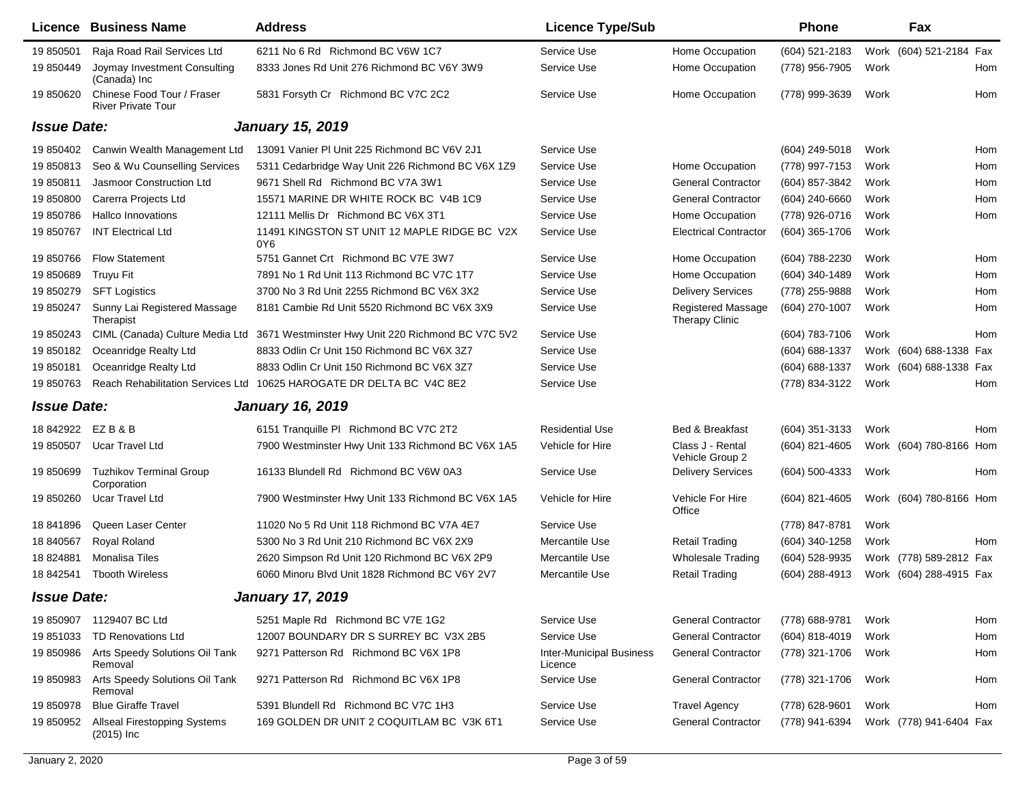|                    | <b>Licence Business Name</b>                            | <b>Address</b>                                                       | <b>Licence Type/Sub</b>                    |                                             | <b>Phone</b>     |      | Fax                     |     |
|--------------------|---------------------------------------------------------|----------------------------------------------------------------------|--------------------------------------------|---------------------------------------------|------------------|------|-------------------------|-----|
| 19 850501          | Raja Road Rail Services Ltd                             | 6211 No 6 Rd Richmond BC V6W 1C7                                     | Service Use                                | Home Occupation                             | (604) 521-2183   |      | Work (604) 521-2184 Fax |     |
| 19 850449          | Joymay Investment Consulting<br>(Canada) Inc            | 8333 Jones Rd Unit 276 Richmond BC V6Y 3W9                           | Service Use                                | Home Occupation                             | (778) 956-7905   | Work |                         | Hom |
| 19 850620          | Chinese Food Tour / Fraser<br><b>River Private Tour</b> | 5831 Forsyth Cr Richmond BC V7C 2C2                                  | Service Use                                | Home Occupation                             | (778) 999-3639   | Work |                         | Hom |
| <b>Issue Date:</b> |                                                         | <b>January 15, 2019</b>                                              |                                            |                                             |                  |      |                         |     |
| 19 850402          | Canwin Wealth Management Ltd                            | 13091 Vanier PI Unit 225 Richmond BC V6V 2J1                         | Service Use                                |                                             | (604) 249-5018   | Work |                         | Hom |
| 19 850813          | Seo & Wu Counselling Services                           | 5311 Cedarbridge Way Unit 226 Richmond BC V6X 1Z9                    | Service Use                                | Home Occupation                             | (778) 997-7153   | Work |                         | Hom |
| 19 850811          | Jasmoor Construction Ltd                                | 9671 Shell Rd Richmond BC V7A 3W1                                    | Service Use                                | <b>General Contractor</b>                   | (604) 857-3842   | Work |                         | Hom |
| 19850800           | Carerra Projects Ltd                                    | 15571 MARINE DR WHITE ROCK BC V4B 1C9                                | Service Use                                | <b>General Contractor</b>                   | (604) 240-6660   | Work |                         | Hom |
| 19 850786          | Hallco Innovations                                      | 12111 Mellis Dr Richmond BC V6X 3T1                                  | Service Use                                | Home Occupation                             | (778) 926-0716   | Work |                         | Hom |
| 19 850767          | <b>INT Electrical Ltd</b>                               | 11491 KINGSTON ST UNIT 12 MAPLE RIDGE BC V2X<br>0Y6                  | Service Use                                | <b>Electrical Contractor</b>                | (604) 365-1706   | Work |                         |     |
| 19 850766          | <b>Flow Statement</b>                                   | 5751 Gannet Crt Richmond BC V7E 3W7                                  | Service Use                                | Home Occupation                             | (604) 788-2230   | Work |                         | Hom |
| 19 850689          | Truyu Fit                                               | 7891 No 1 Rd Unit 113 Richmond BC V7C 1T7                            | Service Use                                | Home Occupation                             | (604) 340-1489   | Work |                         | Hom |
| 19 850279          | <b>SFT Logistics</b>                                    | 3700 No 3 Rd Unit 2255 Richmond BC V6X 3X2                           | Service Use                                | <b>Delivery Services</b>                    | (778) 255-9888   | Work |                         | Hom |
| 19 850247          | Sunny Lai Registered Massage<br>Therapist               | 8181 Cambie Rd Unit 5520 Richmond BC V6X 3X9                         | Service Use                                | Registered Massage<br><b>Therapy Clinic</b> | (604) 270-1007   | Work |                         | Hom |
| 19 850243          | CIML (Canada) Culture Media Ltd                         | 3671 Westminster Hwy Unit 220 Richmond BC V7C 5V2                    | Service Use                                |                                             | (604) 783-7106   | Work |                         | Hom |
| 19 850182          | Oceanridge Realty Ltd                                   | 8833 Odlin Cr Unit 150 Richmond BC V6X 3Z7                           | Service Use                                |                                             | (604) 688-1337   |      | Work (604) 688-1338 Fax |     |
| 19 850181          | Oceanridge Realty Ltd                                   | 8833 Odlin Cr Unit 150 Richmond BC V6X 3Z7                           | Service Use                                |                                             | (604) 688-1337   |      | Work (604) 688-1338 Fax |     |
| 19 850763          |                                                         | Reach Rehabilitation Services Ltd 10625 HAROGATE DR DELTA BC V4C 8E2 | Service Use                                |                                             | (778) 834-3122   | Work |                         | Hom |
| <b>Issue Date:</b> |                                                         | <b>January 16, 2019</b>                                              |                                            |                                             |                  |      |                         |     |
| 18 842922          | EZB&B                                                   | 6151 Tranquille PI Richmond BC V7C 2T2                               | <b>Residential Use</b>                     | Bed & Breakfast                             | $(604)$ 351-3133 | Work |                         | Hom |
| 19 850507          | <b>Ucar Travel Ltd</b>                                  | 7900 Westminster Hwy Unit 133 Richmond BC V6X 1A5                    | Vehicle for Hire                           | Class J - Rental<br>Vehicle Group 2         | (604) 821-4605   |      | Work (604) 780-8166 Hom |     |
| 19 850699          | <b>Tuzhikov Terminal Group</b><br>Corporation           | 16133 Blundell Rd Richmond BC V6W 0A3                                | Service Use                                | <b>Delivery Services</b>                    | $(604)$ 500-4333 | Work |                         | Hom |
| 19 850260          | Ucar Travel Ltd                                         | 7900 Westminster Hwy Unit 133 Richmond BC V6X 1A5                    | Vehicle for Hire                           | Vehicle For Hire<br>Office                  | (604) 821-4605   |      | Work (604) 780-8166 Hom |     |
| 18 841896          | Queen Laser Center                                      | 11020 No 5 Rd Unit 118 Richmond BC V7A 4E7                           | Service Use                                |                                             | (778) 847-8781   | Work |                         |     |
| 18 840567          | Royal Roland                                            | 5300 No 3 Rd Unit 210 Richmond BC V6X 2X9                            | Mercantile Use                             | <b>Retail Trading</b>                       | (604) 340-1258   | Work |                         | Hom |
| 18 824881          | <b>Monalisa Tiles</b>                                   | 2620 Simpson Rd Unit 120 Richmond BC V6X 2P9                         | Mercantile Use                             | <b>Wholesale Trading</b>                    | (604) 528-9935   |      | Work (778) 589-2812 Fax |     |
| 18 842541          | <b>Tbooth Wireless</b>                                  | 6060 Minoru Blvd Unit 1828 Richmond BC V6Y 2V7                       | Mercantile Use                             | <b>Retail Trading</b>                       | (604) 288-4913   | Work | (604) 288-4915 Fax      |     |
| <b>Issue Date:</b> |                                                         | January 17, 2019                                                     |                                            |                                             |                  |      |                         |     |
| 19 850907          | 1129407 BC Ltd                                          | 5251 Maple Rd Richmond BC V7E 1G2                                    | Service Use                                | <b>General Contractor</b>                   | (778) 688-9781   | Work |                         | Hom |
| 19 851033          | <b>TD Renovations Ltd</b>                               | 12007 BOUNDARY DR S SURREY BC V3X 2B5                                | Service Use                                | <b>General Contractor</b>                   | (604) 818-4019   | Work |                         | Hom |
| 19 850986          | Arts Speedy Solutions Oil Tank<br>Removal               | 9271 Patterson Rd Richmond BC V6X 1P8                                | <b>Inter-Municipal Business</b><br>Licence | <b>General Contractor</b>                   | (778) 321-1706   | Work |                         | Hom |
| 19 850983          | Arts Speedy Solutions Oil Tank<br>Removal               | 9271 Patterson Rd Richmond BC V6X 1P8                                | Service Use                                | <b>General Contractor</b>                   | (778) 321-1706   | Work |                         | Hom |
| 19 850978          | <b>Blue Giraffe Travel</b>                              | 5391 Blundell Rd Richmond BC V7C 1H3                                 | Service Use                                | <b>Travel Agency</b>                        | (778) 628-9601   | Work |                         | Hom |
| 19 850952          | <b>Allseal Firestopping Systems</b><br>$(2015)$ Inc     | 169 GOLDEN DR UNIT 2 COQUITLAM BC V3K 6T1                            | Service Use                                | <b>General Contractor</b>                   | (778) 941-6394   |      | Work (778) 941-6404 Fax |     |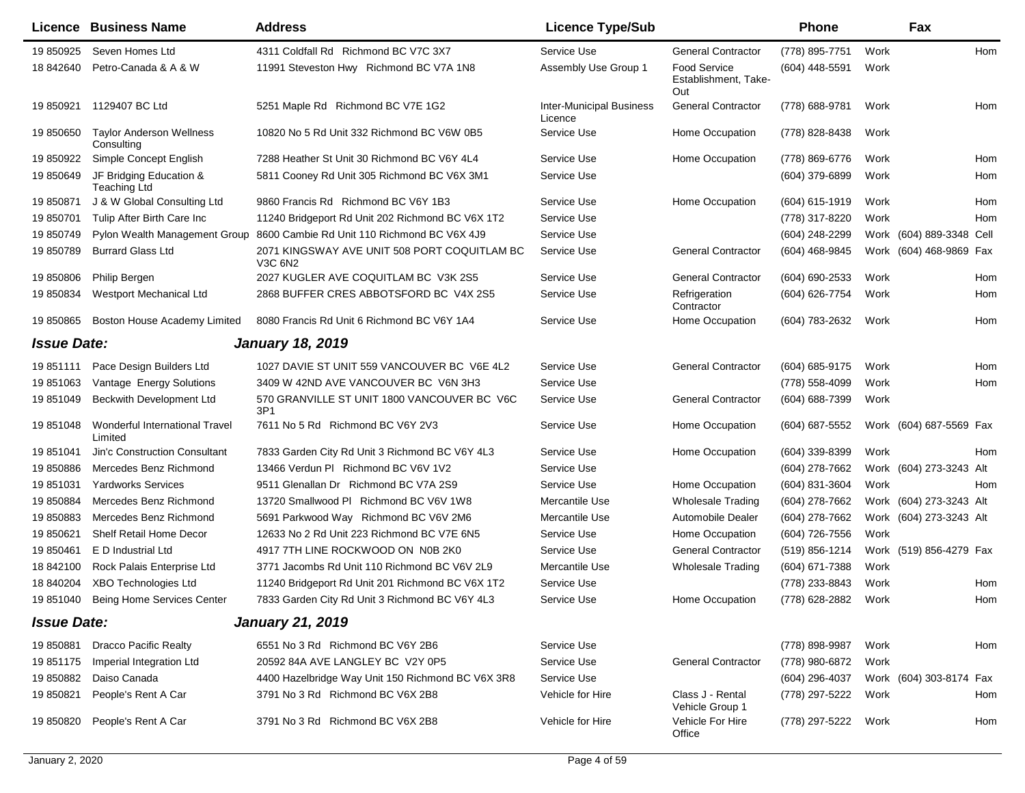|                    | Licence Business Name                         | <b>Address</b>                                          | <b>Licence Type/Sub</b>                    |                                                    | <b>Phone</b>     |      | Fax                      |     |
|--------------------|-----------------------------------------------|---------------------------------------------------------|--------------------------------------------|----------------------------------------------------|------------------|------|--------------------------|-----|
| 19 850925          | Seven Homes Ltd                               | 4311 Coldfall Rd Richmond BC V7C 3X7                    | Service Use                                | <b>General Contractor</b>                          | (778) 895-7751   | Work |                          | Hom |
| 18 842640          | Petro-Canada & A & W                          | 11991 Steveston Hwy Richmond BC V7A 1N8                 | Assembly Use Group 1                       | <b>Food Service</b><br>Establishment, Take-<br>Out | (604) 448-5591   | Work |                          |     |
| 19 850921          | 1129407 BC Ltd                                | 5251 Maple Rd Richmond BC V7E 1G2                       | <b>Inter-Municipal Business</b><br>Licence | <b>General Contractor</b>                          | (778) 688-9781   | Work |                          | Hom |
| 19 850650          | <b>Taylor Anderson Wellness</b><br>Consulting | 10820 No 5 Rd Unit 332 Richmond BC V6W 0B5              | Service Use                                | Home Occupation                                    | (778) 828-8438   | Work |                          |     |
| 19 850922          | Simple Concept English                        | 7288 Heather St Unit 30 Richmond BC V6Y 4L4             | Service Use                                | Home Occupation                                    | (778) 869-6776   | Work |                          | Hom |
| 19 850649          | JF Bridging Education &<br>Teaching Ltd       | 5811 Cooney Rd Unit 305 Richmond BC V6X 3M1             | Service Use                                |                                                    | $(604)$ 379-6899 | Work |                          | Hom |
| 19 850871          | J & W Global Consulting Ltd                   | 9860 Francis Rd Richmond BC V6Y 1B3                     | Service Use                                | Home Occupation                                    | $(604)$ 615-1919 | Work |                          | Hom |
| 19 850701          | Tulip After Birth Care Inc                    | 11240 Bridgeport Rd Unit 202 Richmond BC V6X 1T2        | Service Use                                |                                                    | (778) 317-8220   | Work |                          | Hom |
| 19 850749          | Pylon Wealth Management Group                 | 8600 Cambie Rd Unit 110 Richmond BC V6X 4J9             | Service Use                                |                                                    | (604) 248-2299   |      | Work (604) 889-3348 Cell |     |
| 19 850789          | <b>Burrard Glass Ltd</b>                      | 2071 KINGSWAY AVE UNIT 508 PORT COQUITLAM BC<br>V3C 6N2 | Service Use                                | <b>General Contractor</b>                          | (604) 468-9845   |      | Work (604) 468-9869 Fax  |     |
| 19 850806          | Philip Bergen                                 | 2027 KUGLER AVE COQUITLAM BC V3K 2S5                    | Service Use                                | <b>General Contractor</b>                          | (604) 690-2533   | Work |                          | Hom |
| 19 850834          | <b>Westport Mechanical Ltd</b>                | 2868 BUFFER CRES ABBOTSFORD BC V4X 2S5                  | Service Use                                | Refrigeration<br>Contractor                        | (604) 626-7754   | Work |                          | Hom |
| 19 850865          | Boston House Academy Limited                  | 8080 Francis Rd Unit 6 Richmond BC V6Y 1A4              | Service Use                                | Home Occupation                                    | (604) 783-2632   | Work |                          | Hom |
| <b>Issue Date:</b> |                                               | <b>January 18, 2019</b>                                 |                                            |                                                    |                  |      |                          |     |
| 19851111           | Pace Design Builders Ltd                      | 1027 DAVIE ST UNIT 559 VANCOUVER BC V6E 4L2             | Service Use                                | <b>General Contractor</b>                          | (604) 685-9175   | Work |                          | Hom |
| 19 851063          | Vantage Energy Solutions                      | 3409 W 42ND AVE VANCOUVER BC V6N 3H3                    | Service Use                                |                                                    | (778) 558-4099   | Work |                          | Hom |
| 19 851049          | <b>Beckwith Development Ltd</b>               | 570 GRANVILLE ST UNIT 1800 VANCOUVER BC V6C<br>3P1      | Service Use                                | <b>General Contractor</b>                          | (604) 688-7399   | Work |                          |     |
| 19 851048          | Wonderful International Travel<br>Limited     | 7611 No 5 Rd Richmond BC V6Y 2V3                        | Service Use                                | Home Occupation                                    | (604) 687-5552   |      | Work (604) 687-5569 Fax  |     |
| 19 851041          | Jin'c Construction Consultant                 | 7833 Garden City Rd Unit 3 Richmond BC V6Y 4L3          | Service Use                                | Home Occupation                                    | (604) 339-8399   | Work |                          | Hom |
| 19 850886          | Mercedes Benz Richmond                        | 13466 Verdun PI Richmond BC V6V 1V2                     | Service Use                                |                                                    | (604) 278-7662   |      | Work (604) 273-3243 Alt  |     |
| 19 851031          | <b>Yardworks Services</b>                     | 9511 Glenallan Dr Richmond BC V7A 2S9                   | Service Use                                | Home Occupation                                    | (604) 831-3604   | Work |                          | Hom |
| 19 850884          | Mercedes Benz Richmond                        | 13720 Smallwood PI Richmond BC V6V 1W8                  | Mercantile Use                             | <b>Wholesale Trading</b>                           | (604) 278-7662   |      | Work (604) 273-3243 Alt  |     |
| 19 850883          | Mercedes Benz Richmond                        | 5691 Parkwood Way Richmond BC V6V 2M6                   | Mercantile Use                             | Automobile Dealer                                  | (604) 278-7662   |      | Work (604) 273-3243 Alt  |     |
| 19 850621          | Shelf Retail Home Decor                       | 12633 No 2 Rd Unit 223 Richmond BC V7E 6N5              | Service Use                                | Home Occupation                                    | (604) 726-7556   | Work |                          |     |
| 19 850461          | E D Industrial Ltd                            | 4917 7TH LINE ROCKWOOD ON N0B 2K0                       | Service Use                                | <b>General Contractor</b>                          | (519) 856-1214   |      | Work (519) 856-4279 Fax  |     |
| 18 842100          | Rock Palais Enterprise Ltd                    | 3771 Jacombs Rd Unit 110 Richmond BC V6V 2L9            | Mercantile Use                             | <b>Wholesale Trading</b>                           | (604) 671-7388   | Work |                          |     |
| 18 840204          | <b>XBO Technologies Ltd</b>                   | 11240 Bridgeport Rd Unit 201 Richmond BC V6X 1T2        | Service Use                                |                                                    | (778) 233-8843   | Work |                          | Hom |
|                    | 19 851040 Being Home Services Center          | 7833 Garden City Rd Unit 3 Richmond BC V6Y 4L3          | Service Use                                | Home Occupation                                    | (778) 628-2882   | Work |                          | Hom |
| <b>Issue Date:</b> |                                               | <b>January 21, 2019</b>                                 |                                            |                                                    |                  |      |                          |     |
| 19 850881          | <b>Dracco Pacific Realty</b>                  | 6551 No 3 Rd Richmond BC V6Y 2B6                        | Service Use                                |                                                    | (778) 898-9987   | Work |                          | Hom |
| 19 851175          | Imperial Integration Ltd                      | 20592 84A AVE LANGLEY BC V2Y 0P5                        | Service Use                                | <b>General Contractor</b>                          | (778) 980-6872   | Work |                          |     |
| 19 850882          | Daiso Canada                                  | 4400 Hazelbridge Way Unit 150 Richmond BC V6X 3R8       | Service Use                                |                                                    | (604) 296-4037   |      | Work (604) 303-8174 Fax  |     |
| 19 850821          | People's Rent A Car                           | 3791 No 3 Rd Richmond BC V6X 2B8                        | Vehicle for Hire                           | Class J - Rental<br>Vehicle Group 1                | (778) 297-5222   | Work |                          | Hom |
| 19 850820          | People's Rent A Car                           | 3791 No 3 Rd Richmond BC V6X 2B8                        | Vehicle for Hire                           | Vehicle For Hire<br>Office                         | (778) 297-5222   | Work |                          | Hom |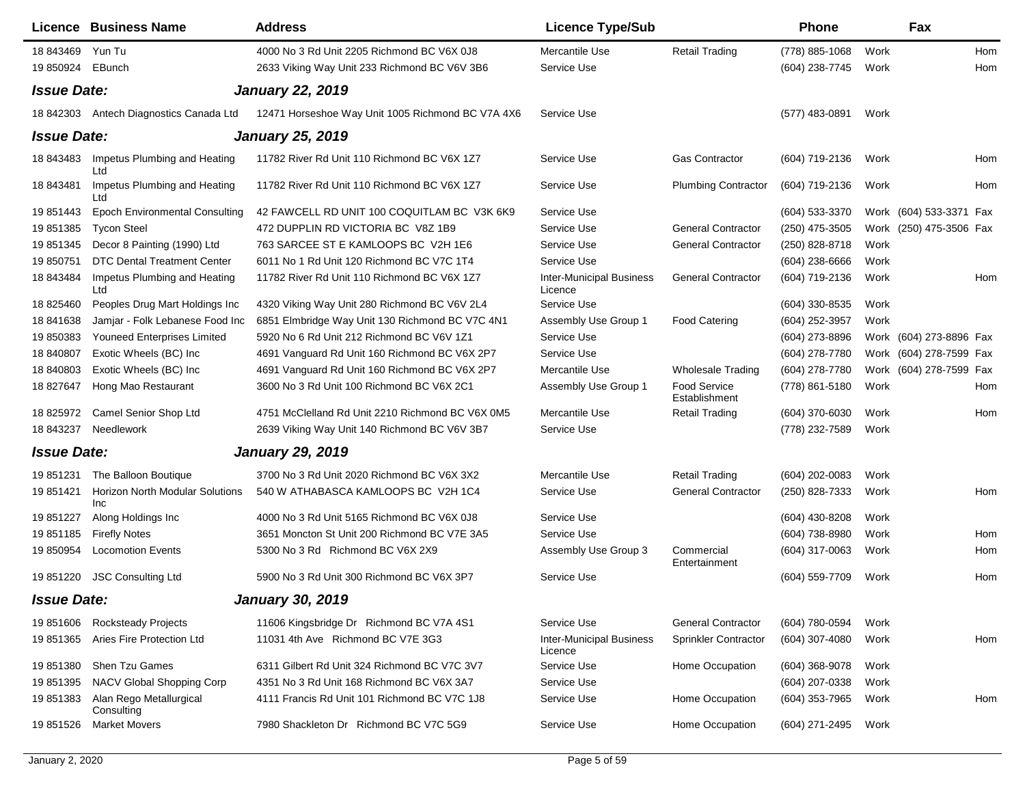|                    | Licence Business Name                                | <b>Address</b>                                    | <b>Licence Type/Sub</b>                    |                                      | <b>Phone</b>     |      | Fax                     |     |
|--------------------|------------------------------------------------------|---------------------------------------------------|--------------------------------------------|--------------------------------------|------------------|------|-------------------------|-----|
| 18 843469          | Yun Tu                                               | 4000 No 3 Rd Unit 2205 Richmond BC V6X 0J8        | Mercantile Use                             | <b>Retail Trading</b>                | (778) 885-1068   | Work |                         | Hom |
| 19 850924          | EBunch                                               | 2633 Viking Way Unit 233 Richmond BC V6V 3B6      | Service Use                                |                                      | (604) 238-7745   | Work |                         | Hom |
| <b>Issue Date:</b> |                                                      | <b>January 22, 2019</b>                           |                                            |                                      |                  |      |                         |     |
| 18 842303          | Antech Diagnostics Canada Ltd                        | 12471 Horseshoe Way Unit 1005 Richmond BC V7A 4X6 | Service Use                                |                                      | (577) 483-0891   | Work |                         |     |
| <b>Issue Date:</b> |                                                      | <b>January 25, 2019</b>                           |                                            |                                      |                  |      |                         |     |
| 18 843483          | Impetus Plumbing and Heating<br>Ltd                  | 11782 River Rd Unit 110 Richmond BC V6X 1Z7       | Service Use                                | <b>Gas Contractor</b>                | (604) 719-2136   | Work |                         | Hom |
| 18 843481          | Impetus Plumbing and Heating<br>Ltd                  | 11782 River Rd Unit 110 Richmond BC V6X 1Z7       | Service Use                                | <b>Plumbing Contractor</b>           | (604) 719-2136   | Work |                         | Hom |
| 19 851443          | <b>Epoch Environmental Consulting</b>                | 42 FAWCELL RD UNIT 100 COQUITLAM BC V3K 6K9       | Service Use                                |                                      | (604) 533-3370   |      | Work (604) 533-3371 Fax |     |
| 19 851385          | <b>Tycon Steel</b>                                   | 472 DUPPLIN RD VICTORIA BC V8Z 1B9                | Service Use                                | <b>General Contractor</b>            | (250) 475-3505   |      | Work (250) 475-3506 Fax |     |
| 19 851345          | Decor 8 Painting (1990) Ltd                          | 763 SARCEE ST E KAMLOOPS BC V2H 1E6               | Service Use                                | <b>General Contractor</b>            | (250) 828-8718   | Work |                         |     |
| 19 850751          | <b>DTC Dental Treatment Center</b>                   | 6011 No 1 Rd Unit 120 Richmond BC V7C 1T4         | Service Use                                |                                      | $(604)$ 238-6666 | Work |                         |     |
| 18 843484          | Impetus Plumbing and Heating<br>Ltd                  | 11782 River Rd Unit 110 Richmond BC V6X 1Z7       | <b>Inter-Municipal Business</b><br>Licence | <b>General Contractor</b>            | (604) 719-2136   | Work |                         | Hom |
| 18 825460          | Peoples Drug Mart Holdings Inc                       | 4320 Viking Way Unit 280 Richmond BC V6V 2L4      | Service Use                                |                                      | $(604)$ 330-8535 | Work |                         |     |
| 18 841638          | Jamjar - Folk Lebanese Food Inc                      | 6851 Elmbridge Way Unit 130 Richmond BC V7C 4N1   | Assembly Use Group 1                       | <b>Food Catering</b>                 | (604) 252-3957   | Work |                         |     |
| 19 850383          | Youneed Enterprises Limited                          | 5920 No 6 Rd Unit 212 Richmond BC V6V 1Z1         | Service Use                                |                                      | (604) 273-8896   |      | Work (604) 273-8896 Fax |     |
| 18 840807          | Exotic Wheels (BC) Inc                               | 4691 Vanguard Rd Unit 160 Richmond BC V6X 2P7     | Service Use                                |                                      | (604) 278-7780   |      | Work (604) 278-7599 Fax |     |
| 18 840803          | Exotic Wheels (BC) Inc                               | 4691 Vanguard Rd Unit 160 Richmond BC V6X 2P7     | Mercantile Use                             | <b>Wholesale Trading</b>             | (604) 278-7780   |      | Work (604) 278-7599 Fax |     |
| 18 827647          | Hong Mao Restaurant                                  | 3600 No 3 Rd Unit 100 Richmond BC V6X 2C1         | Assembly Use Group 1                       | <b>Food Service</b><br>Establishment | (778) 861-5180   | Work |                         | Hom |
| 18 825972          | <b>Camel Senior Shop Ltd</b>                         | 4751 McClelland Rd Unit 2210 Richmond BC V6X 0M5  | Mercantile Use                             | Retail Trading                       | (604) 370-6030   | Work |                         | Hom |
| 18 843237          | Needlework                                           | 2639 Viking Way Unit 140 Richmond BC V6V 3B7      | Service Use                                |                                      | (778) 232-7589   | Work |                         |     |
| <b>Issue Date:</b> |                                                      | <b>January 29, 2019</b>                           |                                            |                                      |                  |      |                         |     |
| 19 851231          | The Balloon Boutique                                 | 3700 No 3 Rd Unit 2020 Richmond BC V6X 3X2        | Mercantile Use                             | <b>Retail Trading</b>                | (604) 202-0083   | Work |                         |     |
| 19 851421          | <b>Horizon North Modular Solutions</b><br><b>Inc</b> | 540 W ATHABASCA KAMLOOPS BC V2H 1C4               | Service Use                                | <b>General Contractor</b>            | (250) 828-7333   | Work |                         | Hom |
| 19 851227          | Along Holdings Inc                                   | 4000 No 3 Rd Unit 5165 Richmond BC V6X 0J8        | Service Use                                |                                      | (604) 430-8208   | Work |                         |     |
| 19 851185          | <b>Firefly Notes</b>                                 | 3651 Moncton St Unit 200 Richmond BC V7E 3A5      | Service Use                                |                                      | (604) 738-8980   | Work |                         | Hom |
| 19 850954          | <b>Locomotion Events</b>                             | 5300 No 3 Rd Richmond BC V6X 2X9                  | Assembly Use Group 3                       | Commercial<br>Entertainment          | (604) 317-0063   | Work |                         | Hom |
|                    | 19 851220 JSC Consulting Ltd                         | 5900 No 3 Rd Unit 300 Richmond BC V6X 3P7         | Service Use                                |                                      | (604) 559-7709   | Work |                         | Hom |
| <b>Issue Date:</b> |                                                      | <b>January 30, 2019</b>                           |                                            |                                      |                  |      |                         |     |
|                    | 19 851606 Rocksteady Projects                        | 11606 Kingsbridge Dr Richmond BC V7A 4S1          | Service Use                                | <b>General Contractor</b>            | (604) 780-0594   | Work |                         |     |
| 19 851365          | Aries Fire Protection Ltd                            | 11031 4th Ave Richmond BC V7E 3G3                 | <b>Inter-Municipal Business</b><br>Licence | Sprinkler Contractor                 | (604) 307-4080   | Work |                         | Hom |
| 19 851380          | Shen Tzu Games                                       | 6311 Gilbert Rd Unit 324 Richmond BC V7C 3V7      | Service Use                                | Home Occupation                      | $(604)$ 368-9078 | Work |                         |     |
| 19 851395          | NACV Global Shopping Corp                            | 4351 No 3 Rd Unit 168 Richmond BC V6X 3A7         | Service Use                                |                                      | (604) 207-0338   | Work |                         |     |
| 19 851383          | Alan Rego Metallurgical<br>Consulting                | 4111 Francis Rd Unit 101 Richmond BC V7C 1J8      | Service Use                                | Home Occupation                      | (604) 353-7965   | Work |                         | Hom |
| 19 851526          | <b>Market Movers</b>                                 | 7980 Shackleton Dr Richmond BC V7C 5G9            | Service Use                                | Home Occupation                      | (604) 271-2495   | Work |                         |     |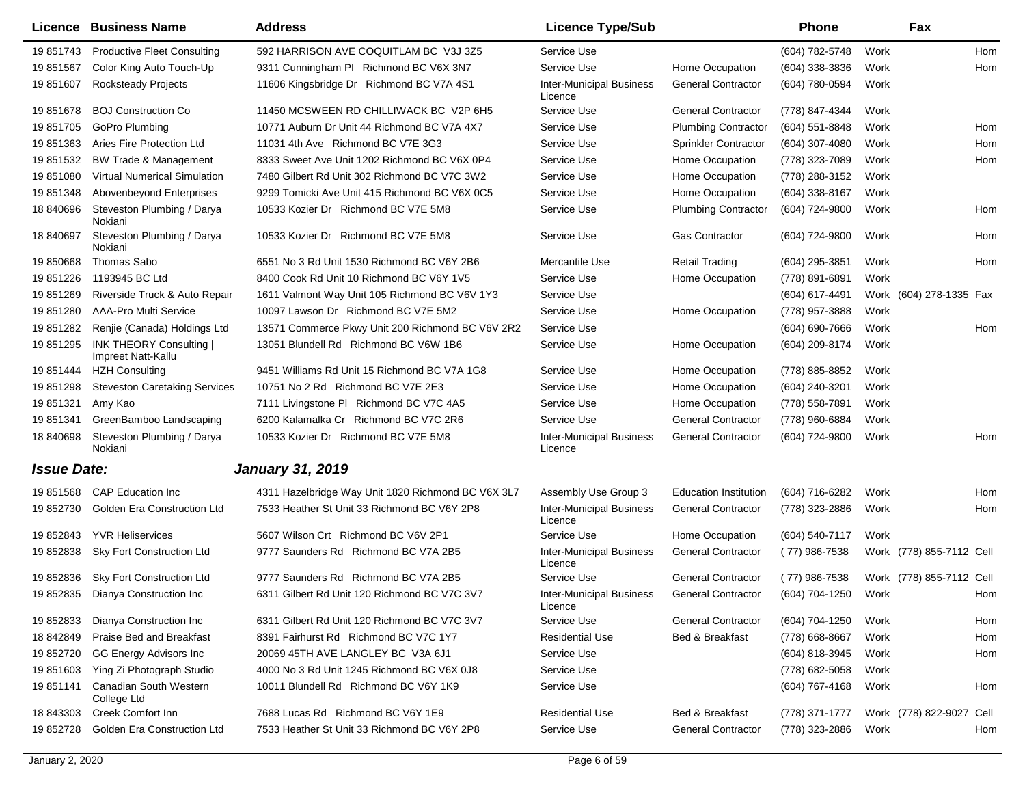|                    | Licence Business Name                                | <b>Address</b>                                     | <b>Licence Type/Sub</b>                    |                              | <b>Phone</b>     |      | Fax                      |            |
|--------------------|------------------------------------------------------|----------------------------------------------------|--------------------------------------------|------------------------------|------------------|------|--------------------------|------------|
| 19 851743          | <b>Productive Fleet Consulting</b>                   | 592 HARRISON AVE COQUITLAM BC V3J 3Z5              | Service Use                                |                              | (604) 782-5748   | Work |                          | <b>Hom</b> |
| 19 851567          | Color King Auto Touch-Up                             | 9311 Cunningham PI Richmond BC V6X 3N7             | Service Use                                | Home Occupation              | $(604)$ 338-3836 | Work |                          | Hom        |
| 19 851607          | <b>Rocksteady Projects</b>                           | 11606 Kingsbridge Dr Richmond BC V7A 4S1           | <b>Inter-Municipal Business</b><br>Licence | <b>General Contractor</b>    | (604) 780-0594   | Work |                          |            |
| 19 851678          | <b>BOJ Construction Co</b>                           | 11450 MCSWEEN RD CHILLIWACK BC V2P 6H5             | Service Use                                | <b>General Contractor</b>    | (778) 847-4344   | Work |                          |            |
| 19 851705          | GoPro Plumbing                                       | 10771 Auburn Dr Unit 44 Richmond BC V7A 4X7        | Service Use                                | <b>Plumbing Contractor</b>   | $(604)$ 551-8848 | Work |                          | Hom        |
| 19851363           | Aries Fire Protection Ltd                            | 11031 4th Ave Richmond BC V7E 3G3                  | Service Use                                | Sprinkler Contractor         | $(604)$ 307-4080 | Work |                          | Hom        |
| 19 851532          | <b>BW Trade &amp; Management</b>                     | 8333 Sweet Ave Unit 1202 Richmond BC V6X 0P4       | Service Use                                | Home Occupation              | (778) 323-7089   | Work |                          | Hom        |
| 19851080           | <b>Virtual Numerical Simulation</b>                  | 7480 Gilbert Rd Unit 302 Richmond BC V7C 3W2       | Service Use                                | Home Occupation              | (778) 288-3152   | Work |                          |            |
| 19 851348          | Abovenbeyond Enterprises                             | 9299 Tomicki Ave Unit 415 Richmond BC V6X 0C5      | Service Use                                | Home Occupation              | (604) 338-8167   | Work |                          |            |
| 18 840696          | Steveston Plumbing / Darya<br>Nokiani                | 10533 Kozier Dr Richmond BC V7E 5M8                | Service Use                                | <b>Plumbing Contractor</b>   | (604) 724-9800   | Work |                          | Hom        |
| 18 840697          | Steveston Plumbing / Darya<br>Nokiani                | 10533 Kozier Dr Richmond BC V7E 5M8                | Service Use                                | <b>Gas Contractor</b>        | (604) 724-9800   | Work |                          | Hom        |
| 19 850668          | Thomas Sabo                                          | 6551 No 3 Rd Unit 1530 Richmond BC V6Y 2B6         | Mercantile Use                             | <b>Retail Trading</b>        | $(604)$ 295-3851 | Work |                          | Hom        |
| 19 851226          | 1193945 BC Ltd                                       | 8400 Cook Rd Unit 10 Richmond BC V6Y 1V5           | Service Use                                | Home Occupation              | (778) 891-6891   | Work |                          |            |
| 19 851269          | Riverside Truck & Auto Repair                        | 1611 Valmont Way Unit 105 Richmond BC V6V 1Y3      | Service Use                                |                              | (604) 617-4491   |      | Work (604) 278-1335 Fax  |            |
| 19 851280          | AAA-Pro Multi Service                                | 10097 Lawson Dr Richmond BC V7E 5M2                | Service Use                                | Home Occupation              | (778) 957-3888   | Work |                          |            |
| 19 851282          | Renjie (Canada) Holdings Ltd                         | 13571 Commerce Pkwy Unit 200 Richmond BC V6V 2R2   | Service Use                                |                              | (604) 690-7666   | Work |                          | Hom        |
| 19 851295          | <b>INK THEORY Consulting  </b><br>Impreet Natt-Kallu | 13051 Blundell Rd Richmond BC V6W 1B6              | Service Use                                | Home Occupation              | (604) 209-8174   | Work |                          |            |
| 19 851444          | <b>HZH Consulting</b>                                | 9451 Williams Rd Unit 15 Richmond BC V7A 1G8       | Service Use                                | Home Occupation              | (778) 885-8852   | Work |                          |            |
| 19 851298          | <b>Steveston Caretaking Services</b>                 | 10751 No 2 Rd Richmond BC V7E 2E3                  | Service Use                                | Home Occupation              | (604) 240-3201   | Work |                          |            |
| 19 851321          | Amy Kao                                              | 7111 Livingstone PI Richmond BC V7C 4A5            | Service Use                                | Home Occupation              | (778) 558-7891   | Work |                          |            |
| 19 851341          | GreenBamboo Landscaping                              | 6200 Kalamalka Cr Richmond BC V7C 2R6              | Service Use                                | <b>General Contractor</b>    | (778) 960-6884   | Work |                          |            |
| 18 840698          | Steveston Plumbing / Darya<br>Nokiani                | 10533 Kozier Dr Richmond BC V7E 5M8                | <b>Inter-Municipal Business</b><br>Licence | <b>General Contractor</b>    | (604) 724-9800   | Work |                          | Hom        |
| <b>Issue Date:</b> |                                                      | <b>January 31, 2019</b>                            |                                            |                              |                  |      |                          |            |
| 19851568           | <b>CAP Education Inc</b>                             | 4311 Hazelbridge Way Unit 1820 Richmond BC V6X 3L7 | Assembly Use Group 3                       | <b>Education Institution</b> | (604) 716-6282   | Work |                          | Hom        |
| 19 852730          | <b>Golden Era Construction Ltd</b>                   | 7533 Heather St Unit 33 Richmond BC V6Y 2P8        | <b>Inter-Municipal Business</b><br>Licence | <b>General Contractor</b>    | (778) 323-2886   | Work |                          | Hom        |
| 19 852843          | <b>YVR Heliservices</b>                              | 5607 Wilson Crt Richmond BC V6V 2P1                | Service Use                                | Home Occupation              | (604) 540-7117   | Work |                          |            |
| 19 852838          | <b>Sky Fort Construction Ltd</b>                     | 9777 Saunders Rd Richmond BC V7A 2B5               | <b>Inter-Municipal Business</b><br>Licence | <b>General Contractor</b>    | $(77)$ 986-7538  |      | Work (778) 855-7112 Cell |            |
| 19 852836          | Sky Fort Construction Ltd                            | 9777 Saunders Rd Richmond BC V7A 2B5               | Service Use                                | <b>General Contractor</b>    | $(77)$ 986-7538  |      | Work (778) 855-7112 Cell |            |
| 19 852835          | Dianya Construction Inc                              | 6311 Gilbert Rd Unit 120 Richmond BC V7C 3V7       | <b>Inter-Municipal Business</b><br>Licence | <b>General Contractor</b>    | (604) 704-1250   | Work |                          | Hom        |
| 19 852833          | Dianya Construction Inc                              | 6311 Gilbert Rd Unit 120 Richmond BC V7C 3V7       | Service Use                                | <b>General Contractor</b>    | (604) 704-1250   | Work |                          | Hom        |
| 18 842849          | <b>Praise Bed and Breakfast</b>                      | 8391 Fairhurst Rd Richmond BC V7C 1Y7              | <b>Residential Use</b>                     | Bed & Breakfast              | (778) 668-8667   | Work |                          | Hom        |
| 19 852720          | GG Energy Advisors Inc                               | 20069 45TH AVE LANGLEY BC V3A 6J1                  | Service Use                                |                              | (604) 818-3945   | Work |                          | Hom        |
| 19 851603          | Ying Zi Photograph Studio                            | 4000 No 3 Rd Unit 1245 Richmond BC V6X 0J8         | Service Use                                |                              | (778) 682-5058   | Work |                          |            |
| 19 851141          | Canadian South Western<br>College Ltd                | 10011 Blundell Rd Richmond BC V6Y 1K9              | Service Use                                |                              | (604) 767-4168   | Work |                          | Hom        |
| 18 843303          | <b>Creek Comfort Inn</b>                             | 7688 Lucas Rd Richmond BC V6Y 1E9                  | <b>Residential Use</b>                     | Bed & Breakfast              | (778) 371-1777   |      | Work (778) 822-9027      | Cell       |
| 19 852728          | Golden Era Construction Ltd                          | 7533 Heather St Unit 33 Richmond BC V6Y 2P8        | Service Use                                | <b>General Contractor</b>    | (778) 323-2886   | Work |                          | Hom        |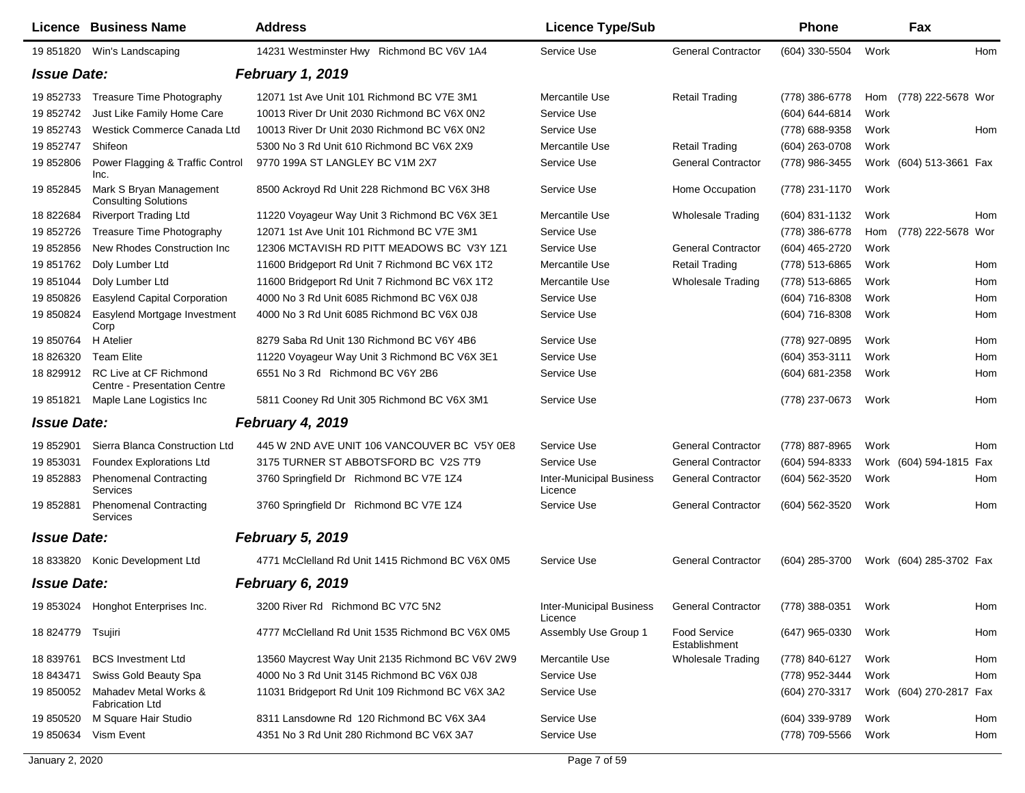|                    | Licence Business Name                                  | <b>Address</b>                                   | <b>Licence Type/Sub</b>                    |                               | <b>Phone</b>     | Fax                       |     |
|--------------------|--------------------------------------------------------|--------------------------------------------------|--------------------------------------------|-------------------------------|------------------|---------------------------|-----|
|                    | 19 851820 Win's Landscaping                            | 14231 Westminster Hwy Richmond BC V6V 1A4        | Service Use                                | <b>General Contractor</b>     | (604) 330-5504   | Work                      | Hom |
| <b>Issue Date:</b> |                                                        | February 1, 2019                                 |                                            |                               |                  |                           |     |
| 19 852733          | Treasure Time Photography                              | 12071 1st Ave Unit 101 Richmond BC V7E 3M1       | Mercantile Use                             | <b>Retail Trading</b>         | (778) 386-6778   | (778) 222-5678 Wor<br>Hom |     |
| 19 852742          | Just Like Family Home Care                             | 10013 River Dr Unit 2030 Richmond BC V6X 0N2     | Service Use                                |                               | (604) 644-6814   | Work                      |     |
| 19 852743          | Westick Commerce Canada Ltd                            | 10013 River Dr Unit 2030 Richmond BC V6X 0N2     | Service Use                                |                               | (778) 688-9358   | Work                      | Hom |
| 19 852747          | Shifeon                                                | 5300 No 3 Rd Unit 610 Richmond BC V6X 2X9        | Mercantile Use                             | <b>Retail Trading</b>         | (604) 263-0708   | Work                      |     |
| 19 852806          | Power Flagging & Traffic Control<br>Inc.               | 9770 199A ST LANGLEY BC V1M 2X7                  | Service Use                                | <b>General Contractor</b>     | (778) 986-3455   | Work (604) 513-3661 Fax   |     |
| 19 852845          | Mark S Bryan Management<br><b>Consulting Solutions</b> | 8500 Ackroyd Rd Unit 228 Richmond BC V6X 3H8     | Service Use                                | Home Occupation               | (778) 231-1170   | Work                      |     |
| 18 822684          | <b>Riverport Trading Ltd</b>                           | 11220 Voyageur Way Unit 3 Richmond BC V6X 3E1    | Mercantile Use                             | <b>Wholesale Trading</b>      | (604) 831-1132   | Work                      | Hom |
| 19 852726          | Treasure Time Photography                              | 12071 1st Ave Unit 101 Richmond BC V7E 3M1       | Service Use                                |                               | (778) 386-6778   | (778) 222-5678 Wor<br>Hom |     |
| 19 852856          | New Rhodes Construction Inc                            | 12306 MCTAVISH RD PITT MEADOWS BC V3Y 1Z1        | Service Use                                | <b>General Contractor</b>     | (604) 465-2720   | Work                      |     |
| 19 851762          | Doly Lumber Ltd                                        | 11600 Bridgeport Rd Unit 7 Richmond BC V6X 1T2   | Mercantile Use                             | <b>Retail Trading</b>         | (778) 513-6865   | Work                      | Hom |
| 19 851044          | Doly Lumber Ltd                                        | 11600 Bridgeport Rd Unit 7 Richmond BC V6X 1T2   | Mercantile Use                             | <b>Wholesale Trading</b>      | (778) 513-6865   | Work                      | Hom |
| 19 850826          | <b>Easylend Capital Corporation</b>                    | 4000 No 3 Rd Unit 6085 Richmond BC V6X 0J8       | Service Use                                |                               | (604) 716-8308   | Work                      | Hom |
| 19 850824          | Easylend Mortgage Investment<br>Corp                   | 4000 No 3 Rd Unit 6085 Richmond BC V6X 0J8       | Service Use                                |                               | (604) 716-8308   | Work                      | Hom |
| 19 850764          | H Atelier                                              | 8279 Saba Rd Unit 130 Richmond BC V6Y 4B6        | Service Use                                |                               | (778) 927-0895   | Work                      | Hom |
| 18 826320          | <b>Team Elite</b>                                      | 11220 Voyageur Way Unit 3 Richmond BC V6X 3E1    | Service Use                                |                               | (604) 353-3111   | Work                      | Hom |
| 18 829912          | RC Live at CF Richmond<br>Centre - Presentation Centre | 6551 No 3 Rd Richmond BC V6Y 2B6                 | Service Use                                |                               | (604) 681-2358   | Work                      | Hom |
| 19 851821          | Maple Lane Logistics Inc                               | 5811 Cooney Rd Unit 305 Richmond BC V6X 3M1      | Service Use                                |                               | (778) 237-0673   | Work                      | Hom |
| <b>Issue Date:</b> |                                                        | February 4, 2019                                 |                                            |                               |                  |                           |     |
| 19 852901          | Sierra Blanca Construction Ltd                         | 445 W 2ND AVE UNIT 106 VANCOUVER BC V5Y 0E8      | Service Use                                | <b>General Contractor</b>     | (778) 887-8965   | Work                      | Hom |
| 19 853031          | <b>Foundex Explorations Ltd</b>                        | 3175 TURNER ST ABBOTSFORD BC V2S 7T9             | Service Use                                | <b>General Contractor</b>     | (604) 594-8333   | Work (604) 594-1815       | Fax |
| 19 852883          | <b>Phenomenal Contracting</b><br>Services              | 3760 Springfield Dr Richmond BC V7E 1Z4          | <b>Inter-Municipal Business</b><br>Licence | <b>General Contractor</b>     | (604) 562-3520   | Work                      | Hom |
| 19 852881          | <b>Phenomenal Contracting</b><br>Services              | 3760 Springfield Dr Richmond BC V7E 1Z4          | Service Use                                | <b>General Contractor</b>     | (604) 562-3520   | Work                      | Hom |
| <b>Issue Date:</b> |                                                        | February 5, 2019                                 |                                            |                               |                  |                           |     |
| 18 833820          | Konic Development Ltd                                  | 4771 McClelland Rd Unit 1415 Richmond BC V6X 0M5 | Service Use                                | <b>General Contractor</b>     | $(604)$ 285-3700 | Work (604) 285-3702 Fax   |     |
| <b>Issue Date:</b> |                                                        | February 6, 2019                                 |                                            |                               |                  |                           |     |
| 19 853024          | Honghot Enterprises Inc.                               | 3200 River Rd Richmond BC V7C 5N2                | <b>Inter-Municipal Business</b><br>Licence | <b>General Contractor</b>     | (778) 388-0351   | Work                      | Hom |
| 18 824779          | Tsujiri                                                | 4777 McClelland Rd Unit 1535 Richmond BC V6X 0M5 | Assembly Use Group 1                       | Food Service<br>Establishment | $(647)$ 965-0330 | Work                      | Hom |
| 18 839761          | <b>BCS Investment Ltd</b>                              | 13560 Maycrest Way Unit 2135 Richmond BC V6V 2W9 | Mercantile Use                             | <b>Wholesale Trading</b>      | (778) 840-6127   | Work                      | Hom |
| 18 843471          | Swiss Gold Beauty Spa                                  | 4000 No 3 Rd Unit 3145 Richmond BC V6X 0J8       | Service Use                                |                               | (778) 952-3444   | Work                      | Hom |
| 19 850052          | Mahadev Metal Works &<br><b>Fabrication Ltd</b>        | 11031 Bridgeport Rd Unit 109 Richmond BC V6X 3A2 | Service Use                                |                               | (604) 270-3317   | Work (604) 270-2817 Fax   |     |
| 19 850520          | M Square Hair Studio                                   | 8311 Lansdowne Rd 120 Richmond BC V6X 3A4        | Service Use                                |                               | (604) 339-9789   | Work                      | Hom |
| 19 850634          | Vism Event                                             | 4351 No 3 Rd Unit 280 Richmond BC V6X 3A7        | Service Use                                |                               | (778) 709-5566   | Work                      | Hom |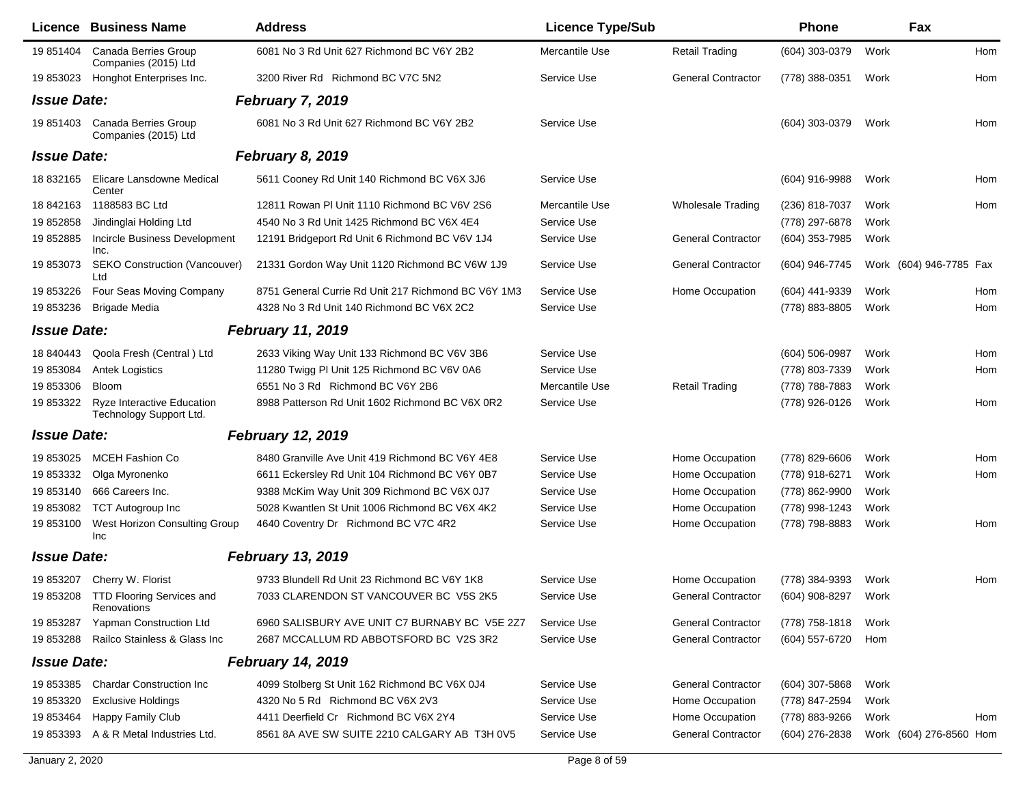|                    | <b>Licence Business Name</b>                                 | <b>Address</b>                                      | <b>Licence Type/Sub</b> |                           | Phone            |      | Fax                     |
|--------------------|--------------------------------------------------------------|-----------------------------------------------------|-------------------------|---------------------------|------------------|------|-------------------------|
| 19 851404          | Canada Berries Group<br>Companies (2015) Ltd                 | 6081 No 3 Rd Unit 627 Richmond BC V6Y 2B2           | Mercantile Use          | <b>Retail Trading</b>     | $(604)$ 303-0379 | Work | Hom                     |
| 19 853023          | Honghot Enterprises Inc.                                     | 3200 River Rd Richmond BC V7C 5N2                   | Service Use             | <b>General Contractor</b> | (778) 388-0351   | Work | Hom                     |
| <b>Issue Date:</b> |                                                              | <b>February 7, 2019</b>                             |                         |                           |                  |      |                         |
| 19 851403          | Canada Berries Group<br>Companies (2015) Ltd                 | 6081 No 3 Rd Unit 627 Richmond BC V6Y 2B2           | Service Use             |                           | (604) 303-0379   | Work | Hom                     |
| <b>Issue Date:</b> |                                                              | <b>February 8, 2019</b>                             |                         |                           |                  |      |                         |
| 18 832165          | Elicare Lansdowne Medical<br>Center                          | 5611 Cooney Rd Unit 140 Richmond BC V6X 3J6         | Service Use             |                           | (604) 916-9988   | Work | Hom                     |
| 18 842163          | 1188583 BC Ltd                                               | 12811 Rowan PI Unit 1110 Richmond BC V6V 2S6        | Mercantile Use          | <b>Wholesale Trading</b>  | (236) 818-7037   | Work | Hom                     |
| 19 852858          | Jindinglai Holding Ltd                                       | 4540 No 3 Rd Unit 1425 Richmond BC V6X 4E4          | Service Use             |                           | (778) 297-6878   | Work |                         |
| 19 852885          | Incircle Business Development<br>Inc.                        | 12191 Bridgeport Rd Unit 6 Richmond BC V6V 1J4      | Service Use             | <b>General Contractor</b> | (604) 353-7985   | Work |                         |
| 19 853073          | <b>SEKO Construction (Vancouver)</b><br>Ltd                  | 21331 Gordon Way Unit 1120 Richmond BC V6W 1J9      | Service Use             | <b>General Contractor</b> | (604) 946-7745   |      | Work (604) 946-7785 Fax |
| 19 853226          | Four Seas Moving Company                                     | 8751 General Currie Rd Unit 217 Richmond BC V6Y 1M3 | Service Use             | Home Occupation           | (604) 441-9339   | Work | Hom                     |
| 19 853236          | Brigade Media                                                | 4328 No 3 Rd Unit 140 Richmond BC V6X 2C2           | Service Use             |                           | (778) 883-8805   | Work | Hom                     |
| <b>Issue Date:</b> |                                                              | <b>February 11, 2019</b>                            |                         |                           |                  |      |                         |
| 18 840443          | Qoola Fresh (Central) Ltd                                    | 2633 Viking Way Unit 133 Richmond BC V6V 3B6        | Service Use             |                           | $(604)$ 506-0987 | Work | Hom                     |
| 19853084           | <b>Antek Logistics</b>                                       | 11280 Twigg PI Unit 125 Richmond BC V6V 0A6         | Service Use             |                           | (778) 803-7339   | Work | Hom                     |
| 19 853306          | <b>Bloom</b>                                                 | 6551 No 3 Rd Richmond BC V6Y 2B6                    | Mercantile Use          | <b>Retail Trading</b>     | (778) 788-7883   | Work |                         |
| 19 853322          | <b>Ryze Interactive Education</b><br>Technology Support Ltd. | 8988 Patterson Rd Unit 1602 Richmond BC V6X 0R2     | Service Use             |                           | (778) 926-0126   | Work | Hom                     |
| <b>Issue Date:</b> |                                                              | <b>February 12, 2019</b>                            |                         |                           |                  |      |                         |
| 19 853025          | <b>MCEH Fashion Co</b>                                       | 8480 Granville Ave Unit 419 Richmond BC V6Y 4E8     | Service Use             | Home Occupation           | (778) 829-6606   | Work | Hom                     |
| 19 853332          | Olga Myronenko                                               | 6611 Eckersley Rd Unit 104 Richmond BC V6Y 0B7      | Service Use             | Home Occupation           | (778) 918-6271   | Work | Hom                     |
| 19 853140          | 666 Careers Inc.                                             | 9388 McKim Way Unit 309 Richmond BC V6X 0J7         | Service Use             | Home Occupation           | (778) 862-9900   | Work |                         |
| 19 853082          | <b>TCT Autogroup Inc</b>                                     | 5028 Kwantlen St Unit 1006 Richmond BC V6X 4K2      | Service Use             | Home Occupation           | (778) 998-1243   | Work |                         |
| 19 853100          | West Horizon Consulting Group<br>Inc                         | 4640 Coventry Dr Richmond BC V7C 4R2                | Service Use             | Home Occupation           | (778) 798-8883   | Work | Hom                     |
| <b>Issue Date:</b> |                                                              | <b>February 13, 2019</b>                            |                         |                           |                  |      |                         |
| 19 853207          | Cherry W. Florist                                            | 9733 Blundell Rd Unit 23 Richmond BC V6Y 1K8        | Service Use             | Home Occupation           | (778) 384-9393   | Work | Hom                     |
|                    | 19 853208 TTD Flooring Services and<br>Renovations           | 7033 CLARENDON ST VANCOUVER BC V5S 2K5              | Service Use             | <b>General Contractor</b> | (604) 908-8297   | Work |                         |
| 19 853287          | Yapman Construction Ltd                                      | 6960 SALISBURY AVE UNIT C7 BURNABY BC V5E 2Z7       | Service Use             | <b>General Contractor</b> | (778) 758-1818   | Work |                         |
| 19 853288          | Railco Stainless & Glass Inc                                 | 2687 MCCALLUM RD ABBOTSFORD BC V2S 3R2              | Service Use             | <b>General Contractor</b> | (604) 557-6720   | Hom  |                         |
| <b>Issue Date:</b> |                                                              | <b>February 14, 2019</b>                            |                         |                           |                  |      |                         |
| 19 853385          | <b>Chardar Construction Inc.</b>                             | 4099 Stolberg St Unit 162 Richmond BC V6X 0J4       | Service Use             | <b>General Contractor</b> | $(604)$ 307-5868 | Work |                         |
| 19 853320          | <b>Exclusive Holdings</b>                                    | 4320 No 5 Rd Richmond BC V6X 2V3                    | Service Use             | Home Occupation           | (778) 847-2594   | Work |                         |
| 19 853464          | Happy Family Club                                            | 4411 Deerfield Cr Richmond BC V6X 2Y4               | Service Use             | Home Occupation           | (778) 883-9266   | Work | Hom                     |
| 19 853393          | A & R Metal Industries Ltd.                                  | 8561 8A AVE SW SUITE 2210 CALGARY AB T3H 0V5        | Service Use             | <b>General Contractor</b> | $(604)$ 276-2838 |      | Work (604) 276-8560 Hom |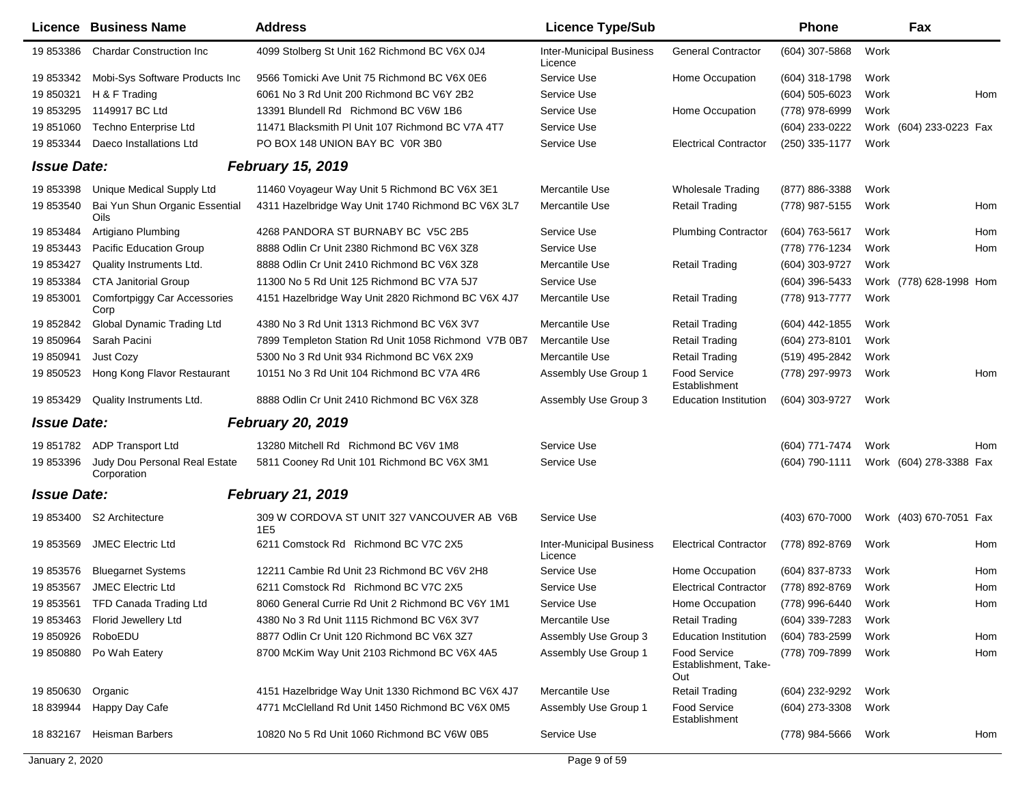|                    | <b>Licence Business Name</b>                 | <b>Address</b>                                       | <b>Licence Type/Sub</b>                    |                                                    | <b>Phone</b>     |      | Fax                     |     |
|--------------------|----------------------------------------------|------------------------------------------------------|--------------------------------------------|----------------------------------------------------|------------------|------|-------------------------|-----|
| 19 853386          | <b>Chardar Construction Inc</b>              | 4099 Stolberg St Unit 162 Richmond BC V6X 0J4        | <b>Inter-Municipal Business</b><br>Licence | <b>General Contractor</b>                          | (604) 307-5868   | Work |                         |     |
| 19 853342          | Mobi-Sys Software Products Inc               | 9566 Tomicki Ave Unit 75 Richmond BC V6X 0E6         | Service Use                                | Home Occupation                                    | (604) 318-1798   | Work |                         |     |
| 19 850321          | H & F Trading                                | 6061 No 3 Rd Unit 200 Richmond BC V6Y 2B2            | Service Use                                |                                                    | $(604)$ 505-6023 | Work |                         | Hom |
| 19 853295          | 1149917 BC Ltd                               | 13391 Blundell Rd Richmond BC V6W 1B6                | Service Use                                | Home Occupation                                    | (778) 978-6999   | Work |                         |     |
| 19 851060          | <b>Techno Enterprise Ltd</b>                 | 11471 Blacksmith PI Unit 107 Richmond BC V7A 4T7     | Service Use                                |                                                    | (604) 233-0222   |      | Work (604) 233-0223 Fax |     |
| 19 853344          | Daeco Installations Ltd                      | PO BOX 148 UNION BAY BC V0R 3B0                      | Service Use                                | <b>Electrical Contractor</b>                       | (250) 335-1177   | Work |                         |     |
| <b>Issue Date:</b> |                                              | <b>February 15, 2019</b>                             |                                            |                                                    |                  |      |                         |     |
| 19 853398          | Unique Medical Supply Ltd                    | 11460 Voyageur Way Unit 5 Richmond BC V6X 3E1        | Mercantile Use                             | <b>Wholesale Trading</b>                           | (877) 886-3388   | Work |                         |     |
| 19 853540          | Bai Yun Shun Organic Essential<br>Oils       | 4311 Hazelbridge Way Unit 1740 Richmond BC V6X 3L7   | Mercantile Use                             | <b>Retail Trading</b>                              | (778) 987-5155   | Work |                         | Hom |
| 19 853484          | Artigiano Plumbing                           | 4268 PANDORA ST BURNABY BC V5C 2B5                   | Service Use                                | <b>Plumbing Contractor</b>                         | (604) 763-5617   | Work |                         | Hom |
| 19 853443          | Pacific Education Group                      | 8888 Odlin Cr Unit 2380 Richmond BC V6X 3Z8          | Service Use                                |                                                    | (778) 776-1234   | Work |                         | Hom |
| 19 853427          | Quality Instruments Ltd.                     | 8888 Odlin Cr Unit 2410 Richmond BC V6X 3Z8          | Mercantile Use                             | <b>Retail Trading</b>                              | (604) 303-9727   | Work |                         |     |
| 19 853384          | <b>CTA Janitorial Group</b>                  | 11300 No 5 Rd Unit 125 Richmond BC V7A 5J7           | Service Use                                |                                                    | (604) 396-5433   |      | Work (778) 628-1998 Hom |     |
| 19 853001          | <b>Comfortpiggy Car Accessories</b><br>Corp  | 4151 Hazelbridge Way Unit 2820 Richmond BC V6X 4J7   | Mercantile Use                             | <b>Retail Trading</b>                              | (778) 913-7777   | Work |                         |     |
| 19 852842          | Global Dynamic Trading Ltd                   | 4380 No 3 Rd Unit 1313 Richmond BC V6X 3V7           | Mercantile Use                             | <b>Retail Trading</b>                              | (604) 442-1855   | Work |                         |     |
| 19 850964          | Sarah Pacini                                 | 7899 Templeton Station Rd Unit 1058 Richmond V7B 0B7 | Mercantile Use                             | <b>Retail Trading</b>                              | (604) 273-8101   | Work |                         |     |
| 19 850941          | Just Cozy                                    | 5300 No 3 Rd Unit 934 Richmond BC V6X 2X9            | Mercantile Use                             | <b>Retail Trading</b>                              | (519) 495-2842   | Work |                         |     |
| 19 850523          | Hong Kong Flavor Restaurant                  | 10151 No 3 Rd Unit 104 Richmond BC V7A 4R6           | Assembly Use Group 1                       | Food Service<br>Establishment                      | (778) 297-9973   | Work |                         | Hom |
| 19 853429          | Quality Instruments Ltd.                     | 8888 Odlin Cr Unit 2410 Richmond BC V6X 3Z8          | Assembly Use Group 3                       | <b>Education Institution</b>                       | (604) 303-9727   | Work |                         |     |
| <b>Issue Date:</b> |                                              | <b>February 20, 2019</b>                             |                                            |                                                    |                  |      |                         |     |
|                    | 19 851782 ADP Transport Ltd                  | 13280 Mitchell Rd Richmond BC V6V 1M8                | Service Use                                |                                                    | (604) 771-7474   | Work |                         | Hom |
| 19 853396          | Judy Dou Personal Real Estate<br>Corporation | 5811 Cooney Rd Unit 101 Richmond BC V6X 3M1          | Service Use                                |                                                    | (604) 790-1111   |      | Work (604) 278-3388 Fax |     |
| <b>Issue Date:</b> |                                              | <b>February 21, 2019</b>                             |                                            |                                                    |                  |      |                         |     |
| 19 853400          | S2 Architecture                              | 309 W CORDOVA ST UNIT 327 VANCOUVER AB V6B<br>1E5    | Service Use                                |                                                    | (403) 670-7000   |      | Work (403) 670-7051 Fax |     |
| 19 853569          | <b>JMEC Electric Ltd</b>                     | 6211 Comstock Rd Richmond BC V7C 2X5                 | <b>Inter-Municipal Business</b><br>Licence | <b>Electrical Contractor</b>                       | (778) 892-8769   | Work |                         | Hom |
| 19 853576          | <b>Bluegarnet Systems</b>                    | 12211 Cambie Rd Unit 23 Richmond BC V6V 2H8          | Service Use                                | Home Occupation                                    | (604) 837-8733   | Work |                         | Hom |
| 19 853567          | <b>JMEC Electric Ltd</b>                     | 6211 Comstock Rd Richmond BC V7C 2X5                 | Service Use                                | <b>Electrical Contractor</b>                       | (778) 892-8769   | Work |                         | Hom |
| 19 853561          | TFD Canada Trading Ltd                       | 8060 General Currie Rd Unit 2 Richmond BC V6Y 1M1    | Service Use                                | Home Occupation                                    | (778) 996-6440   | Work |                         | Hom |
| 19 853463          | <b>Florid Jewellery Ltd</b>                  | 4380 No 3 Rd Unit 1115 Richmond BC V6X 3V7           | Mercantile Use                             | <b>Retail Trading</b>                              | (604) 339-7283   | Work |                         |     |
| 19 850926          | RoboEDU                                      | 8877 Odlin Cr Unit 120 Richmond BC V6X 3Z7           | Assembly Use Group 3                       | <b>Education Institution</b>                       | (604) 783-2599   | Work |                         | Hom |
| 19 850880          | Po Wah Eatery                                | 8700 McKim Way Unit 2103 Richmond BC V6X 4A5         | Assembly Use Group 1                       | <b>Food Service</b><br>Establishment, Take-<br>Out | (778) 709-7899   | Work |                         | Hom |
| 19 850630          | Organic                                      | 4151 Hazelbridge Way Unit 1330 Richmond BC V6X 4J7   | Mercantile Use                             | <b>Retail Trading</b>                              | (604) 232-9292   | Work |                         |     |
| 18 839944          | Happy Day Cafe                               | 4771 McClelland Rd Unit 1450 Richmond BC V6X 0M5     | Assembly Use Group 1                       | <b>Food Service</b><br>Establishment               | (604) 273-3308   | Work |                         |     |
| 18 832167          | Heisman Barbers                              | 10820 No 5 Rd Unit 1060 Richmond BC V6W 0B5          | Service Use                                |                                                    | (778) 984-5666   | Work |                         | Hom |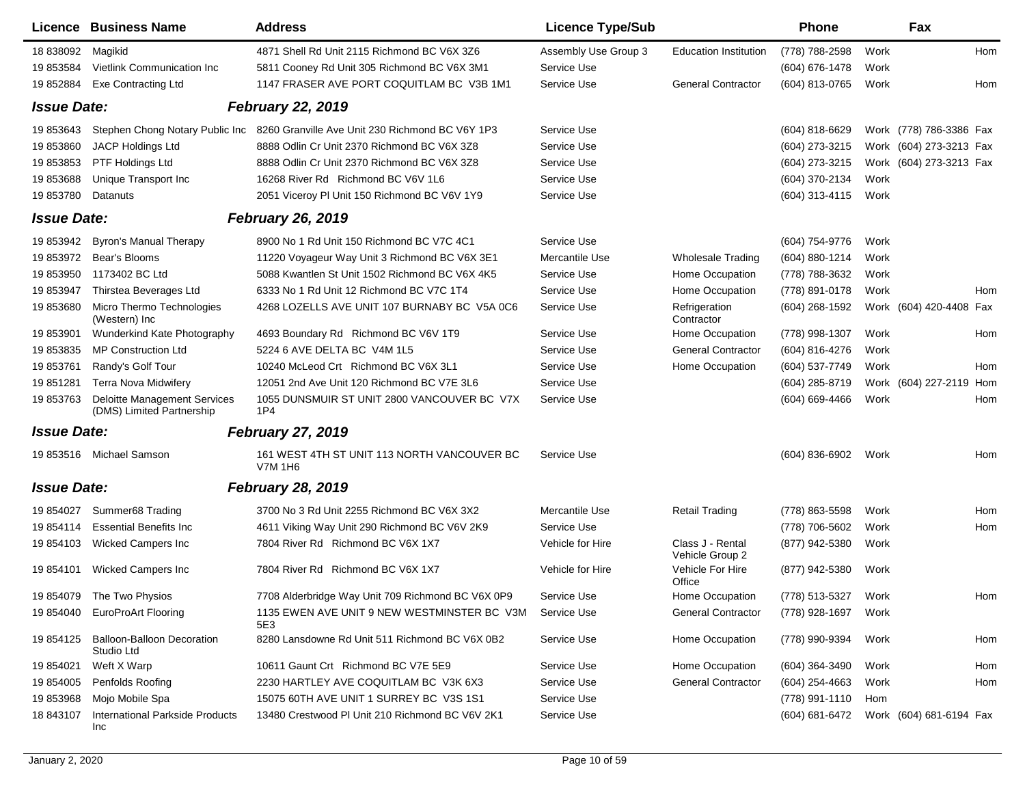|                    | Licence Business Name                                            | <b>Address</b>                                                 | <b>Licence Type/Sub</b> |                                     | <b>Phone</b>                           |      | Fax                     |     |
|--------------------|------------------------------------------------------------------|----------------------------------------------------------------|-------------------------|-------------------------------------|----------------------------------------|------|-------------------------|-----|
| 18 838092          | Magikid                                                          | 4871 Shell Rd Unit 2115 Richmond BC V6X 3Z6                    | Assembly Use Group 3    | <b>Education Institution</b>        | (778) 788-2598                         | Work |                         | Hom |
| 19 853584          | Vietlink Communication Inc                                       | 5811 Cooney Rd Unit 305 Richmond BC V6X 3M1                    | Service Use             |                                     | (604) 676-1478                         | Work |                         |     |
| 19 852884          | <b>Exe Contracting Ltd</b>                                       | 1147 FRASER AVE PORT COQUITLAM BC V3B 1M1                      | Service Use             | <b>General Contractor</b>           | (604) 813-0765                         | Work |                         | Hom |
| <b>Issue Date:</b> |                                                                  | <b>February 22, 2019</b>                                       |                         |                                     |                                        |      |                         |     |
| 19 853643          | Stephen Chong Notary Public Inc                                  | 8260 Granville Ave Unit 230 Richmond BC V6Y 1P3                | Service Use             |                                     | $(604)$ 818-6629                       |      | Work (778) 786-3386 Fax |     |
| 19 853860          | <b>JACP Holdings Ltd</b>                                         | 8888 Odlin Cr Unit 2370 Richmond BC V6X 3Z8                    | Service Use             |                                     | (604) 273-3215                         |      | Work (604) 273-3213 Fax |     |
| 19 853853          | PTF Holdings Ltd                                                 | 8888 Odlin Cr Unit 2370 Richmond BC V6X 3Z8                    | Service Use             |                                     | (604) 273-3215                         |      | Work (604) 273-3213 Fax |     |
| 19853688           | Unique Transport Inc.                                            | 16268 River Rd Richmond BC V6V 1L6                             | Service Use             |                                     | (604) 370-2134                         | Work |                         |     |
| 19 853780          | Datanuts                                                         | 2051 Viceroy PI Unit 150 Richmond BC V6V 1Y9                   | Service Use             |                                     | (604) 313-4115                         | Work |                         |     |
| <b>Issue Date:</b> |                                                                  | <b>February 26, 2019</b>                                       |                         |                                     |                                        |      |                         |     |
| 19 853942          | Byron's Manual Therapy                                           | 8900 No 1 Rd Unit 150 Richmond BC V7C 4C1                      | Service Use             |                                     | (604) 754-9776                         | Work |                         |     |
| 19 853972          | Bear's Blooms                                                    | 11220 Voyageur Way Unit 3 Richmond BC V6X 3E1                  | Mercantile Use          | <b>Wholesale Trading</b>            | (604) 880-1214                         | Work |                         |     |
| 19 853950          | 1173402 BC Ltd                                                   | 5088 Kwantlen St Unit 1502 Richmond BC V6X 4K5                 | Service Use             | Home Occupation                     | (778) 788-3632                         | Work |                         |     |
| 19 853947          | Thirstea Beverages Ltd                                           | 6333 No 1 Rd Unit 12 Richmond BC V7C 1T4                       | Service Use             | Home Occupation                     | (778) 891-0178                         | Work |                         | Hom |
| 19 853680          | Micro Thermo Technologies<br>(Western) Inc                       | 4268 LOZELLS AVE UNIT 107 BURNABY BC V5A 0C6                   | Service Use             | Refrigeration<br>Contractor         | (604) 268-1592                         |      | Work (604) 420-4408 Fax |     |
| 19 853901          | Wunderkind Kate Photography                                      | 4693 Boundary Rd Richmond BC V6V 1T9                           | Service Use             | Home Occupation                     | (778) 998-1307                         | Work |                         | Hom |
| 19 853835          | <b>MP Construction Ltd</b>                                       | 5224 6 AVE DELTA BC V4M 1L5                                    | Service Use             | <b>General Contractor</b>           | (604) 816-4276                         | Work |                         |     |
| 19 853761          | Randy's Golf Tour                                                | 10240 McLeod Crt Richmond BC V6X 3L1                           | Service Use             | Home Occupation                     | (604) 537-7749                         | Work |                         | Hom |
| 19 851281          | <b>Terra Nova Midwifery</b>                                      | 12051 2nd Ave Unit 120 Richmond BC V7E 3L6                     | Service Use             |                                     | (604) 285-8719                         |      | Work (604) 227-2119 Hom |     |
| 19 853763          | <b>Deloitte Management Services</b><br>(DMS) Limited Partnership | 1055 DUNSMUIR ST UNIT 2800 VANCOUVER BC V7X<br>1P <sub>4</sub> | Service Use             |                                     | $(604) 669 - 4466$                     | Work |                         | Hom |
| <b>Issue Date:</b> |                                                                  | <b>February 27, 2019</b>                                       |                         |                                     |                                        |      |                         |     |
| 19 853516          | Michael Samson                                                   | 161 WEST 4TH ST UNIT 113 NORTH VANCOUVER BC<br><b>V7M 1H6</b>  | Service Use             |                                     | (604) 836-6902                         | Work |                         | Hom |
| <b>Issue Date:</b> |                                                                  | <b>February 28, 2019</b>                                       |                         |                                     |                                        |      |                         |     |
| 19 854027          | Summer68 Trading                                                 | 3700 No 3 Rd Unit 2255 Richmond BC V6X 3X2                     | Mercantile Use          | <b>Retail Trading</b>               | (778) 863-5598                         | Work |                         | Hom |
| 19 854114          | <b>Essential Benefits Inc.</b>                                   | 4611 Viking Way Unit 290 Richmond BC V6V 2K9                   | Service Use             |                                     | (778) 706-5602                         | Work |                         | Hom |
| 19 854103          | <b>Wicked Campers Inc</b>                                        | 7804 River Rd Richmond BC V6X 1X7                              | Vehicle for Hire        | Class J - Rental<br>Vehicle Group 2 | (877) 942-5380                         | Work |                         |     |
| 19 854101          | <b>Wicked Campers Inc</b>                                        | 7804 River Rd Richmond BC V6X 1X7                              | Vehicle for Hire        | Vehicle For Hire<br>Office          | (877) 942-5380                         | Work |                         |     |
|                    | 19 854079 The Two Physios                                        | 7708 Alderbridge Way Unit 709 Richmond BC V6X 0P9              | Service Use             | Home Occupation                     | (778) 513-5327                         | Work |                         | Hom |
| 19 854040          | <b>EuroProArt Flooring</b>                                       | 1135 EWEN AVE UNIT 9 NEW WESTMINSTER BC V3M Service Use<br>5E3 |                         | <b>General Contractor</b>           | (778) 928-1697 Work                    |      |                         |     |
| 19 854125          | <b>Balloon-Balloon Decoration</b><br>Studio Ltd                  | 8280 Lansdowne Rd Unit 511 Richmond BC V6X 0B2                 | Service Use             | Home Occupation                     | (778) 990-9394                         | Work |                         | Hom |
| 19 854021          | Weft X Warp                                                      | 10611 Gaunt Crt Richmond BC V7E 5E9                            | Service Use             | Home Occupation                     | (604) 364-3490                         | Work |                         | Hom |
| 19 854005          | Penfolds Roofing                                                 | 2230 HARTLEY AVE COQUITLAM BC V3K 6X3                          | Service Use             | <b>General Contractor</b>           | (604) 254-4663                         | Work |                         | Hom |
| 19 853968          | Mojo Mobile Spa                                                  | 15075 60TH AVE UNIT 1 SURREY BC V3S 1S1                        | Service Use             |                                     | (778) 991-1110                         | Hom  |                         |     |
| 18 843107          | International Parkside Products<br>Inc                           | 13480 Crestwood PI Unit 210 Richmond BC V6V 2K1                | Service Use             |                                     | (604) 681-6472 Work (604) 681-6194 Fax |      |                         |     |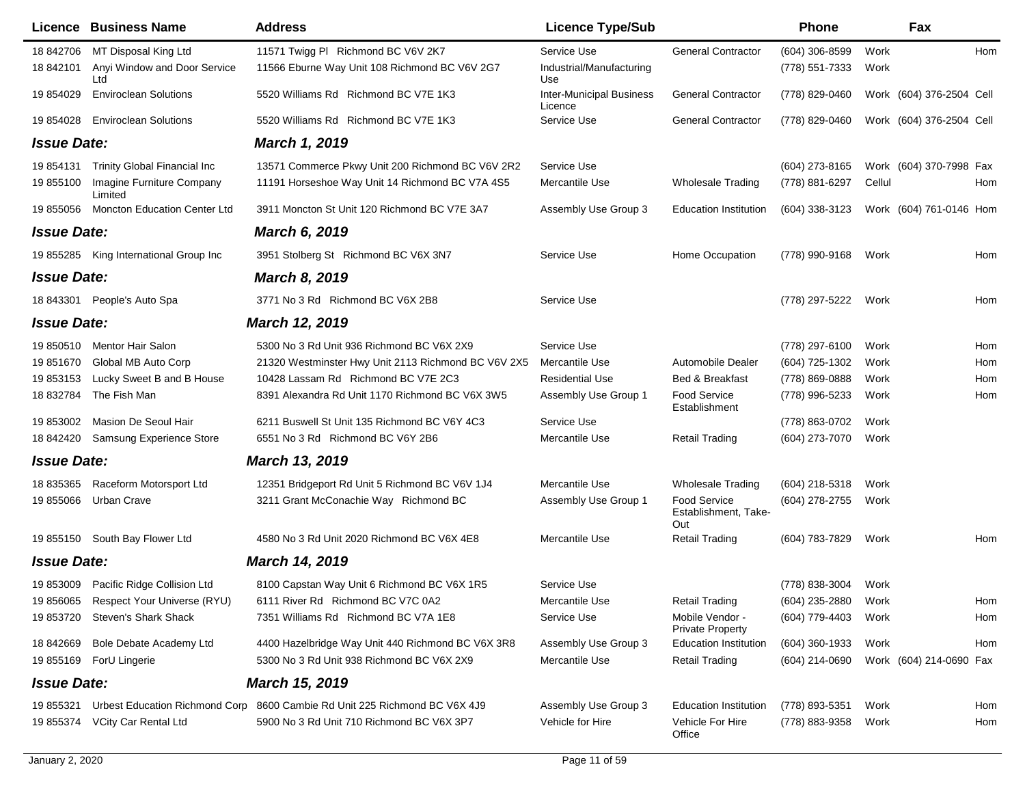|                    | <b>Licence Business Name</b>           | <b>Address</b>                                      | <b>Licence Type/Sub</b>                    |                                                    | Phone               |        | Fax                      |     |
|--------------------|----------------------------------------|-----------------------------------------------------|--------------------------------------------|----------------------------------------------------|---------------------|--------|--------------------------|-----|
| 18 842706          | MT Disposal King Ltd                   | 11571 Twigg PI Richmond BC V6V 2K7                  | Service Use                                | <b>General Contractor</b>                          | $(604)$ 306-8599    | Work   |                          | Hom |
| 18 842101          | Anyi Window and Door Service<br>Ltd    | 11566 Eburne Way Unit 108 Richmond BC V6V 2G7       | Industrial/Manufacturing<br>Use            |                                                    | (778) 551-7333      | Work   |                          |     |
| 19 854029          | <b>Enviroclean Solutions</b>           | 5520 Williams Rd Richmond BC V7E 1K3                | <b>Inter-Municipal Business</b><br>Licence | <b>General Contractor</b>                          | (778) 829-0460      |        | Work (604) 376-2504 Cell |     |
| 19 854028          | <b>Enviroclean Solutions</b>           | 5520 Williams Rd Richmond BC V7E 1K3                | Service Use                                | <b>General Contractor</b>                          | (778) 829-0460      |        | Work (604) 376-2504 Cell |     |
| <b>Issue Date:</b> |                                        | <b>March 1, 2019</b>                                |                                            |                                                    |                     |        |                          |     |
| 19 854131          | <b>Trinity Global Financial Inc</b>    | 13571 Commerce Pkwy Unit 200 Richmond BC V6V 2R2    | Service Use                                |                                                    | (604) 273-8165      |        | Work (604) 370-7998 Fax  |     |
| 19 855100          | Imagine Furniture Company<br>Limited   | 11191 Horseshoe Way Unit 14 Richmond BC V7A 4S5     | Mercantile Use                             | <b>Wholesale Trading</b>                           | (778) 881-6297      | Cellul |                          | Hom |
| 19 855056          | <b>Moncton Education Center Ltd</b>    | 3911 Moncton St Unit 120 Richmond BC V7E 3A7        | Assembly Use Group 3                       | <b>Education Institution</b>                       | $(604)$ 338-3123    |        | Work (604) 761-0146 Hom  |     |
| <b>Issue Date:</b> |                                        | <b>March 6, 2019</b>                                |                                            |                                                    |                     |        |                          |     |
|                    | 19 855285 King International Group Inc | 3951 Stolberg St Richmond BC V6X 3N7                | Service Use                                | Home Occupation                                    | (778) 990-9168      | Work   |                          | Hom |
| <b>Issue Date:</b> |                                        | <b>March 8, 2019</b>                                |                                            |                                                    |                     |        |                          |     |
| 18 843301          | People's Auto Spa                      | 3771 No 3 Rd Richmond BC V6X 2B8                    | Service Use                                |                                                    | (778) 297-5222      | Work   |                          | Hom |
| <b>Issue Date:</b> |                                        | March 12, 2019                                      |                                            |                                                    |                     |        |                          |     |
| 19 850510          | <b>Mentor Hair Salon</b>               | 5300 No 3 Rd Unit 936 Richmond BC V6X 2X9           | Service Use                                |                                                    | (778) 297-6100      | Work   |                          | Hom |
| 19 851670          | Global MB Auto Corp                    | 21320 Westminster Hwy Unit 2113 Richmond BC V6V 2X5 | Mercantile Use                             | Automobile Dealer                                  | (604) 725-1302      | Work   |                          | Hom |
| 19 853153          | Lucky Sweet B and B House              | 10428 Lassam Rd Richmond BC V7E 2C3                 | <b>Residential Use</b>                     | Bed & Breakfast                                    | (778) 869-0888      | Work   |                          | Hom |
| 18 832784          | The Fish Man                           | 8391 Alexandra Rd Unit 1170 Richmond BC V6X 3W5     | Assembly Use Group 1                       | Food Service<br>Establishment                      | (778) 996-5233      | Work   |                          | Hom |
| 19 853002          | Masion De Seoul Hair                   | 6211 Buswell St Unit 135 Richmond BC V6Y 4C3        | Service Use                                |                                                    | (778) 863-0702      | Work   |                          |     |
| 18 842420          | Samsung Experience Store               | 6551 No 3 Rd Richmond BC V6Y 2B6                    | Mercantile Use                             | <b>Retail Trading</b>                              | (604) 273-7070      | Work   |                          |     |
| <b>Issue Date:</b> |                                        | March 13, 2019                                      |                                            |                                                    |                     |        |                          |     |
| 18 835365          | Raceform Motorsport Ltd                | 12351 Bridgeport Rd Unit 5 Richmond BC V6V 1J4      | Mercantile Use                             | <b>Wholesale Trading</b>                           | (604) 218-5318      | Work   |                          |     |
| 19 855066          | Urban Crave                            | 3211 Grant McConachie Way Richmond BC               | Assembly Use Group 1                       | <b>Food Service</b><br>Establishment, Take-<br>Out | (604) 278-2755      | Work   |                          |     |
|                    | 19 855150 South Bay Flower Ltd         | 4580 No 3 Rd Unit 2020 Richmond BC V6X 4E8          | Mercantile Use                             | <b>Retail Trading</b>                              | (604) 783-7829      | Work   |                          | Hom |
| <b>Issue Date:</b> |                                        | March 14, 2019                                      |                                            |                                                    |                     |        |                          |     |
|                    | 19 853009 Pacific Ridge Collision Ltd  | 8100 Capstan Way Unit 6 Richmond BC V6X 1R5         | Service Use                                |                                                    | (778) 838-3004      | Work   |                          |     |
|                    | 19 856065 Respect Your Universe (RYU)  | 6111 River Rd Richmond BC V7C 0A2                   | Mercantile Use                             | <b>Retail Trading</b>                              | (604) 235-2880 Work |        |                          | Hom |
|                    | 19 853720 Steven's Shark Shack         | 7351 Williams Rd Richmond BC V7A 1E8                | Service Use                                | Mobile Vendor -<br><b>Private Property</b>         | (604) 779-4403      | Work   |                          | Hom |
| 18 842669          | Bole Debate Academy Ltd                | 4400 Hazelbridge Way Unit 440 Richmond BC V6X 3R8   | Assembly Use Group 3                       | <b>Education Institution</b>                       | (604) 360-1933      | Work   |                          | Hom |
| 19 855169          | ForU Lingerie                          | 5300 No 3 Rd Unit 938 Richmond BC V6X 2X9           | Mercantile Use                             | <b>Retail Trading</b>                              | (604) 214-0690      |        | Work (604) 214-0690 Fax  |     |
| <b>Issue Date:</b> |                                        | <b>March 15, 2019</b>                               |                                            |                                                    |                     |        |                          |     |
| 19 855321          | Urbest Education Richmond Corp         | 8600 Cambie Rd Unit 225 Richmond BC V6X 4J9         | Assembly Use Group 3                       | <b>Education Institution</b>                       | (778) 893-5351      | Work   |                          | Hom |
| 19 855374          | <b>VCity Car Rental Ltd</b>            | 5900 No 3 Rd Unit 710 Richmond BC V6X 3P7           | Vehicle for Hire                           | Vehicle For Hire<br>Office                         | (778) 883-9358      | Work   |                          | Hom |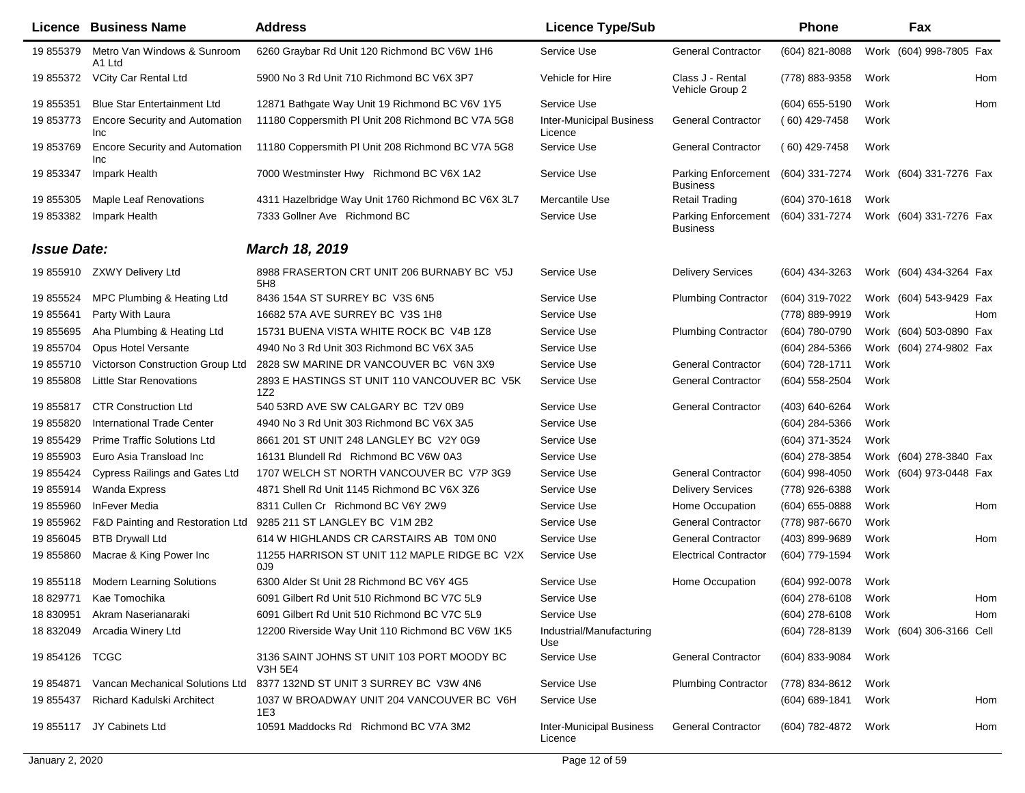|                    | Licence Business Name                               | <b>Address</b>                                               | <b>Licence Type/Sub</b>                    |                                               | Phone               |      | Fax                      |     |
|--------------------|-----------------------------------------------------|--------------------------------------------------------------|--------------------------------------------|-----------------------------------------------|---------------------|------|--------------------------|-----|
| 19 855379          | Metro Van Windows & Sunroom<br>A1 Ltd               | 6260 Graybar Rd Unit 120 Richmond BC V6W 1H6                 | Service Use                                | <b>General Contractor</b>                     | (604) 821-8088      |      | Work (604) 998-7805 Fax  |     |
| 19 855372          | VCity Car Rental Ltd                                | 5900 No 3 Rd Unit 710 Richmond BC V6X 3P7                    | Vehicle for Hire                           | Class J - Rental<br>Vehicle Group 2           | (778) 883-9358      | Work |                          | Hom |
| 19 855351          | <b>Blue Star Entertainment Ltd</b>                  | 12871 Bathgate Way Unit 19 Richmond BC V6V 1Y5               | Service Use                                |                                               | $(604)$ 655-5190    | Work |                          | Hom |
| 19 853773          | <b>Encore Security and Automation</b><br><b>Inc</b> | 11180 Coppersmith PI Unit 208 Richmond BC V7A 5G8            | <b>Inter-Municipal Business</b><br>Licence | <b>General Contractor</b>                     | $(60)$ 429-7458     | Work |                          |     |
| 19 853769          | <b>Encore Security and Automation</b><br><b>Inc</b> | 11180 Coppersmith PI Unit 208 Richmond BC V7A 5G8            | Service Use                                | <b>General Contractor</b>                     | $(60)$ 429-7458     | Work |                          |     |
| 19 853347          | Impark Health                                       | 7000 Westminster Hwy Richmond BC V6X 1A2                     | Service Use                                | Parking Enforcement<br><b>Business</b>        | (604) 331-7274      |      | Work (604) 331-7276 Fax  |     |
| 19 855305          | Maple Leaf Renovations                              | 4311 Hazelbridge Way Unit 1760 Richmond BC V6X 3L7           | Mercantile Use                             | <b>Retail Trading</b>                         | $(604)$ 370-1618    | Work |                          |     |
| 19 853382          | Impark Health                                       | 7333 Gollner Ave Richmond BC                                 | Service Use                                | <b>Parking Enforcement</b><br><b>Business</b> | (604) 331-7274      |      | Work (604) 331-7276 Fax  |     |
| <b>Issue Date:</b> |                                                     | <b>March 18, 2019</b>                                        |                                            |                                               |                     |      |                          |     |
| 19 855910          | <b>ZXWY Delivery Ltd</b>                            | 8988 FRASERTON CRT UNIT 206 BURNABY BC V5J<br>5H8            | Service Use                                | <b>Delivery Services</b>                      | (604) 434-3263      |      | Work (604) 434-3264 Fax  |     |
| 19 855524          | MPC Plumbing & Heating Ltd                          | 8436 154A ST SURREY BC V3S 6N5                               | Service Use                                | <b>Plumbing Contractor</b>                    | (604) 319-7022      |      | Work (604) 543-9429 Fax  |     |
| 19 855641          | Party With Laura                                    | 16682 57A AVE SURREY BC V3S 1H8                              | Service Use                                |                                               | (778) 889-9919      | Work |                          | Hom |
| 19 855695          | Aha Plumbing & Heating Ltd                          | 15731 BUENA VISTA WHITE ROCK BC V4B 1Z8                      | Service Use                                | <b>Plumbing Contractor</b>                    | (604) 780-0790      |      | Work (604) 503-0890 Fax  |     |
| 19 855704          | <b>Opus Hotel Versante</b>                          | 4940 No 3 Rd Unit 303 Richmond BC V6X 3A5                    | Service Use                                |                                               | (604) 284-5366      |      | Work (604) 274-9802 Fax  |     |
| 19 855710          | Victorson Construction Group Ltd                    | 2828 SW MARINE DR VANCOUVER BC V6N 3X9                       | Service Use                                | <b>General Contractor</b>                     | (604) 728-1711      | Work |                          |     |
| 19 855808          | <b>Little Star Renovations</b>                      | 2893 E HASTINGS ST UNIT 110 VANCOUVER BC V5K<br>1Z2          | Service Use                                | <b>General Contractor</b>                     | (604) 558-2504      | Work |                          |     |
| 19 855817          | <b>CTR Construction Ltd</b>                         | 540 53RD AVE SW CALGARY BC T2V 0B9                           | Service Use                                | <b>General Contractor</b>                     | (403) 640-6264      | Work |                          |     |
| 19 855820          | <b>International Trade Center</b>                   | 4940 No 3 Rd Unit 303 Richmond BC V6X 3A5                    | Service Use                                |                                               | (604) 284-5366      | Work |                          |     |
| 19 855429          | <b>Prime Traffic Solutions Ltd</b>                  | 8661 201 ST UNIT 248 LANGLEY BC V2Y 0G9                      | Service Use                                |                                               | (604) 371-3524      | Work |                          |     |
| 19 855903          | Euro Asia Transload Inc                             | 16131 Blundell Rd Richmond BC V6W 0A3                        | Service Use                                |                                               | (604) 278-3854      |      | Work (604) 278-3840 Fax  |     |
| 19 855424          | <b>Cypress Railings and Gates Ltd</b>               | 1707 WELCH ST NORTH VANCOUVER BC V7P 3G9                     | Service Use                                | <b>General Contractor</b>                     | (604) 998-4050      |      | Work (604) 973-0448 Fax  |     |
| 19 855914          | <b>Wanda Express</b>                                | 4871 Shell Rd Unit 1145 Richmond BC V6X 3Z6                  | Service Use                                | <b>Delivery Services</b>                      | (778) 926-6388      | Work |                          |     |
| 19 855960          | InFever Media                                       | 8311 Cullen Cr Richmond BC V6Y 2W9                           | Service Use                                | Home Occupation                               | (604) 655-0888      | Work |                          | Hom |
| 19 855962          | F&D Painting and Restoration Ltd                    | 9285 211 ST LANGLEY BC V1M 2B2                               | Service Use                                | <b>General Contractor</b>                     | (778) 987-6670      | Work |                          |     |
| 19 856045          | <b>BTB Drywall Ltd</b>                              | 614 W HIGHLANDS CR CARSTAIRS AB TOM ONO                      | Service Use                                | <b>General Contractor</b>                     | (403) 899-9689      | Work |                          | Hom |
| 19 855860          | Macrae & King Power Inc                             | 11255 HARRISON ST UNIT 112 MAPLE RIDGE BC V2X<br>OJ9         | Service Use                                | <b>Electrical Contractor</b>                  | (604) 779-1594      | Work |                          |     |
| 19 855118          | <b>Modern Learning Solutions</b>                    | 6300 Alder St Unit 28 Richmond BC V6Y 4G5                    | Service Use                                | Home Occupation                               | (604) 992-0078      | Work |                          |     |
|                    | 18 829771 Kae Tomochika                             | 6091 Gilbert Rd Unit 510 Richmond BC V7C 5L9                 | Service Use                                |                                               | (604) 278-6108      | Work |                          | Hom |
| 18 830951          | Akram Naserianaraki                                 | 6091 Gilbert Rd Unit 510 Richmond BC V7C 5L9                 | Service Use                                |                                               | (604) 278-6108      | Work |                          | Hom |
| 18 832049          | Arcadia Winery Ltd                                  | 12200 Riverside Way Unit 110 Richmond BC V6W 1K5             | Industrial/Manufacturing<br>Use            |                                               | (604) 728-8139      |      | Work (604) 306-3166 Cell |     |
| 19 854126 TCGC     |                                                     | 3136 SAINT JOHNS ST UNIT 103 PORT MOODY BC<br><b>V3H 5E4</b> | Service Use                                | <b>General Contractor</b>                     | (604) 833-9084      | Work |                          |     |
| 19 854871          | Vancan Mechanical Solutions Ltd                     | 8377 132ND ST UNIT 3 SURREY BC V3W 4N6                       | Service Use                                | <b>Plumbing Contractor</b>                    | (778) 834-8612      | Work |                          |     |
| 19 855437          | Richard Kadulski Architect                          | 1037 W BROADWAY UNIT 204 VANCOUVER BC V6H<br>1E3             | Service Use                                |                                               | (604) 689-1841      | Work |                          | Hom |
|                    | 19 855117 JY Cabinets Ltd                           | 10591 Maddocks Rd Richmond BC V7A 3M2                        | <b>Inter-Municipal Business</b><br>Licence | <b>General Contractor</b>                     | (604) 782-4872 Work |      |                          | Hom |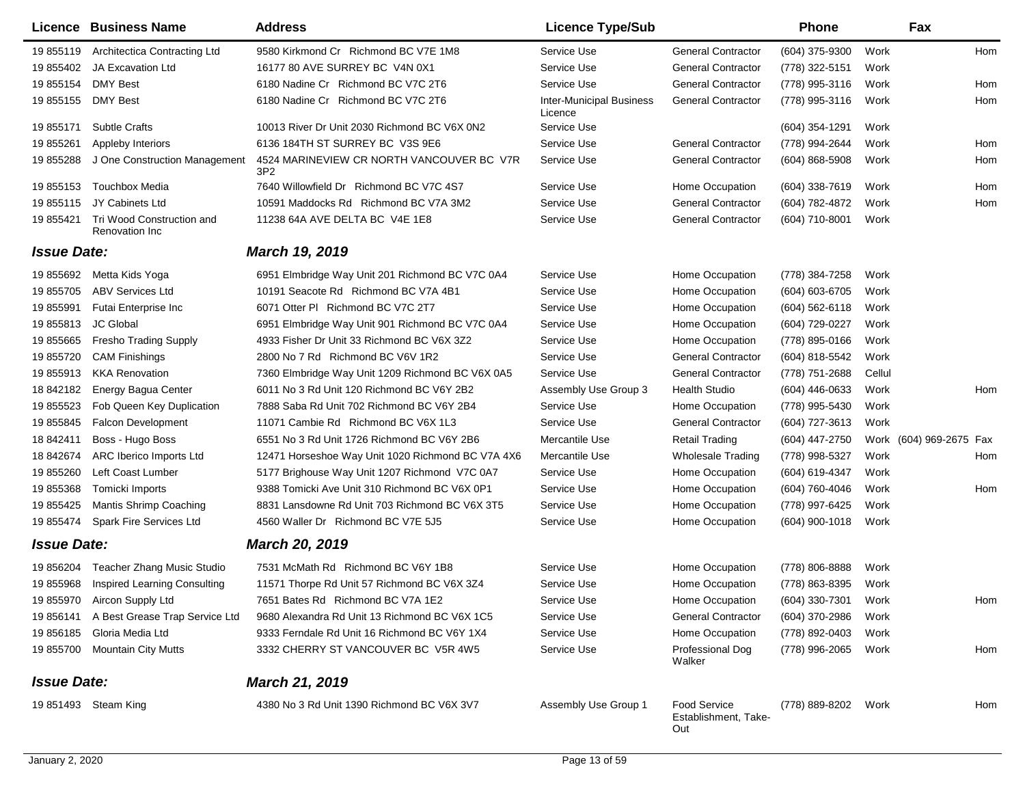|                           | Licence Business Name                       | <b>Address</b>                                               | <b>Licence Type/Sub</b>                    |                                                    | <b>Phone</b>        |        | Fax                     |     |
|---------------------------|---------------------------------------------|--------------------------------------------------------------|--------------------------------------------|----------------------------------------------------|---------------------|--------|-------------------------|-----|
| 19 855119                 | <b>Architectica Contracting Ltd</b>         | 9580 Kirkmond Cr Richmond BC V7E 1M8                         | Service Use                                | <b>General Contractor</b>                          | (604) 375-9300      | Work   |                         | Hom |
| 19 855402                 | <b>JA Excavation Ltd</b>                    | 16177 80 AVE SURREY BC V4N 0X1                               | Service Use                                | <b>General Contractor</b>                          | (778) 322-5151      | Work   |                         |     |
| 19 855154                 | <b>DMY Best</b>                             | 6180 Nadine Cr Richmond BC V7C 2T6                           | Service Use                                | <b>General Contractor</b>                          | (778) 995-3116      | Work   |                         | Hom |
| 19 855155                 | <b>DMY Best</b>                             | 6180 Nadine Cr Richmond BC V7C 2T6                           | <b>Inter-Municipal Business</b><br>Licence | <b>General Contractor</b>                          | (778) 995-3116      | Work   |                         | Hom |
| 19 855171                 | <b>Subtle Crafts</b>                        | 10013 River Dr Unit 2030 Richmond BC V6X 0N2                 | Service Use                                |                                                    | (604) 354-1291      | Work   |                         |     |
| 19 855261                 | Appleby Interiors                           | 6136 184TH ST SURREY BC V3S 9E6                              | Service Use                                | <b>General Contractor</b>                          | (778) 994-2644      | Work   |                         | Hom |
| 19 855288                 | J One Construction Management               | 4524 MARINEVIEW CR NORTH VANCOUVER BC V7R<br>3P <sub>2</sub> | Service Use                                | <b>General Contractor</b>                          | $(604)$ 868-5908    | Work   |                         | Hom |
| 19 855153                 | <b>Touchbox Media</b>                       | 7640 Willowfield Dr Richmond BC V7C 4S7                      | Service Use                                | Home Occupation                                    | $(604)$ 338-7619    | Work   |                         | Hom |
| 19855115                  | JY Cabinets Ltd                             | 10591 Maddocks Rd Richmond BC V7A 3M2                        | Service Use                                | <b>General Contractor</b>                          | (604) 782-4872      | Work   |                         | Hom |
| 19 855421                 | Tri Wood Construction and<br>Renovation Inc | 11238 64A AVE DELTA BC V4E 1E8                               | Service Use                                | <b>General Contractor</b>                          | (604) 710-8001      | Work   |                         |     |
| <i><b>Issue Date:</b></i> |                                             | <b>March 19, 2019</b>                                        |                                            |                                                    |                     |        |                         |     |
| 19 855692                 | Metta Kids Yoga                             | 6951 Elmbridge Way Unit 201 Richmond BC V7C 0A4              | Service Use                                | Home Occupation                                    | (778) 384-7258      | Work   |                         |     |
| 19 855705                 | <b>ABV Services Ltd</b>                     | 10191 Seacote Rd Richmond BC V7A 4B1                         | Service Use                                | Home Occupation                                    | $(604) 603 - 6705$  | Work   |                         |     |
| 19 855991                 | <b>Futai Enterprise Inc.</b>                | 6071 Otter PI Richmond BC V7C 2T7                            | Service Use                                | Home Occupation                                    | $(604) 562 - 6118$  | Work   |                         |     |
| 19855813                  | <b>JC Global</b>                            | 6951 Elmbridge Way Unit 901 Richmond BC V7C 0A4              | Service Use                                | Home Occupation                                    | (604) 729-0227      | Work   |                         |     |
| 19855665                  | Fresho Trading Supply                       | 4933 Fisher Dr Unit 33 Richmond BC V6X 3Z2                   | Service Use                                | Home Occupation                                    | (778) 895-0166      | Work   |                         |     |
| 19 855720                 | <b>CAM Finishings</b>                       | 2800 No 7 Rd Richmond BC V6V 1R2                             | Service Use                                | <b>General Contractor</b>                          | (604) 818-5542      | Work   |                         |     |
| 19 855913                 | <b>KKA Renovation</b>                       | 7360 Elmbridge Way Unit 1209 Richmond BC V6X 0A5             | Service Use                                | <b>General Contractor</b>                          | (778) 751-2688      | Cellul |                         |     |
| 18 842182                 | Energy Bagua Center                         | 6011 No 3 Rd Unit 120 Richmond BC V6Y 2B2                    | Assembly Use Group 3                       | <b>Health Studio</b>                               | $(604)$ 446-0633    | Work   |                         | Hom |
| 19 855523                 | Fob Queen Key Duplication                   | 7888 Saba Rd Unit 702 Richmond BC V6Y 2B4                    | Service Use                                | Home Occupation                                    | (778) 995-5430      | Work   |                         |     |
| 19 855845                 | <b>Falcon Development</b>                   | 11071 Cambie Rd Richmond BC V6X 1L3                          | Service Use                                | <b>General Contractor</b>                          | (604) 727-3613      | Work   |                         |     |
| 18 842411                 | Boss - Hugo Boss                            | 6551 No 3 Rd Unit 1726 Richmond BC V6Y 2B6                   | Mercantile Use                             | <b>Retail Trading</b>                              | (604) 447-2750      |        | Work (604) 969-2675 Fax |     |
| 18 842674                 | ARC Iberico Imports Ltd                     | 12471 Horseshoe Way Unit 1020 Richmond BC V7A 4X6            | Mercantile Use                             | <b>Wholesale Trading</b>                           | (778) 998-5327      | Work   |                         | Hom |
| 19 855260                 | Left Coast Lumber                           | 5177 Brighouse Way Unit 1207 Richmond V7C 0A7                | Service Use                                | Home Occupation                                    | (604) 619-4347      | Work   |                         |     |
| 19855368                  | Tomicki Imports                             | 9388 Tomicki Ave Unit 310 Richmond BC V6X 0P1                | Service Use                                | Home Occupation                                    | (604) 760-4046      | Work   |                         | Hom |
| 19 855425                 | Mantis Shrimp Coaching                      | 8831 Lansdowne Rd Unit 703 Richmond BC V6X 3T5               | Service Use                                | Home Occupation                                    | (778) 997-6425      | Work   |                         |     |
| 19 855474                 | Spark Fire Services Ltd                     | 4560 Waller Dr Richmond BC V7E 5J5                           | Service Use                                | Home Occupation                                    | $(604)$ 900-1018    | Work   |                         |     |
| <b>Issue Date:</b>        |                                             | <b>March 20, 2019</b>                                        |                                            |                                                    |                     |        |                         |     |
| 19 856204                 | Teacher Zhang Music Studio                  | 7531 McMath Rd Richmond BC V6Y 1B8                           | Service Use                                | Home Occupation                                    | (778) 806-8888      | Work   |                         |     |
| 19 855968                 | Inspired Learning Consulting                | 11571 Thorpe Rd Unit 57 Richmond BC V6X 3Z4                  | Service Use                                | Home Occupation                                    | (778) 863-8395      | Work   |                         |     |
|                           | 19 855970 Aircon Supply Ltd                 | 7651 Bates Rd Richmond BC V7A 1E2                            | Service Use                                | Home Occupation                                    | (604) 330-7301      | Work   |                         | Hom |
|                           | 19 856141 A Best Grease Trap Service Ltd    | 9680 Alexandra Rd Unit 13 Richmond BC V6X 1C5                | Service Use                                | <b>General Contractor</b>                          | (604) 370-2986 Work |        |                         |     |
|                           | 19 856185 Gloria Media Ltd                  | 9333 Ferndale Rd Unit 16 Richmond BC V6Y 1X4                 | Service Use                                | Home Occupation                                    | (778) 892-0403      | Work   |                         |     |
|                           | 19 855700 Mountain City Mutts               | 3332 CHERRY ST VANCOUVER BC V5R 4W5                          | Service Use                                | Professional Dog<br>Walker                         | (778) 996-2065      | Work   |                         | Hom |
| <b>Issue Date:</b>        |                                             | March 21, 2019                                               |                                            |                                                    |                     |        |                         |     |
|                           | 19 851493 Steam King                        | 4380 No 3 Rd Unit 1390 Richmond BC V6X 3V7                   | Assembly Use Group 1                       | <b>Food Service</b><br>Establishment, Take-<br>Out | (778) 889-8202 Work |        |                         | Hom |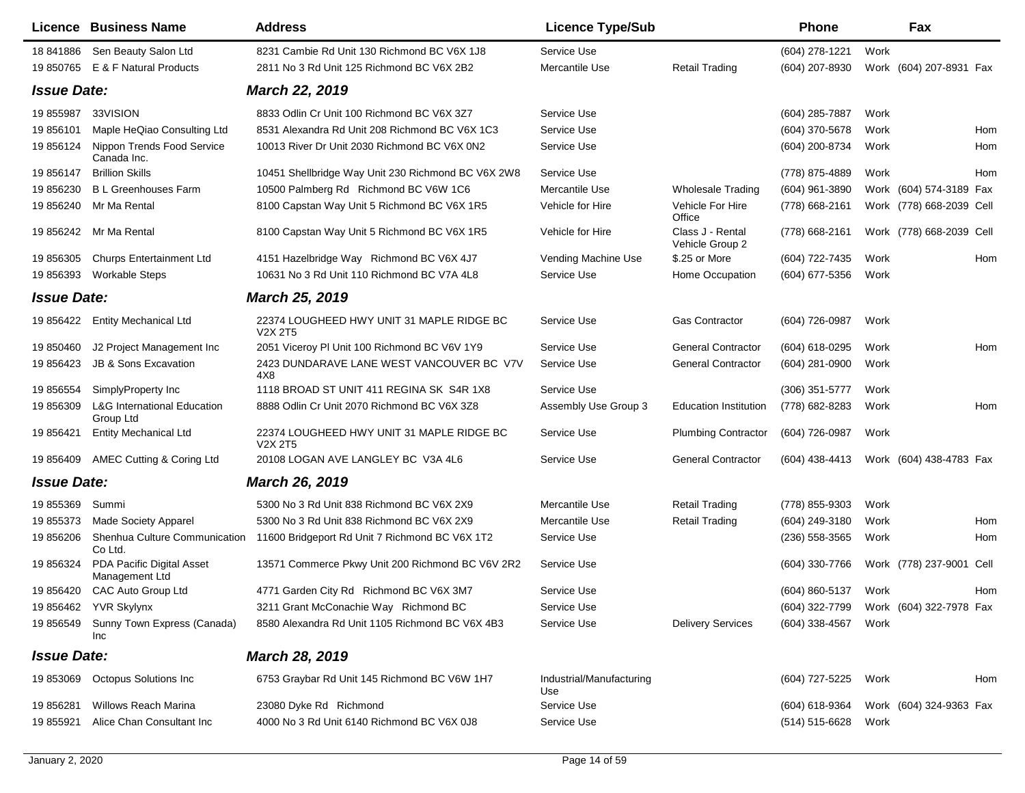|                    | <b>Licence Business Name</b>                        | <b>Address</b>                                                                | <b>Licence Type/Sub</b>         |                                     | <b>Phone</b>     |      | Fax                      |     |
|--------------------|-----------------------------------------------------|-------------------------------------------------------------------------------|---------------------------------|-------------------------------------|------------------|------|--------------------------|-----|
| 18 841886          | Sen Beauty Salon Ltd                                | 8231 Cambie Rd Unit 130 Richmond BC V6X 1J8                                   | Service Use                     |                                     | (604) 278-1221   | Work |                          |     |
|                    | 19 850765 E & F Natural Products                    | 2811 No 3 Rd Unit 125 Richmond BC V6X 2B2                                     | Mercantile Use                  | <b>Retail Trading</b>               | (604) 207-8930   |      | Work (604) 207-8931 Fax  |     |
| <b>Issue Date:</b> |                                                     | <b>March 22, 2019</b>                                                         |                                 |                                     |                  |      |                          |     |
| 19 855987          | 33VISION                                            | 8833 Odlin Cr Unit 100 Richmond BC V6X 3Z7                                    | Service Use                     |                                     | (604) 285-7887   | Work |                          |     |
| 19 856101          | Maple HeQiao Consulting Ltd                         | 8531 Alexandra Rd Unit 208 Richmond BC V6X 1C3                                | Service Use                     |                                     | (604) 370-5678   | Work |                          | Hom |
| 19 856124          | Nippon Trends Food Service<br>Canada Inc.           | 10013 River Dr Unit 2030 Richmond BC V6X 0N2                                  | Service Use                     |                                     | (604) 200-8734   | Work |                          | Hom |
| 19 856147          | <b>Brillion Skills</b>                              | 10451 Shellbridge Way Unit 230 Richmond BC V6X 2W8                            | Service Use                     |                                     | (778) 875-4889   | Work |                          | Hom |
| 19 856230          | <b>B L Greenhouses Farm</b>                         | 10500 Palmberg Rd Richmond BC V6W 1C6                                         | Mercantile Use                  | <b>Wholesale Trading</b>            | (604) 961-3890   |      | Work (604) 574-3189 Fax  |     |
| 19 856240          | Mr Ma Rental                                        | 8100 Capstan Way Unit 5 Richmond BC V6X 1R5                                   | Vehicle for Hire                | Vehicle For Hire<br>Office          | (778) 668-2161   |      | Work (778) 668-2039 Cell |     |
| 19 856242          | Mr Ma Rental                                        | 8100 Capstan Way Unit 5 Richmond BC V6X 1R5                                   | Vehicle for Hire                | Class J - Rental<br>Vehicle Group 2 | (778) 668-2161   |      | Work (778) 668-2039 Cell |     |
| 19 856305          | <b>Churps Entertainment Ltd</b>                     | 4151 Hazelbridge Way Richmond BC V6X 4J7                                      | Vending Machine Use             | \$.25 or More                       | (604) 722-7435   | Work |                          | Hom |
| 19 856393          | <b>Workable Steps</b>                               | 10631 No 3 Rd Unit 110 Richmond BC V7A 4L8                                    | Service Use                     | Home Occupation                     | (604) 677-5356   | Work |                          |     |
| <b>Issue Date:</b> |                                                     | <b>March 25, 2019</b>                                                         |                                 |                                     |                  |      |                          |     |
|                    | 19 856422 Entity Mechanical Ltd                     | 22374 LOUGHEED HWY UNIT 31 MAPLE RIDGE BC<br>V <sub>2</sub> X 2T <sub>5</sub> | Service Use                     | <b>Gas Contractor</b>               | (604) 726-0987   | Work |                          |     |
| 19 850460          | J2 Project Management Inc                           | 2051 Viceroy PI Unit 100 Richmond BC V6V 1Y9                                  | Service Use                     | <b>General Contractor</b>           | (604) 618-0295   | Work |                          | Hom |
| 19 85 6423         | <b>JB &amp; Sons Excavation</b>                     | 2423 DUNDARAVE LANE WEST VANCOUVER BC V7V<br>4X8                              | Service Use                     | <b>General Contractor</b>           | (604) 281-0900   | Work |                          |     |
| 19 856554          | SimplyProperty Inc                                  | 1118 BROAD ST UNIT 411 REGINA SK S4R 1X8                                      | Service Use                     |                                     | $(306)$ 351-5777 | Work |                          |     |
| 19 856309          | <b>L&amp;G International Education</b><br>Group Ltd | 8888 Odlin Cr Unit 2070 Richmond BC V6X 3Z8                                   | Assembly Use Group 3            | <b>Education Institution</b>        | (778) 682-8283   | Work |                          | Hom |
| 19 856421          | <b>Entity Mechanical Ltd</b>                        | 22374 LOUGHEED HWY UNIT 31 MAPLE RIDGE BC<br><b>V2X 2T5</b>                   | Service Use                     | <b>Plumbing Contractor</b>          | (604) 726-0987   | Work |                          |     |
| 19 856409          | AMEC Cutting & Coring Ltd                           | 20108 LOGAN AVE LANGLEY BC V3A 4L6                                            | Service Use                     | <b>General Contractor</b>           | (604) 438-4413   |      | Work (604) 438-4783 Fax  |     |
| <b>Issue Date:</b> |                                                     | <b>March 26, 2019</b>                                                         |                                 |                                     |                  |      |                          |     |
| 19 855369          | Summi                                               | 5300 No 3 Rd Unit 838 Richmond BC V6X 2X9                                     | Mercantile Use                  | <b>Retail Trading</b>               | (778) 855-9303   | Work |                          |     |
| 19 855373          | <b>Made Society Apparel</b>                         | 5300 No 3 Rd Unit 838 Richmond BC V6X 2X9                                     | Mercantile Use                  | <b>Retail Trading</b>               | (604) 249-3180   | Work |                          | Hom |
| 19 856206          | Shenhua Culture Communication<br>Co Ltd.            | 11600 Bridgeport Rd Unit 7 Richmond BC V6X 1T2                                | Service Use                     |                                     | $(236)$ 558-3565 | Work |                          | Hom |
| 19 856324          | PDA Pacific Digital Asset<br>Management Ltd         | 13571 Commerce Pkwy Unit 200 Richmond BC V6V 2R2                              | Service Use                     |                                     | (604) 330-7766   |      | Work (778) 237-9001 Cell |     |
| 19 856420          | CAC Auto Group Ltd                                  | 4771 Garden City Rd Richmond BC V6X 3M7                                       | Service Use                     |                                     | (604) 860-5137   | Work |                          | Hom |
|                    | 19 856462 YVR Skylynx                               | 3211 Grant McConachie Way Richmond BC                                         | Service Use                     |                                     | (604) 322-7799   |      | Work (604) 322-7978 Fax  |     |
| 19 856549          | Sunny Town Express (Canada)<br>Inc                  | 8580 Alexandra Rd Unit 1105 Richmond BC V6X 4B3                               | Service Use                     | <b>Delivery Services</b>            | $(604)$ 338-4567 | Work |                          |     |
| <b>Issue Date:</b> |                                                     | March 28, 2019                                                                |                                 |                                     |                  |      |                          |     |
| 19 853069          | <b>Octopus Solutions Inc</b>                        | 6753 Graybar Rd Unit 145 Richmond BC V6W 1H7                                  | Industrial/Manufacturing<br>Use |                                     | (604) 727-5225   | Work |                          | Hom |
| 19 856281          | <b>Willows Reach Marina</b>                         | 23080 Dyke Rd Richmond                                                        | Service Use                     |                                     | (604) 618-9364   |      | Work (604) 324-9363 Fax  |     |
| 19 855921          | Alice Chan Consultant Inc                           | 4000 No 3 Rd Unit 6140 Richmond BC V6X 0J8                                    | Service Use                     |                                     | (514) 515-6628   | Work |                          |     |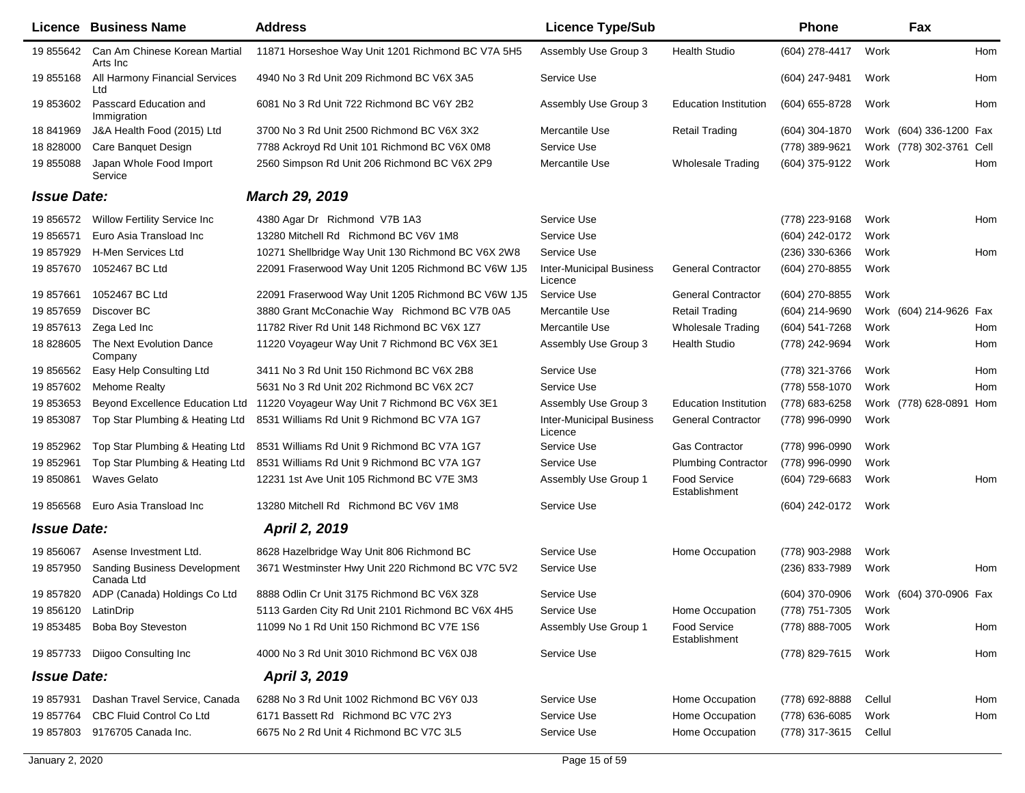|                    | <b>Licence Business Name</b>                      | <b>Address</b>                                     | <b>Licence Type/Sub</b>                    |                                      | <b>Phone</b>   |        | Fax                      |     |
|--------------------|---------------------------------------------------|----------------------------------------------------|--------------------------------------------|--------------------------------------|----------------|--------|--------------------------|-----|
| 19 855642          | Can Am Chinese Korean Martial<br>Arts Inc         | 11871 Horseshoe Way Unit 1201 Richmond BC V7A 5H5  | Assembly Use Group 3                       | <b>Health Studio</b>                 | (604) 278-4417 | Work   |                          | Hom |
| 19 855168          | All Harmony Financial Services<br>Ltd             | 4940 No 3 Rd Unit 209 Richmond BC V6X 3A5          | Service Use                                |                                      | (604) 247-9481 | Work   |                          | Hom |
| 19 853602          | Passcard Education and<br>Immigration             | 6081 No 3 Rd Unit 722 Richmond BC V6Y 2B2          | Assembly Use Group 3                       | <b>Education Institution</b>         | (604) 655-8728 | Work   |                          | Hom |
| 18 841969          | J&A Health Food (2015) Ltd                        | 3700 No 3 Rd Unit 2500 Richmond BC V6X 3X2         | Mercantile Use                             | <b>Retail Trading</b>                | (604) 304-1870 |        | Work (604) 336-1200 Fax  |     |
| 18 828000          | Care Banquet Design                               | 7788 Ackroyd Rd Unit 101 Richmond BC V6X 0M8       | Service Use                                |                                      | (778) 389-9621 |        | Work (778) 302-3761 Cell |     |
| 19 855088          | Japan Whole Food Import<br>Service                | 2560 Simpson Rd Unit 206 Richmond BC V6X 2P9       | Mercantile Use                             | <b>Wholesale Trading</b>             | (604) 375-9122 | Work   |                          | Hom |
| <b>Issue Date:</b> |                                                   | <b>March 29, 2019</b>                              |                                            |                                      |                |        |                          |     |
| 19 856572          | <b>Willow Fertility Service Inc</b>               | 4380 Agar Dr Richmond V7B 1A3                      | Service Use                                |                                      | (778) 223-9168 | Work   |                          | Hom |
| 19 856571          | Euro Asia Transload Inc                           | 13280 Mitchell Rd Richmond BC V6V 1M8              | Service Use                                |                                      | (604) 242-0172 | Work   |                          |     |
| 19 857929          | H-Men Services Ltd                                | 10271 Shellbridge Way Unit 130 Richmond BC V6X 2W8 | Service Use                                |                                      | (236) 330-6366 | Work   |                          | Hom |
| 19 857670          | 1052467 BC Ltd                                    | 22091 Fraserwood Way Unit 1205 Richmond BC V6W 1J5 | <b>Inter-Municipal Business</b><br>Licence | <b>General Contractor</b>            | (604) 270-8855 | Work   |                          |     |
| 19 857661          | 1052467 BC Ltd                                    | 22091 Fraserwood Way Unit 1205 Richmond BC V6W 1J5 | Service Use                                | <b>General Contractor</b>            | (604) 270-8855 | Work   |                          |     |
| 19 857659          | Discover BC                                       | 3880 Grant McConachie Way Richmond BC V7B 0A5      | Mercantile Use                             | <b>Retail Trading</b>                | (604) 214-9690 |        | Work (604) 214-9626 Fax  |     |
| 19 857613          | Zega Led Inc                                      | 11782 River Rd Unit 148 Richmond BC V6X 1Z7        | Mercantile Use                             | <b>Wholesale Trading</b>             | (604) 541-7268 | Work   |                          | Hom |
| 18 828605          | The Next Evolution Dance<br>Company               | 11220 Voyageur Way Unit 7 Richmond BC V6X 3E1      | Assembly Use Group 3                       | <b>Health Studio</b>                 | (778) 242-9694 | Work   |                          | Hom |
| 19 856562          | Easy Help Consulting Ltd                          | 3411 No 3 Rd Unit 150 Richmond BC V6X 2B8          | Service Use                                |                                      | (778) 321-3766 | Work   |                          | Hom |
| 19 857602          | <b>Mehome Realty</b>                              | 5631 No 3 Rd Unit 202 Richmond BC V6X 2C7          | Service Use                                |                                      | (778) 558-1070 | Work   |                          | Hom |
| 19 853653          | Beyond Excellence Education Ltd                   | 11220 Voyageur Way Unit 7 Richmond BC V6X 3E1      | Assembly Use Group 3                       | Education Institution                | (778) 683-6258 |        | Work (778) 628-0891      | Hom |
| 19 853087          | Top Star Plumbing & Heating Ltd                   | 8531 Williams Rd Unit 9 Richmond BC V7A 1G7        | <b>Inter-Municipal Business</b><br>Licence | <b>General Contractor</b>            | (778) 996-0990 | Work   |                          |     |
| 19 852962          | Top Star Plumbing & Heating Ltd                   | 8531 Williams Rd Unit 9 Richmond BC V7A 1G7        | Service Use                                | <b>Gas Contractor</b>                | (778) 996-0990 | Work   |                          |     |
| 19 852961          | Top Star Plumbing & Heating Ltd                   | 8531 Williams Rd Unit 9 Richmond BC V7A 1G7        | Service Use                                | <b>Plumbing Contractor</b>           | (778) 996-0990 | Work   |                          |     |
| 19 850861          | <b>Waves Gelato</b>                               | 12231 1st Ave Unit 105 Richmond BC V7E 3M3         | Assembly Use Group 1                       | <b>Food Service</b><br>Establishment | (604) 729-6683 | Work   |                          | Hom |
| 19 856568          | Euro Asia Transload Inc                           | 13280 Mitchell Rd Richmond BC V6V 1M8              | Service Use                                |                                      | (604) 242-0172 | Work   |                          |     |
| <b>Issue Date:</b> |                                                   | April 2, 2019                                      |                                            |                                      |                |        |                          |     |
| 19 856067          | Asense Investment Ltd.                            | 8628 Hazelbridge Way Unit 806 Richmond BC          | Service Use                                | Home Occupation                      | (778) 903-2988 | Work   |                          |     |
| 19 857950          | <b>Sanding Business Development</b><br>Canada Ltd | 3671 Westminster Hwy Unit 220 Richmond BC V7C 5V2  | Service Use                                |                                      | (236) 833-7989 | Work   |                          | Hom |
| 19 857820          | ADP (Canada) Holdings Co Ltd                      | 8888 Odlin Cr Unit 3175 Richmond BC V6X 3Z8        | Service Use                                |                                      | (604) 370-0906 |        | Work (604) 370-0906 Fax  |     |
| 19 856120          | LatinDrip                                         | 5113 Garden City Rd Unit 2101 Richmond BC V6X 4H5  | Service Use                                | Home Occupation                      | (778) 751-7305 | Work   |                          |     |
| 19 853485          | <b>Boba Boy Steveston</b>                         | 11099 No 1 Rd Unit 150 Richmond BC V7E 1S6         | Assembly Use Group 1                       | Food Service<br>Establishment        | (778) 888-7005 | Work   |                          | Hom |
| 19 857733          | Diigoo Consulting Inc                             | 4000 No 3 Rd Unit 3010 Richmond BC V6X 0J8         | Service Use                                |                                      | (778) 829-7615 | Work   |                          | Hom |
| <b>Issue Date:</b> |                                                   | April 3, 2019                                      |                                            |                                      |                |        |                          |     |
| 19 857931          | Dashan Travel Service, Canada                     | 6288 No 3 Rd Unit 1002 Richmond BC V6Y 0J3         | Service Use                                | Home Occupation                      | (778) 692-8888 | Cellul |                          | Hom |
| 19 857764          | CBC Fluid Control Co Ltd                          | 6171 Bassett Rd Richmond BC V7C 2Y3                | Service Use                                | Home Occupation                      | (778) 636-6085 | Work   |                          | Hom |
| 19 857803          | 9176705 Canada Inc.                               | 6675 No 2 Rd Unit 4 Richmond BC V7C 3L5            | Service Use                                | Home Occupation                      | (778) 317-3615 | Cellul |                          |     |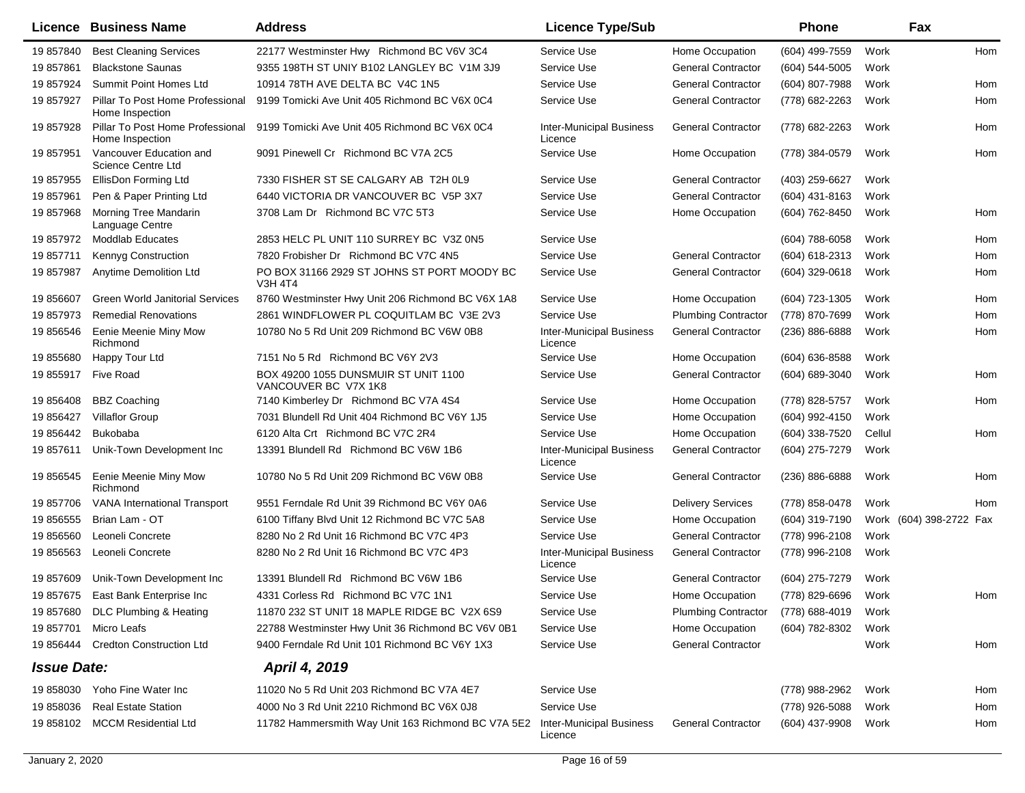|                    | Licence Business Name                                | <b>Address</b>                                                | <b>Licence Type/Sub</b>                    |                            | <b>Phone</b>       |        | Fax                     |     |
|--------------------|------------------------------------------------------|---------------------------------------------------------------|--------------------------------------------|----------------------------|--------------------|--------|-------------------------|-----|
| 19 857840          | <b>Best Cleaning Services</b>                        | 22177 Westminster Hwy Richmond BC V6V 3C4                     | Service Use                                | Home Occupation            | (604) 499-7559     | Work   |                         | Hom |
| 19 857861          | <b>Blackstone Saunas</b>                             | 9355 198TH ST UNIY B102 LANGLEY BC V1M 3J9                    | Service Use                                | <b>General Contractor</b>  | (604) 544-5005     | Work   |                         |     |
| 19 857924          | Summit Point Homes Ltd                               | 10914 78TH AVE DELTA BC V4C 1N5                               | Service Use                                | <b>General Contractor</b>  | (604) 807-7988     | Work   |                         | Hom |
| 19 857927          | Pillar To Post Home Professional<br>Home Inspection  | 9199 Tomicki Ave Unit 405 Richmond BC V6X 0C4                 | Service Use                                | <b>General Contractor</b>  | (778) 682-2263     | Work   |                         | Hom |
| 19 857928          | Pillar To Post Home Professional<br>Home Inspection  | 9199 Tomicki Ave Unit 405 Richmond BC V6X 0C4                 | <b>Inter-Municipal Business</b><br>Licence | <b>General Contractor</b>  | (778) 682-2263     | Work   |                         | Hom |
| 19 857951          | Vancouver Education and<br><b>Science Centre Ltd</b> | 9091 Pinewell Cr Richmond BC V7A 2C5                          | Service Use                                | Home Occupation            | (778) 384-0579     | Work   |                         | Hom |
| 19 857955          | EllisDon Forming Ltd                                 | 7330 FISHER ST SE CALGARY AB T2H 0L9                          | Service Use                                | <b>General Contractor</b>  | (403) 259-6627     | Work   |                         |     |
| 19 857961          | Pen & Paper Printing Ltd                             | 6440 VICTORIA DR VANCOUVER BC V5P 3X7                         | Service Use                                | <b>General Contractor</b>  | (604) 431-8163     | Work   |                         |     |
| 19 857968          | Morning Tree Mandarin<br>Language Centre             | 3708 Lam Dr Richmond BC V7C 5T3                               | Service Use                                | Home Occupation            | (604) 762-8450     | Work   |                         | Hom |
| 19 857972          | <b>Moddlab Educates</b>                              | 2853 HELC PL UNIT 110 SURREY BC V3Z 0N5                       | Service Use                                |                            | (604) 788-6058     | Work   |                         | Hom |
| 19 857711          | Kennyg Construction                                  | 7820 Frobisher Dr Richmond BC V7C 4N5                         | Service Use                                | <b>General Contractor</b>  | (604) 618-2313     | Work   |                         | Hom |
| 19 857987          | <b>Anytime Demolition Ltd</b>                        | PO BOX 31166 2929 ST JOHNS ST PORT MOODY BC<br><b>V3H 4T4</b> | Service Use                                | <b>General Contractor</b>  | (604) 329-0618     | Work   |                         | Hom |
| 19 856607          | <b>Green World Janitorial Services</b>               | 8760 Westminster Hwy Unit 206 Richmond BC V6X 1A8             | Service Use                                | Home Occupation            | (604) 723-1305     | Work   |                         | Hom |
| 19 857973          | <b>Remedial Renovations</b>                          | 2861 WINDFLOWER PL COQUITLAM BC V3E 2V3                       | Service Use                                | <b>Plumbing Contractor</b> | (778) 870-7699     | Work   |                         | Hom |
| 19 856546          | Eenie Meenie Miny Mow<br>Richmond                    | 10780 No 5 Rd Unit 209 Richmond BC V6W 0B8                    | <b>Inter-Municipal Business</b><br>Licence | <b>General Contractor</b>  | (236) 886-6888     | Work   |                         | Hom |
| 19 855680          | Happy Tour Ltd                                       | 7151 No 5 Rd Richmond BC V6Y 2V3                              | Service Use                                | Home Occupation            | (604) 636-8588     | Work   |                         |     |
| 19 855917          | Five Road                                            | BOX 49200 1055 DUNSMUIR ST UNIT 1100<br>VANCOUVER BC V7X 1K8  | Service Use                                | <b>General Contractor</b>  | (604) 689-3040     | Work   |                         | Hom |
| 19 856408          | <b>BBZ Coaching</b>                                  | 7140 Kimberley Dr Richmond BC V7A 4S4                         | Service Use                                | Home Occupation            | (778) 828-5757     | Work   |                         | Hom |
| 19 85 6427         | <b>Villaflor Group</b>                               | 7031 Blundell Rd Unit 404 Richmond BC V6Y 1J5                 | Service Use                                | Home Occupation            | (604) 992-4150     | Work   |                         |     |
| 19 856442          | <b>Bukobaba</b>                                      | 6120 Alta Crt Richmond BC V7C 2R4                             | Service Use                                | Home Occupation            | (604) 338-7520     | Cellul |                         | Hom |
| 19857611           | Unik-Town Development Inc                            | 13391 Blundell Rd Richmond BC V6W 1B6                         | <b>Inter-Municipal Business</b><br>Licence | <b>General Contractor</b>  | (604) 275-7279     | Work   |                         |     |
| 19 856545          | Eenie Meenie Miny Mow<br>Richmond                    | 10780 No 5 Rd Unit 209 Richmond BC V6W 0B8                    | Service Use                                | <b>General Contractor</b>  | $(236) 886 - 6888$ | Work   |                         | Hom |
| 19 857706          | <b>VANA</b> International Transport                  | 9551 Ferndale Rd Unit 39 Richmond BC V6Y 0A6                  | Service Use                                | <b>Delivery Services</b>   | (778) 858-0478     | Work   |                         | Hom |
| 19 856555          | Brian Lam - OT                                       | 6100 Tiffany Blvd Unit 12 Richmond BC V7C 5A8                 | Service Use                                | Home Occupation            | (604) 319-7190     |        | Work (604) 398-2722 Fax |     |
| 19 856560          | Leoneli Concrete                                     | 8280 No 2 Rd Unit 16 Richmond BC V7C 4P3                      | Service Use                                | <b>General Contractor</b>  | (778) 996-2108     | Work   |                         |     |
| 19 856563          | Leoneli Concrete                                     | 8280 No 2 Rd Unit 16 Richmond BC V7C 4P3                      | <b>Inter-Municipal Business</b><br>Licence | <b>General Contractor</b>  | (778) 996-2108     | Work   |                         |     |
| 19857609           | Unik-Town Development Inc                            | 13391 Blundell Rd Richmond BC V6W 1B6                         | Service Use                                | <b>General Contractor</b>  | (604) 275-7279     | Work   |                         |     |
| 19 857675          | East Bank Enterprise Inc                             | 4331 Corless Rd Richmond BC V7C 1N1                           | Service Use                                | Home Occupation            | (778) 829-6696     | Work   |                         | Hom |
|                    | 19 857680 DLC Plumbing & Heating                     | 11870 232 ST UNIT 18 MAPLE RIDGE BC V2X 6S9                   | Service Use                                | <b>Plumbing Contractor</b> | (778) 688-4019     | Work   |                         |     |
| 19 857701          | Micro Leafs                                          | 22788 Westminster Hwy Unit 36 Richmond BC V6V 0B1             | Service Use                                | Home Occupation            | (604) 782-8302     | Work   |                         |     |
| 19 856444          | <b>Credton Construction Ltd</b>                      | 9400 Ferndale Rd Unit 101 Richmond BC V6Y 1X3                 | Service Use                                | <b>General Contractor</b>  |                    | Work   |                         | Hom |
| <b>Issue Date:</b> |                                                      | April 4, 2019                                                 |                                            |                            |                    |        |                         |     |
|                    | 19 858030 Yoho Fine Water Inc                        | 11020 No 5 Rd Unit 203 Richmond BC V7A 4E7                    | Service Use                                |                            | (778) 988-2962     | Work   |                         | Hom |
| 19 858036          | <b>Real Estate Station</b>                           | 4000 No 3 Rd Unit 2210 Richmond BC V6X 0J8                    | Service Use                                |                            | (778) 926-5088     | Work   |                         | Hom |
| 19 858102          | <b>MCCM Residential Ltd</b>                          | 11782 Hammersmith Way Unit 163 Richmond BC V7A 5E2            | <b>Inter-Municipal Business</b><br>Licence | <b>General Contractor</b>  | (604) 437-9908     | Work   |                         | Hom |
|                    |                                                      |                                                               |                                            |                            |                    |        |                         |     |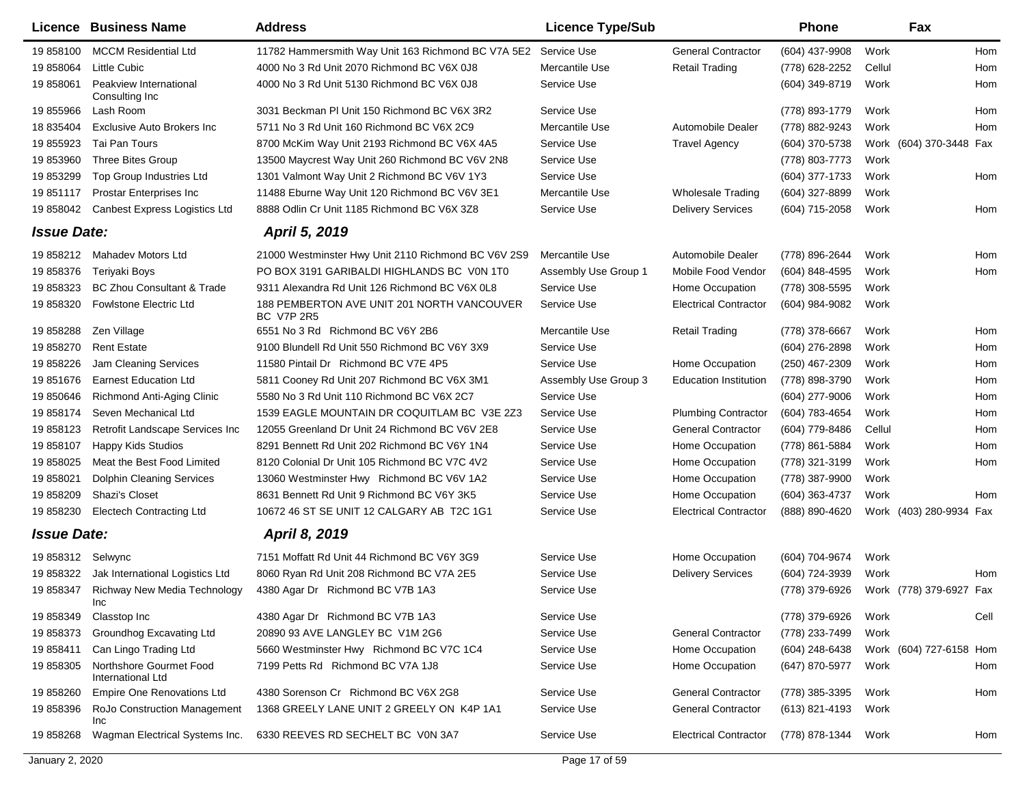|                    | Licence Business Name                        | <b>Address</b>                                                  | <b>Licence Type/Sub</b> |                              | <b>Phone</b>     |        | Fax                     |      |
|--------------------|----------------------------------------------|-----------------------------------------------------------------|-------------------------|------------------------------|------------------|--------|-------------------------|------|
| 19 858100          | <b>MCCM Residential Ltd</b>                  | 11782 Hammersmith Way Unit 163 Richmond BC V7A 5E2              | Service Use             | <b>General Contractor</b>    | (604) 437-9908   | Work   |                         | Hom  |
| 19 858064          | Little Cubic                                 | 4000 No 3 Rd Unit 2070 Richmond BC V6X 0J8                      | Mercantile Use          | <b>Retail Trading</b>        | (778) 628-2252   | Cellul |                         | Hom  |
| 19 858061          | Peakview International<br>Consulting Inc     | 4000 No 3 Rd Unit 5130 Richmond BC V6X 0J8                      | Service Use             |                              | (604) 349-8719   | Work   |                         | Hom  |
| 19 855966          | Lash Room                                    | 3031 Beckman PI Unit 150 Richmond BC V6X 3R2                    | Service Use             |                              | (778) 893-1779   | Work   |                         | Hom  |
| 18 835404          | <b>Exclusive Auto Brokers Inc.</b>           | 5711 No 3 Rd Unit 160 Richmond BC V6X 2C9                       | Mercantile Use          | Automobile Dealer            | (778) 882-9243   | Work   |                         | Hom  |
| 19 855923          | Tai Pan Tours                                | 8700 McKim Way Unit 2193 Richmond BC V6X 4A5                    | Service Use             | <b>Travel Agency</b>         | (604) 370-5738   |        | Work (604) 370-3448 Fax |      |
| 19 853960          | Three Bites Group                            | 13500 Maycrest Way Unit 260 Richmond BC V6V 2N8                 | Service Use             |                              | (778) 803-7773   | Work   |                         |      |
| 19 853299          | Top Group Industries Ltd                     | 1301 Valmont Way Unit 2 Richmond BC V6V 1Y3                     | Service Use             |                              | (604) 377-1733   | Work   |                         | Hom  |
| 19 851117          | Prostar Enterprises Inc                      | 11488 Eburne Way Unit 120 Richmond BC V6V 3E1                   | Mercantile Use          | <b>Wholesale Trading</b>     | (604) 327-8899   | Work   |                         |      |
| 19 858042          | <b>Canbest Express Logistics Ltd</b>         | 8888 Odlin Cr Unit 1185 Richmond BC V6X 3Z8                     | Service Use             | <b>Delivery Services</b>     | (604) 715-2058   | Work   |                         | Hom  |
| <b>Issue Date:</b> |                                              | April 5, 2019                                                   |                         |                              |                  |        |                         |      |
| 19 858212          | Mahadev Motors Ltd                           | 21000 Westminster Hwy Unit 2110 Richmond BC V6V 2S9             | Mercantile Use          | Automobile Dealer            | (778) 896-2644   | Work   |                         | Hom  |
| 19 858376          | Teriyaki Boys                                | PO BOX 3191 GARIBALDI HIGHLANDS BC VON 1T0                      | Assembly Use Group 1    | Mobile Food Vendor           | (604) 848-4595   | Work   |                         | Hom  |
| 19 858323          | <b>BC Zhou Consultant &amp; Trade</b>        | 9311 Alexandra Rd Unit 126 Richmond BC V6X 0L8                  | Service Use             | Home Occupation              | (778) 308-5595   | Work   |                         |      |
| 19 858320          | Fowlstone Electric Ltd                       | 188 PEMBERTON AVE UNIT 201 NORTH VANCOUVER<br><b>BC V7P 2R5</b> | Service Use             | <b>Electrical Contractor</b> | (604) 984-9082   | Work   |                         |      |
| 19 858288          | Zen Village                                  | 6551 No 3 Rd Richmond BC V6Y 2B6                                | Mercantile Use          | <b>Retail Trading</b>        | (778) 378-6667   | Work   |                         | Hom  |
| 19 858270          | <b>Rent Estate</b>                           | 9100 Blundell Rd Unit 550 Richmond BC V6Y 3X9                   | Service Use             |                              | (604) 276-2898   | Work   |                         | Hom  |
| 19 858226          | Jam Cleaning Services                        | 11580 Pintail Dr Richmond BC V7E 4P5                            | Service Use             | Home Occupation              | (250) 467-2309   | Work   |                         | Hom  |
| 19851676           | <b>Earnest Education Ltd</b>                 | 5811 Cooney Rd Unit 207 Richmond BC V6X 3M1                     | Assembly Use Group 3    | <b>Education Institution</b> | (778) 898-3790   | Work   |                         | Hom  |
| 19 850646          | Richmond Anti-Aging Clinic                   | 5580 No 3 Rd Unit 110 Richmond BC V6X 2C7                       | Service Use             |                              | (604) 277-9006   | Work   |                         | Hom  |
| 19 858174          | Seven Mechanical Ltd                         | 1539 EAGLE MOUNTAIN DR COQUITLAM BC V3E 2Z3                     | Service Use             | <b>Plumbing Contractor</b>   | (604) 783-4654   | Work   |                         | Hom  |
| 19 858123          | Retrofit Landscape Services Inc              | 12055 Greenland Dr Unit 24 Richmond BC V6V 2E8                  | Service Use             | <b>General Contractor</b>    | (604) 779-8486   | Cellul |                         | Hom  |
| 19858107           | <b>Happy Kids Studios</b>                    | 8291 Bennett Rd Unit 202 Richmond BC V6Y 1N4                    | Service Use             | Home Occupation              | (778) 861-5884   | Work   |                         | Hom  |
| 19 858025          | Meat the Best Food Limited                   | 8120 Colonial Dr Unit 105 Richmond BC V7C 4V2                   | Service Use             | Home Occupation              | (778) 321-3199   | Work   |                         | Hom  |
| 19 858021          | <b>Dolphin Cleaning Services</b>             | 13060 Westminster Hwy Richmond BC V6V 1A2                       | Service Use             | Home Occupation              | (778) 387-9900   | Work   |                         |      |
| 19 858209          | Shazi's Closet                               | 8631 Bennett Rd Unit 9 Richmond BC V6Y 3K5                      | Service Use             | Home Occupation              | (604) 363-4737   | Work   |                         | Hom  |
| 19 858230          | <b>Electech Contracting Ltd</b>              | 10672 46 ST SE UNIT 12 CALGARY AB T2C 1G1                       | Service Use             | <b>Electrical Contractor</b> | (888) 890-4620   |        | Work (403) 280-9934 Fax |      |
| <b>Issue Date:</b> |                                              | April 8, 2019                                                   |                         |                              |                  |        |                         |      |
| 19 858312          | Selwync                                      | 7151 Moffatt Rd Unit 44 Richmond BC V6Y 3G9                     | Service Use             | Home Occupation              | (604) 704-9674   | Work   |                         |      |
| 19 858322          | Jak International Logistics Ltd              | 8060 Ryan Rd Unit 208 Richmond BC V7A 2E5                       | Service Use             | <b>Delivery Services</b>     | (604) 724-3939   | Work   |                         | Hom  |
| 19 858347          | Richway New Media Technology<br>Inc          | 4380 Agar Dr Richmond BC V7B 1A3                                | Service Use             |                              | (778) 379-6926   |        | Work (778) 379-6927 Fax |      |
| 19 858349          | Classtop Inc                                 | 4380 Agar Dr Richmond BC V7B 1A3                                | Service Use             |                              | (778) 379-6926   | Work   |                         | Cell |
| 19 858373          | Groundhog Excavating Ltd                     | 20890 93 AVE LANGLEY BC V1M 2G6                                 | Service Use             | <b>General Contractor</b>    | (778) 233-7499   | Work   |                         |      |
| 19 858411          | Can Lingo Trading Ltd                        | 5660 Westminster Hwy Richmond BC V7C 1C4                        | Service Use             | Home Occupation              | $(604)$ 248-6438 |        | Work (604) 727-6158 Hom |      |
| 19 858305          | Northshore Gourmet Food<br>International Ltd | 7199 Petts Rd Richmond BC V7A 1J8                               | Service Use             | Home Occupation              | (647) 870-5977   | Work   |                         | Hom  |
| 19 858260          | <b>Empire One Renovations Ltd</b>            | 4380 Sorenson Cr Richmond BC V6X 2G8                            | Service Use             | <b>General Contractor</b>    | (778) 385-3395   | Work   |                         | Hom  |
| 19858396           | RoJo Construction Management<br>Inc          | 1368 GREELY LANE UNIT 2 GREELY ON K4P 1A1                       | Service Use             | <b>General Contractor</b>    | (613) 821-4193   | Work   |                         |      |
| 19 858268          | Wagman Electrical Systems Inc.               | 6330 REEVES RD SECHELT BC VON 3A7                               | Service Use             | <b>Electrical Contractor</b> | (778) 878-1344   | Work   |                         | Hom  |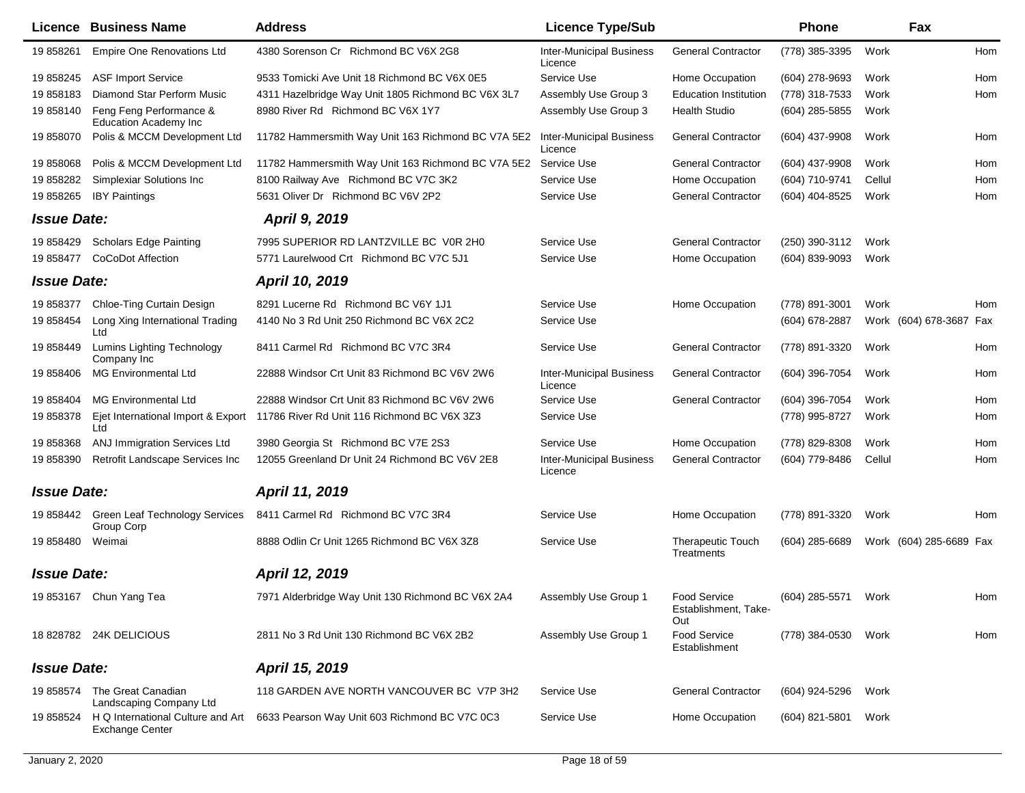| Licence            | <b>Business Name</b>                                        | <b>Address</b>                                                                 | <b>Licence Type/Sub</b>                    |                                             | <b>Phone</b>   |        | Fax                     |     |
|--------------------|-------------------------------------------------------------|--------------------------------------------------------------------------------|--------------------------------------------|---------------------------------------------|----------------|--------|-------------------------|-----|
| 19 858261          | <b>Empire One Renovations Ltd</b>                           | 4380 Sorenson Cr Richmond BC V6X 2G8                                           | <b>Inter-Municipal Business</b><br>Licence | <b>General Contractor</b>                   | (778) 385-3395 | Work   |                         | Hom |
| 19 858245          | <b>ASF Import Service</b>                                   | 9533 Tomicki Ave Unit 18 Richmond BC V6X 0E5                                   | Service Use                                | Home Occupation                             | (604) 278-9693 | Work   |                         | Hom |
| 19858183           | Diamond Star Perform Music                                  | 4311 Hazelbridge Way Unit 1805 Richmond BC V6X 3L7                             | Assembly Use Group 3                       | <b>Education Institution</b>                | (778) 318-7533 | Work   |                         | Hom |
| 19 858140          | Feng Feng Performance &<br><b>Education Academy Inc</b>     | 8980 River Rd Richmond BC V6X 1Y7                                              | Assembly Use Group 3                       | <b>Health Studio</b>                        | (604) 285-5855 | Work   |                         |     |
| 19 858070          | Polis & MCCM Development Ltd                                | 11782 Hammersmith Way Unit 163 Richmond BC V7A 5E2                             | <b>Inter-Municipal Business</b><br>Licence | <b>General Contractor</b>                   | (604) 437-9908 | Work   |                         | Hom |
| 19 858068          | Polis & MCCM Development Ltd                                | 11782 Hammersmith Way Unit 163 Richmond BC V7A 5E2                             | Service Use                                | <b>General Contractor</b>                   | (604) 437-9908 | Work   |                         | Hom |
| 19 858282          | Simplexiar Solutions Inc                                    | 8100 Railway Ave Richmond BC V7C 3K2                                           | Service Use                                | Home Occupation                             | (604) 710-9741 | Cellul |                         | Hom |
| 19 858265          | <b>IBY Paintings</b>                                        | 5631 Oliver Dr Richmond BC V6V 2P2                                             | Service Use                                | <b>General Contractor</b>                   | (604) 404-8525 | Work   |                         | Hom |
| <b>Issue Date:</b> |                                                             | <b>April 9, 2019</b>                                                           |                                            |                                             |                |        |                         |     |
| 19 858429          | <b>Scholars Edge Painting</b>                               | 7995 SUPERIOR RD LANTZVILLE BC V0R 2H0                                         | Service Use                                | <b>General Contractor</b>                   | (250) 390-3112 | Work   |                         |     |
| 19 858477          | <b>CoCoDot Affection</b>                                    | 5771 Laurelwood Crt Richmond BC V7C 5J1                                        | Service Use                                | Home Occupation                             | (604) 839-9093 | Work   |                         |     |
| <b>Issue Date:</b> |                                                             | April 10, 2019                                                                 |                                            |                                             |                |        |                         |     |
| 19 858377          | Chloe-Ting Curtain Design                                   | 8291 Lucerne Rd Richmond BC V6Y 1J1                                            | Service Use                                | Home Occupation                             | (778) 891-3001 | Work   |                         | Hom |
| 19 858454          | Long Xing International Trading<br>Ltd                      | 4140 No 3 Rd Unit 250 Richmond BC V6X 2C2                                      | Service Use                                |                                             | (604) 678-2887 |        | Work (604) 678-3687 Fax |     |
| 19 858449          | <b>Lumins Lighting Technology</b><br>Company Inc            | 8411 Carmel Rd Richmond BC V7C 3R4                                             | Service Use                                | <b>General Contractor</b>                   | (778) 891-3320 | Work   |                         | Hom |
| 19 858406          | <b>MG Environmental Ltd</b>                                 | 22888 Windsor Crt Unit 83 Richmond BC V6V 2W6                                  | <b>Inter-Municipal Business</b><br>Licence | <b>General Contractor</b>                   | (604) 396-7054 | Work   |                         | Hom |
| 19 858404          | <b>MG Environmental Ltd</b>                                 | 22888 Windsor Crt Unit 83 Richmond BC V6V 2W6                                  | Service Use                                | <b>General Contractor</b>                   | (604) 396-7054 | Work   |                         | Hom |
| 19 858378          | Ltd                                                         | Ejet International Import & Export 11786 River Rd Unit 116 Richmond BC V6X 3Z3 | Service Use                                |                                             | (778) 995-8727 | Work   |                         | Hom |
| 19 858368          | ANJ Immigration Services Ltd                                | 3980 Georgia St Richmond BC V7E 2S3                                            | Service Use                                | Home Occupation                             | (778) 829-8308 | Work   |                         | Hom |
| 19 858390          | Retrofit Landscape Services Inc                             | 12055 Greenland Dr Unit 24 Richmond BC V6V 2E8                                 | <b>Inter-Municipal Business</b><br>Licence | <b>General Contractor</b>                   | (604) 779-8486 | Cellul |                         | Hom |
| <b>Issue Date:</b> |                                                             | April 11, 2019                                                                 |                                            |                                             |                |        |                         |     |
| 19 858442          | <b>Green Leaf Technology Services</b><br>Group Corp         | 8411 Carmel Rd Richmond BC V7C 3R4                                             | Service Use                                | Home Occupation                             | (778) 891-3320 | Work   |                         | Hom |
| 19 858480          | Weimai                                                      | 8888 Odlin Cr Unit 1265 Richmond BC V6X 3Z8                                    | Service Use                                | Therapeutic Touch<br>Treatments             | (604) 285-6689 |        | Work (604) 285-6689 Fax |     |
| <b>Issue Date:</b> |                                                             | April 12, 2019                                                                 |                                            |                                             |                |        |                         |     |
|                    | 19 853167 Chun Yang Tea                                     | 7971 Alderbridge Way Unit 130 Richmond BC V6X 2A4                              | Assembly Use Group 1                       | Food Service<br>Establishment, Take-<br>Out | (604) 285-5571 | Work   |                         | Hom |
|                    | 18 828782 24K DELICIOUS                                     | 2811 No 3 Rd Unit 130 Richmond BC V6X 2B2                                      | Assembly Use Group 1                       | <b>Food Service</b><br>Establishment        | (778) 384-0530 | Work   |                         | Hom |
| <b>Issue Date:</b> |                                                             | April 15, 2019                                                                 |                                            |                                             |                |        |                         |     |
| 19 858574          | The Great Canadian<br>Landscaping Company Ltd               | 118 GARDEN AVE NORTH VANCOUVER BC V7P 3H2                                      | Service Use                                | <b>General Contractor</b>                   | (604) 924-5296 | Work   |                         |     |
| 19 858524          | H Q International Culture and Art<br><b>Exchange Center</b> | 6633 Pearson Way Unit 603 Richmond BC V7C 0C3                                  | Service Use                                | Home Occupation                             | (604) 821-5801 | Work   |                         |     |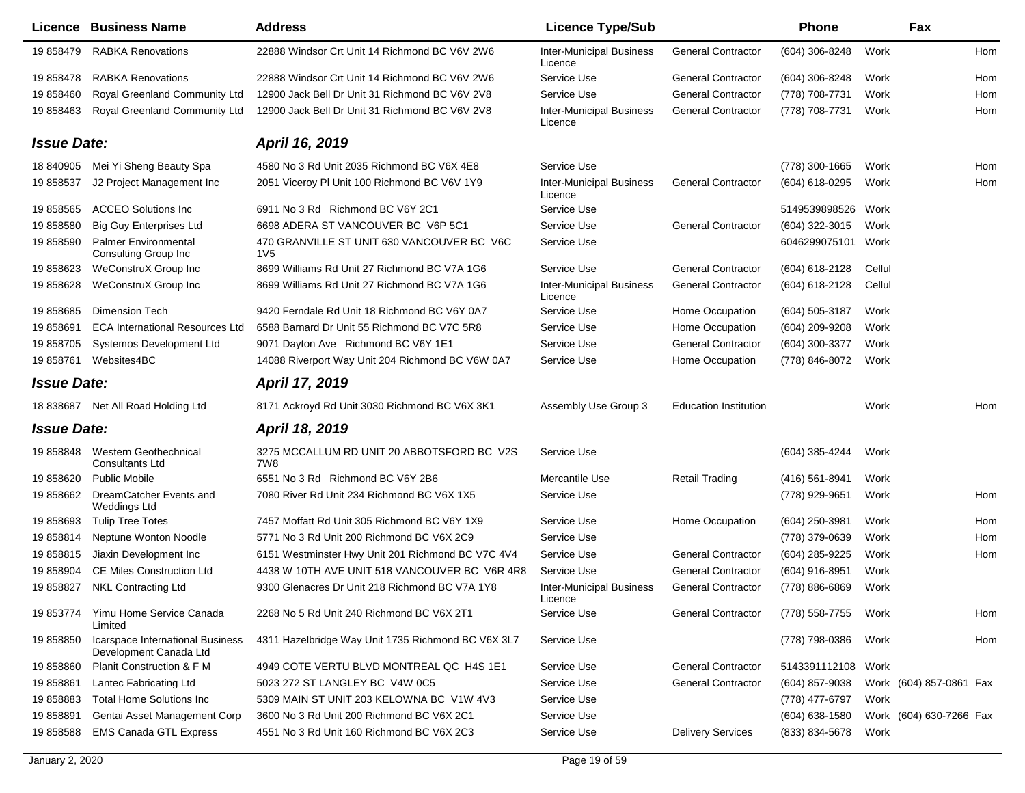| Licence            | <b>Business Name</b>                                       | <b>Address</b>                                                 | <b>Licence Type/Sub</b>                    |                              | <b>Phone</b>     |        | Fax                     |     |
|--------------------|------------------------------------------------------------|----------------------------------------------------------------|--------------------------------------------|------------------------------|------------------|--------|-------------------------|-----|
| 19 858479          | <b>RABKA Renovations</b>                                   | 22888 Windsor Crt Unit 14 Richmond BC V6V 2W6                  | <b>Inter-Municipal Business</b><br>Licence | <b>General Contractor</b>    | (604) 306-8248   | Work   |                         | Hom |
| 19 858478          | <b>RABKA Renovations</b>                                   | 22888 Windsor Crt Unit 14 Richmond BC V6V 2W6                  | Service Use                                | <b>General Contractor</b>    | (604) 306-8248   | Work   |                         | Hom |
| 19 858460          | Royal Greenland Community Ltd                              | 12900 Jack Bell Dr Unit 31 Richmond BC V6V 2V8                 | Service Use                                | <b>General Contractor</b>    | (778) 708-7731   | Work   |                         | Hom |
| 19 858463          | Royal Greenland Community Ltd                              | 12900 Jack Bell Dr Unit 31 Richmond BC V6V 2V8                 | <b>Inter-Municipal Business</b><br>Licence | <b>General Contractor</b>    | (778) 708-7731   | Work   |                         | Hom |
| <b>Issue Date:</b> |                                                            | April 16, 2019                                                 |                                            |                              |                  |        |                         |     |
| 18 840905          | Mei Yi Sheng Beauty Spa                                    | 4580 No 3 Rd Unit 2035 Richmond BC V6X 4E8                     | Service Use                                |                              | (778) 300-1665   | Work   |                         | Hom |
| 19 858537          | J2 Project Management Inc                                  | 2051 Viceroy PI Unit 100 Richmond BC V6V 1Y9                   | <b>Inter-Municipal Business</b><br>Licence | <b>General Contractor</b>    | (604) 618-0295   | Work   |                         | Hom |
| 19 858565          | <b>ACCEO Solutions Inc</b>                                 | 6911 No 3 Rd Richmond BC V6Y 2C1                               | Service Use                                |                              | 5149539898526    | Work   |                         |     |
| 19 858580          | <b>Big Guy Enterprises Ltd</b>                             | 6698 ADERA ST VANCOUVER BC V6P 5C1                             | Service Use                                | <b>General Contractor</b>    | (604) 322-3015   | Work   |                         |     |
| 19 858590          | <b>Palmer Environmental</b><br>Consulting Group Inc        | 470 GRANVILLE ST UNIT 630 VANCOUVER BC V6C<br>1 <sub>V</sub> 5 | Service Use                                |                              | 6046299075101    | Work   |                         |     |
| 19 858623          | WeConstruX Group Inc                                       | 8699 Williams Rd Unit 27 Richmond BC V7A 1G6                   | Service Use                                | <b>General Contractor</b>    | (604) 618-2128   | Cellul |                         |     |
| 19858628           | WeConstruX Group Inc                                       | 8699 Williams Rd Unit 27 Richmond BC V7A 1G6                   | <b>Inter-Municipal Business</b><br>Licence | <b>General Contractor</b>    | (604) 618-2128   | Cellul |                         |     |
| 19 858685          | <b>Dimension Tech</b>                                      | 9420 Ferndale Rd Unit 18 Richmond BC V6Y 0A7                   | Service Use                                | Home Occupation              | $(604)$ 505-3187 | Work   |                         |     |
| 19 858691          | <b>ECA International Resources Ltd</b>                     | 6588 Barnard Dr Unit 55 Richmond BC V7C 5R8                    | Service Use                                | Home Occupation              | (604) 209-9208   | Work   |                         |     |
| 19 858705          | <b>Systemos Development Ltd</b>                            | 9071 Dayton Ave Richmond BC V6Y 1E1                            | Service Use                                | <b>General Contractor</b>    | (604) 300-3377   | Work   |                         |     |
| 19 858761          | Websites4BC                                                | 14088 Riverport Way Unit 204 Richmond BC V6W 0A7               | Service Use                                | Home Occupation              | (778) 846-8072   | Work   |                         |     |
| <b>Issue Date:</b> |                                                            | April 17, 2019                                                 |                                            |                              |                  |        |                         |     |
| 18 838687          | Net All Road Holding Ltd                                   | 8171 Ackroyd Rd Unit 3030 Richmond BC V6X 3K1                  | Assembly Use Group 3                       | <b>Education Institution</b> |                  | Work   |                         | Hom |
| <b>Issue Date:</b> |                                                            | April 18, 2019                                                 |                                            |                              |                  |        |                         |     |
| 19 858848          | Western Geothechnical<br><b>Consultants Ltd</b>            | 3275 MCCALLUM RD UNIT 20 ABBOTSFORD BC V2S<br>7W8              | Service Use                                |                              | (604) 385-4244   | Work   |                         |     |
| 19 858620          | <b>Public Mobile</b>                                       | 6551 No 3 Rd Richmond BC V6Y 2B6                               | Mercantile Use                             | <b>Retail Trading</b>        | (416) 561-8941   | Work   |                         |     |
| 19 858662          | DreamCatcher Events and<br><b>Weddings Ltd</b>             | 7080 River Rd Unit 234 Richmond BC V6X 1X5                     | Service Use                                |                              | (778) 929-9651   | Work   |                         | Hom |
| 19 858693          | <b>Tulip Tree Totes</b>                                    | 7457 Moffatt Rd Unit 305 Richmond BC V6Y 1X9                   | Service Use                                | Home Occupation              | (604) 250-3981   | Work   |                         | Hom |
| 19 858814          | Neptune Wonton Noodle                                      | 5771 No 3 Rd Unit 200 Richmond BC V6X 2C9                      | Service Use                                |                              | (778) 379-0639   | Work   |                         | Hom |
| 19858815           | Jiaxin Development Inc                                     | 6151 Westminster Hwy Unit 201 Richmond BC V7C 4V4              | Service Use                                | <b>General Contractor</b>    | (604) 285-9225   | Work   |                         | Hom |
| 19 858904          | <b>CE Miles Construction Ltd</b>                           | 4438 W 10TH AVE UNIT 518 VANCOUVER BC V6R 4R8                  | Service Use                                | <b>General Contractor</b>    | (604) 916-8951   | Work   |                         |     |
| 19 858827          | <b>NKL Contracting Ltd</b>                                 | 9300 Glenacres Dr Unit 218 Richmond BC V7A 1Y8                 | <b>Inter-Municipal Business</b><br>Licence | <b>General Contractor</b>    | (778) 886-6869   | Work   |                         |     |
|                    | 19 853774 Yimu Home Service Canada<br>Limited              | 2268 No 5 Rd Unit 240 Richmond BC V6X 2T1                      | Service Use                                | <b>General Contractor</b>    | (778) 558-7755   | Work   |                         | Hom |
| 19 858850          | Icarspace International Business<br>Development Canada Ltd | 4311 Hazelbridge Way Unit 1735 Richmond BC V6X 3L7             | Service Use                                |                              | (778) 798-0386   | Work   |                         | Hom |
| 19 858860          | Planit Construction & F M                                  | 4949 COTE VERTU BLVD MONTREAL QC H4S 1E1                       | Service Use                                | <b>General Contractor</b>    | 5143391112108    | Work   |                         |     |
| 19 858861          | <b>Lantec Fabricating Ltd</b>                              | 5023 272 ST LANGLEY BC V4W 0C5                                 | Service Use                                | <b>General Contractor</b>    | $(604)$ 857-9038 |        | Work (604) 857-0861 Fax |     |
| 19858883           | <b>Total Home Solutions Inc</b>                            | 5309 MAIN ST UNIT 203 KELOWNA BC V1W 4V3                       | Service Use                                |                              | (778) 477-6797   | Work   |                         |     |
| 19 858891          | Gentai Asset Management Corp                               | 3600 No 3 Rd Unit 200 Richmond BC V6X 2C1                      | Service Use                                |                              | $(604)$ 638-1580 |        | Work (604) 630-7266 Fax |     |
| 19858588           | <b>EMS Canada GTL Express</b>                              | 4551 No 3 Rd Unit 160 Richmond BC V6X 2C3                      | Service Use                                | <b>Delivery Services</b>     | (833) 834-5678   | Work   |                         |     |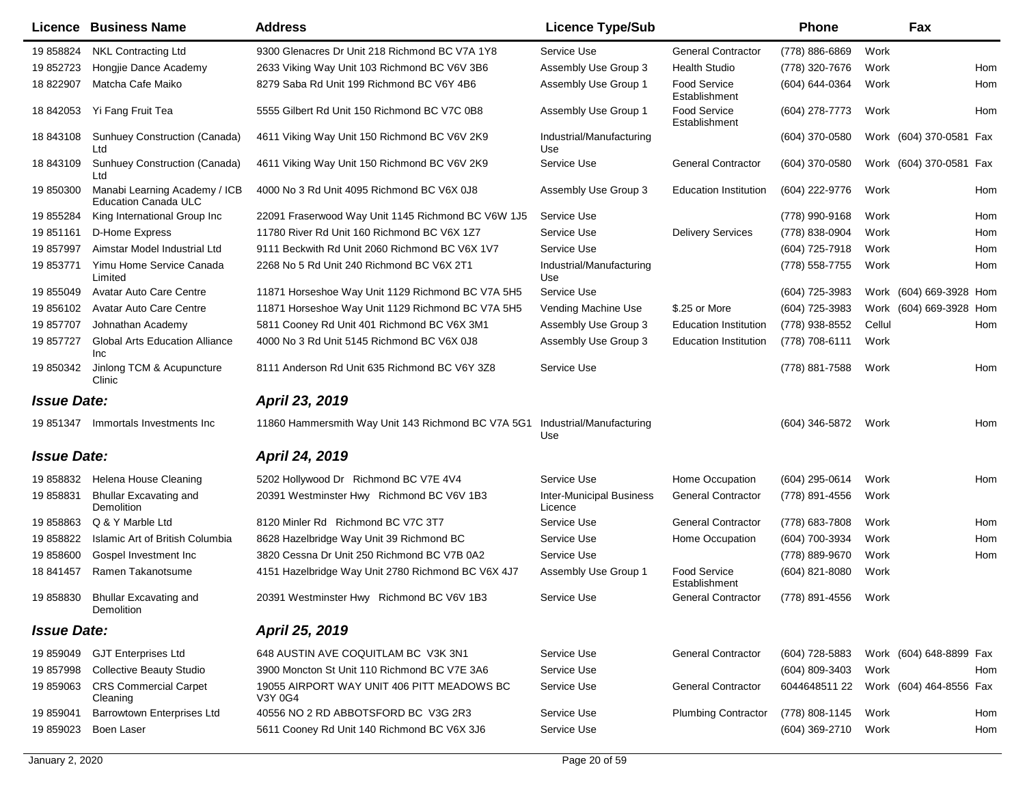|                    | <b>Licence Business Name</b>                                 | <b>Address</b>                                        | <b>Licence Type/Sub</b>                    |                                      | <b>Phone</b>                          |        | Fax                     |     |
|--------------------|--------------------------------------------------------------|-------------------------------------------------------|--------------------------------------------|--------------------------------------|---------------------------------------|--------|-------------------------|-----|
| 19 858824          | <b>NKL Contracting Ltd</b>                                   | 9300 Glenacres Dr Unit 218 Richmond BC V7A 1Y8        | Service Use                                | <b>General Contractor</b>            | (778) 886-6869                        | Work   |                         |     |
| 19 852723          | Hongjie Dance Academy                                        | 2633 Viking Way Unit 103 Richmond BC V6V 3B6          | Assembly Use Group 3                       | <b>Health Studio</b>                 | (778) 320-7676                        | Work   |                         | Hom |
| 18 822907          | Matcha Cafe Maiko                                            | 8279 Saba Rd Unit 199 Richmond BC V6Y 4B6             | Assembly Use Group 1                       | <b>Food Service</b><br>Establishment | (604) 644-0364                        | Work   |                         | Hom |
| 18 842053          | Yi Fang Fruit Tea                                            | 5555 Gilbert Rd Unit 150 Richmond BC V7C 0B8          | Assembly Use Group 1                       | <b>Food Service</b><br>Establishment | (604) 278-7773                        | Work   |                         | Hom |
| 18 843108          | Sunhuey Construction (Canada)<br>Ltd                         | 4611 Viking Way Unit 150 Richmond BC V6V 2K9          | Industrial/Manufacturing<br>Use            |                                      | (604) 370-0580                        |        | Work (604) 370-0581 Fax |     |
| 18 843109          | Sunhuey Construction (Canada)<br>Ltd                         | 4611 Viking Way Unit 150 Richmond BC V6V 2K9          | Service Use                                | <b>General Contractor</b>            | (604) 370-0580                        |        | Work (604) 370-0581 Fax |     |
| 19 850300          | Manabi Learning Academy / ICB<br><b>Education Canada ULC</b> | 4000 No 3 Rd Unit 4095 Richmond BC V6X 0J8            | Assembly Use Group 3                       | <b>Education Institution</b>         | (604) 222-9776                        | Work   |                         | Hom |
| 19 855284          | King International Group Inc                                 | 22091 Fraserwood Way Unit 1145 Richmond BC V6W 1J5    | Service Use                                |                                      | (778) 990-9168                        | Work   |                         | Hom |
| 19 851161          | D-Home Express                                               | 11780 River Rd Unit 160 Richmond BC V6X 1Z7           | Service Use                                | <b>Delivery Services</b>             | (778) 838-0904                        | Work   |                         | Hom |
| 19 857997          | Aimstar Model Industrial Ltd                                 | 9111 Beckwith Rd Unit 2060 Richmond BC V6X 1V7        | Service Use                                |                                      | (604) 725-7918                        | Work   |                         | Hom |
| 19 853771          | Yimu Home Service Canada<br>Limited                          | 2268 No 5 Rd Unit 240 Richmond BC V6X 2T1             | Industrial/Manufacturing<br>Use            |                                      | (778) 558-7755                        | Work   |                         | Hom |
| 19 855049          | Avatar Auto Care Centre                                      | 11871 Horseshoe Way Unit 1129 Richmond BC V7A 5H5     | Service Use                                |                                      | (604) 725-3983                        |        | Work (604) 669-3928 Hom |     |
| 19 856102          | <b>Avatar Auto Care Centre</b>                               | 11871 Horseshoe Way Unit 1129 Richmond BC V7A 5H5     | Vending Machine Use                        | \$.25 or More                        | (604) 725-3983                        |        | Work (604) 669-3928 Hom |     |
| 19857707           | Johnathan Academy                                            | 5811 Cooney Rd Unit 401 Richmond BC V6X 3M1           | Assembly Use Group 3                       | <b>Education Institution</b>         | (778) 938-8552                        | Cellul |                         | Hom |
| 19 857727          | <b>Global Arts Education Alliance</b><br><b>Inc</b>          | 4000 No 3 Rd Unit 5145 Richmond BC V6X 0J8            | Assembly Use Group 3                       | <b>Education Institution</b>         | (778) 708-6111                        | Work   |                         |     |
| 19 850342          | Jinlong TCM & Acupuncture<br>Clinic                          | 8111 Anderson Rd Unit 635 Richmond BC V6Y 3Z8         | Service Use                                |                                      | (778) 881-7588                        | Work   |                         | Hom |
| <b>Issue Date:</b> |                                                              | April 23, 2019                                        |                                            |                                      |                                       |        |                         |     |
| 19 851347          | Immortals Investments Inc                                    | 11860 Hammersmith Way Unit 143 Richmond BC V7A 5G1    | Industrial/Manufacturing<br>Use            |                                      | (604) 346-5872                        | Work   |                         | Hom |
| <b>Issue Date:</b> |                                                              | April 24, 2019                                        |                                            |                                      |                                       |        |                         |     |
|                    | 19 858832 Helena House Cleaning                              | 5202 Hollywood Dr Richmond BC V7E 4V4                 | Service Use                                | Home Occupation                      | (604) 295-0614                        | Work   |                         | Hom |
| 19 858831          | <b>Bhullar Excavating and</b><br>Demolition                  | 20391 Westminster Hwy Richmond BC V6V 1B3             | <b>Inter-Municipal Business</b><br>Licence | <b>General Contractor</b>            | (778) 891-4556                        | Work   |                         |     |
| 19 858863          | Q & Y Marble Ltd                                             | 8120 Minler Rd Richmond BC V7C 3T7                    | Service Use                                | <b>General Contractor</b>            | (778) 683-7808                        | Work   |                         | Hom |
| 19 858822          | Islamic Art of British Columbia                              | 8628 Hazelbridge Way Unit 39 Richmond BC              | Service Use                                | Home Occupation                      | (604) 700-3934                        | Work   |                         | Hom |
| 19 858600          | Gospel Investment Inc                                        | 3820 Cessna Dr Unit 250 Richmond BC V7B 0A2           | Service Use                                |                                      | (778) 889-9670                        | Work   |                         | Hom |
| 18 841457          | Ramen Takanotsume                                            | 4151 Hazelbridge Way Unit 2780 Richmond BC V6X 4J7    | Assembly Use Group 1                       | <b>Food Service</b><br>Establishment | (604) 821-8080                        | Work   |                         |     |
|                    | 19 858830 Bhullar Excavating and<br>Demolition               | 20391 Westminster Hwy Richmond BC V6V 1B3             | Service Use                                | General Contractor                   | (778) 891-4556 Work                   |        |                         |     |
| <b>Issue Date:</b> |                                                              | April 25, 2019                                        |                                            |                                      |                                       |        |                         |     |
| 19 859049          | <b>GJT Enterprises Ltd</b>                                   | 648 AUSTIN AVE COQUITLAM BC V3K 3N1                   | Service Use                                | <b>General Contractor</b>            | (604) 728-5883                        |        | Work (604) 648-8899 Fax |     |
| 19 857998          | <b>Collective Beauty Studio</b>                              | 3900 Moncton St Unit 110 Richmond BC V7E 3A6          | Service Use                                |                                      | (604) 809-3403                        | Work   |                         | Hom |
| 19 859063          | <b>CRS Commercial Carpet</b><br>Cleaning                     | 19055 AIRPORT WAY UNIT 406 PITT MEADOWS BC<br>V3Y 0G4 | Service Use                                | <b>General Contractor</b>            | 6044648511 22 Work (604) 464-8556 Fax |        |                         |     |
| 19 859041          | <b>Barrowtown Enterprises Ltd</b>                            | 40556 NO 2 RD ABBOTSFORD BC V3G 2R3                   | Service Use                                | <b>Plumbing Contractor</b>           | (778) 808-1145                        | Work   |                         | Hom |
| 19 859023          | Boen Laser                                                   | 5611 Cooney Rd Unit 140 Richmond BC V6X 3J6           | Service Use                                |                                      | (604) 369-2710                        | Work   |                         | Hom |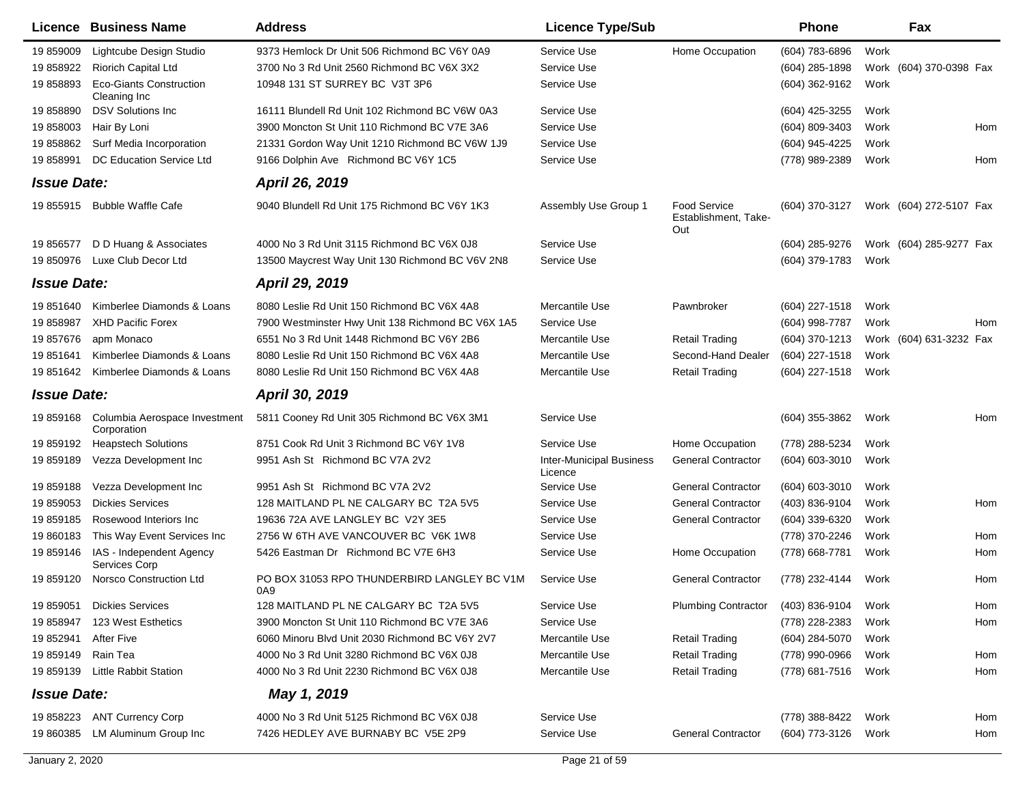|                    | <b>Licence Business Name</b>                   | <b>Address</b>                                     | <b>Licence Type/Sub</b>                    |                                             | <b>Phone</b>        |      | Fax                     |     |
|--------------------|------------------------------------------------|----------------------------------------------------|--------------------------------------------|---------------------------------------------|---------------------|------|-------------------------|-----|
| 19 859009          | Lightcube Design Studio                        | 9373 Hemlock Dr Unit 506 Richmond BC V6Y 0A9       | Service Use                                | Home Occupation                             | (604) 783-6896      | Work |                         |     |
| 19 858922          | <b>Riorich Capital Ltd</b>                     | 3700 No 3 Rd Unit 2560 Richmond BC V6X 3X2         | Service Use                                |                                             | (604) 285-1898      |      | Work (604) 370-0398 Fax |     |
| 19858893           | <b>Eco-Giants Construction</b><br>Cleaning Inc | 10948 131 ST SURREY BC V3T 3P6                     | Service Use                                |                                             | (604) 362-9162      | Work |                         |     |
| 19 858890          | <b>DSV Solutions Inc.</b>                      | 16111 Blundell Rd Unit 102 Richmond BC V6W 0A3     | Service Use                                |                                             | (604) 425-3255      | Work |                         |     |
| 19 858003          | Hair By Loni                                   | 3900 Moncton St Unit 110 Richmond BC V7E 3A6       | Service Use                                |                                             | (604) 809-3403      | Work |                         | Hom |
| 19 858862          | Surf Media Incorporation                       | 21331 Gordon Way Unit 1210 Richmond BC V6W 1J9     | Service Use                                |                                             | (604) 945-4225      | Work |                         |     |
| 19858991           | <b>DC Education Service Ltd</b>                | 9166 Dolphin Ave Richmond BC V6Y 1C5               | Service Use                                |                                             | (778) 989-2389      | Work |                         | Hom |
| <b>Issue Date:</b> |                                                | April 26, 2019                                     |                                            |                                             |                     |      |                         |     |
| 19 855915          | <b>Bubble Waffle Cafe</b>                      | 9040 Blundell Rd Unit 175 Richmond BC V6Y 1K3      | Assembly Use Group 1                       | Food Service<br>Establishment, Take-<br>Out | (604) 370-3127      |      | Work (604) 272-5107 Fax |     |
| 19 856577          | D D Huang & Associates                         | 4000 No 3 Rd Unit 3115 Richmond BC V6X 0J8         | Service Use                                |                                             | (604) 285-9276      |      | Work (604) 285-9277 Fax |     |
| 19 850976          | Luxe Club Decor Ltd                            | 13500 Maycrest Way Unit 130 Richmond BC V6V 2N8    | Service Use                                |                                             | (604) 379-1783      | Work |                         |     |
| <b>Issue Date:</b> |                                                | April 29, 2019                                     |                                            |                                             |                     |      |                         |     |
| 19851640           | Kimberlee Diamonds & Loans                     | 8080 Leslie Rd Unit 150 Richmond BC V6X 4A8        | Mercantile Use                             | Pawnbroker                                  | (604) 227-1518      | Work |                         |     |
| 19 858987          | <b>XHD Pacific Forex</b>                       | 7900 Westminster Hwy Unit 138 Richmond BC V6X 1A5  | Service Use                                |                                             | (604) 998-7787      | Work |                         | Hom |
| 19857676           | apm Monaco                                     | 6551 No 3 Rd Unit 1448 Richmond BC V6Y 2B6         | Mercantile Use                             | <b>Retail Trading</b>                       | (604) 370-1213      |      | Work (604) 631-3232 Fax |     |
| 19 851641          | Kimberlee Diamonds & Loans                     | 8080 Leslie Rd Unit 150 Richmond BC V6X 4A8        | Mercantile Use                             | Second-Hand Dealer                          | (604) 227-1518      | Work |                         |     |
| 19 851642          | Kimberlee Diamonds & Loans                     | 8080 Leslie Rd Unit 150 Richmond BC V6X 4A8        | Mercantile Use                             | <b>Retail Trading</b>                       | (604) 227-1518      | Work |                         |     |
| <b>Issue Date:</b> |                                                | April 30, 2019                                     |                                            |                                             |                     |      |                         |     |
| 19 859168          | Columbia Aerospace Investment<br>Corporation   | 5811 Cooney Rd Unit 305 Richmond BC V6X 3M1        | Service Use                                |                                             | (604) 355-3862      | Work |                         | Hom |
| 19 859192          | <b>Heapstech Solutions</b>                     | 8751 Cook Rd Unit 3 Richmond BC V6Y 1V8            | Service Use                                | Home Occupation                             | (778) 288-5234      | Work |                         |     |
| 19 859189          | Vezza Development Inc                          | 9951 Ash St Richmond BC V7A 2V2                    | <b>Inter-Municipal Business</b><br>Licence | <b>General Contractor</b>                   | (604) 603-3010      | Work |                         |     |
| 19859188           | Vezza Development Inc                          | 9951 Ash St Richmond BC V7A 2V2                    | Service Use                                | <b>General Contractor</b>                   | (604) 603-3010      | Work |                         |     |
| 19 859053          | <b>Dickies Services</b>                        | 128 MAITLAND PL NE CALGARY BC T2A 5V5              | Service Use                                | <b>General Contractor</b>                   | (403) 836-9104      | Work |                         | Hom |
| 19 859185          | Rosewood Interiors Inc                         | 19636 72A AVE LANGLEY BC V2Y 3E5                   | Service Use                                | <b>General Contractor</b>                   | (604) 339-6320      | Work |                         |     |
| 19 860183          | This Way Event Services Inc                    | 2756 W 6TH AVE VANCOUVER BC V6K 1W8                | Service Use                                |                                             | (778) 370-2246      | Work |                         | Hom |
| 19 859146          | IAS - Independent Agency<br>Services Corp      | 5426 Eastman Dr Richmond BC V7E 6H3                | Service Use                                | Home Occupation                             | (778) 668-7781      | Work |                         | Hom |
| 19 859120          | Norsco Construction Ltd                        | PO BOX 31053 RPO THUNDERBIRD LANGLEY BC V1M<br>0A9 | Service Use                                | <b>General Contractor</b>                   | (778) 232-4144      | Work |                         | Hom |
| 19 859051          | <b>Dickies Services</b>                        | 128 MAITLAND PL NE CALGARY BC T2A 5V5              | Service Use                                | <b>Plumbing Contractor</b>                  | (403) 836-9104      | Work |                         | Hom |
| 19 858947          | 123 West Esthetics                             | 3900 Moncton St Unit 110 Richmond BC V7E 3A6       | Service Use                                |                                             | (778) 228-2383      | Work |                         | Hom |
| 19 852941          | After Five                                     | 6060 Minoru Blvd Unit 2030 Richmond BC V6Y 2V7     | Mercantile Use                             | <b>Retail Trading</b>                       | (604) 284-5070      | Work |                         |     |
| 19 859149          | Rain Tea                                       | 4000 No 3 Rd Unit 3280 Richmond BC V6X 0J8         | Mercantile Use                             | <b>Retail Trading</b>                       | (778) 990-0966      | Work |                         | Hom |
| 19 859139          | Little Rabbit Station                          | 4000 No 3 Rd Unit 2230 Richmond BC V6X 0J8         | Mercantile Use                             | <b>Retail Trading</b>                       | (778) 681-7516      | Work |                         | Hom |
| <b>Issue Date:</b> |                                                | May 1, 2019                                        |                                            |                                             |                     |      |                         |     |
|                    | 19 858223 ANT Currency Corp                    | 4000 No 3 Rd Unit 5125 Richmond BC V6X 0J8         | Service Use                                |                                             | (778) 388-8422      | Work |                         | Hom |
|                    | 19 860385 LM Aluminum Group Inc                | 7426 HEDLEY AVE BURNABY BC V5E 2P9                 | Service Use                                | <b>General Contractor</b>                   | (604) 773-3126 Work |      |                         | Hom |
|                    |                                                |                                                    |                                            |                                             |                     |      |                         |     |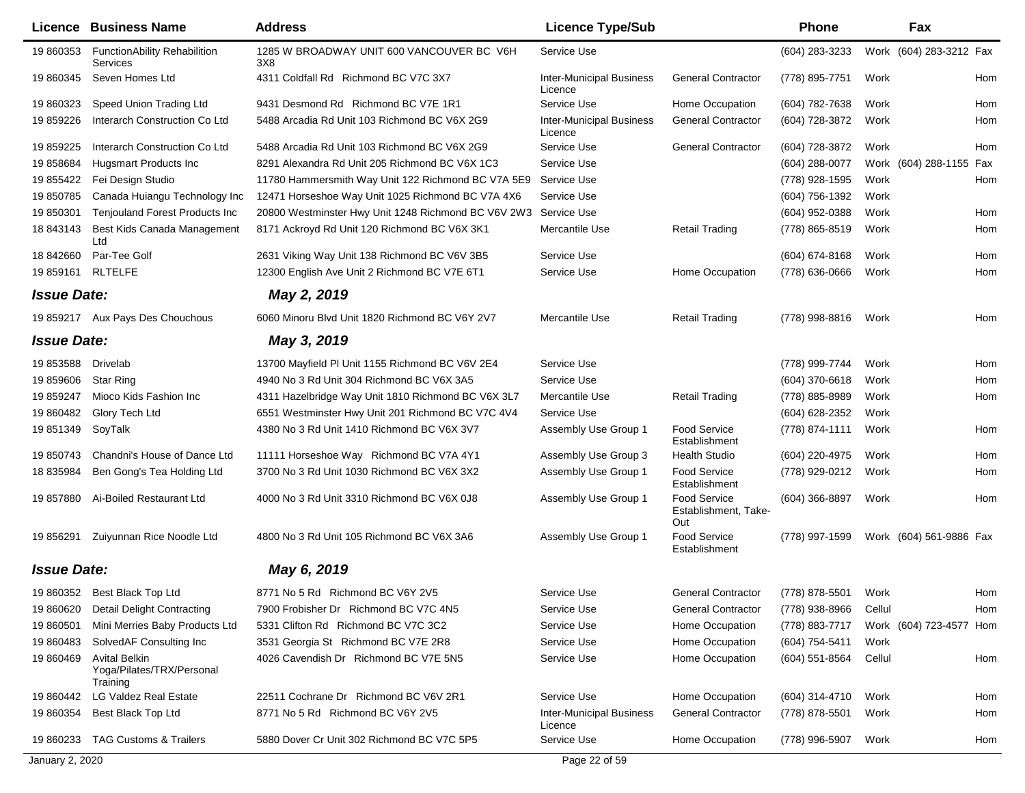| Licence            | <b>Business Name</b>                                          | <b>Address</b>                                      | <b>Licence Type/Sub</b>                    |                                                    | <b>Phone</b>       |        | Fax                     |     |
|--------------------|---------------------------------------------------------------|-----------------------------------------------------|--------------------------------------------|----------------------------------------------------|--------------------|--------|-------------------------|-----|
| 19 860353          | <b>FunctionAbility Rehabilition</b><br>Services               | 1285 W BROADWAY UNIT 600 VANCOUVER BC V6H<br>3X8    | Service Use                                |                                                    | (604) 283-3233     |        | Work (604) 283-3212 Fax |     |
| 19 860345          | Seven Homes Ltd                                               | 4311 Coldfall Rd Richmond BC V7C 3X7                | <b>Inter-Municipal Business</b><br>Licence | <b>General Contractor</b>                          | (778) 895-7751     | Work   |                         | Hom |
| 19 860323          | Speed Union Trading Ltd                                       | 9431 Desmond Rd Richmond BC V7E 1R1                 | Service Use                                | Home Occupation                                    | (604) 782-7638     | Work   |                         | Hom |
| 19 859226          | Interarch Construction Co Ltd                                 | 5488 Arcadia Rd Unit 103 Richmond BC V6X 2G9        | <b>Inter-Municipal Business</b><br>Licence | <b>General Contractor</b>                          | (604) 728-3872     | Work   |                         | Hom |
| 19 859225          | Interarch Construction Co Ltd                                 | 5488 Arcadia Rd Unit 103 Richmond BC V6X 2G9        | Service Use                                | <b>General Contractor</b>                          | (604) 728-3872     | Work   |                         | Hom |
| 19 858684          | Hugsmart Products Inc.                                        | 8291 Alexandra Rd Unit 205 Richmond BC V6X 1C3      | Service Use                                |                                                    | (604) 288-0077     |        | Work (604) 288-1155     | Fax |
| 19 855422          | Fei Design Studio                                             | 11780 Hammersmith Way Unit 122 Richmond BC V7A 5E9  | Service Use                                |                                                    | (778) 928-1595     | Work   |                         | Hom |
| 19 850785          | Canada Huiangu Technology Inc                                 | 12471 Horseshoe Way Unit 1025 Richmond BC V7A 4X6   | Service Use                                |                                                    | (604) 756-1392     | Work   |                         |     |
| 19 850301          | <b>Tenjouland Forest Products Inc</b>                         | 20800 Westminster Hwy Unit 1248 Richmond BC V6V 2W3 | Service Use                                |                                                    | (604) 952-0388     | Work   |                         | Hom |
| 18 843143          | Best Kids Canada Management<br>Ltd                            | 8171 Ackroyd Rd Unit 120 Richmond BC V6X 3K1        | Mercantile Use                             | <b>Retail Trading</b>                              | (778) 865-8519     | Work   |                         | Hom |
| 18 842660          | Par-Tee Golf                                                  | 2631 Viking Way Unit 138 Richmond BC V6V 3B5        | Service Use                                |                                                    | $(604) 674 - 8168$ | Work   |                         | Hom |
| 19 859161          | <b>RLTELFE</b>                                                | 12300 English Ave Unit 2 Richmond BC V7E 6T1        | Service Use                                | Home Occupation                                    | (778) 636-0666     | Work   |                         | Hom |
| <b>Issue Date:</b> |                                                               | May 2, 2019                                         |                                            |                                                    |                    |        |                         |     |
|                    | 19 859217 Aux Pays Des Chouchous                              | 6060 Minoru Blvd Unit 1820 Richmond BC V6Y 2V7      | Mercantile Use                             | <b>Retail Trading</b>                              | (778) 998-8816     | Work   |                         | Hom |
| <b>Issue Date:</b> |                                                               | May 3, 2019                                         |                                            |                                                    |                    |        |                         |     |
| 19 853588          | Drivelab                                                      | 13700 Mayfield PI Unit 1155 Richmond BC V6V 2E4     | Service Use                                |                                                    | (778) 999-7744     | Work   |                         | Hom |
| 19 859606          | <b>Star Ring</b>                                              | 4940 No 3 Rd Unit 304 Richmond BC V6X 3A5           | Service Use                                |                                                    | (604) 370-6618     | Work   |                         | Hom |
| 19 859247          | Mioco Kids Fashion Inc                                        | 4311 Hazelbridge Way Unit 1810 Richmond BC V6X 3L7  | Mercantile Use                             | <b>Retail Trading</b>                              | (778) 885-8989     | Work   |                         | Hom |
| 19 860482          | Glory Tech Ltd                                                | 6551 Westminster Hwy Unit 201 Richmond BC V7C 4V4   | Service Use                                |                                                    | (604) 628-2352     | Work   |                         |     |
| 19 851349          | SoyTalk                                                       | 4380 No 3 Rd Unit 1410 Richmond BC V6X 3V7          | Assembly Use Group 1                       | <b>Food Service</b><br>Establishment               | (778) 874-1111     | Work   |                         | Hom |
| 19 850743          | Chandni's House of Dance Ltd                                  | 11111 Horseshoe Way Richmond BC V7A 4Y1             | Assembly Use Group 3                       | <b>Health Studio</b>                               | (604) 220-4975     | Work   |                         | Hom |
| 18 835984          | Ben Gong's Tea Holding Ltd                                    | 3700 No 3 Rd Unit 1030 Richmond BC V6X 3X2          | Assembly Use Group 1                       | <b>Food Service</b><br>Establishment               | (778) 929-0212     | Work   |                         | Hom |
| 19 857880          | Ai-Boiled Restaurant Ltd                                      | 4000 No 3 Rd Unit 3310 Richmond BC V6X 0J8          | Assembly Use Group 1                       | <b>Food Service</b><br>Establishment, Take-<br>Out | $(604)$ 366-8897   | Work   |                         | Hom |
| 19 856291          | Zuiyunnan Rice Noodle Ltd                                     | 4800 No 3 Rd Unit 105 Richmond BC V6X 3A6           | Assembly Use Group 1                       | <b>Food Service</b><br>Establishment               | (778) 997-1599     |        | Work (604) 561-9886 Fax |     |
| <b>Issue Date:</b> |                                                               | May 6, 2019                                         |                                            |                                                    |                    |        |                         |     |
|                    | 19 860352 Best Black Top Ltd                                  | 8771 No 5 Rd Richmond BC V6Y 2V5                    | Service Use                                | <b>General Contractor</b>                          | (778) 878-5501     | Work   |                         | Hom |
| 19 860620          | Detail Delight Contracting                                    | 7900 Frobisher Dr Richmond BC V7C 4N5               | Service Use                                | <b>General Contractor</b>                          | (778) 938-8966     | Cellul |                         | Hom |
| 19 860501          | Mini Merries Baby Products Ltd                                | 5331 Clifton Rd Richmond BC V7C 3C2                 | Service Use                                | Home Occupation                                    | (778) 883-7717     |        | Work (604) 723-4577 Hom |     |
| 19 860483          | SolvedAF Consulting Inc                                       | 3531 Georgia St Richmond BC V7E 2R8                 | Service Use                                | Home Occupation                                    | (604) 754-5411     | Work   |                         |     |
| 19 860469          | <b>Avital Belkin</b><br>Yoga/Pilates/TRX/Personal<br>Training | 4026 Cavendish Dr Richmond BC V7E 5N5               | Service Use                                | Home Occupation                                    | (604) 551-8564     | Cellul |                         | Hom |
| 19 860442          | <b>LG Valdez Real Estate</b>                                  | 22511 Cochrane Dr Richmond BC V6V 2R1               | Service Use                                | Home Occupation                                    | (604) 314-4710     | Work   |                         | Hom |
| 19 860354          | Best Black Top Ltd                                            | 8771 No 5 Rd Richmond BC V6Y 2V5                    | <b>Inter-Municipal Business</b><br>Licence | <b>General Contractor</b>                          | (778) 878-5501     | Work   |                         | Hom |
| 19 860233          | <b>TAG Customs &amp; Trailers</b>                             | 5880 Dover Cr Unit 302 Richmond BC V7C 5P5          | Service Use                                | Home Occupation                                    | (778) 996-5907     | Work   |                         | Hom |
| January 2, 2020    |                                                               |                                                     | Page 22 of 59                              |                                                    |                    |        |                         |     |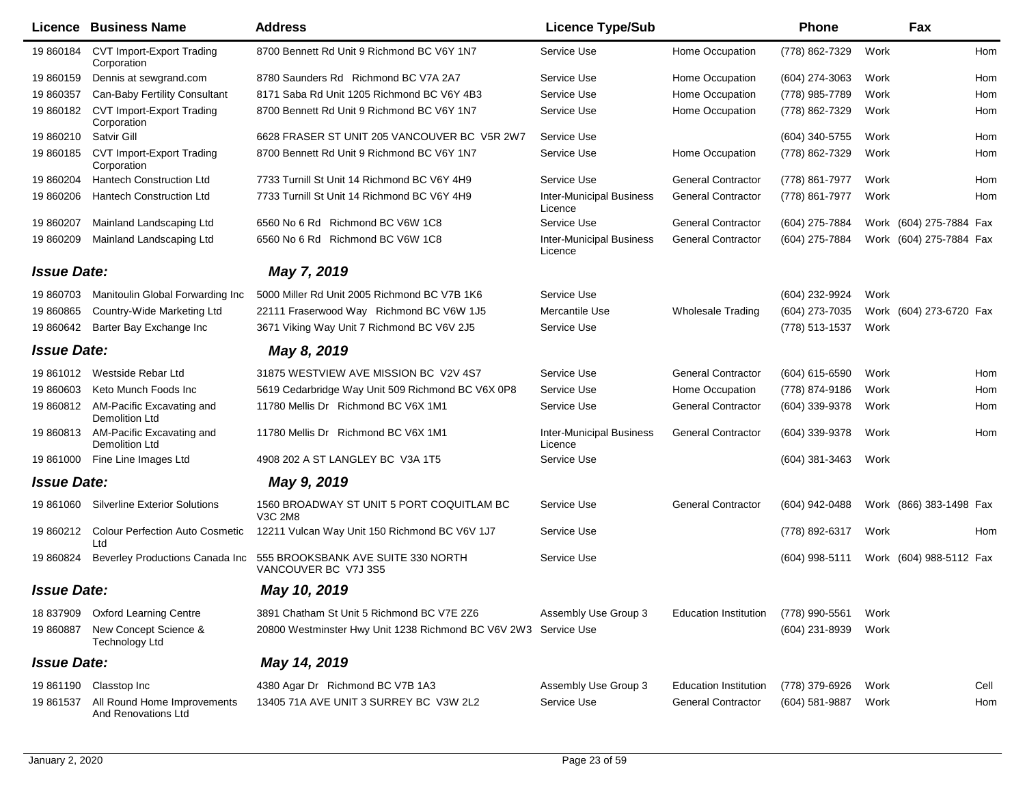| Licence            | <b>Business Name</b>                               | <b>Address</b>                                                                             | <b>Licence Type/Sub</b>                    |                              | <b>Phone</b>     |      | Fax                     |            |
|--------------------|----------------------------------------------------|--------------------------------------------------------------------------------------------|--------------------------------------------|------------------------------|------------------|------|-------------------------|------------|
| 19 860184          | CVT Import-Export Trading<br>Corporation           | 8700 Bennett Rd Unit 9 Richmond BC V6Y 1N7                                                 | Service Use                                | Home Occupation              | (778) 862-7329   | Work |                         | <b>Hom</b> |
| 19 860159          | Dennis at sewgrand.com                             | 8780 Saunders Rd Richmond BC V7A 2A7                                                       | Service Use                                | Home Occupation              | $(604)$ 274-3063 | Work |                         | Hom        |
| 19 860357          | Can-Baby Fertility Consultant                      | 8171 Saba Rd Unit 1205 Richmond BC V6Y 4B3                                                 | Service Use                                | Home Occupation              | (778) 985-7789   | Work |                         | Hom        |
| 19 860182          | <b>CVT Import-Export Trading</b><br>Corporation    | 8700 Bennett Rd Unit 9 Richmond BC V6Y 1N7                                                 | Service Use                                | Home Occupation              | (778) 862-7329   | Work |                         | Hom        |
| 19 860210          | Satvir Gill                                        | 6628 FRASER ST UNIT 205 VANCOUVER BC V5R 2W7                                               | Service Use                                |                              | (604) 340-5755   | Work |                         | Hom        |
| 19 860185          | <b>CVT Import-Export Trading</b><br>Corporation    | 8700 Bennett Rd Unit 9 Richmond BC V6Y 1N7                                                 | Service Use                                | Home Occupation              | (778) 862-7329   | Work |                         | Hom        |
| 19 860204          | <b>Hantech Construction Ltd</b>                    | 7733 Turnill St Unit 14 Richmond BC V6Y 4H9                                                | Service Use                                | <b>General Contractor</b>    | (778) 861-7977   | Work |                         | Hom        |
| 19 860206          | <b>Hantech Construction Ltd</b>                    | 7733 Turnill St Unit 14 Richmond BC V6Y 4H9                                                | <b>Inter-Municipal Business</b><br>Licence | <b>General Contractor</b>    | (778) 861-7977   | Work |                         | Hom        |
| 19 860207          | Mainland Landscaping Ltd                           | 6560 No 6 Rd Richmond BC V6W 1C8                                                           | Service Use                                | <b>General Contractor</b>    | (604) 275-7884   |      | Work (604) 275-7884 Fax |            |
| 19 860209          | Mainland Landscaping Ltd                           | 6560 No 6 Rd Richmond BC V6W 1C8                                                           | <b>Inter-Municipal Business</b><br>Licence | <b>General Contractor</b>    | (604) 275-7884   |      | Work (604) 275-7884 Fax |            |
| <b>Issue Date:</b> |                                                    | May 7, 2019                                                                                |                                            |                              |                  |      |                         |            |
| 19 860703          | Manitoulin Global Forwarding Inc                   | 5000 Miller Rd Unit 2005 Richmond BC V7B 1K6                                               | Service Use                                |                              | (604) 232-9924   | Work |                         |            |
| 19 860865          | Country-Wide Marketing Ltd                         | 22111 Fraserwood Way Richmond BC V6W 1J5                                                   | Mercantile Use                             | <b>Wholesale Trading</b>     | (604) 273-7035   |      | Work (604) 273-6720 Fax |            |
| 19 860642          | Barter Bay Exchange Inc                            | 3671 Viking Way Unit 7 Richmond BC V6V 2J5                                                 | Service Use                                |                              | (778) 513-1537   | Work |                         |            |
| <b>Issue Date:</b> |                                                    | May 8, 2019                                                                                |                                            |                              |                  |      |                         |            |
|                    | 19 861012 Westside Rebar Ltd                       | 31875 WESTVIEW AVE MISSION BC V2V 4S7                                                      | Service Use                                | <b>General Contractor</b>    | $(604)$ 615-6590 | Work |                         | Hom        |
| 19 860603          | Keto Munch Foods Inc                               | 5619 Cedarbridge Way Unit 509 Richmond BC V6X 0P8                                          | Service Use                                | Home Occupation              | (778) 874-9186   | Work |                         | Hom        |
| 19 860812          | AM-Pacific Excavating and<br>Demolition Ltd        | 11780 Mellis Dr Richmond BC V6X 1M1                                                        | Service Use                                | <b>General Contractor</b>    | (604) 339-9378   | Work |                         | Hom        |
| 19 860813          | AM-Pacific Excavating and<br>Demolition Ltd        | 11780 Mellis Dr Richmond BC V6X 1M1                                                        | <b>Inter-Municipal Business</b><br>Licence | <b>General Contractor</b>    | (604) 339-9378   | Work |                         | Hom        |
| 19 861000          | Fine Line Images Ltd                               | 4908 202 A ST LANGLEY BC V3A 1T5                                                           | Service Use                                |                              | (604) 381-3463   | Work |                         |            |
| <b>Issue Date:</b> |                                                    | May 9, 2019                                                                                |                                            |                              |                  |      |                         |            |
| 19 861060          | <b>Silverline Exterior Solutions</b>               | 1560 BROADWAY ST UNIT 5 PORT COQUITLAM BC<br>V3C 2M8                                       | Service Use                                | <b>General Contractor</b>    | (604) 942-0488   |      | Work (866) 383-1498 Fax |            |
| 19 860212          | <b>Colour Perfection Auto Cosmetic</b><br>Ltd      | 12211 Vulcan Way Unit 150 Richmond BC V6V 1J7                                              | Service Use                                |                              | (778) 892-6317   | Work |                         | Hom        |
| 19 860824          |                                                    | Beverley Productions Canada Inc 555 BROOKSBANK AVE SUITE 330 NORTH<br>VANCOUVER BC V7J 3S5 | Service Use                                |                              | (604) 998-5111   |      | Work (604) 988-5112 Fax |            |
| <b>Issue Date:</b> |                                                    | May 10, 2019                                                                               |                                            |                              |                  |      |                         |            |
|                    | 18 837909 Oxford Learning Centre                   | 3891 Chatham St Unit 5 Richmond BC V7E 2Z6                                                 | Assembly Use Group 3                       | <b>Education Institution</b> | (778) 990-5561   | Work |                         |            |
| 19 860887          | New Concept Science &<br><b>Technology Ltd</b>     | 20800 Westminster Hwy Unit 1238 Richmond BC V6V 2W3 Service Use                            |                                            |                              | (604) 231-8939   | Work |                         |            |
| <b>Issue Date:</b> |                                                    | May 14, 2019                                                                               |                                            |                              |                  |      |                         |            |
| 19 861190          | Classtop Inc                                       | 4380 Agar Dr Richmond BC V7B 1A3                                                           | Assembly Use Group 3                       | <b>Education Institution</b> | (778) 379-6926   | Work |                         | Cell       |
| 19 861537          | All Round Home Improvements<br>And Renovations Ltd | 13405 71A AVE UNIT 3 SURREY BC V3W 2L2                                                     | Service Use                                | <b>General Contractor</b>    | (604) 581-9887   | Work |                         | Hom        |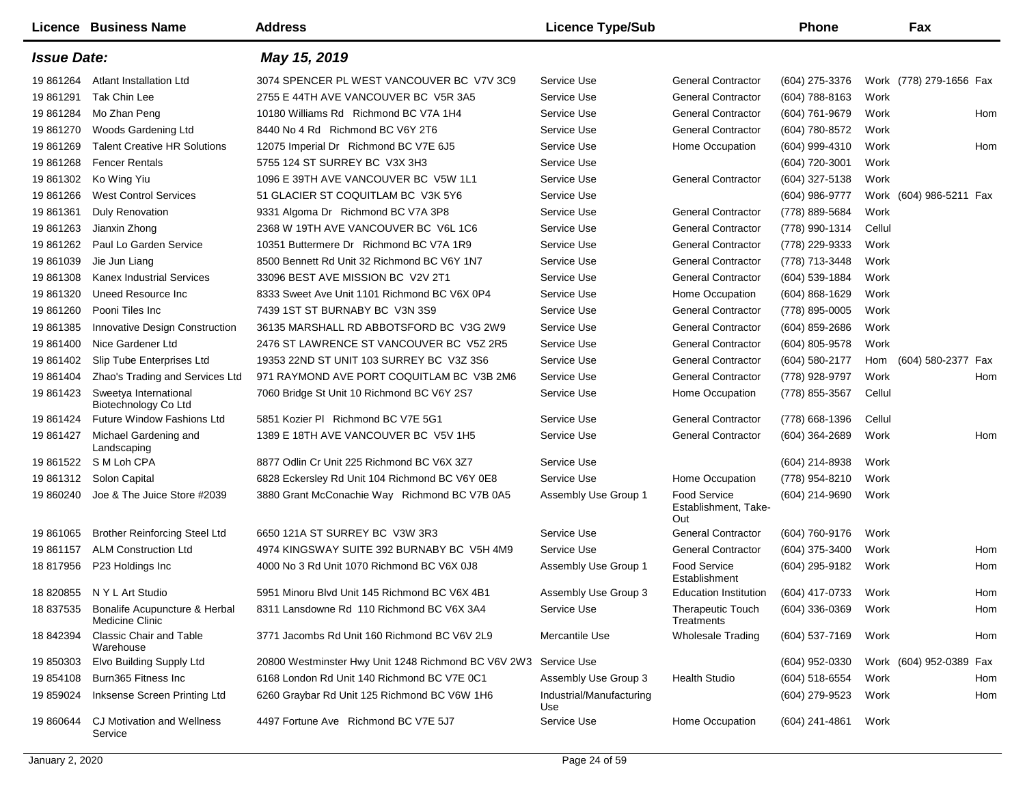|                    | Licence Business Name                                      | <b>Address</b>                                                  | <b>Licence Type/Sub</b>         |                                                    | <b>Phone</b>        |        | Fax                     |
|--------------------|------------------------------------------------------------|-----------------------------------------------------------------|---------------------------------|----------------------------------------------------|---------------------|--------|-------------------------|
| <b>Issue Date:</b> |                                                            | May 15, 2019                                                    |                                 |                                                    |                     |        |                         |
| 19 861264          | <b>Atlant Installation Ltd</b>                             | 3074 SPENCER PL WEST VANCOUVER BC V7V 3C9                       | Service Use                     | <b>General Contractor</b>                          | (604) 275-3376      |        | Work (778) 279-1656 Fax |
| 19 861291          | Tak Chin Lee                                               | 2755 E 44TH AVE VANCOUVER BC V5R 3A5                            | Service Use                     | <b>General Contractor</b>                          | (604) 788-8163      | Work   |                         |
| 19 861284          | Mo Zhan Peng                                               | 10180 Williams Rd Richmond BC V7A 1H4                           | Service Use                     | <b>General Contractor</b>                          | (604) 761-9679      | Work   | Hom                     |
| 19 861270          | Woods Gardening Ltd                                        | 8440 No 4 Rd Richmond BC V6Y 2T6                                | Service Use                     | <b>General Contractor</b>                          | (604) 780-8572      | Work   |                         |
| 19 861269          | <b>Talent Creative HR Solutions</b>                        | 12075 Imperial Dr Richmond BC V7E 6J5                           | Service Use                     | Home Occupation                                    | (604) 999-4310      | Work   | Hom                     |
| 19 861268          | <b>Fencer Rentals</b>                                      | 5755 124 ST SURREY BC V3X 3H3                                   | Service Use                     |                                                    | (604) 720-3001      | Work   |                         |
| 19 861302          | Ko Wing Yiu                                                | 1096 E 39TH AVE VANCOUVER BC V5W 1L1                            | Service Use                     | <b>General Contractor</b>                          | (604) 327-5138      | Work   |                         |
| 19 861266          | <b>West Control Services</b>                               | 51 GLACIER ST COQUITLAM BC V3K 5Y6                              | Service Use                     |                                                    | (604) 986-9777      |        | Work (604) 986-5211 Fax |
| 19 861361          | <b>Duly Renovation</b>                                     | 9331 Algoma Dr Richmond BC V7A 3P8                              | Service Use                     | <b>General Contractor</b>                          | (778) 889-5684      | Work   |                         |
| 19 861263          | Jianxin Zhong                                              | 2368 W 19TH AVE VANCOUVER BC V6L 1C6                            | Service Use                     | <b>General Contractor</b>                          | (778) 990-1314      | Cellul |                         |
| 19 861262          | Paul Lo Garden Service                                     | 10351 Buttermere Dr Richmond BC V7A 1R9                         | Service Use                     | <b>General Contractor</b>                          | (778) 229-9333      | Work   |                         |
| 19 861039          | Jie Jun Liang                                              | 8500 Bennett Rd Unit 32 Richmond BC V6Y 1N7                     | Service Use                     | <b>General Contractor</b>                          | (778) 713-3448      | Work   |                         |
| 19 861308          | <b>Kanex Industrial Services</b>                           | 33096 BEST AVE MISSION BC V2V 2T1                               | Service Use                     | <b>General Contractor</b>                          | (604) 539-1884      | Work   |                         |
| 19 861320          | Uneed Resource Inc.                                        | 8333 Sweet Ave Unit 1101 Richmond BC V6X 0P4                    | Service Use                     | Home Occupation                                    | (604) 868-1629      | Work   |                         |
| 19 861260          | Pooni Tiles Inc                                            | 7439 1ST ST BURNABY BC V3N 3S9                                  | Service Use                     | <b>General Contractor</b>                          | (778) 895-0005      | Work   |                         |
| 19 861385          | <b>Innovative Design Construction</b>                      | 36135 MARSHALL RD ABBOTSFORD BC V3G 2W9                         | Service Use                     | <b>General Contractor</b>                          | (604) 859-2686      | Work   |                         |
| 19 861400          | Nice Gardener Ltd                                          | 2476 ST LAWRENCE ST VANCOUVER BC V5Z 2R5                        | Service Use                     | <b>General Contractor</b>                          | (604) 805-9578      | Work   |                         |
| 19 861402          | Slip Tube Enterprises Ltd                                  | 19353 22ND ST UNIT 103 SURREY BC V3Z 3S6                        | Service Use                     | <b>General Contractor</b>                          | (604) 580-2177      | Hom    | (604) 580-2377 Fax      |
| 19 861404          | Zhao's Trading and Services Ltd                            | 971 RAYMOND AVE PORT COQUITLAM BC V3B 2M6                       | Service Use                     | <b>General Contractor</b>                          | (778) 928-9797      | Work   | Hom                     |
| 19 861423          | Sweetya International<br>Biotechnology Co Ltd              | 7060 Bridge St Unit 10 Richmond BC V6Y 2S7                      | Service Use                     | Home Occupation                                    | (778) 855-3567      | Cellul |                         |
| 19 861424          | Future Window Fashions Ltd                                 | 5851 Kozier PI Richmond BC V7E 5G1                              | Service Use                     | <b>General Contractor</b>                          | (778) 668-1396      | Cellul |                         |
| 19 861427          | Michael Gardening and<br>Landscaping                       | 1389 E 18TH AVE VANCOUVER BC V5V 1H5                            | Service Use                     | <b>General Contractor</b>                          | (604) 364-2689      | Work   | Hom                     |
| 19 861522          | S M Loh CPA                                                | 8877 Odlin Cr Unit 225 Richmond BC V6X 3Z7                      | Service Use                     |                                                    | (604) 214-8938      | Work   |                         |
| 19 861312          | Solon Capital                                              | 6828 Eckersley Rd Unit 104 Richmond BC V6Y 0E8                  | Service Use                     | Home Occupation                                    | (778) 954-8210      | Work   |                         |
| 19 860240          | Joe & The Juice Store #2039                                | 3880 Grant McConachie Way Richmond BC V7B 0A5                   | Assembly Use Group 1            | <b>Food Service</b><br>Establishment, Take-<br>Out | (604) 214-9690      | Work   |                         |
| 19 861065          | <b>Brother Reinforcing Steel Ltd</b>                       | 6650 121A ST SURREY BC V3W 3R3                                  | Service Use                     | <b>General Contractor</b>                          | (604) 760-9176      | Work   |                         |
| 19 861157          | <b>ALM Construction Ltd</b>                                | 4974 KINGSWAY SUITE 392 BURNABY BC V5H 4M9                      | Service Use                     | <b>General Contractor</b>                          | (604) 375-3400      | Work   | Hom                     |
| 18 817956          | P23 Holdings Inc                                           | 4000 No 3 Rd Unit 1070 Richmond BC V6X 0J8                      | Assembly Use Group 1            | <b>Food Service</b><br>Establishment               | (604) 295-9182      | Work   | Hom                     |
|                    | 18 820855 NYL Art Studio                                   | 5951 Minoru Blvd Unit 145 Richmond BC V6X 4B1                   | Assembly Use Group 3            | <b>Education Institution</b>                       | (604) 417-0733 Work |        | Hom                     |
|                    | 18 837535 Bonalife Acupuncture & Herbal<br>Medicine Clinic | 8311 Lansdowne Rd 110 Richmond BC V6X 3A4                       | Service Use                     | <b>Therapeutic Touch</b><br>Treatments             | (604) 336-0369 Work |        | Hom                     |
|                    | 18 842394 Classic Chair and Table<br>Warehouse             | 3771 Jacombs Rd Unit 160 Richmond BC V6V 2L9                    | Mercantile Use                  | <b>Wholesale Trading</b>                           | (604) 537-7169      | Work   | Hom                     |
| 19 850303          | Elvo Building Supply Ltd                                   | 20800 Westminster Hwy Unit 1248 Richmond BC V6V 2W3 Service Use |                                 |                                                    | (604) 952-0330      |        | Work (604) 952-0389 Fax |
| 19 854108          | Burn365 Fitness Inc                                        | 6168 London Rd Unit 140 Richmond BC V7E 0C1                     | Assembly Use Group 3            | <b>Health Studio</b>                               | (604) 518-6554      | Work   | Hom                     |
| 19 859024          | Inksense Screen Printing Ltd                               | 6260 Graybar Rd Unit 125 Richmond BC V6W 1H6                    | Industrial/Manufacturing<br>Use |                                                    | (604) 279-9523      | Work   | Hom                     |
| 19 860644          | <b>CJ Motivation and Wellness</b><br>Service               | 4497 Fortune Ave Richmond BC V7E 5J7                            | Service Use                     | Home Occupation                                    | (604) 241-4861      | Work   |                         |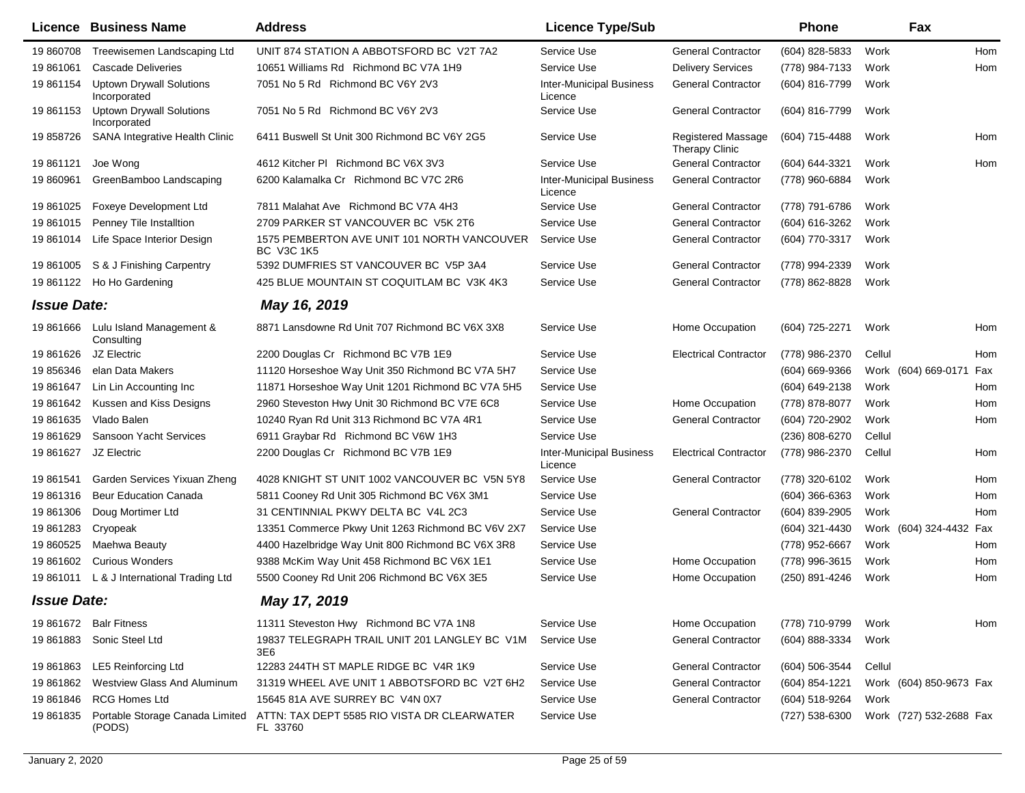|                    | Licence Business Name                           | <b>Address</b>                                                   | <b>Licence Type/Sub</b>                    |                                      | Phone          | Fax                     |            |
|--------------------|-------------------------------------------------|------------------------------------------------------------------|--------------------------------------------|--------------------------------------|----------------|-------------------------|------------|
| 19 860708          | Treewisemen Landscaping Ltd                     | UNIT 874 STATION A ABBOTSFORD BC V2T 7A2                         | Service Use                                | <b>General Contractor</b>            | (604) 828-5833 | Work                    | <b>Hom</b> |
| 19 861061          | Cascade Deliveries                              | 10651 Williams Rd Richmond BC V7A 1H9                            | Service Use                                | <b>Delivery Services</b>             | (778) 984-7133 | Work                    | Hom        |
| 19 861154          | <b>Uptown Drywall Solutions</b><br>Incorporated | 7051 No 5 Rd Richmond BC V6Y 2V3                                 | <b>Inter-Municipal Business</b><br>Licence | <b>General Contractor</b>            | (604) 816-7799 | Work                    |            |
| 19 861153          | <b>Uptown Drywall Solutions</b><br>Incorporated | 7051 No 5 Rd Richmond BC V6Y 2V3                                 | Service Use                                | <b>General Contractor</b>            | (604) 816-7799 | Work                    |            |
| 19 858726          | SANA Integrative Health Clinic                  | 6411 Buswell St Unit 300 Richmond BC V6Y 2G5                     | Service Use                                | Registered Massage<br>Therapy Clinic | (604) 715-4488 | Work                    | Hom        |
| 19 861121          | Joe Wong                                        | 4612 Kitcher PI Richmond BC V6X 3V3                              | Service Use                                | <b>General Contractor</b>            | (604) 644-3321 | Work                    | Hom        |
| 19 860961          | GreenBamboo Landscaping                         | 6200 Kalamalka Cr Richmond BC V7C 2R6                            | <b>Inter-Municipal Business</b><br>Licence | <b>General Contractor</b>            | (778) 960-6884 | Work                    |            |
| 19 861025          | <b>Foxeye Development Ltd</b>                   | 7811 Malahat Ave Richmond BC V7A 4H3                             | Service Use                                | <b>General Contractor</b>            | (778) 791-6786 | Work                    |            |
| 19 861015          | Penney Tile Installtion                         | 2709 PARKER ST VANCOUVER BC V5K 2T6                              | Service Use                                | <b>General Contractor</b>            | (604) 616-3262 | Work                    |            |
| 19 861014          | Life Space Interior Design                      | 1575 PEMBERTON AVE UNIT 101 NORTH VANCOUVER<br><b>BC V3C 1K5</b> | Service Use                                | <b>General Contractor</b>            | (604) 770-3317 | Work                    |            |
| 19 861005          | S & J Finishing Carpentry                       | 5392 DUMFRIES ST VANCOUVER BC V5P 3A4                            | Service Use                                | <b>General Contractor</b>            | (778) 994-2339 | Work                    |            |
|                    | 19 861122 Ho Ho Gardening                       | 425 BLUE MOUNTAIN ST COQUITLAM BC V3K 4K3                        | Service Use                                | <b>General Contractor</b>            | (778) 862-8828 | Work                    |            |
| <b>Issue Date:</b> |                                                 | May 16, 2019                                                     |                                            |                                      |                |                         |            |
| 19 861666          | Lulu Island Management &<br>Consulting          | 8871 Lansdowne Rd Unit 707 Richmond BC V6X 3X8                   | Service Use                                | Home Occupation                      | (604) 725-2271 | Work                    | Hom        |
| 19 861626          | JZ Electric                                     | 2200 Douglas Cr Richmond BC V7B 1E9                              | Service Use                                | <b>Electrical Contractor</b>         | (778) 986-2370 | Cellul                  | <b>Hom</b> |
| 19 856346          | elan Data Makers                                | 11120 Horseshoe Way Unit 350 Richmond BC V7A 5H7                 | Service Use                                |                                      | (604) 669-9366 | Work (604) 669-0171     | Fax        |
| 19 861647          | Lin Lin Accounting Inc.                         | 11871 Horseshoe Way Unit 1201 Richmond BC V7A 5H5                | Service Use                                |                                      | (604) 649-2138 | Work                    | Hom        |
| 19 861642          | Kussen and Kiss Designs                         | 2960 Steveston Hwy Unit 30 Richmond BC V7E 6C8                   | Service Use                                | Home Occupation                      | (778) 878-8077 | Work                    | Hom        |
| 19 861635          | Vlado Balen                                     | 10240 Ryan Rd Unit 313 Richmond BC V7A 4R1                       | Service Use                                | <b>General Contractor</b>            | (604) 720-2902 | Work                    | Hom        |
| 19 861629          | <b>Sansoon Yacht Services</b>                   | 6911 Graybar Rd Richmond BC V6W 1H3                              | Service Use                                |                                      | (236) 808-6270 | Cellul                  |            |
| 19 861627          | JZ Electric                                     | 2200 Douglas Cr Richmond BC V7B 1E9                              | <b>Inter-Municipal Business</b><br>Licence | <b>Electrical Contractor</b>         | (778) 986-2370 | Cellul                  | Hom        |
| 19 861541          | Garden Services Yixuan Zheng                    | 4028 KNIGHT ST UNIT 1002 VANCOUVER BC V5N 5Y8                    | Service Use                                | <b>General Contractor</b>            | (778) 320-6102 | Work                    | Hom        |
| 19 861316          | <b>Beur Education Canada</b>                    | 5811 Cooney Rd Unit 305 Richmond BC V6X 3M1                      | Service Use                                |                                      | (604) 366-6363 | Work                    | Hom        |
| 19 861306          | Doug Mortimer Ltd                               | 31 CENTINNIAL PKWY DELTA BC V4L 2C3                              | Service Use                                | <b>General Contractor</b>            | (604) 839-2905 | Work                    | Hom        |
| 19 861283          | Cryopeak                                        | 13351 Commerce Pkwy Unit 1263 Richmond BC V6V 2X7                | Service Use                                |                                      | (604) 321-4430 | Work (604) 324-4432 Fax |            |
| 19 860525          | Maehwa Beauty                                   | 4400 Hazelbridge Way Unit 800 Richmond BC V6X 3R8                | Service Use                                |                                      | (778) 952-6667 | Work                    | Hom        |
| 19 861602          | <b>Curious Wonders</b>                          | 9388 McKim Way Unit 458 Richmond BC V6X 1E1                      | Service Use                                | Home Occupation                      | (778) 996-3615 | Work                    | Hom        |
| 19 861011          | L & J International Trading Ltd                 | 5500 Cooney Rd Unit 206 Richmond BC V6X 3E5                      | Service Use                                | Home Occupation                      | (250) 891-4246 | Work                    | Hom        |
| <b>Issue Date:</b> |                                                 | May 17, 2019                                                     |                                            |                                      |                |                         |            |
| 19 861672          | <b>Balr Fitness</b>                             | 11311 Steveston Hwy Richmond BC V7A 1N8                          | Service Use                                | Home Occupation                      | (778) 710-9799 | Work                    | Hom        |
| 19 861883          | Sonic Steel Ltd                                 | 19837 TELEGRAPH TRAIL UNIT 201 LANGLEY BC V1M<br>3E6             | Service Use                                | <b>General Contractor</b>            | (604) 888-3334 | Work                    |            |
| 19 861 863         | LE5 Reinforcing Ltd                             | 12283 244TH ST MAPLE RIDGE BC V4R 1K9                            | Service Use                                | <b>General Contractor</b>            | (604) 506-3544 | Cellul                  |            |
| 19 861 862         | <b>Westview Glass And Aluminum</b>              | 31319 WHEEL AVE UNIT 1 ABBOTSFORD BC V2T 6H2                     | Service Use                                | <b>General Contractor</b>            | (604) 854-1221 | Work (604) 850-9673 Fax |            |
| 19 861846          | <b>RCG Homes Ltd</b>                            | 15645 81A AVE SURREY BC V4N 0X7                                  | Service Use                                | <b>General Contractor</b>            | (604) 518-9264 | Work                    |            |
| 19 861835          | Portable Storage Canada Limited<br>(PODS)       | ATTN: TAX DEPT 5585 RIO VISTA DR CLEARWATER<br>FL 33760          | Service Use                                |                                      | (727) 538-6300 | Work (727) 532-2688 Fax |            |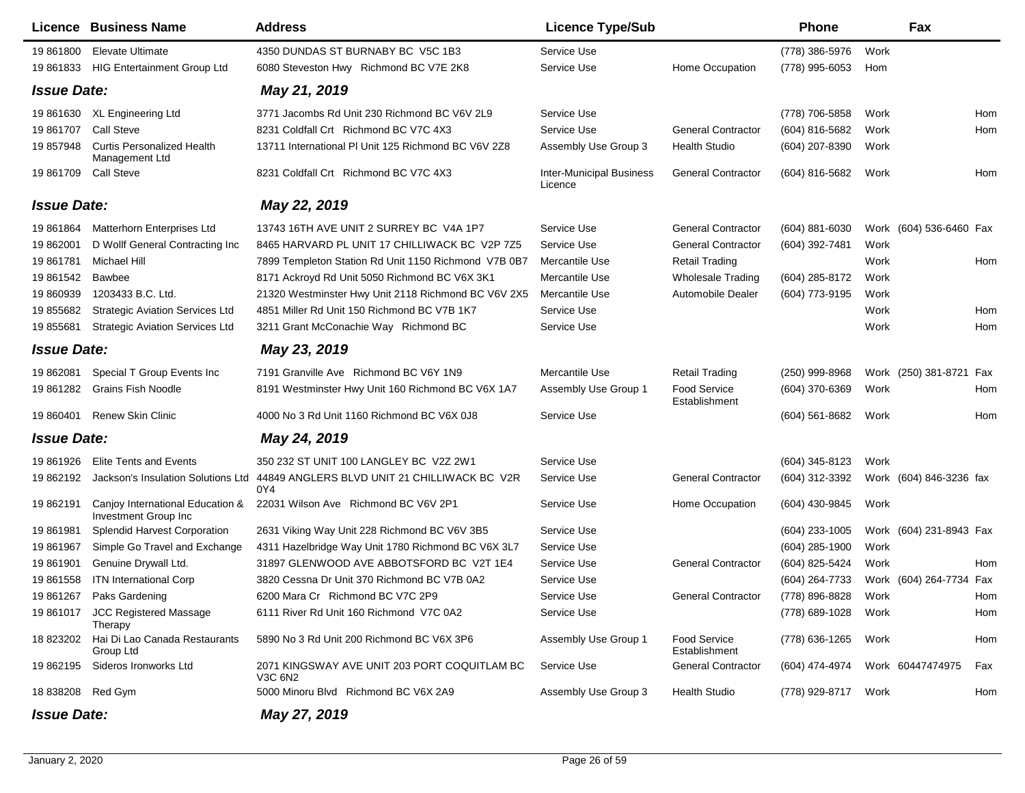|                    | Licence Business Name                                    | <b>Address</b>                                                                         | <b>Licence Type/Sub</b>                    |                                      | Phone               |      | Fax                     |     |
|--------------------|----------------------------------------------------------|----------------------------------------------------------------------------------------|--------------------------------------------|--------------------------------------|---------------------|------|-------------------------|-----|
| 19 861800          | <b>Elevate Ultimate</b>                                  | 4350 DUNDAS ST BURNABY BC V5C 1B3                                                      | Service Use                                |                                      | (778) 386-5976      | Work |                         |     |
|                    | 19 861833 HIG Entertainment Group Ltd                    | 6080 Steveston Hwy Richmond BC V7E 2K8                                                 | Service Use                                | Home Occupation                      | (778) 995-6053      | Hom  |                         |     |
| <b>Issue Date:</b> |                                                          | May 21, 2019                                                                           |                                            |                                      |                     |      |                         |     |
|                    | 19 861630 XL Engineering Ltd                             | 3771 Jacombs Rd Unit 230 Richmond BC V6V 2L9                                           | Service Use                                |                                      | (778) 706-5858      | Work |                         | Hom |
| 19 861707          | <b>Call Steve</b>                                        | 8231 Coldfall Crt Richmond BC V7C 4X3                                                  | Service Use                                | <b>General Contractor</b>            | (604) 816-5682      | Work |                         | Hom |
| 19 857948          | <b>Curtis Personalized Health</b><br>Management Ltd      | 13711 International PI Unit 125 Richmond BC V6V 2Z8                                    | Assembly Use Group 3                       | <b>Health Studio</b>                 | (604) 207-8390      | Work |                         |     |
| 19 861709          | <b>Call Steve</b>                                        | 8231 Coldfall Crt Richmond BC V7C 4X3                                                  | <b>Inter-Municipal Business</b><br>Licence | <b>General Contractor</b>            | (604) 816-5682      | Work |                         | Hom |
| <b>Issue Date:</b> |                                                          | May 22, 2019                                                                           |                                            |                                      |                     |      |                         |     |
| 19 861 864         | Matterhorn Enterprises Ltd                               | 13743 16TH AVE UNIT 2 SURREY BC V4A 1P7                                                | Service Use                                | <b>General Contractor</b>            | (604) 881-6030      |      | Work (604) 536-6460 Fax |     |
| 19 862001          | D Wollf General Contracting Inc                          | 8465 HARVARD PL UNIT 17 CHILLIWACK BC V2P 7Z5                                          | Service Use                                | <b>General Contractor</b>            | (604) 392-7481      | Work |                         |     |
| 19 861781          | Michael Hill                                             | 7899 Templeton Station Rd Unit 1150 Richmond V7B 0B7                                   | Mercantile Use                             | <b>Retail Trading</b>                |                     | Work |                         | Hom |
| 19 861542          | Bawbee                                                   | 8171 Ackroyd Rd Unit 5050 Richmond BC V6X 3K1                                          | Mercantile Use                             | <b>Wholesale Trading</b>             | (604) 285-8172      | Work |                         |     |
| 19 860939          | 1203433 B.C. Ltd.                                        | 21320 Westminster Hwy Unit 2118 Richmond BC V6V 2X5                                    | Mercantile Use                             | Automobile Dealer                    | (604) 773-9195      | Work |                         |     |
| 19 855682          | <b>Strategic Aviation Services Ltd</b>                   | 4851 Miller Rd Unit 150 Richmond BC V7B 1K7                                            | Service Use                                |                                      |                     | Work |                         | Hom |
| 19 855681          | <b>Strategic Aviation Services Ltd</b>                   | 3211 Grant McConachie Way Richmond BC                                                  | Service Use                                |                                      |                     | Work |                         | Hom |
| <b>Issue Date:</b> |                                                          | May 23, 2019                                                                           |                                            |                                      |                     |      |                         |     |
| 19 862081          | Special T Group Events Inc                               | 7191 Granville Ave Richmond BC V6Y 1N9                                                 | Mercantile Use                             | <b>Retail Trading</b>                | $(250)$ 999-8968    |      | Work (250) 381-8721 Fax |     |
| 19 861282          | <b>Grains Fish Noodle</b>                                | 8191 Westminster Hwy Unit 160 Richmond BC V6X 1A7                                      | Assembly Use Group 1                       | <b>Food Service</b><br>Establishment | (604) 370-6369      | Work |                         | Hom |
| 19 860401          | <b>Renew Skin Clinic</b>                                 | 4000 No 3 Rd Unit 1160 Richmond BC V6X 0J8                                             | Service Use                                |                                      | (604) 561-8682      | Work |                         | Hom |
| <b>Issue Date:</b> |                                                          | May 24, 2019                                                                           |                                            |                                      |                     |      |                         |     |
| 19 861926          | <b>Elite Tents and Events</b>                            | 350 232 ST UNIT 100 LANGLEY BC V2Z 2W1                                                 | Service Use                                |                                      | (604) 345-8123      | Work |                         |     |
| 19 862192          |                                                          | Jackson's Insulation Solutions Ltd 44849 ANGLERS BLVD UNIT 21 CHILLIWACK BC V2R<br>0Y4 | Service Use                                | <b>General Contractor</b>            | (604) 312-3392      |      | Work (604) 846-3236 fax |     |
| 19 862191          | Canjoy International Education &<br>Investment Group Inc | 22031 Wilson Ave Richmond BC V6V 2P1                                                   | Service Use                                | Home Occupation                      | (604) 430-9845      | Work |                         |     |
| 19 861981          | Splendid Harvest Corporation                             | 2631 Viking Way Unit 228 Richmond BC V6V 3B5                                           | Service Use                                |                                      | $(604)$ 233-1005    |      | Work (604) 231-8943 Fax |     |
| 19 861967          | Simple Go Travel and Exchange                            | 4311 Hazelbridge Way Unit 1780 Richmond BC V6X 3L7                                     | Service Use                                |                                      | $(604)$ 285-1900    | Work |                         |     |
| 19 861901          | Genuine Drywall Ltd.                                     | 31897 GLENWOOD AVE ABBOTSFORD BC V2T 1E4                                               | Service Use                                | <b>General Contractor</b>            | (604) 825-5424      | Work |                         | Hom |
| 19 861558          | <b>ITN International Corp</b>                            | 3820 Cessna Dr Unit 370 Richmond BC V7B 0A2                                            | Service Use                                |                                      | (604) 264-7733      |      | Work (604) 264-7734 Fax |     |
|                    | 19 861267 Paks Gardening                                 | 6200 Mara Cr Richmond BC V7C 2P9                                                       | Service Use                                | <b>General Contractor</b>            | (778) 896-8828 Work |      |                         | Hom |
|                    | 19 861017 JCC Registered Massage<br>Therapy              | 6111 River Rd Unit 160 Richmond V7C 0A2                                                | Service Use                                |                                      | (778) 689-1028 Work |      |                         | Hom |
|                    | 18 823202 Hai Di Lao Canada Restaurants<br>Group Ltd     | 5890 No 3 Rd Unit 200 Richmond BC V6X 3P6                                              | Assembly Use Group 1                       | <b>Food Service</b><br>Establishment | (778) 636-1265      | Work |                         | Hom |
|                    | 19 862195 Sideros Ironworks Ltd                          | 2071 KINGSWAY AVE UNIT 203 PORT COQUITLAM BC<br>V3C 6N2                                | Service Use                                | <b>General Contractor</b>            | (604) 474-4974      |      | Work 60447474975        | Fax |
| 18 838208 Red Gym  |                                                          | 5000 Minoru Blvd Richmond BC V6X 2A9                                                   | Assembly Use Group 3                       | <b>Health Studio</b>                 | (778) 929-8717 Work |      |                         | Hom |
| <b>Issue Date:</b> |                                                          | May 27, 2019                                                                           |                                            |                                      |                     |      |                         |     |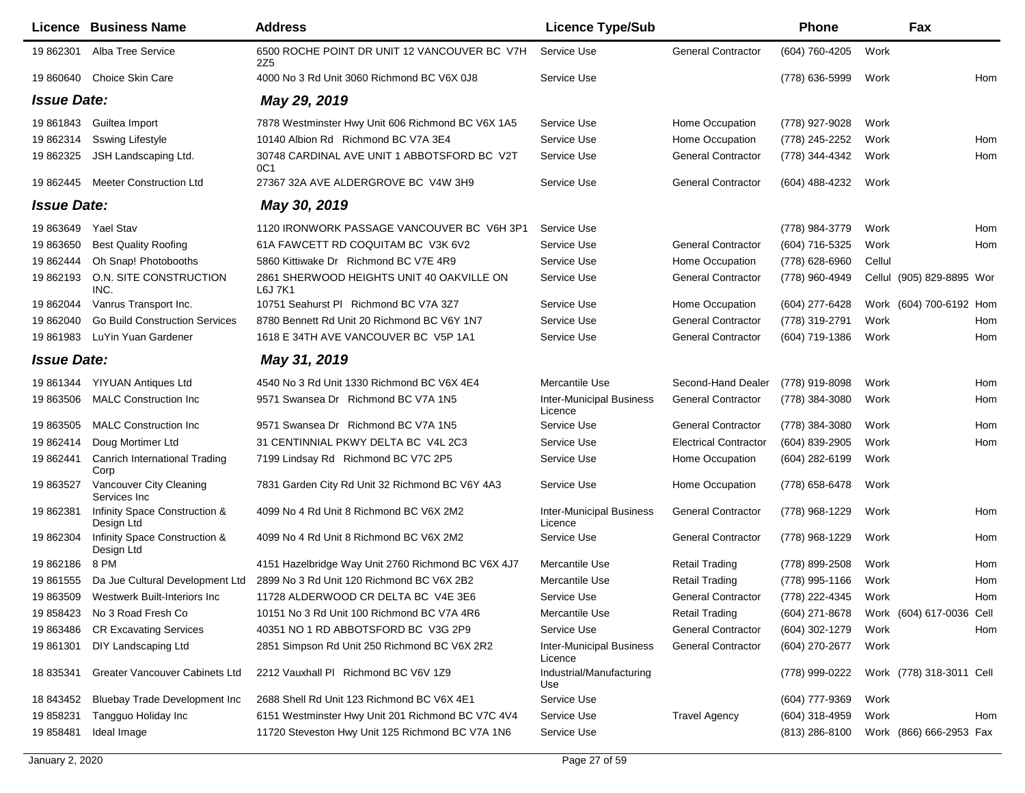|                    | Licence Business Name                        | <b>Address</b>                                       | <b>Licence Type/Sub</b>                    |                              | Phone               |        | Fax                       |            |
|--------------------|----------------------------------------------|------------------------------------------------------|--------------------------------------------|------------------------------|---------------------|--------|---------------------------|------------|
| 19 862301          | Alba Tree Service                            | 6500 ROCHE POINT DR UNIT 12 VANCOUVER BC V7H<br>2Z5  | Service Use                                | <b>General Contractor</b>    | (604) 760-4205      | Work   |                           |            |
| 19 860640          | Choice Skin Care                             | 4000 No 3 Rd Unit 3060 Richmond BC V6X 0J8           | Service Use                                |                              | (778) 636-5999      | Work   |                           | <b>Hom</b> |
| <b>Issue Date:</b> |                                              | May 29, 2019                                         |                                            |                              |                     |        |                           |            |
| 19 861843          | Guiltea Import                               | 7878 Westminster Hwy Unit 606 Richmond BC V6X 1A5    | Service Use                                | Home Occupation              | (778) 927-9028      | Work   |                           |            |
| 19 862314          | <b>Sswing Lifestyle</b>                      | 10140 Albion Rd Richmond BC V7A 3E4                  | Service Use                                | Home Occupation              | (778) 245-2252      | Work   |                           | Hom        |
| 19 862325          | JSH Landscaping Ltd.                         | 30748 CARDINAL AVE UNIT 1 ABBOTSFORD BC V2T<br>OC1   | Service Use                                | <b>General Contractor</b>    | (778) 344-4342      | Work   |                           | Hom        |
| 19 862445          | <b>Meeter Construction Ltd</b>               | 27367 32A AVE ALDERGROVE BC V4W 3H9                  | Service Use                                | <b>General Contractor</b>    | (604) 488-4232      | Work   |                           |            |
| <b>Issue Date:</b> |                                              | May 30, 2019                                         |                                            |                              |                     |        |                           |            |
| 19 863649          | <b>Yael Stav</b>                             | 1120 IRONWORK PASSAGE VANCOUVER BC V6H 3P1           | Service Use                                |                              | (778) 984-3779      | Work   |                           | Hom        |
| 19 863650          | <b>Best Quality Roofing</b>                  | 61A FAWCETT RD COQUITAM BC V3K 6V2                   | Service Use                                | <b>General Contractor</b>    | (604) 716-5325      | Work   |                           | Hom        |
| 19 862444          | Oh Snap! Photobooths                         | 5860 Kittiwake Dr Richmond BC V7E 4R9                | Service Use                                | Home Occupation              | (778) 628-6960      | Cellul |                           |            |
| 19 862193          | O.N. SITE CONSTRUCTION<br>INC.               | 2861 SHERWOOD HEIGHTS UNIT 40 OAKVILLE ON<br>L6J 7K1 | Service Use                                | <b>General Contractor</b>    | (778) 960-4949      |        | Cellul (905) 829-8895 Wor |            |
| 19 862044          | Vanrus Transport Inc.                        | 10751 Seahurst PI Richmond BC V7A 3Z7                | Service Use                                | Home Occupation              | (604) 277-6428      |        | Work (604) 700-6192 Hom   |            |
| 19 862040          | <b>Go Build Construction Services</b>        | 8780 Bennett Rd Unit 20 Richmond BC V6Y 1N7          | Service Use                                | <b>General Contractor</b>    | (778) 319-2791      | Work   |                           | Hom        |
| 19 861983          | LuYin Yuan Gardener                          | 1618 E 34TH AVE VANCOUVER BC V5P 1A1                 | Service Use                                | <b>General Contractor</b>    | (604) 719-1386      | Work   |                           | Hom        |
| <b>Issue Date:</b> |                                              | May 31, 2019                                         |                                            |                              |                     |        |                           |            |
| 19 861344          | YIYUAN Antiques Ltd                          | 4540 No 3 Rd Unit 1330 Richmond BC V6X 4E4           | Mercantile Use                             | Second-Hand Dealer           | (778) 919-8098      | Work   |                           | Hom        |
| 19 863506          | <b>MALC Construction Inc.</b>                | 9571 Swansea Dr Richmond BC V7A 1N5                  | <b>Inter-Municipal Business</b><br>Licence | <b>General Contractor</b>    | (778) 384-3080      | Work   |                           | Hom        |
| 19 863505          | <b>MALC Construction Inc.</b>                | 9571 Swansea Dr Richmond BC V7A 1N5                  | Service Use                                | <b>General Contractor</b>    | (778) 384-3080      | Work   |                           | Hom        |
| 19 862414          | Doug Mortimer Ltd                            | 31 CENTINNIAL PKWY DELTA BC V4L 2C3                  | Service Use                                | <b>Electrical Contractor</b> | (604) 839-2905      | Work   |                           | Hom        |
| 19 862441          | <b>Canrich International Trading</b><br>Corp | 7199 Lindsay Rd Richmond BC V7C 2P5                  | Service Use                                | Home Occupation              | (604) 282-6199      | Work   |                           |            |
| 19 863527          | Vancouver City Cleaning<br>Services Inc.     | 7831 Garden City Rd Unit 32 Richmond BC V6Y 4A3      | Service Use                                | Home Occupation              | (778) 658-6478      | Work   |                           |            |
| 19 862381          | Infinity Space Construction &<br>Design Ltd  | 4099 No 4 Rd Unit 8 Richmond BC V6X 2M2              | <b>Inter-Municipal Business</b><br>Licence | <b>General Contractor</b>    | (778) 968-1229      | Work   |                           | Hom        |
| 19 862304          | Infinity Space Construction &<br>Design Ltd  | 4099 No 4 Rd Unit 8 Richmond BC V6X 2M2              | Service Use                                | <b>General Contractor</b>    | (778) 968-1229      | Work   |                           | Hom        |
| 19 862186          | 8 PM                                         | 4151 Hazelbridge Way Unit 2760 Richmond BC V6X 4J7   | Mercantile Use                             | Retail Trading               | (778) 899-2508      | Work   |                           | Hom        |
| 19 861555          | Da Jue Cultural Development Ltd              | 2899 No 3 Rd Unit 120 Richmond BC V6X 2B2            | Mercantile Use                             | <b>Retail Trading</b>        | (778) 995-1166      | Work   |                           | Hom        |
|                    | 19 863509 Westwerk Built-Interiors Inc       | 11728 ALDERWOOD CR DELTA BC V4E 3E6                  | Service Use                                | General Contractor           | (778) 222-4345 Work |        |                           | Hom        |
|                    | 19 858423 No 3 Road Fresh Co                 | 10151 No 3 Rd Unit 100 Richmond BC V7A 4R6           | Mercantile Use                             | <b>Retail Trading</b>        | (604) 271-8678      |        | Work (604) 617-0036 Cell  |            |
| 19 863486          | <b>CR Excavating Services</b>                | 40351 NO 1 RD ABBOTSFORD BC V3G 2P9                  | Service Use                                | <b>General Contractor</b>    | (604) 302-1279      | Work   |                           | Hom        |
| 19 861301          | DIY Landscaping Ltd                          | 2851 Simpson Rd Unit 250 Richmond BC V6X 2R2         | <b>Inter-Municipal Business</b><br>Licence | <b>General Contractor</b>    | (604) 270-2677      | Work   |                           |            |
| 18 835341          | Greater Vancouver Cabinets Ltd               | 2212 Vauxhall PI Richmond BC V6V 1Z9                 | Industrial/Manufacturing<br>Use            |                              | (778) 999-0222      |        | Work (778) 318-3011 Cell  |            |
| 18 843452          | Bluebay Trade Development Inc                | 2688 Shell Rd Unit 123 Richmond BC V6X 4E1           | Service Use                                |                              | (604) 777-9369      | Work   |                           |            |
| 19 858231          | Tangguo Holiday Inc                          | 6151 Westminster Hwy Unit 201 Richmond BC V7C 4V4    | Service Use                                | <b>Travel Agency</b>         | (604) 318-4959      | Work   |                           | Hom        |
| 19 858481          | Ideal Image                                  | 11720 Steveston Hwy Unit 125 Richmond BC V7A 1N6     | Service Use                                |                              | $(813)$ 286-8100    |        | Work (866) 666-2953 Fax   |            |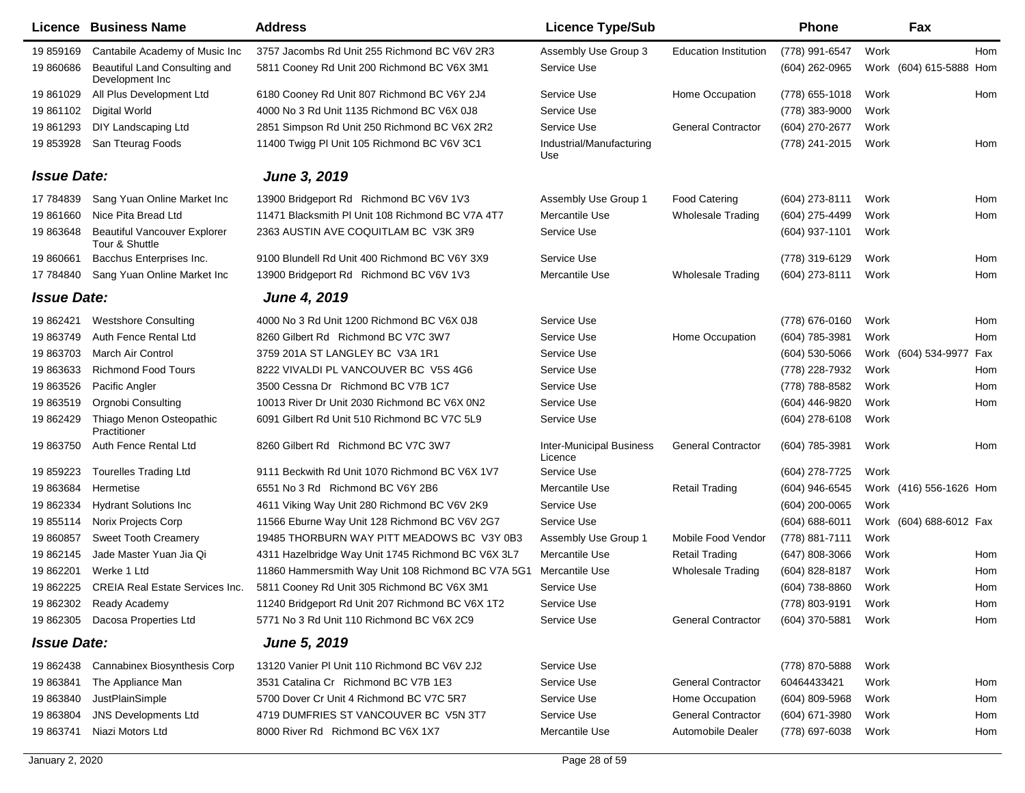|                    | Licence Business Name                                 | <b>Address</b>                                     | <b>Licence Type/Sub</b>                    |                              | <b>Phone</b>     |      | Fax                        |
|--------------------|-------------------------------------------------------|----------------------------------------------------|--------------------------------------------|------------------------------|------------------|------|----------------------------|
| 19 859169          | Cantabile Academy of Music Inc                        | 3757 Jacombs Rd Unit 255 Richmond BC V6V 2R3       | Assembly Use Group 3                       | <b>Education Institution</b> | (778) 991-6547   | Work | Hom                        |
| 19 860686          | Beautiful Land Consulting and<br>Development Inc      | 5811 Cooney Rd Unit 200 Richmond BC V6X 3M1        | Service Use                                |                              | $(604)$ 262-0965 |      | Work (604) 615-5888<br>Hom |
| 19 861029          | All Plus Development Ltd                              | 6180 Cooney Rd Unit 807 Richmond BC V6Y 2J4        | Service Use                                | Home Occupation              | $(778)$ 655-1018 | Work | Hom                        |
| 19 861102          | <b>Digital World</b>                                  | 4000 No 3 Rd Unit 1135 Richmond BC V6X 0J8         | Service Use                                |                              | (778) 383-9000   | Work |                            |
| 19 861293          | DIY Landscaping Ltd                                   | 2851 Simpson Rd Unit 250 Richmond BC V6X 2R2       | Service Use                                | <b>General Contractor</b>    | (604) 270-2677   | Work |                            |
| 19 853928          | San Tteurag Foods                                     | 11400 Twigg PI Unit 105 Richmond BC V6V 3C1        | Industrial/Manufacturing<br>Use            |                              | (778) 241-2015   | Work | Hom                        |
| <b>Issue Date:</b> |                                                       | June 3, 2019                                       |                                            |                              |                  |      |                            |
| 17 784839          | Sang Yuan Online Market Inc                           | 13900 Bridgeport Rd Richmond BC V6V 1V3            | Assembly Use Group 1                       | <b>Food Catering</b>         | (604) 273-8111   | Work | Hom                        |
| 19 861660          | Nice Pita Bread Ltd                                   | 11471 Blacksmith PI Unit 108 Richmond BC V7A 4T7   | Mercantile Use                             | <b>Wholesale Trading</b>     | (604) 275-4499   | Work | Hom                        |
| 19 863648          | <b>Beautiful Vancouver Explorer</b><br>Tour & Shuttle | 2363 AUSTIN AVE COQUITLAM BC V3K 3R9               | Service Use                                |                              | (604) 937-1101   | Work |                            |
| 19 860661          | Bacchus Enterprises Inc.                              | 9100 Blundell Rd Unit 400 Richmond BC V6Y 3X9      | Service Use                                |                              | (778) 319-6129   | Work | Hom                        |
| 17 784840          | Sang Yuan Online Market Inc                           | 13900 Bridgeport Rd Richmond BC V6V 1V3            | Mercantile Use                             | <b>Wholesale Trading</b>     | (604) 273-8111   | Work | Hom                        |
| <b>Issue Date:</b> |                                                       | <b>June 4, 2019</b>                                |                                            |                              |                  |      |                            |
| 19 862421          | <b>Westshore Consulting</b>                           | 4000 No 3 Rd Unit 1200 Richmond BC V6X 0J8         | Service Use                                |                              | (778) 676-0160   | Work | Hom                        |
| 19 863749          | Auth Fence Rental Ltd                                 | 8260 Gilbert Rd Richmond BC V7C 3W7                | Service Use                                | Home Occupation              | (604) 785-3981   | Work | Hom                        |
| 19 863703          | <b>March Air Control</b>                              | 3759 201A ST LANGLEY BC V3A 1R1                    | Service Use                                |                              | $(604)$ 530-5066 |      | Work (604) 534-9977<br>Fax |
| 19 863633          | <b>Richmond Food Tours</b>                            | 8222 VIVALDI PL VANCOUVER BC V5S 4G6               | Service Use                                |                              | (778) 228-7932   | Work | Hom                        |
| 19 863526          | Pacific Angler                                        | 3500 Cessna Dr Richmond BC V7B 1C7                 | Service Use                                |                              | (778) 788-8582   | Work | Hom                        |
| 19 863519          | <b>Orgnobi Consulting</b>                             | 10013 River Dr Unit 2030 Richmond BC V6X 0N2       | Service Use                                |                              | (604) 446-9820   | Work | Hom                        |
| 19 862429          | Thiago Menon Osteopathic<br>Practitioner              | 6091 Gilbert Rd Unit 510 Richmond BC V7C 5L9       | Service Use                                |                              | (604) 278-6108   | Work |                            |
| 19 863750          | Auth Fence Rental Ltd                                 | 8260 Gilbert Rd Richmond BC V7C 3W7                | <b>Inter-Municipal Business</b><br>Licence | <b>General Contractor</b>    | (604) 785-3981   | Work | Hom                        |
| 19 859223          | <b>Tourelles Trading Ltd</b>                          | 9111 Beckwith Rd Unit 1070 Richmond BC V6X 1V7     | Service Use                                |                              | (604) 278-7725   | Work |                            |
| 19 863684          | Hermetise                                             | 6551 No 3 Rd Richmond BC V6Y 2B6                   | Mercantile Use                             | <b>Retail Trading</b>        | (604) 946-6545   |      | Work (416) 556-1626 Hom    |
| 19 862334          | <b>Hydrant Solutions Inc</b>                          | 4611 Viking Way Unit 280 Richmond BC V6V 2K9       | Service Use                                |                              | (604) 200-0065   | Work |                            |
| 19 855114          | Norix Projects Corp                                   | 11566 Eburne Way Unit 128 Richmond BC V6V 2G7      | Service Use                                |                              | (604) 688-6011   |      | Work (604) 688-6012 Fax    |
| 19 860857          | <b>Sweet Tooth Creamery</b>                           | 19485 THORBURN WAY PITT MEADOWS BC V3Y 0B3         | Assembly Use Group 1                       | Mobile Food Vendor           | (778) 881-7111   | Work |                            |
| 19 862145          | Jade Master Yuan Jia Qi                               | 4311 Hazelbridge Way Unit 1745 Richmond BC V6X 3L7 | Mercantile Use                             | <b>Retail Trading</b>        | $(647)$ 808-3066 | Work | Hom                        |
| 19 862201          | Werke 1 Ltd                                           | 11860 Hammersmith Way Unit 108 Richmond BC V7A 5G1 | Mercantile Use                             | <b>Wholesale Trading</b>     | (604) 828-8187   | Work | Hom                        |
| 19 862225          | <b>CREIA Real Estate Services Inc.</b>                | 5811 Cooney Rd Unit 305 Richmond BC V6X 3M1        | Service Use                                |                              | (604) 738-8860   | Work | Hom                        |
|                    | 19 862302 Ready Academy                               | 11240 Bridgeport Rd Unit 207 Richmond BC V6X 1T2   | Service Use                                |                              | (778) 803-9191   | Work | Hom                        |
| 19 862305          | Dacosa Properties Ltd                                 | 5771 No 3 Rd Unit 110 Richmond BC V6X 2C9          | Service Use                                | <b>General Contractor</b>    | (604) 370-5881   | Work | Hom                        |
| <b>Issue Date:</b> |                                                       | <b>June 5, 2019</b>                                |                                            |                              |                  |      |                            |
| 19 862438          | Cannabinex Biosynthesis Corp                          | 13120 Vanier PI Unit 110 Richmond BC V6V 2J2       | Service Use                                |                              | (778) 870-5888   | Work |                            |
| 19 863841          | The Appliance Man                                     | 3531 Catalina Cr Richmond BC V7B 1E3               | Service Use                                | <b>General Contractor</b>    | 60464433421      | Work | Hom                        |
| 19 863840          | JustPlainSimple                                       | 5700 Dover Cr Unit 4 Richmond BC V7C 5R7           | Service Use                                | Home Occupation              | $(604)$ 809-5968 | Work | Hom                        |
| 19 863804          | <b>JNS Developments Ltd</b>                           | 4719 DUMFRIES ST VANCOUVER BC V5N 3T7              | Service Use                                | <b>General Contractor</b>    | (604) 671-3980   | Work | Hom                        |
| 19 863741          | Niazi Motors Ltd                                      | 8000 River Rd Richmond BC V6X 1X7                  | Mercantile Use                             | Automobile Dealer            | (778) 697-6038   | Work | Hom                        |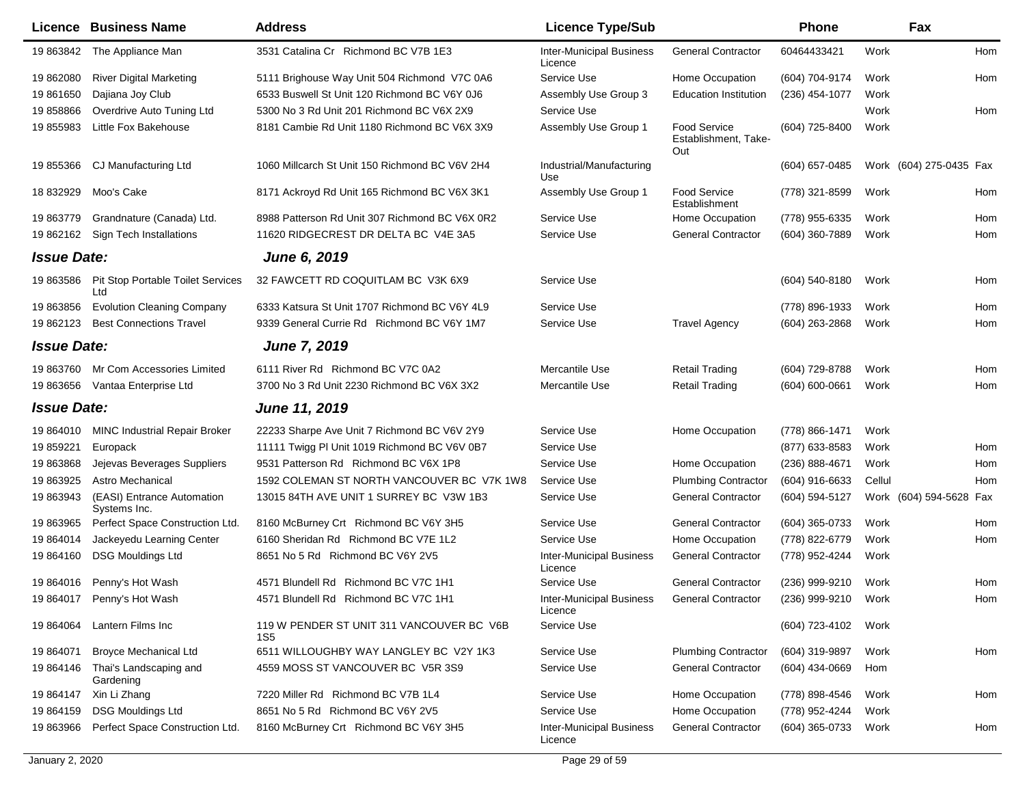|                    | <b>Licence Business Name</b>                    | <b>Address</b>                                               | <b>Licence Type/Sub</b>                    |                                             | Phone               |        | Fax                     |     |
|--------------------|-------------------------------------------------|--------------------------------------------------------------|--------------------------------------------|---------------------------------------------|---------------------|--------|-------------------------|-----|
| 19 863842          | The Appliance Man                               | 3531 Catalina Cr Richmond BC V7B 1E3                         | <b>Inter-Municipal Business</b><br>Licence | <b>General Contractor</b>                   | 60464433421         | Work   |                         | Hom |
| 19 862080          | <b>River Digital Marketing</b>                  | 5111 Brighouse Way Unit 504 Richmond V7C 0A6                 | Service Use                                | Home Occupation                             | (604) 704-9174      | Work   |                         | Hom |
| 19 861650          | Dajiana Joy Club                                | 6533 Buswell St Unit 120 Richmond BC V6Y 0J6                 | Assembly Use Group 3                       | <b>Education Institution</b>                | (236) 454-1077      | Work   |                         |     |
| 19858866           | Overdrive Auto Tuning Ltd                       | 5300 No 3 Rd Unit 201 Richmond BC V6X 2X9                    | Service Use                                |                                             |                     | Work   |                         | Hom |
| 19 855983          | Little Fox Bakehouse                            | 8181 Cambie Rd Unit 1180 Richmond BC V6X 3X9                 | Assembly Use Group 1                       | Food Service<br>Establishment, Take-<br>Out | (604) 725-8400      | Work   |                         |     |
| 19 855366          | CJ Manufacturing Ltd                            | 1060 Millcarch St Unit 150 Richmond BC V6V 2H4               | Industrial/Manufacturing<br>Use            |                                             | (604) 657-0485      |        | Work (604) 275-0435 Fax |     |
| 18 832929          | Moo's Cake                                      | 8171 Ackroyd Rd Unit 165 Richmond BC V6X 3K1                 | Assembly Use Group 1                       | <b>Food Service</b><br>Establishment        | (778) 321-8599      | Work   |                         | Hom |
| 19 863779          | Grandnature (Canada) Ltd.                       | 8988 Patterson Rd Unit 307 Richmond BC V6X 0R2               | Service Use                                | Home Occupation                             | (778) 955-6335      | Work   |                         | Hom |
| 19 862162          | Sign Tech Installations                         | 11620 RIDGECREST DR DELTA BC V4E 3A5                         | Service Use                                | <b>General Contractor</b>                   | (604) 360-7889      | Work   |                         | Hom |
| <b>Issue Date:</b> |                                                 | <b>June 6, 2019</b>                                          |                                            |                                             |                     |        |                         |     |
| 19 863586          | <b>Pit Stop Portable Toilet Services</b><br>Ltd | 32 FAWCETT RD COQUITLAM BC V3K 6X9                           | Service Use                                |                                             | $(604)$ 540-8180    | Work   |                         | Hom |
| 19 863856          | <b>Evolution Cleaning Company</b>               | 6333 Katsura St Unit 1707 Richmond BC V6Y 4L9                | Service Use                                |                                             | (778) 896-1933      | Work   |                         | Hom |
| 19 862123          | <b>Best Connections Travel</b>                  | 9339 General Currie Rd Richmond BC V6Y 1M7                   | Service Use                                | <b>Travel Agency</b>                        | $(604)$ 263-2868    | Work   |                         | Hom |
| <b>Issue Date:</b> |                                                 | <b>June 7, 2019</b>                                          |                                            |                                             |                     |        |                         |     |
| 19 863760          | Mr Com Accessories Limited                      | 6111 River Rd Richmond BC V7C 0A2                            | Mercantile Use                             | Retail Trading                              | (604) 729-8788      | Work   |                         | Hom |
| 19 863656          | Vantaa Enterprise Ltd                           | 3700 No 3 Rd Unit 2230 Richmond BC V6X 3X2                   | Mercantile Use                             | <b>Retail Trading</b>                       | (604) 600-0661      | Work   |                         | Hom |
| <b>Issue Date:</b> |                                                 | <b>June 11, 2019</b>                                         |                                            |                                             |                     |        |                         |     |
| 19 864010          | <b>MINC Industrial Repair Broker</b>            | 22233 Sharpe Ave Unit 7 Richmond BC V6V 2Y9                  | Service Use                                | Home Occupation                             | (778) 866-1471      | Work   |                         |     |
| 19 859221          | Europack                                        | 11111 Twigg PI Unit 1019 Richmond BC V6V 0B7                 | Service Use                                |                                             | (877) 633-8583      | Work   |                         | Hom |
| 19 863868          | Jejevas Beverages Suppliers                     | 9531 Patterson Rd Richmond BC V6X 1P8                        | Service Use                                | Home Occupation                             | (236) 888-4671      | Work   |                         | Hom |
| 19 863925          | Astro Mechanical                                | 1592 COLEMAN ST NORTH VANCOUVER BC V7K 1W8                   | Service Use                                | <b>Plumbing Contractor</b>                  | (604) 916-6633      | Cellul |                         | Hom |
| 19 863943          | (EASI) Entrance Automation<br>Systems Inc.      | 13015 84TH AVE UNIT 1 SURREY BC V3W 1B3                      | Service Use                                | <b>General Contractor</b>                   | (604) 594-5127      |        | Work (604) 594-5628 Fax |     |
| 19 863965          | Perfect Space Construction Ltd.                 | 8160 McBurney Crt Richmond BC V6Y 3H5                        | Service Use                                | <b>General Contractor</b>                   | (604) 365-0733      | Work   |                         | Hom |
| 19 864014          | Jackeyedu Learning Center                       | 6160 Sheridan Rd Richmond BC V7E 1L2                         | Service Use                                | Home Occupation                             | (778) 822-6779      | Work   |                         | Hom |
| 19 864160          | <b>DSG Mouldings Ltd</b>                        | 8651 No 5 Rd Richmond BC V6Y 2V5                             | <b>Inter-Municipal Business</b><br>Licence | <b>General Contractor</b>                   | (778) 952-4244      | Work   |                         |     |
|                    | 19 864016 Penny's Hot Wash                      | 4571 Blundell Rd Richmond BC V7C 1H1                         | Service Use                                | <b>General Contractor</b>                   | (236) 999-9210      | Work   |                         | Hom |
|                    | 19 864017 Penny's Hot Wash                      | 4571 Blundell Rd Richmond BC V7C 1H1                         | Inter-Municipal Business<br>Licence        | <b>General Contractor</b>                   | (236) 999-9210 Work |        |                         | Hom |
| 19 864064          | Lantern Films Inc                               | 119 W PENDER ST UNIT 311 VANCOUVER BC V6B<br>1S <sub>5</sub> | Service Use                                |                                             | (604) 723-4102      | Work   |                         |     |
| 19 864071          | <b>Broyce Mechanical Ltd</b>                    | 6511 WILLOUGHBY WAY LANGLEY BC V2Y 1K3                       | Service Use                                | <b>Plumbing Contractor</b>                  | (604) 319-9897      | Work   |                         | Hom |
| 19 864146          | Thai's Landscaping and<br>Gardening             | 4559 MOSS ST VANCOUVER BC V5R 3S9                            | Service Use                                | <b>General Contractor</b>                   | (604) 434-0669      | Hom    |                         |     |
| 19 864147          | Xin Li Zhang                                    | 7220 Miller Rd Richmond BC V7B 1L4                           | Service Use                                | Home Occupation                             | (778) 898-4546      | Work   |                         | Hom |
| 19 864159          | <b>DSG Mouldings Ltd</b>                        | 8651 No 5 Rd Richmond BC V6Y 2V5                             | Service Use                                | Home Occupation                             | (778) 952-4244      | Work   |                         |     |
| 19 863966          | Perfect Space Construction Ltd.                 | 8160 McBurney Crt Richmond BC V6Y 3H5                        | <b>Inter-Municipal Business</b><br>Licence | <b>General Contractor</b>                   | $(604)$ 365-0733    | Work   |                         | Hom |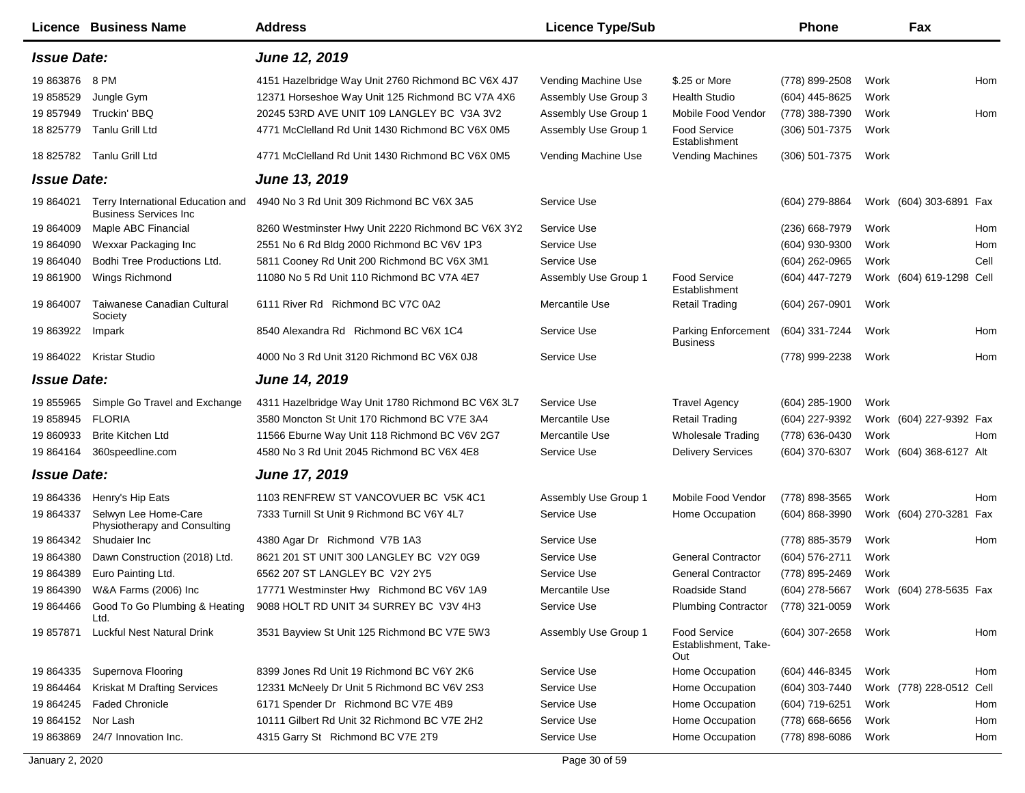|                             | Licence Business Name                                              | <b>Address</b>                                                                                         | <b>Licence Type/Sub</b>                     |                                                    | <b>Phone</b>                     |              | Fax                      |      |
|-----------------------------|--------------------------------------------------------------------|--------------------------------------------------------------------------------------------------------|---------------------------------------------|----------------------------------------------------|----------------------------------|--------------|--------------------------|------|
| <b>Issue Date:</b>          |                                                                    | June 12, 2019                                                                                          |                                             |                                                    |                                  |              |                          |      |
| 19 863876 8 PM<br>19 858529 | Jungle Gym                                                         | 4151 Hazelbridge Way Unit 2760 Richmond BC V6X 4J7<br>12371 Horseshoe Way Unit 125 Richmond BC V7A 4X6 | Vending Machine Use<br>Assembly Use Group 3 | \$.25 or More<br><b>Health Studio</b>              | (778) 899-2508<br>(604) 445-8625 | Work<br>Work |                          | Hom  |
| 19 857949                   | Truckin' BBQ                                                       | 20245 53RD AVE UNIT 109 LANGLEY BC V3A 3V2                                                             | Assembly Use Group 1                        | Mobile Food Vendor                                 | (778) 388-7390                   | Work         |                          | Hom  |
| 18 825779                   | Tanlu Grill Ltd                                                    | 4771 McClelland Rd Unit 1430 Richmond BC V6X 0M5                                                       | Assembly Use Group 1                        | <b>Food Service</b><br>Establishment               | (306) 501-7375                   | Work         |                          |      |
|                             | 18 825782 Tanlu Grill Ltd                                          | 4771 McClelland Rd Unit 1430 Richmond BC V6X 0M5                                                       | Vending Machine Use                         | Vending Machines                                   | $(306)$ 501-7375                 | Work         |                          |      |
| <b>Issue Date:</b>          |                                                                    | <b>June 13, 2019</b>                                                                                   |                                             |                                                    |                                  |              |                          |      |
| 19 864021                   | Terry International Education and<br><b>Business Services Inc.</b> | 4940 No 3 Rd Unit 309 Richmond BC V6X 3A5                                                              | Service Use                                 |                                                    | (604) 279-8864                   |              | Work (604) 303-6891 Fax  |      |
| 19 864009                   | Maple ABC Financial                                                | 8260 Westminster Hwy Unit 2220 Richmond BC V6X 3Y2                                                     | Service Use                                 |                                                    | (236) 668-7979                   | Work         |                          | Hom  |
| 19 864090                   | Wexxar Packaging Inc                                               | 2551 No 6 Rd Bldg 2000 Richmond BC V6V 1P3                                                             | Service Use                                 |                                                    | (604) 930-9300                   | Work         |                          | Hom  |
| 19 864040                   | Bodhi Tree Productions Ltd.                                        | 5811 Cooney Rd Unit 200 Richmond BC V6X 3M1                                                            | Service Use                                 |                                                    | (604) 262-0965                   | Work         |                          | Cell |
| 19 861900                   | Wings Richmond                                                     | 11080 No 5 Rd Unit 110 Richmond BC V7A 4E7                                                             | Assembly Use Group 1                        | <b>Food Service</b><br>Establishment               | (604) 447-7279                   |              | Work (604) 619-1298 Cell |      |
| 19 864007                   | Taiwanese Canadian Cultural<br>Society                             | 6111 River Rd Richmond BC V7C 0A2                                                                      | Mercantile Use                              | <b>Retail Trading</b>                              | (604) 267-0901                   | Work         |                          |      |
| 19 863922                   | Impark                                                             | 8540 Alexandra Rd Richmond BC V6X 1C4                                                                  | Service Use                                 | <b>Parking Enforcement</b><br><b>Business</b>      | (604) 331-7244                   | Work         |                          | Hom  |
| 19 864022                   | Kristar Studio                                                     | 4000 No 3 Rd Unit 3120 Richmond BC V6X 0J8                                                             | Service Use                                 |                                                    | (778) 999-2238                   | Work         |                          | Hom  |
| <b>Issue Date:</b>          |                                                                    | <b>June 14, 2019</b>                                                                                   |                                             |                                                    |                                  |              |                          |      |
| 19 855965                   | Simple Go Travel and Exchange                                      | 4311 Hazelbridge Way Unit 1780 Richmond BC V6X 3L7                                                     | Service Use                                 | <b>Travel Agency</b>                               | $(604)$ 285-1900                 | Work         |                          |      |
| 19 858945                   | <b>FLORIA</b>                                                      | 3580 Moncton St Unit 170 Richmond BC V7E 3A4                                                           | Mercantile Use                              | <b>Retail Trading</b>                              | (604) 227-9392                   |              | Work (604) 227-9392 Fax  |      |
| 19 860933                   | <b>Brite Kitchen Ltd</b>                                           | 11566 Eburne Way Unit 118 Richmond BC V6V 2G7                                                          | Mercantile Use                              | <b>Wholesale Trading</b>                           | (778) 636-0430                   | Work         |                          | Hom  |
| 19 864164                   | 360speedline.com                                                   | 4580 No 3 Rd Unit 2045 Richmond BC V6X 4E8                                                             | Service Use                                 | <b>Delivery Services</b>                           | (604) 370-6307                   |              | Work (604) 368-6127 Alt  |      |
| <b>Issue Date:</b>          |                                                                    | <b>June 17, 2019</b>                                                                                   |                                             |                                                    |                                  |              |                          |      |
| 19 864336                   | Henry's Hip Eats                                                   | 1103 RENFREW ST VANCOVUER BC V5K 4C1                                                                   | Assembly Use Group 1                        | Mobile Food Vendor                                 | (778) 898-3565                   | Work         |                          | Hom  |
| 19 864337                   | Selwyn Lee Home-Care<br>Physiotherapy and Consulting               | 7333 Turnill St Unit 9 Richmond BC V6Y 4L7                                                             | Service Use                                 | Home Occupation                                    | (604) 868-3990                   |              | Work (604) 270-3281      | Fax  |
| 19 864342                   | Shudaier Inc                                                       | 4380 Agar Dr Richmond V7B 1A3                                                                          | Service Use                                 |                                                    | (778) 885-3579                   | Work         |                          | Hom  |
| 19 864380                   | Dawn Construction (2018) Ltd.                                      | 8621 201 ST UNIT 300 LANGLEY BC V2Y 0G9                                                                | Service Use                                 | <b>General Contractor</b>                          | (604) 576-2711                   | Work         |                          |      |
| 19 864389                   | Euro Painting Ltd.                                                 | 6562 207 ST LANGLEY BC V2Y 2Y5                                                                         | Service Use                                 | <b>General Contractor</b>                          | (778) 895-2469                   | Work         |                          |      |
| 19 864390                   | W&A Farms (2006) Inc                                               | 17771 Westminster Hwy Richmond BC V6V 1A9                                                              | Mercantile Use                              | Roadside Stand                                     | (604) 278-5667                   |              | Work (604) 278-5635 Fax  |      |
| 19 864466                   | Good To Go Plumbing & Heating<br>Ltd.                              | 9088 HOLT RD UNIT 34 SURREY BC V3V 4H3                                                                 | Service Use                                 | <b>Plumbing Contractor</b>                         | (778) 321-0059                   | Work         |                          |      |
| 19 857871                   | Luckful Nest Natural Drink                                         | 3531 Bayview St Unit 125 Richmond BC V7E 5W3                                                           | Assembly Use Group 1                        | <b>Food Service</b><br>Establishment, Take-<br>Out | $(604)$ 307-2658                 | Work         |                          | Hom  |
| 19 864335                   | Supernova Flooring                                                 | 8399 Jones Rd Unit 19 Richmond BC V6Y 2K6                                                              | Service Use                                 | Home Occupation                                    | (604) 446-8345                   | Work         |                          | Hom  |
| 19 864464                   | Kriskat M Drafting Services                                        | 12331 McNeely Dr Unit 5 Richmond BC V6V 2S3                                                            | Service Use                                 | Home Occupation                                    | (604) 303-7440                   |              | Work (778) 228-0512      | Cell |
| 19 864245                   | <b>Faded Chronicle</b>                                             | 6171 Spender Dr Richmond BC V7E 4B9                                                                    | Service Use                                 | Home Occupation                                    | (604) 719-6251                   | Work         |                          | Hom  |
| 19 864152                   | Nor Lash                                                           | 10111 Gilbert Rd Unit 32 Richmond BC V7E 2H2                                                           | Service Use                                 | Home Occupation                                    | $(778)$ 668-6656                 | Work         |                          | Hom  |
| 19 863869                   | 24/7 Innovation Inc.                                               | 4315 Garry St Richmond BC V7E 2T9                                                                      | Service Use                                 | Home Occupation                                    | (778) 898-6086                   | Work         |                          | Hom  |
| January 2, 2020             |                                                                    |                                                                                                        | Page 30 of 59                               |                                                    |                                  |              |                          |      |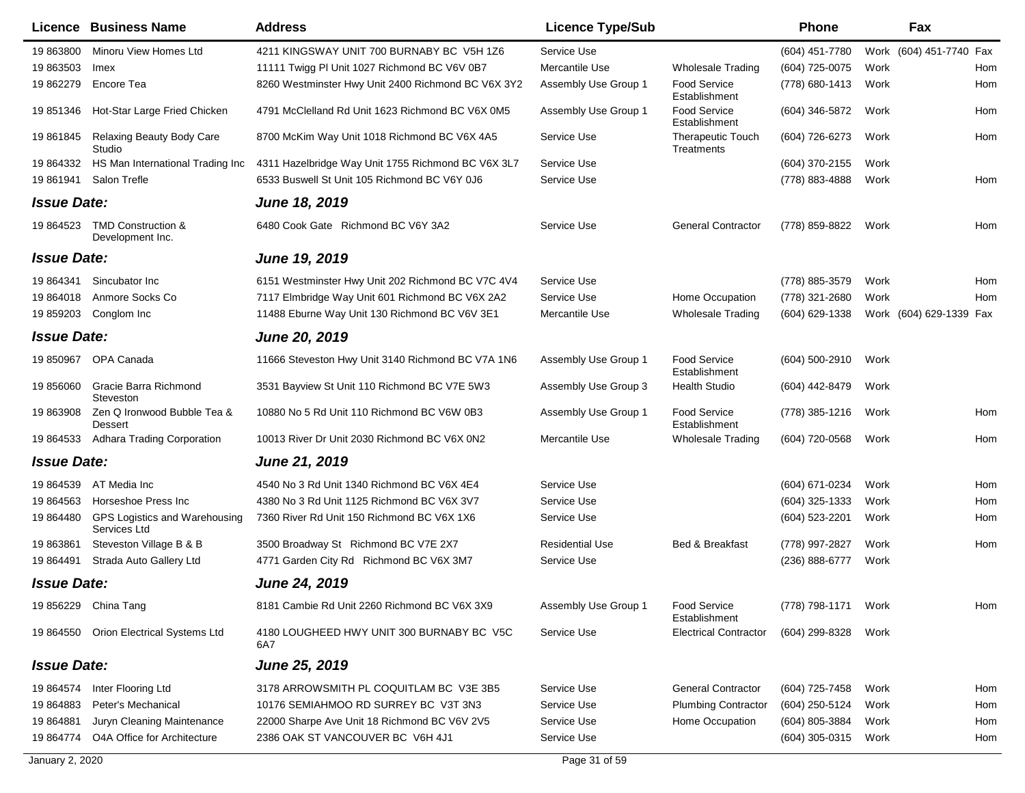|                    | Licence Business Name                         | <b>Address</b>                                     | <b>Licence Type/Sub</b> |                                        | <b>Phone</b>     |      | Fax                     |     |
|--------------------|-----------------------------------------------|----------------------------------------------------|-------------------------|----------------------------------------|------------------|------|-------------------------|-----|
| 19 863800          | Minoru View Homes Ltd                         | 4211 KINGSWAY UNIT 700 BURNABY BC V5H 1Z6          | Service Use             |                                        | (604) 451-7780   |      | Work (604) 451-7740 Fax |     |
| 19 863503          | Imex                                          | 11111 Twigg PI Unit 1027 Richmond BC V6V 0B7       | Mercantile Use          | <b>Wholesale Trading</b>               | (604) 725-0075   | Work |                         | Hom |
| 19 862279          | Encore Tea                                    | 8260 Westminster Hwy Unit 2400 Richmond BC V6X 3Y2 | Assembly Use Group 1    | Food Service<br>Establishment          | (778) 680-1413   | Work |                         | Hom |
| 19 851346          | Hot-Star Large Fried Chicken                  | 4791 McClelland Rd Unit 1623 Richmond BC V6X 0M5   | Assembly Use Group 1    | <b>Food Service</b><br>Establishment   | (604) 346-5872   | Work |                         | Hom |
| 19 861845          | Relaxing Beauty Body Care<br>Studio           | 8700 McKim Way Unit 1018 Richmond BC V6X 4A5       | Service Use             | <b>Therapeutic Touch</b><br>Treatments | (604) 726-6273   | Work |                         | Hom |
| 19 864332          | HS Man International Trading Inc              | 4311 Hazelbridge Way Unit 1755 Richmond BC V6X 3L7 | Service Use             |                                        | (604) 370-2155   | Work |                         |     |
| 19 861941          | Salon Trefle                                  | 6533 Buswell St Unit 105 Richmond BC V6Y 0J6       | Service Use             |                                        | (778) 883-4888   | Work |                         | Hom |
| <b>Issue Date:</b> |                                               | <b>June 18, 2019</b>                               |                         |                                        |                  |      |                         |     |
| 19 864523          | TMD Construction &<br>Development Inc.        | 6480 Cook Gate Richmond BC V6Y 3A2                 | Service Use             | <b>General Contractor</b>              | (778) 859-8822   | Work |                         | Hom |
| <b>Issue Date:</b> |                                               | June 19, 2019                                      |                         |                                        |                  |      |                         |     |
| 19 864341          | Sincubator Inc                                | 6151 Westminster Hwy Unit 202 Richmond BC V7C 4V4  | Service Use             |                                        | (778) 885-3579   | Work |                         | Hom |
| 19 864018          | Anmore Socks Co                               | 7117 Elmbridge Way Unit 601 Richmond BC V6X 2A2    | Service Use             | Home Occupation                        | (778) 321-2680   | Work |                         | Hom |
| 19 859203          | Conglom Inc                                   | 11488 Eburne Way Unit 130 Richmond BC V6V 3E1      | Mercantile Use          | <b>Wholesale Trading</b>               | (604) 629-1338   |      | Work (604) 629-1339 Fax |     |
| <b>Issue Date:</b> |                                               | <b>June 20, 2019</b>                               |                         |                                        |                  |      |                         |     |
| 19 850967          | OPA Canada                                    | 11666 Steveston Hwy Unit 3140 Richmond BC V7A 1N6  | Assembly Use Group 1    | Food Service<br>Establishment          | (604) 500-2910   | Work |                         |     |
| 19 856060          | Gracie Barra Richmond<br>Steveston            | 3531 Bayview St Unit 110 Richmond BC V7E 5W3       | Assembly Use Group 3    | Health Studio                          | (604) 442-8479   | Work |                         |     |
| 19 863908          | Zen Q Ironwood Bubble Tea &<br><b>Dessert</b> | 10880 No 5 Rd Unit 110 Richmond BC V6W 0B3         | Assembly Use Group 1    | <b>Food Service</b><br>Establishment   | (778) 385-1216   | Work |                         | Hom |
| 19 864533          | <b>Adhara Trading Corporation</b>             | 10013 River Dr Unit 2030 Richmond BC V6X 0N2       | Mercantile Use          | <b>Wholesale Trading</b>               | (604) 720-0568   | Work |                         | Hom |
| <b>Issue Date:</b> |                                               | <b>June 21, 2019</b>                               |                         |                                        |                  |      |                         |     |
| 19 864539          | AT Media Inc                                  | 4540 No 3 Rd Unit 1340 Richmond BC V6X 4E4         | Service Use             |                                        | (604) 671-0234   | Work |                         | Hom |
| 19 864563          | Horseshoe Press Inc                           | 4380 No 3 Rd Unit 1125 Richmond BC V6X 3V7         | Service Use             |                                        | (604) 325-1333   | Work |                         | Hom |
| 19 864480          | GPS Logistics and Warehousing<br>Services Ltd | 7360 River Rd Unit 150 Richmond BC V6X 1X6         | Service Use             |                                        | (604) 523-2201   | Work |                         | Hom |
| 19 863861          | Steveston Village B & B                       | 3500 Broadway St Richmond BC V7E 2X7               | <b>Residential Use</b>  | Bed & Breakfast                        | (778) 997-2827   | Work |                         | Hom |
| 19 864491          | Strada Auto Gallery Ltd                       | 4771 Garden City Rd Richmond BC V6X 3M7            | Service Use             |                                        | (236) 888-6777   | Work |                         |     |
| <b>Issue Date:</b> |                                               | June 24, 2019                                      |                         |                                        |                  |      |                         |     |
|                    | 19 856229 China Tang                          | 8181 Cambie Rd Unit 2260 Richmond BC V6X 3X9       | Assembly Use Group 1    | <b>Food Service</b><br>Establishment   | (778) 798-1171   | Work |                         | Hom |
|                    | 19 864550 Orion Electrical Systems Ltd        | 4180 LOUGHEED HWY UNIT 300 BURNABY BC V5C<br>6A7   | Service Use             | <b>Electrical Contractor</b>           | (604) 299-8328   | Work |                         |     |
| <b>Issue Date:</b> |                                               | <b>June 25, 2019</b>                               |                         |                                        |                  |      |                         |     |
| 19 864574          | Inter Flooring Ltd                            | 3178 ARROWSMITH PL COQUITLAM BC V3E 3B5            | Service Use             | <b>General Contractor</b>              | (604) 725-7458   | Work |                         | Hom |
| 19 864883          | Peter's Mechanical                            | 10176 SEMIAHMOO RD SURREY BC V3T 3N3               | Service Use             | <b>Plumbing Contractor</b>             | (604) 250-5124   | Work |                         | Hom |
| 19 864881          | Juryn Cleaning Maintenance                    | 22000 Sharpe Ave Unit 18 Richmond BC V6V 2V5       | Service Use             | Home Occupation                        | (604) 805-3884   | Work |                         | Hom |
| 19 864774          | O4A Office for Architecture                   | 2386 OAK ST VANCOUVER BC V6H 4J1                   | Service Use             |                                        | $(604)$ 305-0315 | Work |                         | Hom |
| January 2, 2020    |                                               |                                                    | Page 31 of 59           |                                        |                  |      |                         |     |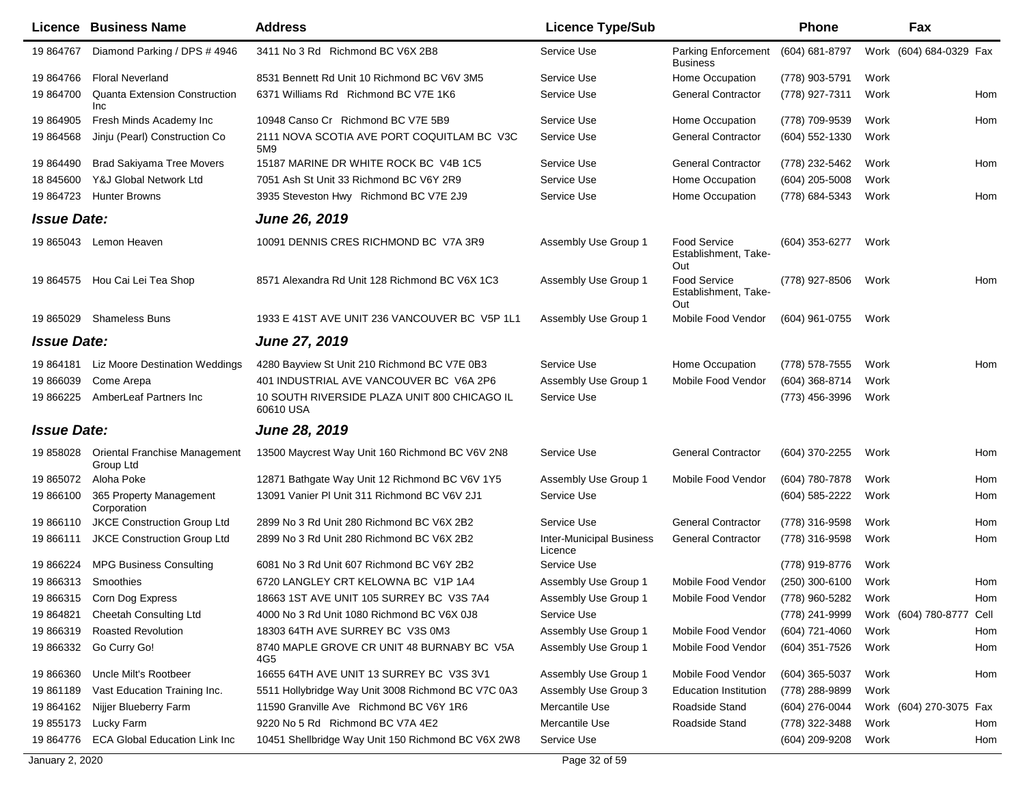|                    | <b>Licence Business Name</b>                       | <b>Address</b>                                            | <b>Licence Type/Sub</b>                    |                                                    | <b>Phone</b>     |      | Fax                      |     |
|--------------------|----------------------------------------------------|-----------------------------------------------------------|--------------------------------------------|----------------------------------------------------|------------------|------|--------------------------|-----|
| 19 864767          | Diamond Parking / DPS # 4946                       | 3411 No 3 Rd Richmond BC V6X 2B8                          | Service Use                                | <b>Parking Enforcement</b><br><b>Business</b>      | (604) 681-8797   |      | Work (604) 684-0329 Fax  |     |
| 19 864766          | <b>Floral Neverland</b>                            | 8531 Bennett Rd Unit 10 Richmond BC V6V 3M5               | Service Use                                | Home Occupation                                    | (778) 903-5791   | Work |                          |     |
| 19 864700          | <b>Quanta Extension Construction</b><br><b>Inc</b> | 6371 Williams Rd Richmond BC V7E 1K6                      | Service Use                                | <b>General Contractor</b>                          | (778) 927-7311   | Work |                          | Hom |
| 19 864905          | Fresh Minds Academy Inc                            | 10948 Canso Cr Richmond BC V7E 5B9                        | Service Use                                | Home Occupation                                    | (778) 709-9539   | Work |                          | Hom |
| 19 864568          | Jinju (Pearl) Construction Co                      | 2111 NOVA SCOTIA AVE PORT COQUITLAM BC V3C<br>5M9         | Service Use                                | <b>General Contractor</b>                          | (604) 552-1330   | Work |                          |     |
| 19 864490          | <b>Brad Sakiyama Tree Movers</b>                   | 15187 MARINE DR WHITE ROCK BC V4B 1C5                     | Service Use                                | <b>General Contractor</b>                          | (778) 232-5462   | Work |                          | Hom |
| 18 845600          | Y&J Global Network Ltd                             | 7051 Ash St Unit 33 Richmond BC V6Y 2R9                   | Service Use                                | Home Occupation                                    | $(604)$ 205-5008 | Work |                          |     |
| 19 864723          | <b>Hunter Browns</b>                               | 3935 Steveston Hwy Richmond BC V7E 2J9                    | Service Use                                | Home Occupation                                    | (778) 684-5343   | Work |                          | Hom |
| <b>Issue Date:</b> |                                                    | <b>June 26, 2019</b>                                      |                                            |                                                    |                  |      |                          |     |
|                    | 19 865043 Lemon Heaven                             | 10091 DENNIS CRES RICHMOND BC V7A 3R9                     | Assembly Use Group 1                       | <b>Food Service</b><br>Establishment, Take-<br>Out | (604) 353-6277   | Work |                          |     |
|                    | 19 864575 Hou Cai Lei Tea Shop                     | 8571 Alexandra Rd Unit 128 Richmond BC V6X 1C3            | Assembly Use Group 1                       | Food Service<br>Establishment, Take-<br>Out        | (778) 927-8506   | Work |                          | Hom |
| 19 865029          | <b>Shameless Buns</b>                              | 1933 E 41ST AVE UNIT 236 VANCOUVER BC V5P 1L1             | Assembly Use Group 1                       | Mobile Food Vendor                                 | (604) 961-0755   | Work |                          |     |
| <b>Issue Date:</b> |                                                    | <b>June 27, 2019</b>                                      |                                            |                                                    |                  |      |                          |     |
| 19 864181          | Liz Moore Destination Weddings                     | 4280 Bayview St Unit 210 Richmond BC V7E 0B3              | Service Use                                | Home Occupation                                    | (778) 578-7555   | Work |                          | Hom |
| 19 866039          | Come Arepa                                         | 401 INDUSTRIAL AVE VANCOUVER BC V6A 2P6                   | Assembly Use Group 1                       | Mobile Food Vendor                                 | (604) 368-8714   | Work |                          |     |
| 19 866225          | AmberLeaf Partners Inc                             | 10 SOUTH RIVERSIDE PLAZA UNIT 800 CHICAGO IL<br>60610 USA | Service Use                                |                                                    | (773) 456-3996   | Work |                          |     |
| <b>Issue Date:</b> |                                                    | June 28, 2019                                             |                                            |                                                    |                  |      |                          |     |
| 19 858028          | <b>Oriental Franchise Management</b><br>Group Ltd  | 13500 Maycrest Way Unit 160 Richmond BC V6V 2N8           | Service Use                                | <b>General Contractor</b>                          | (604) 370-2255   | Work |                          | Hom |
| 19 865072          | Aloha Poke                                         | 12871 Bathgate Way Unit 12 Richmond BC V6V 1Y5            | Assembly Use Group 1                       | Mobile Food Vendor                                 | (604) 780-7878   | Work |                          | Hom |
| 19 866100          | 365 Property Management<br>Corporation             | 13091 Vanier PI Unit 311 Richmond BC V6V 2J1              | Service Use                                |                                                    | (604) 585-2222   | Work |                          | Hom |
| 19 866110          | JKCE Construction Group Ltd                        | 2899 No 3 Rd Unit 280 Richmond BC V6X 2B2                 | Service Use                                | <b>General Contractor</b>                          | (778) 316-9598   | Work |                          | Hom |
| 19 866111          | <b>JKCE Construction Group Ltd</b>                 | 2899 No 3 Rd Unit 280 Richmond BC V6X 2B2                 | <b>Inter-Municipal Business</b><br>Licence | <b>General Contractor</b>                          | (778) 316-9598   | Work |                          | Hom |
| 19 866224          | <b>MPG Business Consulting</b>                     | 6081 No 3 Rd Unit 607 Richmond BC V6Y 2B2                 | Service Use                                |                                                    | (778) 919-8776   | Work |                          |     |
| 19 866313          | Smoothies                                          | 6720 LANGLEY CRT KELOWNA BC V1P 1A4                       | Assembly Use Group 1                       | Mobile Food Vendor                                 | (250) 300-6100   | Work |                          | Hom |
|                    | 19 866315 Corn Dog Express                         | 18663 1ST AVE UNIT 105 SURREY BC V3S 7A4                  | Assembly Use Group 1                       | Mobile Food Vendor (778) 960-5282                  |                  | Work |                          | Hom |
| 19 864821          | <b>Cheetah Consulting Ltd</b>                      | 4000 No 3 Rd Unit 1080 Richmond BC V6X 0J8                | Service Use                                |                                                    | (778) 241-9999   |      | Work (604) 780-8777 Cell |     |
| 19 866319          | <b>Roasted Revolution</b>                          | 18303 64TH AVE SURREY BC V3S 0M3                          | Assembly Use Group 1                       | Mobile Food Vendor                                 | (604) 721-4060   | Work |                          | Hom |
| 19 866332          | Go Curry Go!                                       | 8740 MAPLE GROVE CR UNIT 48 BURNABY BC V5A<br>4G5         | Assembly Use Group 1                       | Mobile Food Vendor                                 | (604) 351-7526   | Work |                          | Hom |
| 19 866360          | Uncle Milt's Rootbeer                              | 16655 64TH AVE UNIT 13 SURREY BC V3S 3V1                  | Assembly Use Group 1                       | Mobile Food Vendor                                 | $(604)$ 365-5037 | Work |                          | Hom |
| 19 861189          | Vast Education Training Inc.                       | 5511 Hollybridge Way Unit 3008 Richmond BC V7C 0A3        | Assembly Use Group 3                       | <b>Education Institution</b>                       | (778) 288-9899   | Work |                          |     |
| 19 864162          | Nijjer Blueberry Farm                              | 11590 Granville Ave Richmond BC V6Y 1R6                   | Mercantile Use                             | Roadside Stand                                     | (604) 276-0044   |      | Work (604) 270-3075 Fax  |     |
| 19 855173          | Lucky Farm                                         | 9220 No 5 Rd Richmond BC V7A 4E2                          | Mercantile Use                             | Roadside Stand                                     | (778) 322-3488   | Work |                          | Hom |
| 19 864776          | <b>ECA Global Education Link Inc</b>               | 10451 Shellbridge Way Unit 150 Richmond BC V6X 2W8        | Service Use                                |                                                    | (604) 209-9208   | Work |                          | Hom |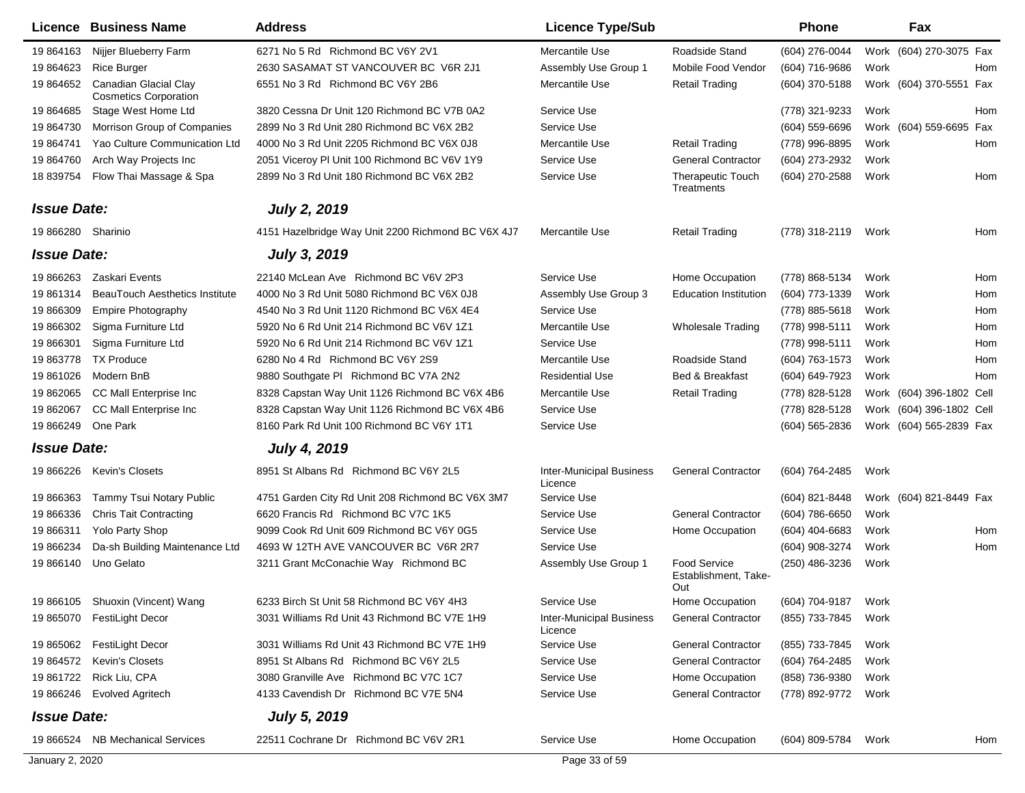|                    | Licence Business Name                                 | <b>Address</b>                                     | <b>Licence Type/Sub</b>                    |                                             | Phone            |      | Fax                      |
|--------------------|-------------------------------------------------------|----------------------------------------------------|--------------------------------------------|---------------------------------------------|------------------|------|--------------------------|
| 19 864163          | Nijjer Blueberry Farm                                 | 6271 No 5 Rd Richmond BC V6Y 2V1                   | Mercantile Use                             | Roadside Stand                              | (604) 276-0044   |      | Work (604) 270-3075 Fax  |
| 19 864623          | <b>Rice Burger</b>                                    | 2630 SASAMAT ST VANCOUVER BC V6R 2J1               | Assembly Use Group 1                       | Mobile Food Vendor                          | (604) 716-9686   | Work | Hom                      |
| 19 864652          | Canadian Glacial Clay<br><b>Cosmetics Corporation</b> | 6551 No 3 Rd Richmond BC V6Y 2B6                   | Mercantile Use                             | <b>Retail Trading</b>                       | (604) 370-5188   |      | Work (604) 370-5551 Fax  |
| 19 864685          | Stage West Home Ltd                                   | 3820 Cessna Dr Unit 120 Richmond BC V7B 0A2        | Service Use                                |                                             | (778) 321-9233   | Work | Hom                      |
| 19 864730          | Morrison Group of Companies                           | 2899 No 3 Rd Unit 280 Richmond BC V6X 2B2          | Service Use                                |                                             | $(604)$ 559-6696 |      | Work (604) 559-6695 Fax  |
| 19 864741          | Yao Culture Communication Ltd                         | 4000 No 3 Rd Unit 2205 Richmond BC V6X 0J8         | Mercantile Use                             | <b>Retail Trading</b>                       | (778) 996-8895   | Work | Hom                      |
| 19 864760          | Arch Way Projects Inc                                 | 2051 Viceroy PI Unit 100 Richmond BC V6V 1Y9       | Service Use                                | <b>General Contractor</b>                   | (604) 273-2932   | Work |                          |
| 18 839754          | Flow Thai Massage & Spa                               | 2899 No 3 Rd Unit 180 Richmond BC V6X 2B2          | Service Use                                | Therapeutic Touch<br>Treatments             | (604) 270-2588   | Work | Hom                      |
| <b>Issue Date:</b> |                                                       | <b>July 2, 2019</b>                                |                                            |                                             |                  |      |                          |
| 19 866280 Sharinio |                                                       | 4151 Hazelbridge Way Unit 2200 Richmond BC V6X 4J7 | Mercantile Use                             | <b>Retail Trading</b>                       | (778) 318-2119   | Work | Hom                      |
| <b>Issue Date:</b> |                                                       | <b>July 3, 2019</b>                                |                                            |                                             |                  |      |                          |
| 19 866263          | Zaskari Events                                        | 22140 McLean Ave Richmond BC V6V 2P3               | Service Use                                | Home Occupation                             | (778) 868-5134   | Work | Hom                      |
| 19 861314          | <b>BeauTouch Aesthetics Institute</b>                 | 4000 No 3 Rd Unit 5080 Richmond BC V6X 0J8         | Assembly Use Group 3                       | <b>Education Institution</b>                | (604) 773-1339   | Work | Hom                      |
| 19 866309          | <b>Empire Photography</b>                             | 4540 No 3 Rd Unit 1120 Richmond BC V6X 4E4         | Service Use                                |                                             | (778) 885-5618   | Work | Hom                      |
| 19 866302          | Sigma Furniture Ltd                                   | 5920 No 6 Rd Unit 214 Richmond BC V6V 1Z1          | Mercantile Use                             | <b>Wholesale Trading</b>                    | (778) 998-5111   | Work | Hom                      |
| 19 866301          | Sigma Furniture Ltd                                   | 5920 No 6 Rd Unit 214 Richmond BC V6V 1Z1          | Service Use                                |                                             | (778) 998-5111   | Work | Hom                      |
| 19 863778          | <b>TX Produce</b>                                     | 6280 No 4 Rd Richmond BC V6Y 2S9                   | Mercantile Use                             | Roadside Stand                              | (604) 763-1573   | Work | Hom                      |
| 19 861026          | Modern BnB                                            | 9880 Southgate PI Richmond BC V7A 2N2              | <b>Residential Use</b>                     | Bed & Breakfast                             | (604) 649-7923   | Work | Hom                      |
| 19 862065          | CC Mall Enterprise Inc                                | 8328 Capstan Way Unit 1126 Richmond BC V6X 4B6     | Mercantile Use                             | <b>Retail Trading</b>                       | (778) 828-5128   |      | Work (604) 396-1802 Cell |
| 19 862067          | CC Mall Enterprise Inc                                | 8328 Capstan Way Unit 1126 Richmond BC V6X 4B6     | Service Use                                |                                             | (778) 828-5128   |      | Work (604) 396-1802 Cell |
| 19 866249          | One Park                                              | 8160 Park Rd Unit 100 Richmond BC V6Y 1T1          | Service Use                                |                                             | $(604)$ 565-2836 |      | Work (604) 565-2839 Fax  |
| <b>Issue Date:</b> |                                                       | <b>July 4, 2019</b>                                |                                            |                                             |                  |      |                          |
| 19 866226          | Kevin's Closets                                       | 8951 St Albans Rd Richmond BC V6Y 2L5              | <b>Inter-Municipal Business</b><br>Licence | <b>General Contractor</b>                   | (604) 764-2485   | Work |                          |
| 19 866363          | Tammy Tsui Notary Public                              | 4751 Garden City Rd Unit 208 Richmond BC V6X 3M7   | Service Use                                |                                             | (604) 821-8448   |      | Work (604) 821-8449 Fax  |
| 19 866336          | <b>Chris Tait Contracting</b>                         | 6620 Francis Rd Richmond BC V7C 1K5                | Service Use                                | <b>General Contractor</b>                   | (604) 786-6650   | Work |                          |
| 19 866311          | Yolo Party Shop                                       | 9099 Cook Rd Unit 609 Richmond BC V6Y 0G5          | Service Use                                | Home Occupation                             | $(604)$ 404-6683 | Work | Hom                      |
| 19 866234          | Da-sh Building Maintenance Ltd                        | 4693 W 12TH AVE VANCOUVER BC V6R 2R7               | Service Use                                |                                             | (604) 908-3274   | Work | Hom                      |
| 19 866140          | Uno Gelato                                            | 3211 Grant McConachie Way Richmond BC              | Assembly Use Group 1                       | Food Service<br>Establishment, Take-<br>Out | (250) 486-3236   | Work |                          |
| 19 866105          | Shuoxin (Vincent) Wang                                | 6233 Birch St Unit 58 Richmond BC V6Y 4H3          | Service Use                                | Home Occupation                             | (604) 704-9187   | Work |                          |
| 19 865070          | <b>FestiLight Decor</b>                               | 3031 Williams Rd Unit 43 Richmond BC V7E 1H9       | <b>Inter-Municipal Business</b><br>Licence | <b>General Contractor</b>                   | (855) 733-7845   | Work |                          |
| 19 865062          | FestiLight Decor                                      | 3031 Williams Rd Unit 43 Richmond BC V7E 1H9       | Service Use                                | <b>General Contractor</b>                   | (855) 733-7845   | Work |                          |
| 19 864572          | Kevin's Closets                                       | 8951 St Albans Rd Richmond BC V6Y 2L5              | Service Use                                | <b>General Contractor</b>                   | (604) 764-2485   | Work |                          |
| 19 861722          | Rick Liu, CPA                                         | 3080 Granville Ave Richmond BC V7C 1C7             | Service Use                                | Home Occupation                             | (858) 736-9380   | Work |                          |
| 19 866246          | Evolved Agritech                                      | 4133 Cavendish Dr Richmond BC V7E 5N4              | Service Use                                | <b>General Contractor</b>                   | (778) 892-9772   | Work |                          |
| <b>Issue Date:</b> |                                                       | <b>July 5, 2019</b>                                |                                            |                                             |                  |      |                          |
|                    | 19 866524 NB Mechanical Services                      | 22511 Cochrane Dr Richmond BC V6V 2R1              | Service Use                                | Home Occupation                             | (604) 809-5784   | Work | Hom                      |
| January 2, 2020    |                                                       |                                                    | Page 33 of 59                              |                                             |                  |      |                          |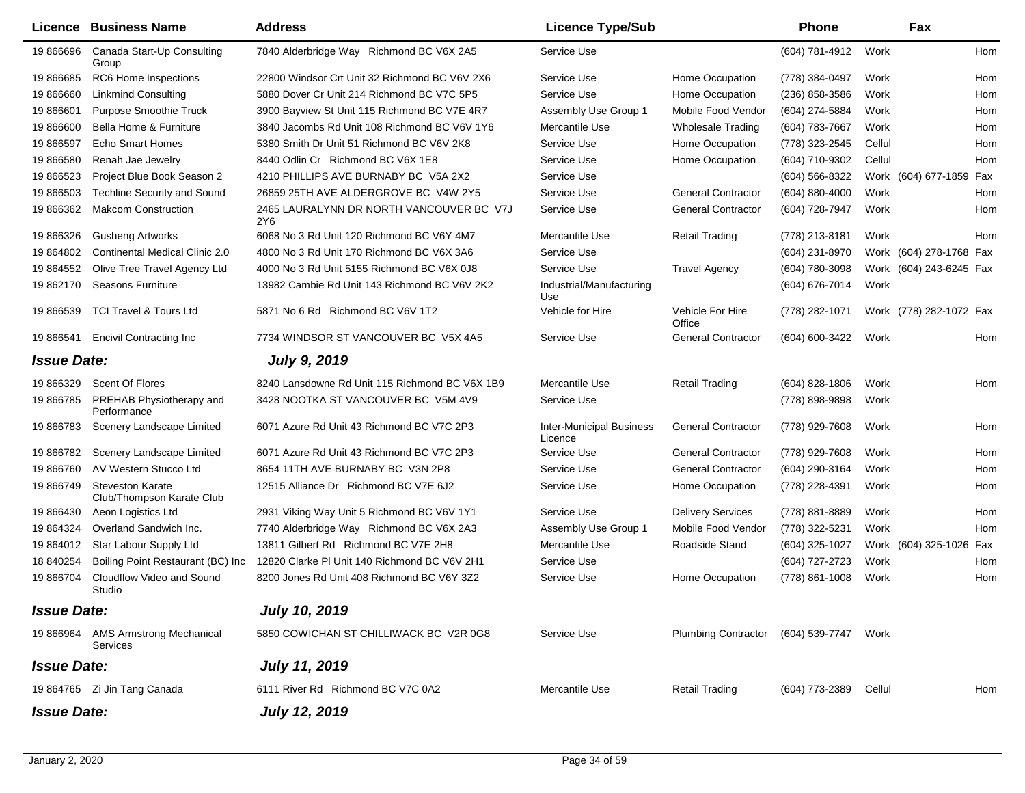|                    | Licence Business Name                                | <b>Address</b>                                  | <b>Licence Type/Sub</b>                    |                                         | <b>Phone</b>       |        | Fax                     |     |
|--------------------|------------------------------------------------------|-------------------------------------------------|--------------------------------------------|-----------------------------------------|--------------------|--------|-------------------------|-----|
| 19 866696          | Canada Start-Up Consulting<br>Group                  | 7840 Alderbridge Way Richmond BC V6X 2A5        | Service Use                                |                                         | (604) 781-4912     | Work   |                         | Hom |
| 19 866685          | RC6 Home Inspections                                 | 22800 Windsor Crt Unit 32 Richmond BC V6V 2X6   | Service Use                                | Home Occupation                         | (778) 384-0497     | Work   |                         | Hom |
| 19 866660          | <b>Linkmind Consulting</b>                           | 5880 Dover Cr Unit 214 Richmond BC V7C 5P5      | Service Use                                | Home Occupation                         | $(236)$ 858-3586   | Work   |                         | Hom |
| 19 866601          | <b>Purpose Smoothie Truck</b>                        | 3900 Bayview St Unit 115 Richmond BC V7E 4R7    | Assembly Use Group 1                       | Mobile Food Vendor                      | (604) 274-5884     | Work   |                         | Hom |
| 19 866600          | Bella Home & Furniture                               | 3840 Jacombs Rd Unit 108 Richmond BC V6V 1Y6    | Mercantile Use                             | <b>Wholesale Trading</b>                | (604) 783-7667     | Work   |                         | Hom |
| 19 866597          | <b>Echo Smart Homes</b>                              | 5380 Smith Dr Unit 51 Richmond BC V6V 2K8       | Service Use                                | Home Occupation                         | (778) 323-2545     | Cellul |                         | Hom |
| 19 866580          | Renah Jae Jewelry                                    | 8440 Odlin Cr Richmond BC V6X 1E8               | Service Use                                | Home Occupation                         | (604) 710-9302     | Cellul |                         | Hom |
| 19 866523          | Project Blue Book Season 2                           | 4210 PHILLIPS AVE BURNABY BC V5A 2X2            | Service Use                                |                                         | (604) 566-8322     |        | Work (604) 677-1859 Fax |     |
| 19 866503          | <b>Techline Security and Sound</b>                   | 26859 25TH AVE ALDERGROVE BC V4W 2Y5            | Service Use                                | <b>General Contractor</b>               | $(604) 880 - 4000$ | Work   |                         | Hom |
| 19 866362          | <b>Makcom Construction</b>                           | 2465 LAURALYNN DR NORTH VANCOUVER BC V7J<br>2Y6 | Service Use                                | <b>General Contractor</b>               | (604) 728-7947     | Work   |                         | Hom |
| 19 866326          | <b>Gusheng Artworks</b>                              | 6068 No 3 Rd Unit 120 Richmond BC V6Y 4M7       | Mercantile Use                             | <b>Retail Trading</b>                   | (778) 213-8181     | Work   |                         | Hom |
| 19 864802          | <b>Continental Medical Clinic 2.0</b>                | 4800 No 3 Rd Unit 170 Richmond BC V6X 3A6       | Service Use                                |                                         | (604) 231-8970     |        | Work (604) 278-1768 Fax |     |
| 19 864552          | Olive Tree Travel Agency Ltd                         | 4000 No 3 Rd Unit 5155 Richmond BC V6X 0J8      | Service Use                                | <b>Travel Agency</b>                    | (604) 780-3098     |        | Work (604) 243-6245 Fax |     |
| 19 862170          | Seasons Furniture                                    | 13982 Cambie Rd Unit 143 Richmond BC V6V 2K2    | Industrial/Manufacturing<br>Use            |                                         | (604) 676-7014     | Work   |                         |     |
| 19 866539          | <b>TCI Travel &amp; Tours Ltd</b>                    | 5871 No 6 Rd Richmond BC V6V 1T2                | Vehicle for Hire                           | Vehicle For Hire<br>Office              | (778) 282-1071     |        | Work (778) 282-1072 Fax |     |
| 19 866541          | <b>Encivil Contracting Inc</b>                       | 7734 WINDSOR ST VANCOUVER BC V5X 4A5            | Service Use                                | <b>General Contractor</b>               | (604) 600-3422     | Work   |                         | Hom |
| <b>Issue Date:</b> |                                                      | <b>July 9, 2019</b>                             |                                            |                                         |                    |        |                         |     |
| 19 866329          | Scent Of Flores                                      | 8240 Lansdowne Rd Unit 115 Richmond BC V6X 1B9  | Mercantile Use                             | <b>Retail Trading</b>                   | $(604)$ 828-1806   | Work   |                         | Hom |
| 19 866785          | PREHAB Physiotherapy and<br>Performance              | 3428 NOOTKA ST VANCOUVER BC V5M 4V9             | Service Use                                |                                         | (778) 898-9898     | Work   |                         |     |
| 19 866783          | Scenery Landscape Limited                            | 6071 Azure Rd Unit 43 Richmond BC V7C 2P3       | <b>Inter-Municipal Business</b><br>Licence | <b>General Contractor</b>               | (778) 929-7608     | Work   |                         | Hom |
| 19 866782          | Scenery Landscape Limited                            | 6071 Azure Rd Unit 43 Richmond BC V7C 2P3       | Service Use                                | <b>General Contractor</b>               | (778) 929-7608     | Work   |                         | Hom |
| 19 866760          | AV Western Stucco Ltd                                | 8654 11TH AVE BURNABY BC V3N 2P8                | Service Use                                | <b>General Contractor</b>               | (604) 290-3164     | Work   |                         | Hom |
| 19 866749          | <b>Steveston Karate</b><br>Club/Thompson Karate Club | 12515 Alliance Dr Richmond BC V7E 6J2           | Service Use                                | Home Occupation                         | (778) 228-4391     | Work   |                         | Hom |
| 19 866430          | Aeon Logistics Ltd                                   | 2931 Viking Way Unit 5 Richmond BC V6V 1Y1      | Service Use                                | <b>Delivery Services</b>                | (778) 881-8889     | Work   |                         | Hom |
| 19 864324          | Overland Sandwich Inc.                               | 7740 Alderbridge Way Richmond BC V6X 2A3        | Assembly Use Group 1                       | Mobile Food Vendor                      | (778) 322-5231     | Work   |                         | Hom |
| 19 864012          | Star Labour Supply Ltd                               | 13811 Gilbert Rd Richmond BC V7E 2H8            | Mercantile Use                             | Roadside Stand                          | (604) 325-1027     |        | Work (604) 325-1026 Fax |     |
| 18 840254          | Boiling Point Restaurant (BC) Inc                    | 12820 Clarke PI Unit 140 Richmond BC V6V 2H1    | Service Use                                |                                         | (604) 727-2723     | Work   |                         | Hom |
| 19 866704          | Cloudflow Video and Sound<br>Studio                  | 8200 Jones Rd Unit 408 Richmond BC V6Y 3Z2      | Service Use                                | Home Occupation                         | (778) 861-1008     | Work   |                         | Hom |
| <b>Issue Date:</b> |                                                      | <b>July 10, 2019</b>                            |                                            |                                         |                    |        |                         |     |
|                    | 19 866964 AMS Armstrong Mechanical<br>Services       | 5850 COWICHAN ST CHILLIWACK BC V2R 0G8          | Service Use                                | Plumbing Contractor (604) 539-7747 Work |                    |        |                         |     |
| <b>Issue Date:</b> |                                                      | <b>July 11, 2019</b>                            |                                            |                                         |                    |        |                         |     |
|                    | 19 864765 Zi Jin Tang Canada                         | 6111 River Rd Richmond BC V7C 0A2               | Mercantile Use                             | <b>Retail Trading</b>                   | (604) 773-2389     | Cellul |                         | Hom |
| <b>Issue Date:</b> |                                                      | <b>July 12, 2019</b>                            |                                            |                                         |                    |        |                         |     |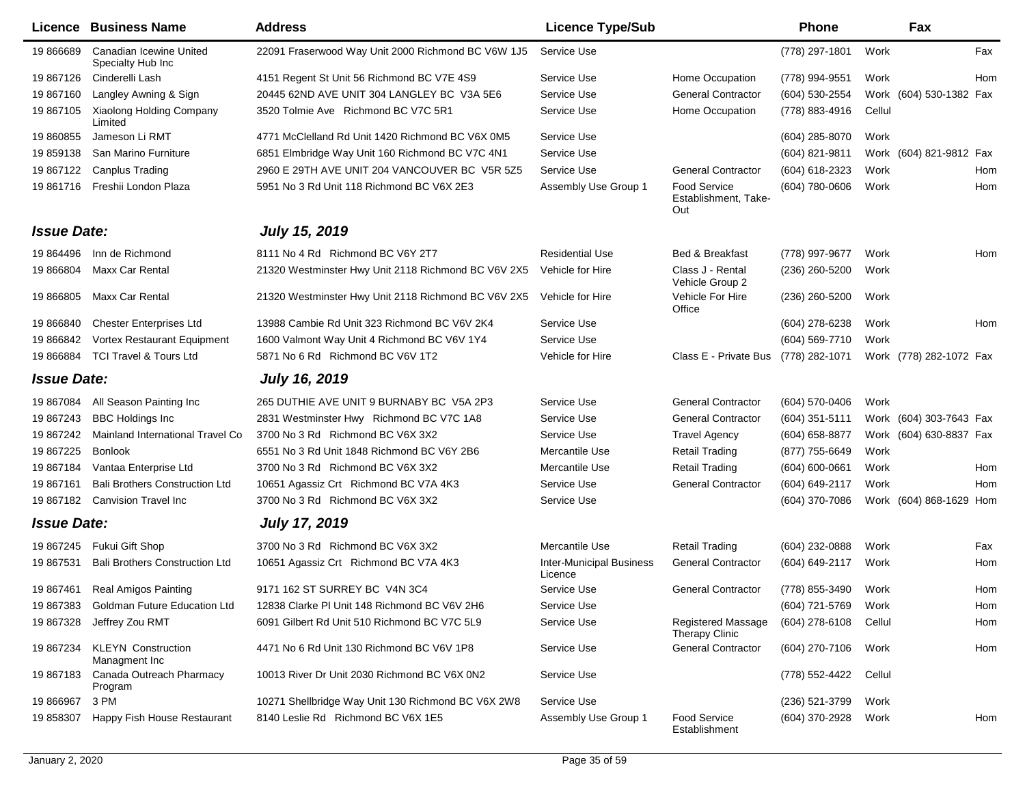|                    | <b>Licence Business Name</b>                 | <b>Address</b>                                      | <b>Licence Type/Sub</b>                    |                                                    | <b>Phone</b>       |        | Fax                     |
|--------------------|----------------------------------------------|-----------------------------------------------------|--------------------------------------------|----------------------------------------------------|--------------------|--------|-------------------------|
| 19 866689          | Canadian Icewine United<br>Specialty Hub Inc | 22091 Fraserwood Way Unit 2000 Richmond BC V6W 1J5  | Service Use                                |                                                    | (778) 297-1801     | Work   | Fax                     |
| 19 867126          | Cinderelli Lash                              | 4151 Regent St Unit 56 Richmond BC V7E 4S9          | Service Use                                | Home Occupation                                    | (778) 994-9551     | Work   | Hom                     |
| 19 867160          | Langley Awning & Sign                        | 20445 62ND AVE UNIT 304 LANGLEY BC V3A 5E6          | Service Use                                | <b>General Contractor</b>                          | (604) 530-2554     |        | Work (604) 530-1382 Fax |
| 19 867105          | Xiaolong Holding Company<br>Limited          | 3520 Tolmie Ave Richmond BC V7C 5R1                 | Service Use                                | Home Occupation                                    | (778) 883-4916     | Cellul |                         |
| 19 860855          | Jameson Li RMT                               | 4771 McClelland Rd Unit 1420 Richmond BC V6X 0M5    | Service Use                                |                                                    | (604) 285-8070     | Work   |                         |
| 19 859138          | San Marino Furniture                         | 6851 Elmbridge Way Unit 160 Richmond BC V7C 4N1     | Service Use                                |                                                    | (604) 821-9811     |        | Work (604) 821-9812 Fax |
| 19 867122          | <b>Canplus Trading</b>                       | 2960 E 29TH AVE UNIT 204 VANCOUVER BC V5R 5Z5       | Service Use                                | <b>General Contractor</b>                          | (604) 618-2323     | Work   | Hom                     |
| 19 861716          | Freshii London Plaza                         | 5951 No 3 Rd Unit 118 Richmond BC V6X 2E3           | Assembly Use Group 1                       | <b>Food Service</b><br>Establishment, Take-<br>Out | (604) 780-0606     | Work   | Hom                     |
| <b>Issue Date:</b> |                                              | <b>July 15, 2019</b>                                |                                            |                                                    |                    |        |                         |
| 19 864496          | Inn de Richmond                              | 8111 No 4 Rd Richmond BC V6Y 2T7                    | <b>Residential Use</b>                     | Bed & Breakfast                                    | (778) 997-9677     | Work   | Hom                     |
| 19 866804          | Maxx Car Rental                              | 21320 Westminster Hwy Unit 2118 Richmond BC V6V 2X5 | Vehicle for Hire                           | Class J - Rental<br>Vehicle Group 2                | (236) 260-5200     | Work   |                         |
| 19 866805          | Maxx Car Rental                              | 21320 Westminster Hwy Unit 2118 Richmond BC V6V 2X5 | Vehicle for Hire                           | Vehicle For Hire<br>Office                         | (236) 260-5200     | Work   |                         |
| 19 866840          | <b>Chester Enterprises Ltd</b>               | 13988 Cambie Rd Unit 323 Richmond BC V6V 2K4        | Service Use                                |                                                    | (604) 278-6238     | Work   | Hom                     |
| 19 866842          | Vortex Restaurant Equipment                  | 1600 Valmont Way Unit 4 Richmond BC V6V 1Y4         | Service Use                                |                                                    | (604) 569-7710     | Work   |                         |
| 19 866884          | <b>TCI Travel &amp; Tours Ltd</b>            | 5871 No 6 Rd Richmond BC V6V 1T2                    | Vehicle for Hire                           | Class E - Private Bus                              | (778) 282-1071     |        | Work (778) 282-1072 Fax |
| <b>Issue Date:</b> |                                              | <b>July 16, 2019</b>                                |                                            |                                                    |                    |        |                         |
| 19 867084          | All Season Painting Inc                      | 265 DUTHIE AVE UNIT 9 BURNABY BC V5A 2P3            | Service Use                                | <b>General Contractor</b>                          | (604) 570-0406     | Work   |                         |
| 19 867243          | <b>BBC Holdings Inc</b>                      | 2831 Westminster Hwy Richmond BC V7C 1A8            | Service Use                                | <b>General Contractor</b>                          | (604) 351-5111     |        | Work (604) 303-7643 Fax |
| 19 867242          | Mainland International Travel Co             | 3700 No 3 Rd Richmond BC V6X 3X2                    | Service Use                                | <b>Travel Agency</b>                               | (604) 658-8877     |        | Work (604) 630-8837 Fax |
| 19 867225          | <b>Bonlook</b>                               | 6551 No 3 Rd Unit 1848 Richmond BC V6Y 2B6          | Mercantile Use                             | <b>Retail Trading</b>                              | (877) 755-6649     | Work   |                         |
| 19 867184          | Vantaa Enterprise Ltd                        | 3700 No 3 Rd Richmond BC V6X 3X2                    | Mercantile Use                             | <b>Retail Trading</b>                              | $(604) 600 - 0661$ | Work   | Hom                     |
| 19 867161          | <b>Bali Brothers Construction Ltd</b>        | 10651 Agassiz Crt Richmond BC V7A 4K3               | Service Use                                | <b>General Contractor</b>                          | (604) 649-2117     | Work   | Hom                     |
| 19 867182          | Canvision Travel Inc                         | 3700 No 3 Rd Richmond BC V6X 3X2                    | Service Use                                |                                                    | (604) 370-7086     |        | Work (604) 868-1629 Hom |
| <b>Issue Date:</b> |                                              | <b>July 17, 2019</b>                                |                                            |                                                    |                    |        |                         |
| 19 867245          | Fukui Gift Shop                              | 3700 No 3 Rd Richmond BC V6X 3X2                    | Mercantile Use                             | <b>Retail Trading</b>                              | (604) 232-0888     | Work   | Fax                     |
| 19 867531          | <b>Bali Brothers Construction Ltd</b>        | 10651 Agassiz Crt Richmond BC V7A 4K3               | <b>Inter-Municipal Business</b><br>Licence | <b>General Contractor</b>                          | (604) 649-2117     | Work   | Hom                     |
| 19 867461          | <b>Real Amigos Painting</b>                  | 9171 162 ST SURREY BC V4N 3C4                       | Service Use                                | <b>General Contractor</b>                          | (778) 855-3490     | Work   | Hom                     |
| 19 867383          | <b>Goldman Future Education Ltd</b>          | 12838 Clarke PI Unit 148 Richmond BC V6V 2H6        | Service Use                                |                                                    | (604) 721-5769     | Work   | Hom                     |
| 19 867328          | Jeffrey Zou RMT                              | 6091 Gilbert Rd Unit 510 Richmond BC V7C 5L9        | Service Use                                | <b>Registered Massage</b><br><b>Therapy Clinic</b> | (604) 278-6108     | Cellul | Hom                     |
| 19 867234          | <b>KLEYN Construction</b><br>Managment Inc   | 4471 No 6 Rd Unit 130 Richmond BC V6V 1P8           | Service Use                                | <b>General Contractor</b>                          | (604) 270-7106     | Work   | Hom                     |
| 19 867183          | Canada Outreach Pharmacy<br>Program          | 10013 River Dr Unit 2030 Richmond BC V6X 0N2        | Service Use                                |                                                    | (778) 552-4422     | Cellul |                         |
| 19 866967          | 3 PM                                         | 10271 Shellbridge Way Unit 130 Richmond BC V6X 2W8  | Service Use                                |                                                    | (236) 521-3799     | Work   |                         |
| 19 858307          | Happy Fish House Restaurant                  | 8140 Leslie Rd Richmond BC V6X 1E5                  | Assembly Use Group 1                       | Food Service<br>Establishment                      | (604) 370-2928     | Work   | Hom                     |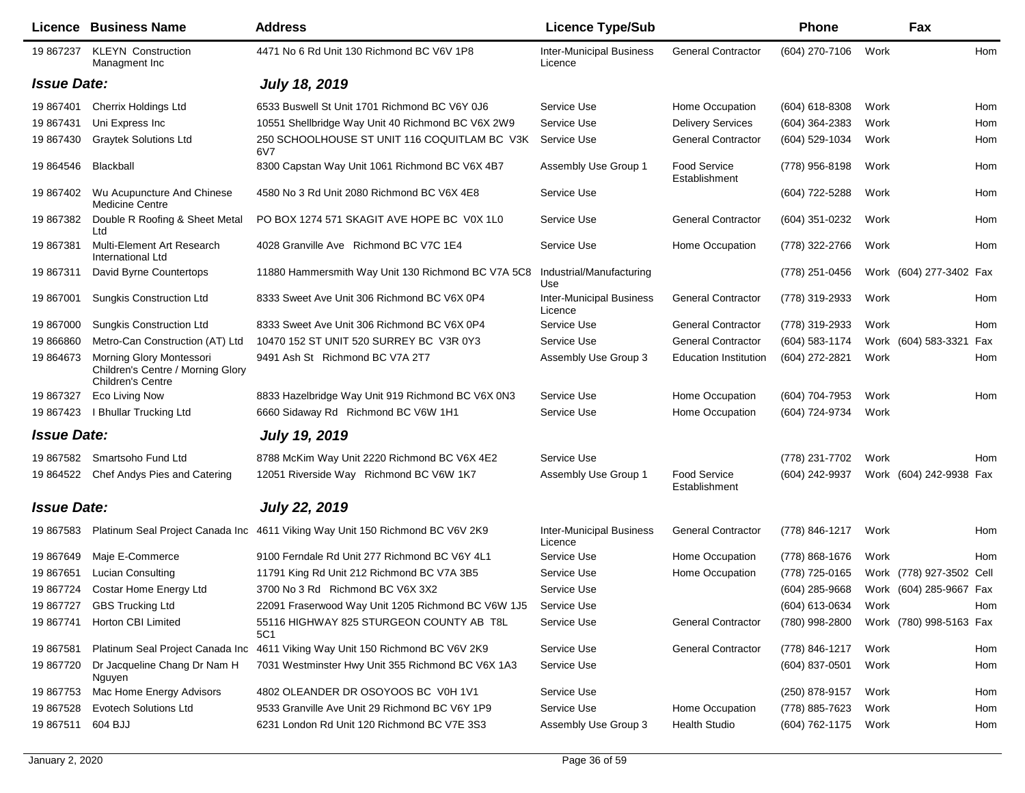|                    | Licence Business Name                                                              | <b>Address</b>                                                                | <b>Licence Type/Sub</b>                    |                                      | <b>Phone</b>     |      | Fax                      |     |
|--------------------|------------------------------------------------------------------------------------|-------------------------------------------------------------------------------|--------------------------------------------|--------------------------------------|------------------|------|--------------------------|-----|
| 19 867237          | <b>KLEYN Construction</b><br>Managment Inc                                         | 4471 No 6 Rd Unit 130 Richmond BC V6V 1P8                                     | <b>Inter-Municipal Business</b><br>Licence | <b>General Contractor</b>            | (604) 270-7106   | Work |                          | Hom |
| <b>Issue Date:</b> |                                                                                    | <b>July 18, 2019</b>                                                          |                                            |                                      |                  |      |                          |     |
| 19 867401          | Cherrix Holdings Ltd                                                               | 6533 Buswell St Unit 1701 Richmond BC V6Y 0J6                                 | Service Use                                | Home Occupation                      | $(604)$ 618-8308 | Work |                          | Hom |
| 19 867431          | Uni Express Inc                                                                    | 10551 Shellbridge Way Unit 40 Richmond BC V6X 2W9                             | Service Use                                | <b>Delivery Services</b>             | (604) 364-2383   | Work |                          | Hom |
| 19 867430          | <b>Graytek Solutions Ltd</b>                                                       | 250 SCHOOLHOUSE ST UNIT 116 COQUITLAM BC V3K<br>6V7                           | Service Use                                | <b>General Contractor</b>            | (604) 529-1034   | Work |                          | Hom |
| 19 864546          | Blackball                                                                          | 8300 Capstan Way Unit 1061 Richmond BC V6X 4B7                                | Assembly Use Group 1                       | <b>Food Service</b><br>Establishment | (778) 956-8198   | Work |                          | Hom |
| 19 867402          | Wu Acupuncture And Chinese<br><b>Medicine Centre</b>                               | 4580 No 3 Rd Unit 2080 Richmond BC V6X 4E8                                    | Service Use                                |                                      | (604) 722-5288   | Work |                          | Hom |
| 19 867382          | Double R Roofing & Sheet Metal<br>Ltd                                              | PO BOX 1274 571 SKAGIT AVE HOPE BC V0X 1L0                                    | Service Use                                | <b>General Contractor</b>            | (604) 351-0232   | Work |                          | Hom |
| 19 867381          | Multi-Element Art Research<br>International Ltd                                    | 4028 Granville Ave Richmond BC V7C 1E4                                        | Service Use                                | Home Occupation                      | (778) 322-2766   | Work |                          | Hom |
| 19867311           | David Byrne Countertops                                                            | 11880 Hammersmith Way Unit 130 Richmond BC V7A 5C8                            | Industrial/Manufacturing<br>Use            |                                      | (778) 251-0456   |      | Work (604) 277-3402 Fax  |     |
| 19 867001          | <b>Sungkis Construction Ltd</b>                                                    | 8333 Sweet Ave Unit 306 Richmond BC V6X 0P4                                   | <b>Inter-Municipal Business</b><br>Licence | <b>General Contractor</b>            | (778) 319-2933   | Work |                          | Hom |
| 19 867000          | <b>Sungkis Construction Ltd</b>                                                    | 8333 Sweet Ave Unit 306 Richmond BC V6X 0P4                                   | Service Use                                | <b>General Contractor</b>            | (778) 319-2933   | Work |                          | Hom |
| 19 866860          | Metro-Can Construction (AT) Ltd                                                    | 10470 152 ST UNIT 520 SURREY BC V3R 0Y3                                       | Service Use                                | <b>General Contractor</b>            | (604) 583-1174   |      | Work (604) 583-3321      | Fax |
| 19 864673          | Morning Glory Montessori<br>Children's Centre / Morning Glory<br>Children's Centre | 9491 Ash St Richmond BC V7A 2T7                                               | Assembly Use Group 3                       | <b>Education Institution</b>         | (604) 272-2821   | Work |                          | Hom |
| 19 867327          | Eco Living Now                                                                     | 8833 Hazelbridge Way Unit 919 Richmond BC V6X 0N3                             | Service Use                                | Home Occupation                      | (604) 704-7953   | Work |                          | Hom |
| 19 867423          | I Bhullar Trucking Ltd                                                             | 6660 Sidaway Rd Richmond BC V6W 1H1                                           | Service Use                                | Home Occupation                      | (604) 724-9734   | Work |                          |     |
| <b>Issue Date:</b> |                                                                                    | <b>July 19, 2019</b>                                                          |                                            |                                      |                  |      |                          |     |
| 19 867582          | Smartsoho Fund Ltd                                                                 | 8788 McKim Way Unit 2220 Richmond BC V6X 4E2                                  | Service Use                                |                                      | (778) 231-7702   | Work |                          | Hom |
|                    | 19 864522 Chef Andys Pies and Catering                                             | 12051 Riverside Way Richmond BC V6W 1K7                                       | Assembly Use Group 1                       | Food Service<br>Establishment        | (604) 242-9937   |      | Work (604) 242-9938 Fax  |     |
| <b>Issue Date:</b> |                                                                                    | <b>July 22, 2019</b>                                                          |                                            |                                      |                  |      |                          |     |
| 19 867583          |                                                                                    | Platinum Seal Project Canada Inc 4611 Viking Way Unit 150 Richmond BC V6V 2K9 | <b>Inter-Municipal Business</b><br>Licence | <b>General Contractor</b>            | (778) 846-1217   | Work |                          | Hom |
| 19 867649          | Maje E-Commerce                                                                    | 9100 Ferndale Rd Unit 277 Richmond BC V6Y 4L1                                 | Service Use                                | Home Occupation                      | (778) 868-1676   | Work |                          | Hom |
| 19 867651          | <b>Lucian Consulting</b>                                                           | 11791 King Rd Unit 212 Richmond BC V7A 3B5                                    | Service Use                                | Home Occupation                      | (778) 725-0165   |      | Work (778) 927-3502 Cell |     |
| 19 867724          | Costar Home Energy Ltd                                                             | 3700 No 3 Rd Richmond BC V6X 3X2                                              | Service Use                                |                                      | (604) 285-9668   |      | Work (604) 285-9667 Fax  |     |
| 19 867727          | <b>GBS Trucking Ltd</b>                                                            | 22091 Fraserwood Way Unit 1205 Richmond BC V6W 1J5                            | Service Use                                |                                      | (604) 613-0634   | Work |                          | Hom |
| 19 867741          | Horton CBI Limited                                                                 | 55116 HIGHWAY 825 STURGEON COUNTY AB T8L<br>5C1                               | Service Use                                | <b>General Contractor</b>            | (780) 998-2800   |      | Work (780) 998-5163 Fax  |     |
| 19 867581          | Platinum Seal Project Canada Inc                                                   | 4611 Viking Way Unit 150 Richmond BC V6V 2K9                                  | Service Use                                | <b>General Contractor</b>            | (778) 846-1217   | Work |                          | Hom |
| 19 867720          | Dr Jacqueline Chang Dr Nam H<br>Nguyen                                             | 7031 Westminster Hwy Unit 355 Richmond BC V6X 1A3                             | Service Use                                |                                      | (604) 837-0501   | Work |                          | Hom |
| 19 867753          | Mac Home Energy Advisors                                                           | 4802 OLEANDER DR OSOYOOS BC V0H 1V1                                           | Service Use                                |                                      | (250) 878-9157   | Work |                          | Hom |
| 19 867528          | <b>Evotech Solutions Ltd</b>                                                       | 9533 Granville Ave Unit 29 Richmond BC V6Y 1P9                                | Service Use                                | Home Occupation                      | (778) 885-7623   | Work |                          | Hom |
| 19 867511          | 604 BJJ                                                                            | 6231 London Rd Unit 120 Richmond BC V7E 3S3                                   | Assembly Use Group 3                       | <b>Health Studio</b>                 | (604) 762-1175   | Work |                          | Hom |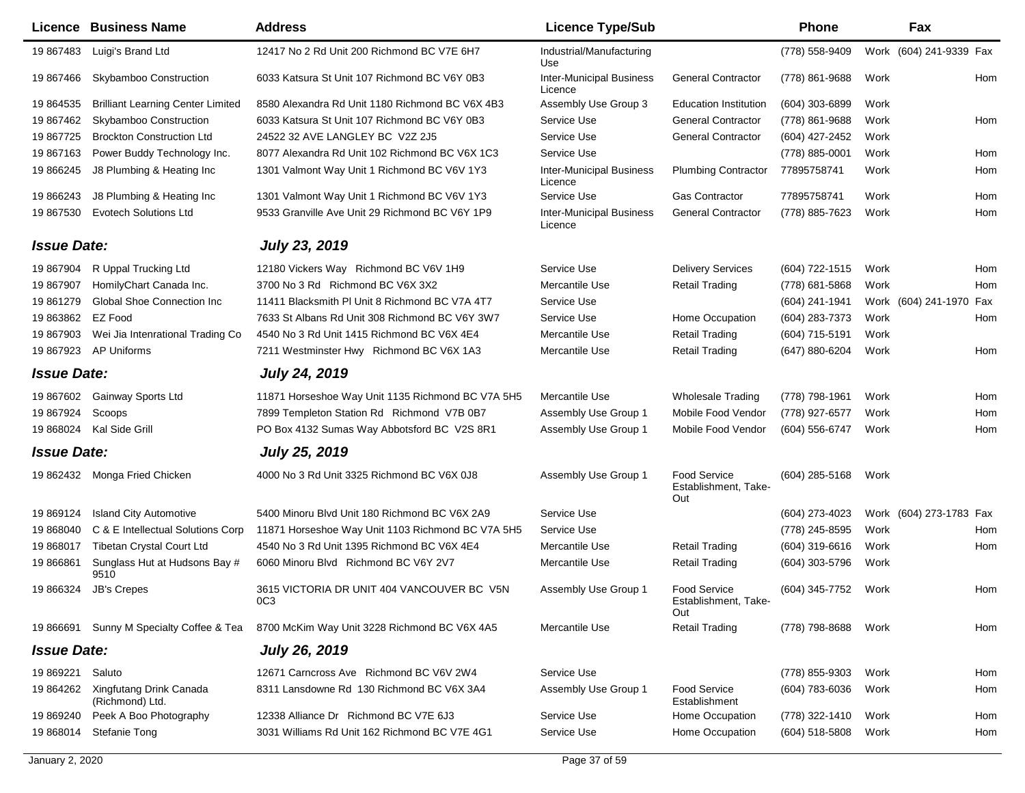|                    | <b>Licence Business Name</b>               | <b>Address</b>                                                            | <b>Licence Type/Sub</b>                    |                                                    | Phone          |      | Fax                     |     |
|--------------------|--------------------------------------------|---------------------------------------------------------------------------|--------------------------------------------|----------------------------------------------------|----------------|------|-------------------------|-----|
| 19 867483          | Luigi's Brand Ltd                          | 12417 No 2 Rd Unit 200 Richmond BC V7E 6H7                                | Industrial/Manufacturing<br>Use            |                                                    | (778) 558-9409 |      | Work (604) 241-9339 Fax |     |
| 19 867466          | <b>Skybamboo Construction</b>              | 6033 Katsura St Unit 107 Richmond BC V6Y 0B3                              | <b>Inter-Municipal Business</b><br>Licence | <b>General Contractor</b>                          | (778) 861-9688 | Work |                         | Hom |
| 19 864535          | <b>Brilliant Learning Center Limited</b>   | 8580 Alexandra Rd Unit 1180 Richmond BC V6X 4B3                           | Assembly Use Group 3                       | <b>Education Institution</b>                       | (604) 303-6899 | Work |                         |     |
| 19 867462          | Skybamboo Construction                     | 6033 Katsura St Unit 107 Richmond BC V6Y 0B3                              | Service Use                                | <b>General Contractor</b>                          | (778) 861-9688 | Work |                         | Hom |
| 19 867725          | <b>Brockton Construction Ltd</b>           | 24522 32 AVE LANGLEY BC V2Z 2J5                                           | Service Use                                | <b>General Contractor</b>                          | (604) 427-2452 | Work |                         |     |
| 19 867163          | Power Buddy Technology Inc.                | 8077 Alexandra Rd Unit 102 Richmond BC V6X 1C3                            | Service Use                                |                                                    | (778) 885-0001 | Work |                         | Hom |
| 19 866245          | J8 Plumbing & Heating Inc                  | 1301 Valmont Way Unit 1 Richmond BC V6V 1Y3                               | <b>Inter-Municipal Business</b><br>Licence | <b>Plumbing Contractor</b>                         | 77895758741    | Work |                         | Hom |
| 19 866243          | J8 Plumbing & Heating Inc                  | 1301 Valmont Way Unit 1 Richmond BC V6V 1Y3                               | Service Use                                | <b>Gas Contractor</b>                              | 77895758741    | Work |                         | Hom |
| 19 867530          | <b>Evotech Solutions Ltd</b>               | 9533 Granville Ave Unit 29 Richmond BC V6Y 1P9                            | <b>Inter-Municipal Business</b><br>Licence | <b>General Contractor</b>                          | (778) 885-7623 | Work |                         | Hom |
| <b>Issue Date:</b> |                                            | <b>July 23, 2019</b>                                                      |                                            |                                                    |                |      |                         |     |
| 19 867904          | R Uppal Trucking Ltd                       | 12180 Vickers Way Richmond BC V6V 1H9                                     | Service Use                                | <b>Delivery Services</b>                           | (604) 722-1515 | Work |                         | Hom |
| 19 867907          | HomilyChart Canada Inc.                    | 3700 No 3 Rd Richmond BC V6X 3X2                                          | Mercantile Use                             | <b>Retail Trading</b>                              | (778) 681-5868 | Work |                         | Hom |
| 19 861279          | <b>Global Shoe Connection Inc</b>          | 11411 Blacksmith PI Unit 8 Richmond BC V7A 4T7                            | Service Use                                |                                                    | (604) 241-1941 |      | Work (604) 241-1970 Fax |     |
| 19 863862          | EZ Food                                    | 7633 St Albans Rd Unit 308 Richmond BC V6Y 3W7                            | Service Use                                | Home Occupation                                    | (604) 283-7373 | Work |                         | Hom |
| 19 867903          | Wei Jia Intenrational Trading Co           | 4540 No 3 Rd Unit 1415 Richmond BC V6X 4E4                                | Mercantile Use                             | <b>Retail Trading</b>                              | (604) 715-5191 | Work |                         |     |
| 19 867923          | AP Uniforms                                | 7211 Westminster Hwy Richmond BC V6X 1A3                                  | Mercantile Use                             | <b>Retail Trading</b>                              | (647) 880-6204 | Work |                         | Hom |
| <b>Issue Date:</b> |                                            | <b>July 24, 2019</b>                                                      |                                            |                                                    |                |      |                         |     |
| 19 867602          | Gainway Sports Ltd                         | 11871 Horseshoe Way Unit 1135 Richmond BC V7A 5H5                         | Mercantile Use                             | Wholesale Trading                                  | (778) 798-1961 | Work |                         | Hom |
| 19 867924          | Scoops                                     | 7899 Templeton Station Rd Richmond V7B 0B7                                | Assembly Use Group 1                       | Mobile Food Vendor                                 | (778) 927-6577 | Work |                         | Hom |
|                    | 19 868024 Kal Side Grill                   | PO Box 4132 Sumas Way Abbotsford BC V2S 8R1                               | Assembly Use Group 1                       | Mobile Food Vendor                                 | (604) 556-6747 | Work |                         | Hom |
| <b>Issue Date:</b> |                                            | <b>July 25, 2019</b>                                                      |                                            |                                                    |                |      |                         |     |
|                    | 19 862432 Monga Fried Chicken              | 4000 No 3 Rd Unit 3325 Richmond BC V6X 0J8                                | Assembly Use Group 1                       | Food Service<br>Establishment, Take-<br>Out        | (604) 285-5168 | Work |                         |     |
| 19 869124          | <b>Island City Automotive</b>              | 5400 Minoru Blvd Unit 180 Richmond BC V6X 2A9                             | Service Use                                |                                                    | (604) 273-4023 |      | Work (604) 273-1783 Fax |     |
| 19 868040          | C & E Intellectual Solutions Corp          | 11871 Horseshoe Way Unit 1103 Richmond BC V7A 5H5                         | Service Use                                |                                                    | (778) 245-8595 | Work |                         | Hom |
| 19 868017          | <b>Tibetan Crystal Court Ltd</b>           | 4540 No 3 Rd Unit 1395 Richmond BC V6X 4E4                                | Mercantile Use                             | <b>Retail Trading</b>                              | (604) 319-6616 | Work |                         | Hom |
| 19 866861          | Sunglass Hut at Hudsons Bay #<br>9510      | 6060 Minoru Blvd Richmond BC V6Y 2V7                                      | Mercantile Use                             | <b>Retail Trading</b>                              | (604) 303-5796 | Work |                         |     |
| 19 866324          | JB's Crepes                                | 3615 VICTORIA DR UNIT 404 VANCOUVER BC V5N<br><sub>0</sub> C <sub>3</sub> | Assembly Use Group 1                       | <b>Food Service</b><br>Establishment, Take-<br>Out | (604) 345-7752 | Work |                         | Hom |
| 19 866691          | Sunny M Specialty Coffee & Tea             | 8700 McKim Way Unit 3228 Richmond BC V6X 4A5                              | Mercantile Use                             | <b>Retail Trading</b>                              | (778) 798-8688 | Work |                         | Hom |
| <b>Issue Date:</b> |                                            | <b>July 26, 2019</b>                                                      |                                            |                                                    |                |      |                         |     |
| 19 869221          | Saluto                                     | 12671 Carncross Ave Richmond BC V6V 2W4                                   | Service Use                                |                                                    | (778) 855-9303 | Work |                         | Hom |
| 19 864262          | Xingfutang Drink Canada<br>(Richmond) Ltd. | 8311 Lansdowne Rd 130 Richmond BC V6X 3A4                                 | Assembly Use Group 1                       | <b>Food Service</b><br>Establishment               | (604) 783-6036 | Work |                         | Hom |
| 19 869240          | Peek A Boo Photography                     | 12338 Alliance Dr Richmond BC V7E 6J3                                     | Service Use                                | Home Occupation                                    | (778) 322-1410 | Work |                         | Hom |
| 19 868014          | <b>Stefanie Tong</b>                       | 3031 Williams Rd Unit 162 Richmond BC V7E 4G1                             | Service Use                                | Home Occupation                                    | (604) 518-5808 | Work |                         | Hom |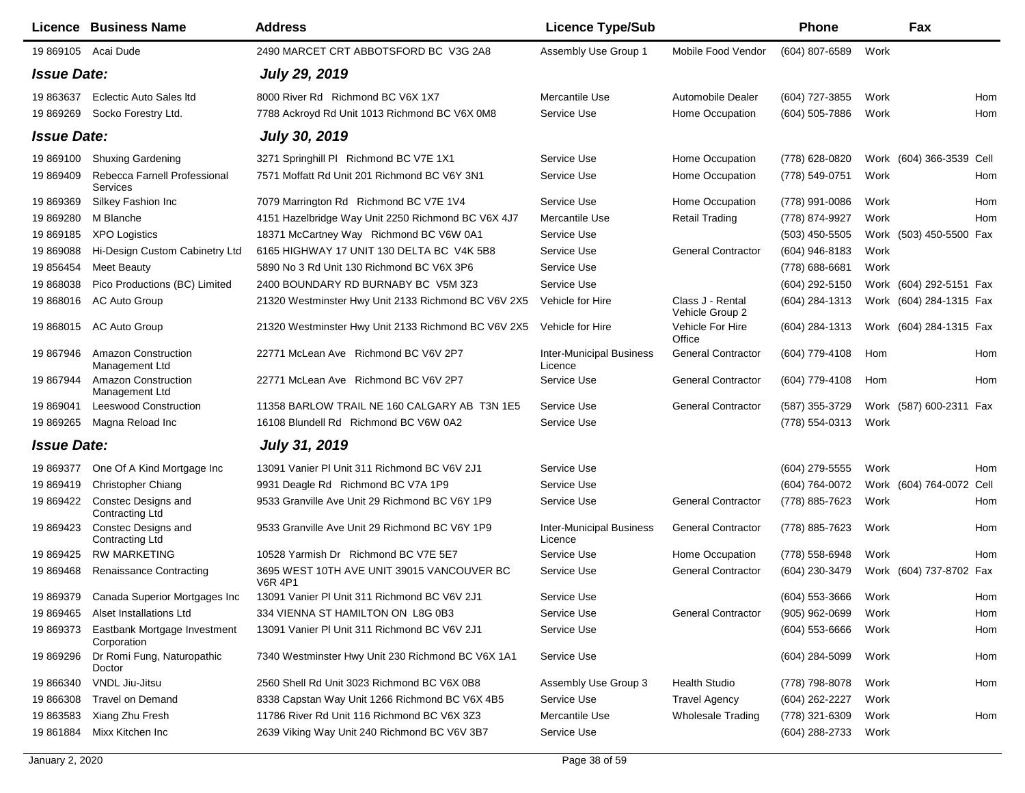|                    | Licence Business Name                                | <b>Address</b>                                               | <b>Licence Type/Sub</b>                    |                                     | <b>Phone</b>        |      | Fax                      |     |
|--------------------|------------------------------------------------------|--------------------------------------------------------------|--------------------------------------------|-------------------------------------|---------------------|------|--------------------------|-----|
|                    | 19 869105 Acai Dude                                  | 2490 MARCET CRT ABBOTSFORD BC V3G 2A8                        | Assembly Use Group 1                       | Mobile Food Vendor                  | (604) 807-6589      | Work |                          |     |
| <b>Issue Date:</b> |                                                      | <b>July 29, 2019</b>                                         |                                            |                                     |                     |      |                          |     |
| 19 863637          | <b>Eclectic Auto Sales Itd</b>                       | 8000 River Rd Richmond BC V6X 1X7                            | Mercantile Use                             | Automobile Dealer                   | (604) 727-3855      | Work |                          | Hom |
| 19 869269          | Socko Forestry Ltd.                                  | 7788 Ackroyd Rd Unit 1013 Richmond BC V6X 0M8                | Service Use                                | Home Occupation                     | (604) 505-7886      | Work |                          | Hom |
| <b>Issue Date:</b> |                                                      | <b>July 30, 2019</b>                                         |                                            |                                     |                     |      |                          |     |
| 19 869100          | <b>Shuxing Gardening</b>                             | 3271 Springhill PI Richmond BC V7E 1X1                       | Service Use                                | Home Occupation                     | (778) 628-0820      |      | Work (604) 366-3539 Cell |     |
| 19 869409          | Rebecca Farnell Professional<br>Services             | 7571 Moffatt Rd Unit 201 Richmond BC V6Y 3N1                 | Service Use                                | Home Occupation                     | (778) 549-0751      | Work |                          | Hom |
| 19 869369          | Silkey Fashion Inc                                   | 7079 Marrington Rd Richmond BC V7E 1V4                       | Service Use                                | Home Occupation                     | (778) 991-0086      | Work |                          | Hom |
| 19 869280          | M Blanche                                            | 4151 Hazelbridge Way Unit 2250 Richmond BC V6X 4J7           | Mercantile Use                             | <b>Retail Trading</b>               | (778) 874-9927      | Work |                          | Hom |
| 19 869185          | <b>XPO Logistics</b>                                 | 18371 McCartney Way Richmond BC V6W 0A1                      | Service Use                                |                                     | $(503)$ 450-5505    |      | Work (503) 450-5500 Fax  |     |
| 19 869088          | Hi-Design Custom Cabinetry Ltd                       | 6165 HIGHWAY 17 UNIT 130 DELTA BC V4K 5B8                    | Service Use                                | <b>General Contractor</b>           | (604) 946-8183      | Work |                          |     |
| 19 85 6454         | <b>Meet Beauty</b>                                   | 5890 No 3 Rd Unit 130 Richmond BC V6X 3P6                    | Service Use                                |                                     | (778) 688-6681      | Work |                          |     |
| 19 868038          | Pico Productions (BC) Limited                        | 2400 BOUNDARY RD BURNABY BC V5M 3Z3                          | Service Use                                |                                     | (604) 292-5150      |      | Work (604) 292-5151 Fax  |     |
| 19 868016          | AC Auto Group                                        | 21320 Westminster Hwy Unit 2133 Richmond BC V6V 2X5          | Vehicle for Hire                           | Class J - Rental<br>Vehicle Group 2 | (604) 284-1313      |      | Work (604) 284-1315 Fax  |     |
| 19 868015          | AC Auto Group                                        | 21320 Westminster Hwy Unit 2133 Richmond BC V6V 2X5          | Vehicle for Hire                           | Vehicle For Hire<br>Office          | (604) 284-1313      |      | Work (604) 284-1315 Fax  |     |
| 19 867946          | <b>Amazon Construction</b><br>Management Ltd         | 22771 McLean Ave Richmond BC V6V 2P7                         | <b>Inter-Municipal Business</b><br>Licence | <b>General Contractor</b>           | (604) 779-4108      | Hom  |                          | Hom |
| 19 867944          | <b>Amazon Construction</b><br>Management Ltd         | 22771 McLean Ave Richmond BC V6V 2P7                         | Service Use                                | <b>General Contractor</b>           | (604) 779-4108      | Hom  |                          | Hom |
| 19 869041          | <b>Leeswood Construction</b>                         | 11358 BARLOW TRAIL NE 160 CALGARY AB T3N 1E5                 | Service Use                                | <b>General Contractor</b>           | (587) 355-3729      |      | Work (587) 600-2311 Fax  |     |
| 19 869265          | Magna Reload Inc                                     | 16108 Blundell Rd Richmond BC V6W 0A2                        | Service Use                                |                                     | (778) 554-0313      | Work |                          |     |
| <b>Issue Date:</b> |                                                      | <b>July 31, 2019</b>                                         |                                            |                                     |                     |      |                          |     |
| 19 869377          | One Of A Kind Mortgage Inc.                          | 13091 Vanier PI Unit 311 Richmond BC V6V 2J1                 | Service Use                                |                                     | (604) 279-5555      | Work |                          | Hom |
| 19 869419          | Christopher Chiang                                   | 9931 Deagle Rd Richmond BC V7A 1P9                           | Service Use                                |                                     | (604) 764-0072      |      | Work (604) 764-0072 Cell |     |
| 19 869422          | Constec Designs and<br><b>Contracting Ltd</b>        | 9533 Granville Ave Unit 29 Richmond BC V6Y 1P9               | Service Use                                | <b>General Contractor</b>           | (778) 885-7623      | Work |                          | Hom |
| 19 869423          | <b>Constec Designs and</b><br><b>Contracting Ltd</b> | 9533 Granville Ave Unit 29 Richmond BC V6Y 1P9               | <b>Inter-Municipal Business</b><br>Licence | <b>General Contractor</b>           | (778) 885-7623      | Work |                          | Hom |
| 19 869425          | <b>RW MARKETING</b>                                  | 10528 Yarmish Dr Richmond BC V7E 5E7                         | Service Use                                | Home Occupation                     | (778) 558-6948      | Work |                          | Hom |
| 19 869468          | <b>Renaissance Contracting</b>                       | 3695 WEST 10TH AVE UNIT 39015 VANCOUVER BC<br><b>V6R 4P1</b> | Service Use                                | <b>General Contractor</b>           | (604) 230-3479      |      | Work (604) 737-8702 Fax  |     |
|                    | 19 869379 Canada Superior Mortgages Inc              | 13091 Vanier PI Unit 311 Richmond BC V6V 2J1                 | Service Use                                |                                     | (604) 553-3666 Work |      |                          | Hom |
| 19 869465          | Alset Installations Ltd                              | 334 VIENNA ST HAMILTON ON L8G 0B3                            | Service Use                                | <b>General Contractor</b>           | $(905)$ 962-0699    | Work |                          | Hom |
| 19 869373          | Eastbank Mortgage Investment<br>Corporation          | 13091 Vanier PI Unit 311 Richmond BC V6V 2J1                 | Service Use                                |                                     | $(604)$ 553-6666    | Work |                          | Hom |
| 19 869296          | Dr Romi Fung, Naturopathic<br>Doctor                 | 7340 Westminster Hwy Unit 230 Richmond BC V6X 1A1            | Service Use                                |                                     | (604) 284-5099      | Work |                          | Hom |
| 19 866340          | VNDL Jiu-Jitsu                                       | 2560 Shell Rd Unit 3023 Richmond BC V6X 0B8                  | Assembly Use Group 3                       | <b>Health Studio</b>                | (778) 798-8078      | Work |                          | Hom |
| 19 866308          | <b>Travel on Demand</b>                              | 8338 Capstan Way Unit 1266 Richmond BC V6X 4B5               | Service Use                                | <b>Travel Agency</b>                | (604) 262-2227      | Work |                          |     |
| 19 863583          | Xiang Zhu Fresh                                      | 11786 River Rd Unit 116 Richmond BC V6X 3Z3                  | Mercantile Use                             | Wholesale Trading                   | (778) 321-6309      | Work |                          | Hom |
| 19 861884          | Mixx Kitchen Inc                                     | 2639 Viking Way Unit 240 Richmond BC V6V 3B7                 | Service Use                                |                                     | (604) 288-2733      | Work |                          |     |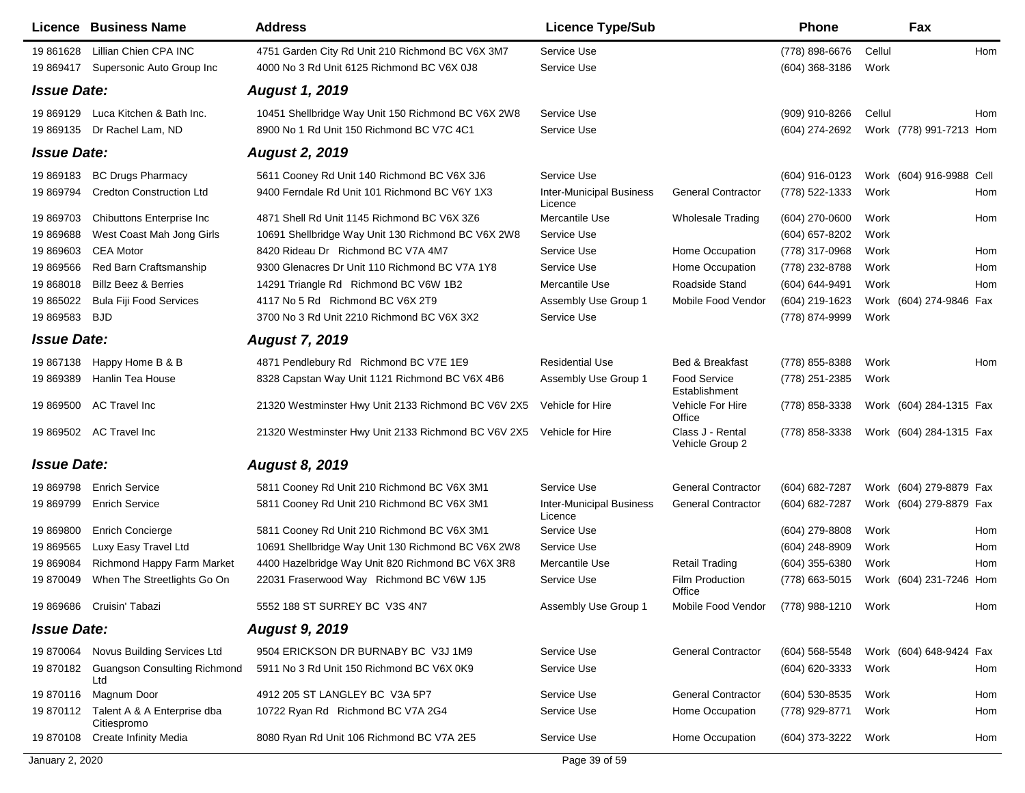|                    | <b>Licence Business Name</b>                         | <b>Address</b>                                      | <b>Licence Type/Sub</b>                    |                                      | Phone            |        | Fax                      |     |
|--------------------|------------------------------------------------------|-----------------------------------------------------|--------------------------------------------|--------------------------------------|------------------|--------|--------------------------|-----|
| 19 861628          | Lillian Chien CPA INC                                | 4751 Garden City Rd Unit 210 Richmond BC V6X 3M7    | Service Use                                |                                      | (778) 898-6676   | Cellul |                          | Hom |
| 19 869417          | Supersonic Auto Group Inc                            | 4000 No 3 Rd Unit 6125 Richmond BC V6X 0J8          | Service Use                                |                                      | (604) 368-3186   | Work   |                          |     |
| <b>Issue Date:</b> |                                                      | <b>August 1, 2019</b>                               |                                            |                                      |                  |        |                          |     |
| 19 869129          | Luca Kitchen & Bath Inc.                             | 10451 Shellbridge Way Unit 150 Richmond BC V6X 2W8  | Service Use                                |                                      | (909) 910-8266   | Cellul |                          | Hom |
| 19 869135          | Dr Rachel Lam, ND                                    | 8900 No 1 Rd Unit 150 Richmond BC V7C 4C1           | Service Use                                |                                      | (604) 274-2692   |        | Work (778) 991-7213 Hom  |     |
| <b>Issue Date:</b> |                                                      | <b>August 2, 2019</b>                               |                                            |                                      |                  |        |                          |     |
| 19 869183          | <b>BC Drugs Pharmacy</b>                             | 5611 Cooney Rd Unit 140 Richmond BC V6X 3J6         | Service Use                                |                                      | (604) 916-0123   |        | Work (604) 916-9988 Cell |     |
| 19 869794          | <b>Credton Construction Ltd</b>                      | 9400 Ferndale Rd Unit 101 Richmond BC V6Y 1X3       | <b>Inter-Municipal Business</b><br>Licence | <b>General Contractor</b>            | (778) 522-1333   | Work   |                          | Hom |
| 19 869703          | Chibuttons Enterprise Inc                            | 4871 Shell Rd Unit 1145 Richmond BC V6X 3Z6         | Mercantile Use                             | Wholesale Trading                    | (604) 270-0600   | Work   |                          | Hom |
| 19 869688          | West Coast Mah Jong Girls                            | 10691 Shellbridge Way Unit 130 Richmond BC V6X 2W8  | Service Use                                |                                      | (604) 657-8202   | Work   |                          |     |
| 19 869603          | <b>CEA Motor</b>                                     | 8420 Rideau Dr Richmond BC V7A 4M7                  | Service Use                                | Home Occupation                      | (778) 317-0968   | Work   |                          | Hom |
| 19 869566          | Red Barn Craftsmanship                               | 9300 Glenacres Dr Unit 110 Richmond BC V7A 1Y8      | Service Use                                | Home Occupation                      | (778) 232-8788   | Work   |                          | Hom |
| 19 868018          | <b>Billz Beez &amp; Berries</b>                      | 14291 Triangle Rd Richmond BC V6W 1B2               | Mercantile Use                             | Roadside Stand                       | (604) 644-9491   | Work   |                          | Hom |
| 19 865022          | <b>Bula Fiji Food Services</b>                       | 4117 No 5 Rd Richmond BC V6X 2T9                    | Assembly Use Group 1                       | Mobile Food Vendor                   | (604) 219-1623   |        | Work (604) 274-9846 Fax  |     |
| 19 869583          | BJD                                                  | 3700 No 3 Rd Unit 2210 Richmond BC V6X 3X2          | Service Use                                |                                      | (778) 874-9999   | Work   |                          |     |
| <b>Issue Date:</b> |                                                      | <b>August 7, 2019</b>                               |                                            |                                      |                  |        |                          |     |
| 19 867138          | Happy Home B & B                                     | 4871 Pendlebury Rd Richmond BC V7E 1E9              | <b>Residential Use</b>                     | Bed & Breakfast                      | (778) 855-8388   | Work   |                          | Hom |
| 19 869389          | Hanlin Tea House                                     | 8328 Capstan Way Unit 1121 Richmond BC V6X 4B6      | Assembly Use Group 1                       | <b>Food Service</b><br>Establishment | (778) 251-2385   | Work   |                          |     |
| 19 869500          | <b>AC Travel Inc</b>                                 | 21320 Westminster Hwy Unit 2133 Richmond BC V6V 2X5 | Vehicle for Hire                           | Vehicle For Hire<br>Office           | (778) 858-3338   |        | Work (604) 284-1315 Fax  |     |
|                    | 19 869502 AC Travel Inc                              | 21320 Westminster Hwy Unit 2133 Richmond BC V6V 2X5 | Vehicle for Hire                           | Class J - Rental<br>Vehicle Group 2  | (778) 858-3338   |        | Work (604) 284-1315 Fax  |     |
| <b>Issue Date:</b> |                                                      | <b>August 8, 2019</b>                               |                                            |                                      |                  |        |                          |     |
| 19 869798          | <b>Enrich Service</b>                                | 5811 Cooney Rd Unit 210 Richmond BC V6X 3M1         | Service Use                                | <b>General Contractor</b>            | (604) 682-7287   |        | Work (604) 279-8879 Fax  |     |
| 19 869799          | <b>Enrich Service</b>                                | 5811 Cooney Rd Unit 210 Richmond BC V6X 3M1         | <b>Inter-Municipal Business</b><br>Licence | <b>General Contractor</b>            | (604) 682-7287   |        | Work (604) 279-8879 Fax  |     |
| 19 869800          | Enrich Concierge                                     | 5811 Cooney Rd Unit 210 Richmond BC V6X 3M1         | Service Use                                |                                      | (604) 279-8808   | Work   |                          | Hom |
| 19 869565          | Luxy Easy Travel Ltd                                 | 10691 Shellbridge Way Unit 130 Richmond BC V6X 2W8  | Service Use                                |                                      | (604) 248-8909   | Work   |                          | Hom |
| 19 869084          | <b>Richmond Happy Farm Market</b>                    | 4400 Hazelbridge Way Unit 820 Richmond BC V6X 3R8   | Mercantile Use                             | Retail Trading                       | (604) 355-6380   | Work   |                          | Hom |
| 19 870049          | When The Streetlights Go On                          | 22031 Fraserwood Way Richmond BC V6W 1J5            | Service Use                                | Film Production<br>Office            | (778) 663-5015   |        | Work (604) 231-7246 Hom  |     |
|                    | 19 869686 Cruisin' Tabazi                            | 5552 188 ST SURREY BC V3S 4N7                       | Assembly Use Group 1                       | Mobile Food Vendor                   | (778) 988-1210   | Work   |                          | Hom |
| <b>Issue Date:</b> |                                                      | <b>August 9, 2019</b>                               |                                            |                                      |                  |        |                          |     |
|                    | 19 870064 Novus Building Services Ltd                | 9504 ERICKSON DR BURNABY BC V3J 1M9                 | Service Use                                | <b>General Contractor</b>            | $(604)$ 568-5548 |        | Work (604) 648-9424 Fax  |     |
|                    | 19 870182 Guangson Consulting Richmond<br>Ltd        | 5911 No 3 Rd Unit 150 Richmond BC V6X 0K9           | Service Use                                |                                      | (604) 620-3333   | Work   |                          | Hom |
| 19 870116          | Magnum Door                                          | 4912 205 ST LANGLEY BC V3A 5P7                      | Service Use                                | <b>General Contractor</b>            | (604) 530-8535   | Work   |                          | Hom |
|                    | 19 870112 Talent A & A Enterprise dba<br>Citiespromo | 10722 Ryan Rd Richmond BC V7A 2G4                   | Service Use                                | Home Occupation                      | (778) 929-8771   | Work   |                          | Hom |
| 19 870108          | Create Infinity Media                                | 8080 Ryan Rd Unit 106 Richmond BC V7A 2E5           | Service Use                                | Home Occupation                      | (604) 373-3222   | Work   |                          | Hom |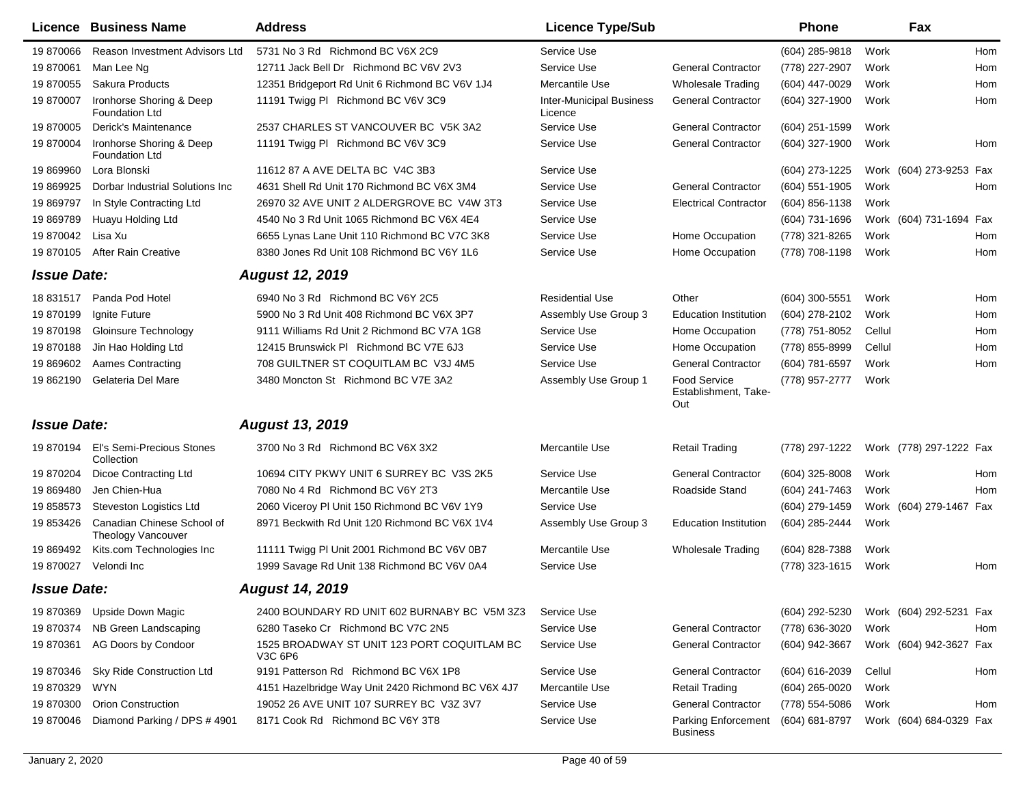|                    | <b>Licence Business Name</b>                      | <b>Address</b>                                         | <b>Licence Type/Sub</b>                    |                                                    | <b>Phone</b>     |        | Fax                     |
|--------------------|---------------------------------------------------|--------------------------------------------------------|--------------------------------------------|----------------------------------------------------|------------------|--------|-------------------------|
| 19 870066          | <b>Reason Investment Advisors Ltd</b>             | 5731 No 3 Rd Richmond BC V6X 2C9                       | Service Use                                |                                                    | (604) 285-9818   | Work   | Hom                     |
| 19 870061          | Man Lee Ng                                        | 12711 Jack Bell Dr Richmond BC V6V 2V3                 | Service Use                                | <b>General Contractor</b>                          | (778) 227-2907   | Work   | Hom                     |
| 19 870055          | Sakura Products                                   | 12351 Bridgeport Rd Unit 6 Richmond BC V6V 1J4         | Mercantile Use                             | <b>Wholesale Trading</b>                           | (604) 447-0029   | Work   | Hom                     |
| 19 870007          | Ironhorse Shoring & Deep<br><b>Foundation Ltd</b> | 11191 Twigg PI Richmond BC V6V 3C9                     | <b>Inter-Municipal Business</b><br>Licence | <b>General Contractor</b>                          | (604) 327-1900   | Work   | Hom                     |
| 19 870005          | Derick's Maintenance                              | 2537 CHARLES ST VANCOUVER BC V5K 3A2                   | Service Use                                | <b>General Contractor</b>                          | (604) 251-1599   | Work   |                         |
| 19 870004          | Ironhorse Shoring & Deep<br><b>Foundation Ltd</b> | 11191 Twigg PI Richmond BC V6V 3C9                     | Service Use                                | <b>General Contractor</b>                          | (604) 327-1900   | Work   | Hom                     |
| 19 869960          | Lora Blonski                                      | 11612 87 A AVE DELTA BC V4C 3B3                        | Service Use                                |                                                    | (604) 273-1225   |        | Work (604) 273-9253 Fax |
| 19 869925          | Dorbar Industrial Solutions Inc                   | 4631 Shell Rd Unit 170 Richmond BC V6X 3M4             | Service Use                                | <b>General Contractor</b>                          | (604) 551-1905   | Work   | Hom                     |
| 19 869797          | In Style Contracting Ltd                          | 26970 32 AVE UNIT 2 ALDERGROVE BC V4W 3T3              | Service Use                                | <b>Electrical Contractor</b>                       | (604) 856-1138   | Work   |                         |
| 19 869789          | Huayu Holding Ltd                                 | 4540 No 3 Rd Unit 1065 Richmond BC V6X 4E4             | Service Use                                |                                                    | (604) 731-1696   |        | Work (604) 731-1694 Fax |
| 19 870042          | Lisa Xu                                           | 6655 Lynas Lane Unit 110 Richmond BC V7C 3K8           | Service Use                                | Home Occupation                                    | (778) 321-8265   | Work   | Hom                     |
| 19 870105          | <b>After Rain Creative</b>                        | 8380 Jones Rd Unit 108 Richmond BC V6Y 1L6             | Service Use                                | Home Occupation                                    | (778) 708-1198   | Work   | Hom                     |
| <b>Issue Date:</b> |                                                   | <b>August 12, 2019</b>                                 |                                            |                                                    |                  |        |                         |
| 18 831517          | Panda Pod Hotel                                   | 6940 No 3 Rd Richmond BC V6Y 2C5                       | <b>Residential Use</b>                     | Other                                              | (604) 300-5551   | Work   | Hom                     |
| 19870199           | Ignite Future                                     | 5900 No 3 Rd Unit 408 Richmond BC V6X 3P7              | Assembly Use Group 3                       | <b>Education Institution</b>                       | (604) 278-2102   | Work   | Hom                     |
| 19870198           | <b>Gloinsure Technology</b>                       | 9111 Williams Rd Unit 2 Richmond BC V7A 1G8            | Service Use                                | Home Occupation                                    | (778) 751-8052   | Cellul | Hom                     |
| 19870188           | Jin Hao Holding Ltd                               | 12415 Brunswick PI Richmond BC V7E 6J3                 | Service Use                                | Home Occupation                                    | (778) 855-8999   | Cellul | Hom                     |
| 19 869602          | Aames Contracting                                 | 708 GUILTNER ST COQUITLAM BC V3J 4M5                   | Service Use                                | <b>General Contractor</b>                          | (604) 781-6597   | Work   | Hom                     |
| 19 862190          | Gelateria Del Mare                                | 3480 Moncton St Richmond BC V7E 3A2                    | Assembly Use Group 1                       | <b>Food Service</b><br>Establishment, Take-<br>Out | (778) 957-2777   | Work   |                         |
| <b>Issue Date:</b> |                                                   | <b>August 13, 2019</b>                                 |                                            |                                                    |                  |        |                         |
|                    | 19 870194 El's Semi-Precious Stones<br>Collection | 3700 No 3 Rd Richmond BC V6X 3X2                       | Mercantile Use                             | <b>Retail Trading</b>                              | (778) 297-1222   |        | Work (778) 297-1222 Fax |
| 19 870204          | <b>Dicoe Contracting Ltd</b>                      | 10694 CITY PKWY UNIT 6 SURREY BC V3S 2K5               | Service Use                                | <b>General Contractor</b>                          | (604) 325-8008   | Work   | Hom                     |
| 19 869480          | Jen Chien-Hua                                     | 7080 No 4 Rd Richmond BC V6Y 2T3                       | Mercantile Use                             | Roadside Stand                                     | (604) 241-7463   | Work   | Hom                     |
| 19 858573          | Steveston Logistics Ltd                           | 2060 Viceroy PI Unit 150 Richmond BC V6V 1Y9           | Service Use                                |                                                    | (604) 279-1459   |        | Work (604) 279-1467 Fax |
| 19 853426          | Canadian Chinese School of<br>Theology Vancouver  | 8971 Beckwith Rd Unit 120 Richmond BC V6X 1V4          | Assembly Use Group 3                       | <b>Education Institution</b>                       | (604) 285-2444   | Work   |                         |
| 19 869492          | Kits.com Technologies Inc                         | 11111 Twigg PI Unit 2001 Richmond BC V6V 0B7           | Mercantile Use                             | <b>Wholesale Trading</b>                           | (604) 828-7388   | Work   |                         |
| 19 870027          | Velondi Inc                                       | 1999 Savage Rd Unit 138 Richmond BC V6V 0A4            | Service Use                                |                                                    | (778) 323-1615   | Work   | Hom                     |
| <b>Issue Date:</b> |                                                   | <b>August 14, 2019</b>                                 |                                            |                                                    |                  |        |                         |
| 19 870369          | <b>Upside Down Magic</b>                          | 2400 BOUNDARY RD UNIT 602 BURNABY BC V5M 3Z3           | Service Use                                |                                                    | (604) 292-5230   |        | Work (604) 292-5231 Fax |
| 19 870374          | NB Green Landscaping                              | 6280 Taseko Cr Richmond BC V7C 2N5                     | Service Use                                | <b>General Contractor</b>                          | (778) 636-3020   | Work   | Hom                     |
| 19 870361          | AG Doors by Condoor                               | 1525 BROADWAY ST UNIT 123 PORT COQUITLAM BC<br>V3C 6P6 | Service Use                                | <b>General Contractor</b>                          | (604) 942-3667   |        | Work (604) 942-3627 Fax |
| 19 870346          | Sky Ride Construction Ltd                         | 9191 Patterson Rd Richmond BC V6X 1P8                  | Service Use                                | <b>General Contractor</b>                          | (604) 616-2039   | Cellul | Hom                     |
| 19 870329          | WYN                                               | 4151 Hazelbridge Way Unit 2420 Richmond BC V6X 4J7     | Mercantile Use                             | <b>Retail Trading</b>                              | $(604)$ 265-0020 | Work   |                         |
| 19 870300          | <b>Orion Construction</b>                         | 19052 26 AVE UNIT 107 SURREY BC V3Z 3V7                | Service Use                                | <b>General Contractor</b>                          | (778) 554-5086   | Work   | Hom                     |
| 19 870046          | Diamond Parking / DPS # 4901                      | 8171 Cook Rd Richmond BC V6Y 3T8                       | Service Use                                | <b>Parking Enforcement</b><br><b>Business</b>      | (604) 681-8797   |        | Work (604) 684-0329 Fax |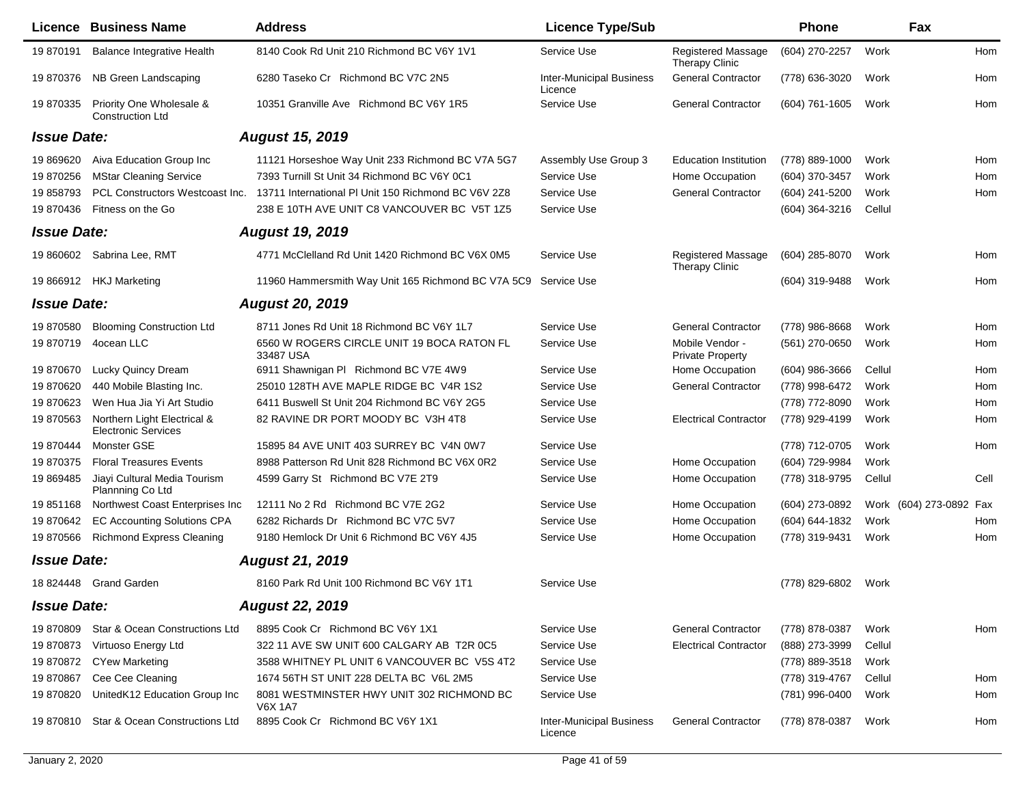|                    | <b>Licence Business Name</b>                              | <b>Address</b>                                                 | <b>Licence Type/Sub</b>                    |                                             | <b>Phone</b>   |        | Fax                     |      |
|--------------------|-----------------------------------------------------------|----------------------------------------------------------------|--------------------------------------------|---------------------------------------------|----------------|--------|-------------------------|------|
| 19 870191          | Balance Integrative Health                                | 8140 Cook Rd Unit 210 Richmond BC V6Y 1V1                      | Service Use                                | Registered Massage<br><b>Therapy Clinic</b> | (604) 270-2257 | Work   |                         | Hom  |
| 19 870376          | NB Green Landscaping                                      | 6280 Taseko Cr Richmond BC V7C 2N5                             | <b>Inter-Municipal Business</b><br>Licence | <b>General Contractor</b>                   | (778) 636-3020 | Work   |                         | Hom  |
| 19 870335          | Priority One Wholesale &<br><b>Construction Ltd</b>       | 10351 Granville Ave Richmond BC V6Y 1R5                        | Service Use                                | <b>General Contractor</b>                   | (604) 761-1605 | Work   |                         | Hom  |
| <b>Issue Date:</b> |                                                           | <b>August 15, 2019</b>                                         |                                            |                                             |                |        |                         |      |
| 19 869620          | Aiva Education Group Inc                                  | 11121 Horseshoe Way Unit 233 Richmond BC V7A 5G7               | Assembly Use Group 3                       | <b>Education Institution</b>                | (778) 889-1000 | Work   |                         | Hom  |
| 19 870256          | <b>MStar Cleaning Service</b>                             | 7393 Turnill St Unit 34 Richmond BC V6Y 0C1                    | Service Use                                | Home Occupation                             | (604) 370-3457 | Work   |                         | Hom  |
| 19858793           | PCL Constructors Westcoast Inc.                           | 13711 International PI Unit 150 Richmond BC V6V 2Z8            | Service Use                                | <b>General Contractor</b>                   | (604) 241-5200 | Work   |                         | Hom  |
| 19 870436          | Fitness on the Go                                         | 238 E 10TH AVE UNIT C8 VANCOUVER BC V5T 1Z5                    | Service Use                                |                                             | (604) 364-3216 | Cellul |                         |      |
| <b>Issue Date:</b> |                                                           | <b>August 19, 2019</b>                                         |                                            |                                             |                |        |                         |      |
| 19 860602          | Sabrina Lee, RMT                                          | 4771 McClelland Rd Unit 1420 Richmond BC V6X 0M5               | Service Use                                | Registered Massage<br><b>Therapy Clinic</b> | (604) 285-8070 | Work   |                         | Hom  |
| 19 866912          | <b>HKJ Marketing</b>                                      | 11960 Hammersmith Way Unit 165 Richmond BC V7A 5C9 Service Use |                                            |                                             | (604) 319-9488 | Work   |                         | Hom  |
| <b>Issue Date:</b> |                                                           | <b>August 20, 2019</b>                                         |                                            |                                             |                |        |                         |      |
| 19 870580          | <b>Blooming Construction Ltd</b>                          | 8711 Jones Rd Unit 18 Richmond BC V6Y 1L7                      | Service Use                                | <b>General Contractor</b>                   | (778) 986-8668 | Work   |                         | Hom  |
| 19870719           | 4ocean LLC                                                | 6560 W ROGERS CIRCLE UNIT 19 BOCA RATON FL<br>33487 USA        | Service Use                                | Mobile Vendor -<br><b>Private Property</b>  | (561) 270-0650 | Work   |                         | Hom  |
| 19870670           | Lucky Quincy Dream                                        | 6911 Shawnigan PI Richmond BC V7E 4W9                          | Service Use                                | Home Occupation                             | (604) 986-3666 | Cellul |                         | Hom  |
| 19870620           | 440 Mobile Blasting Inc.                                  | 25010 128TH AVE MAPLE RIDGE BC V4R 1S2                         | Service Use                                | <b>General Contractor</b>                   | (778) 998-6472 | Work   |                         | Hom  |
| 19 870623          | Wen Hua Jia Yi Art Studio                                 | 6411 Buswell St Unit 204 Richmond BC V6Y 2G5                   | Service Use                                |                                             | (778) 772-8090 | Work   |                         | Hom  |
| 19 870563          | Northern Light Electrical &<br><b>Electronic Services</b> | 82 RAVINE DR PORT MOODY BC V3H 4T8                             | Service Use                                | <b>Electrical Contractor</b>                | (778) 929-4199 | Work   |                         | Hom  |
| 19 870444          | Monster GSE                                               | 15895 84 AVE UNIT 403 SURREY BC V4N 0W7                        | Service Use                                |                                             | (778) 712-0705 | Work   |                         | Hom  |
| 19870375           | <b>Floral Treasures Events</b>                            | 8988 Patterson Rd Unit 828 Richmond BC V6X 0R2                 | Service Use                                | Home Occupation                             | (604) 729-9984 | Work   |                         |      |
| 19 869485          | Jiayi Cultural Media Tourism<br>Plannning Co Ltd          | 4599 Garry St Richmond BC V7E 2T9                              | Service Use                                | Home Occupation                             | (778) 318-9795 | Cellul |                         | Cell |
| 19 851168          | Northwest Coast Enterprises Inc                           | 12111 No 2 Rd Richmond BC V7E 2G2                              | Service Use                                | Home Occupation                             | (604) 273-0892 |        | Work (604) 273-0892 Fax |      |
| 19 870642          | <b>EC Accounting Solutions CPA</b>                        | 6282 Richards Dr Richmond BC V7C 5V7                           | Service Use                                | Home Occupation                             | (604) 644-1832 | Work   |                         | Hom  |
| 19 870566          | <b>Richmond Express Cleaning</b>                          | 9180 Hemlock Dr Unit 6 Richmond BC V6Y 4J5                     | Service Use                                | Home Occupation                             | (778) 319-9431 | Work   |                         | Hom  |
| <b>Issue Date:</b> |                                                           | <b>August 21, 2019</b>                                         |                                            |                                             |                |        |                         |      |
| 18 824448          | Grand Garden                                              | 8160 Park Rd Unit 100 Richmond BC V6Y 1T1                      | Service Use                                |                                             | (778) 829-6802 | Work   |                         |      |
| <b>Issue Date:</b> |                                                           | <b>August 22, 2019</b>                                         |                                            |                                             |                |        |                         |      |
| 19 870809          | Star & Ocean Constructions Ltd                            | 8895 Cook Cr Richmond BC V6Y 1X1                               | Service Use                                | <b>General Contractor</b>                   | (778) 878-0387 | Work   |                         | Hom  |
| 19 870873          | Virtuoso Energy Ltd                                       | 322 11 AVE SW UNIT 600 CALGARY AB T2R 0C5                      | Service Use                                | <b>Electrical Contractor</b>                | (888) 273-3999 | Cellul |                         |      |
| 19 870872          | <b>CYew Marketing</b>                                     | 3588 WHITNEY PL UNIT 6 VANCOUVER BC V5S 4T2                    | Service Use                                |                                             | (778) 889-3518 | Work   |                         |      |
| 19870867           | Cee Cee Cleaning                                          | 1674 56TH ST UNIT 228 DELTA BC V6L 2M5                         | Service Use                                |                                             | (778) 319-4767 | Cellul |                         | Hom  |
| 19 870820          | UnitedK12 Education Group Inc                             | 8081 WESTMINSTER HWY UNIT 302 RICHMOND BC<br><b>V6X 1A7</b>    | Service Use                                |                                             | (781) 996-0400 | Work   |                         | Hom  |
| 19870810           | Star & Ocean Constructions Ltd                            | 8895 Cook Cr Richmond BC V6Y 1X1                               | <b>Inter-Municipal Business</b><br>Licence | <b>General Contractor</b>                   | (778) 878-0387 | Work   |                         | Hom  |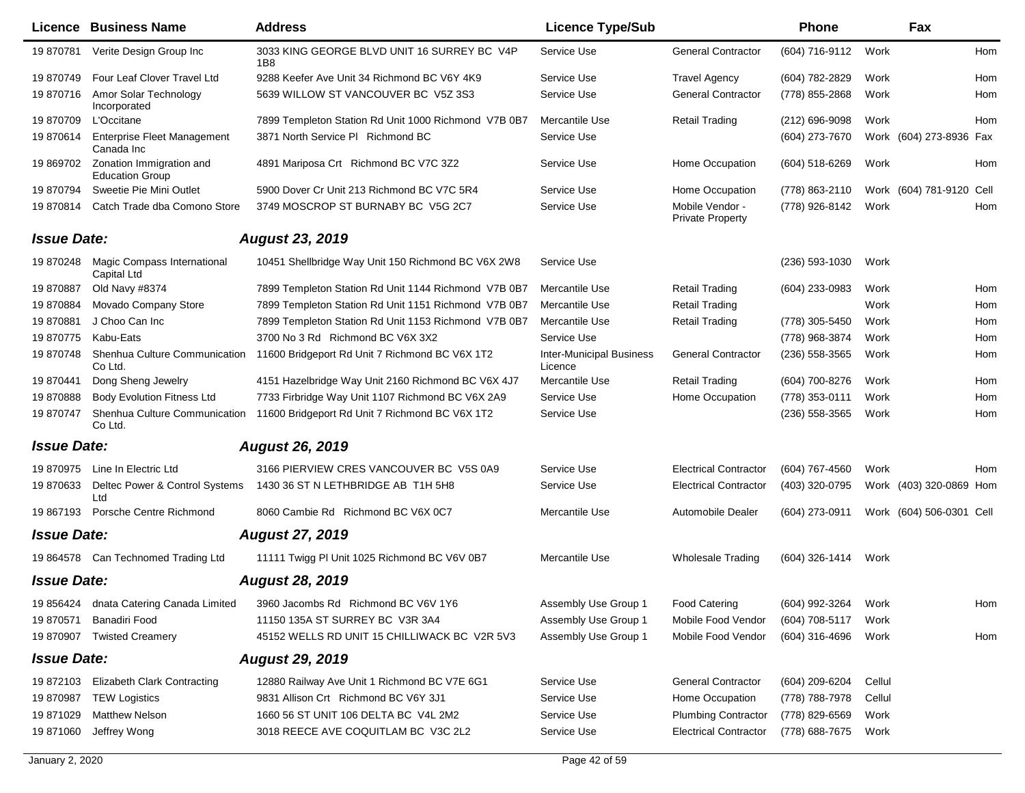|                    | <b>Licence Business Name</b>                       | <b>Address</b>                                       | <b>Licence Type/Sub</b>                    |                                            | <b>Phone</b>        |        | Fax                      |     |
|--------------------|----------------------------------------------------|------------------------------------------------------|--------------------------------------------|--------------------------------------------|---------------------|--------|--------------------------|-----|
| 19 870781          | Verite Design Group Inc                            | 3033 KING GEORGE BLVD UNIT 16 SURREY BC V4P<br>1B8   | Service Use                                | <b>General Contractor</b>                  | (604) 716-9112      | Work   |                          | Hom |
| 19 870749          | Four Leaf Clover Travel Ltd                        | 9288 Keefer Ave Unit 34 Richmond BC V6Y 4K9          | Service Use                                | <b>Travel Agency</b>                       | (604) 782-2829      | Work   |                          | Hom |
| 19870716           | Amor Solar Technology<br>Incorporated              | 5639 WILLOW ST VANCOUVER BC V5Z 3S3                  | Service Use                                | <b>General Contractor</b>                  | (778) 855-2868      | Work   |                          | Hom |
| 19870709           | L'Occitane                                         | 7899 Templeton Station Rd Unit 1000 Richmond V7B 0B7 | Mercantile Use                             | <b>Retail Trading</b>                      | (212) 696-9098      | Work   |                          | Hom |
| 19 870614          | Enterprise Fleet Management<br>Canada Inc          | 3871 North Service PI Richmond BC                    | Service Use                                |                                            | (604) 273-7670      |        | Work (604) 273-8936 Fax  |     |
| 19 869702          | Zonation Immigration and<br><b>Education Group</b> | 4891 Mariposa Crt Richmond BC V7C 3Z2                | Service Use                                | Home Occupation                            | (604) 518-6269      | Work   |                          | Hom |
| 19 870794          | Sweetie Pie Mini Outlet                            | 5900 Dover Cr Unit 213 Richmond BC V7C 5R4           | Service Use                                | Home Occupation                            | (778) 863-2110      |        | Work (604) 781-9120 Cell |     |
| 19 870814          | Catch Trade dba Comono Store                       | 3749 MOSCROP ST BURNABY BC V5G 2C7                   | Service Use                                | Mobile Vendor -<br><b>Private Property</b> | (778) 926-8142      | Work   |                          | Hom |
| <b>Issue Date:</b> |                                                    | <b>August 23, 2019</b>                               |                                            |                                            |                     |        |                          |     |
| 19 870248          | <b>Magic Compass International</b><br>Capital Ltd  | 10451 Shellbridge Way Unit 150 Richmond BC V6X 2W8   | Service Use                                |                                            | $(236)$ 593-1030    | Work   |                          |     |
| 19870887           | Old Navy #8374                                     | 7899 Templeton Station Rd Unit 1144 Richmond V7B 0B7 | Mercantile Use                             | <b>Retail Trading</b>                      | (604) 233-0983      | Work   |                          | Hom |
| 19870884           | Movado Company Store                               | 7899 Templeton Station Rd Unit 1151 Richmond V7B 0B7 | Mercantile Use                             | <b>Retail Trading</b>                      |                     | Work   |                          | Hom |
| 19870881           | J Choo Can Inc                                     | 7899 Templeton Station Rd Unit 1153 Richmond V7B 0B7 | Mercantile Use                             | <b>Retail Trading</b>                      | (778) 305-5450      | Work   |                          | Hom |
| 19870775           | Kabu-Eats                                          | 3700 No 3 Rd Richmond BC V6X 3X2                     | Service Use                                |                                            | (778) 968-3874      | Work   |                          | Hom |
| 19 870748          | Shenhua Culture Communication<br>Co Ltd.           | 11600 Bridgeport Rd Unit 7 Richmond BC V6X 1T2       | <b>Inter-Municipal Business</b><br>Licence | <b>General Contractor</b>                  | $(236)$ 558-3565    | Work   |                          | Hom |
| 19 870441          | Dong Sheng Jewelry                                 | 4151 Hazelbridge Way Unit 2160 Richmond BC V6X 4J7   | Mercantile Use                             | <b>Retail Trading</b>                      | (604) 700-8276      | Work   |                          | Hom |
| 19870888           | <b>Body Evolution Fitness Ltd</b>                  | 7733 Firbridge Way Unit 1107 Richmond BC V6X 2A9     | Service Use                                | Home Occupation                            | (778) 353-0111      | Work   |                          | Hom |
| 19870747           | Shenhua Culture Communication<br>Co Ltd.           | 11600 Bridgeport Rd Unit 7 Richmond BC V6X 1T2       | Service Use                                |                                            | $(236)$ 558-3565    | Work   |                          | Hom |
| <b>Issue Date:</b> |                                                    | <b>August 26, 2019</b>                               |                                            |                                            |                     |        |                          |     |
| 19 870975          | Line In Electric Ltd                               | 3166 PIERVIEW CRES VANCOUVER BC V5S 0A9              | Service Use                                | <b>Electrical Contractor</b>               | (604) 767-4560      | Work   |                          | Hom |
| 19 870633          | Deltec Power & Control Systems<br>Ltd              | 1430 36 ST N LETHBRIDGE AB T1H 5H8                   | Service Use                                | <b>Electrical Contractor</b>               | (403) 320-0795      |        | Work (403) 320-0869 Hom  |     |
| 19 867193          | Porsche Centre Richmond                            | 8060 Cambie Rd Richmond BC V6X 0C7                   | Mercantile Use                             | Automobile Dealer                          | (604) 273-0911      |        | Work (604) 506-0301 Cell |     |
| <b>Issue Date:</b> |                                                    | <b>August 27, 2019</b>                               |                                            |                                            |                     |        |                          |     |
|                    | 19 864578 Can Technomed Trading Ltd                | 11111 Twigg PI Unit 1025 Richmond BC V6V 0B7         | Mercantile Use                             | <b>Wholesale Trading</b>                   | (604) 326-1414      | Work   |                          |     |
| <b>Issue Date:</b> |                                                    | <b>August 28, 2019</b>                               |                                            |                                            |                     |        |                          |     |
| 19 856424          | dnata Catering Canada Limited                      | 3960 Jacombs Rd Richmond BC V6V 1Y6                  | Assembly Use Group 1                       | <b>Food Catering</b>                       | (604) 992-3264 Work |        |                          | Hom |
| 19 870571          | Banadiri Food                                      | 11150 135A ST SURREY BC V3R 3A4                      | Assembly Use Group 1                       | Mobile Food Vendor                         | (604) 708-5117      | Work   |                          |     |
| 19 870907          | <b>Twisted Creamery</b>                            | 45152 WELLS RD UNIT 15 CHILLIWACK BC V2R 5V3         | Assembly Use Group 1                       | Mobile Food Vendor                         | (604) 316-4696      | Work   |                          | Hom |
| <b>Issue Date:</b> |                                                    | <b>August 29, 2019</b>                               |                                            |                                            |                     |        |                          |     |
| 19 872103          | <b>Elizabeth Clark Contracting</b>                 | 12880 Railway Ave Unit 1 Richmond BC V7E 6G1         | Service Use                                | <b>General Contractor</b>                  | (604) 209-6204      | Cellul |                          |     |
| 19 870987          | <b>TEW Logistics</b>                               | 9831 Allison Crt Richmond BC V6Y 3J1                 | Service Use                                | Home Occupation                            | (778) 788-7978      | Cellul |                          |     |
| 19 871029          | <b>Matthew Nelson</b>                              | 1660 56 ST UNIT 106 DELTA BC V4L 2M2                 | Service Use                                | <b>Plumbing Contractor</b>                 | (778) 829-6569      | Work   |                          |     |
| 19 871060          | Jeffrey Wong                                       | 3018 REECE AVE COQUITLAM BC V3C 2L2                  | Service Use                                | <b>Electrical Contractor</b>               | (778) 688-7675      | Work   |                          |     |
|                    |                                                    |                                                      |                                            |                                            |                     |        |                          |     |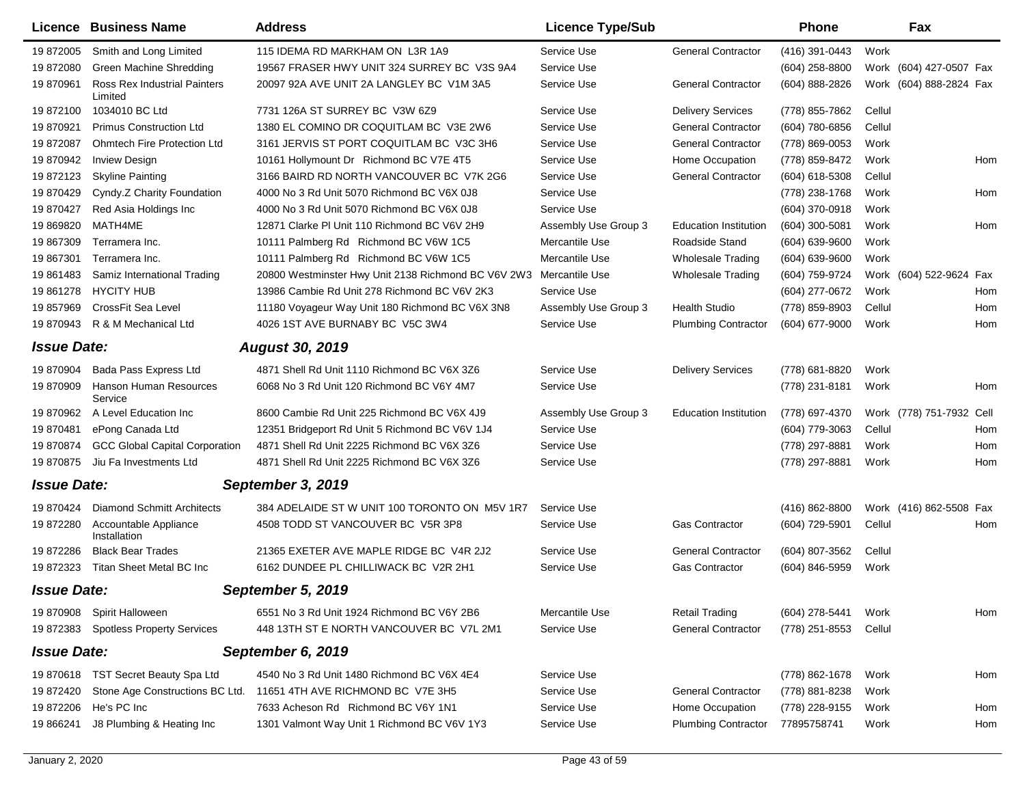|                    | Licence Business Name                   | <b>Address</b>                                      | <b>Licence Type/Sub</b> |                              | Phone            | Fax                      |     |
|--------------------|-----------------------------------------|-----------------------------------------------------|-------------------------|------------------------------|------------------|--------------------------|-----|
| 19 872005          | Smith and Long Limited                  | 115 IDEMA RD MARKHAM ON L3R 1A9                     | Service Use             | <b>General Contractor</b>    | (416) 391-0443   | Work                     |     |
| 19 872080          | Green Machine Shredding                 | 19567 FRASER HWY UNIT 324 SURREY BC V3S 9A4         | Service Use             |                              | $(604)$ 258-8800 | Work (604) 427-0507 Fax  |     |
| 19 870961          | Ross Rex Industrial Painters<br>Limited | 20097 92A AVE UNIT 2A LANGLEY BC V1M 3A5            | Service Use             | <b>General Contractor</b>    | (604) 888-2826   | Work (604) 888-2824 Fax  |     |
| 19 872100          | 1034010 BC Ltd                          | 7731 126A ST SURREY BC V3W 6Z9                      | Service Use             | <b>Delivery Services</b>     | (778) 855-7862   | Cellul                   |     |
| 19 870921          | <b>Primus Construction Ltd</b>          | 1380 EL COMINO DR COQUITLAM BC V3E 2W6              | Service Use             | <b>General Contractor</b>    | (604) 780-6856   | Cellul                   |     |
| 19 872087          | <b>Ohmtech Fire Protection Ltd</b>      | 3161 JERVIS ST PORT COQUITLAM BC V3C 3H6            | Service Use             | <b>General Contractor</b>    | (778) 869-0053   | Work                     |     |
| 19 870942          | <b>Inview Design</b>                    | 10161 Hollymount Dr Richmond BC V7E 4T5             | Service Use             | Home Occupation              | (778) 859-8472   | Work                     | Hom |
| 19872123           | <b>Skyline Painting</b>                 | 3166 BAIRD RD NORTH VANCOUVER BC V7K 2G6            | Service Use             | <b>General Contractor</b>    | (604) 618-5308   | Cellul                   |     |
| 19 870429          | Cyndy.Z Charity Foundation              | 4000 No 3 Rd Unit 5070 Richmond BC V6X 0J8          | Service Use             |                              | (778) 238-1768   | Work                     | Hom |
| 19 870427          | Red Asia Holdings Inc                   | 4000 No 3 Rd Unit 5070 Richmond BC V6X 0J8          | Service Use             |                              | (604) 370-0918   | Work                     |     |
| 19 869820          | MATH4ME                                 | 12871 Clarke PI Unit 110 Richmond BC V6V 2H9        | Assembly Use Group 3    | <b>Education Institution</b> | (604) 300-5081   | Work                     | Hom |
| 19 867309          | Terramera Inc.                          | 10111 Palmberg Rd Richmond BC V6W 1C5               | Mercantile Use          | Roadside Stand               | (604) 639-9600   | Work                     |     |
| 19 867301          | Terramera Inc.                          | 10111 Palmberg Rd Richmond BC V6W 1C5               | Mercantile Use          | <b>Wholesale Trading</b>     | (604) 639-9600   | Work                     |     |
| 19 861483          | Samiz International Trading             | 20800 Westminster Hwy Unit 2138 Richmond BC V6V 2W3 | Mercantile Use          | <b>Wholesale Trading</b>     | (604) 759-9724   | Work (604) 522-9624      | Fax |
| 19 861278          | <b>HYCITY HUB</b>                       | 13986 Cambie Rd Unit 278 Richmond BC V6V 2K3        | Service Use             |                              | (604) 277-0672   | Work                     | Hom |
| 19 857969          | <b>CrossFit Sea Level</b>               | 11180 Voyageur Way Unit 180 Richmond BC V6X 3N8     | Assembly Use Group 3    | <b>Health Studio</b>         | (778) 859-8903   | Cellul                   | Hom |
| 19 870943          | R & M Mechanical Ltd                    | 4026 1ST AVE BURNABY BC V5C 3W4                     | Service Use             | <b>Plumbing Contractor</b>   | (604) 677-9000   | Work                     | Hom |
| <b>Issue Date:</b> |                                         | <b>August 30, 2019</b>                              |                         |                              |                  |                          |     |
| 19 870904          | Bada Pass Express Ltd                   | 4871 Shell Rd Unit 1110 Richmond BC V6X 3Z6         | Service Use             | <b>Delivery Services</b>     | (778) 681-8820   | Work                     |     |
| 19 870909          | Hanson Human Resources<br>Service       | 6068 No 3 Rd Unit 120 Richmond BC V6Y 4M7           | Service Use             |                              | (778) 231-8181   | Work                     | Hom |
| 19 870962          | A Level Education Inc                   | 8600 Cambie Rd Unit 225 Richmond BC V6X 4J9         | Assembly Use Group 3    | <b>Education Institution</b> | (778) 697-4370   | Work (778) 751-7932 Cell |     |
| 19 870481          | ePong Canada Ltd                        | 12351 Bridgeport Rd Unit 5 Richmond BC V6V 1J4      | Service Use             |                              | (604) 779-3063   | Cellul                   | Hom |
| 19 870874          | <b>GCC Global Capital Corporation</b>   | 4871 Shell Rd Unit 2225 Richmond BC V6X 3Z6         | Service Use             |                              | (778) 297-8881   | Work                     | Hom |
| 19 870 875         | Jiu Fa Investments Ltd                  | 4871 Shell Rd Unit 2225 Richmond BC V6X 3Z6         | Service Use             |                              | (778) 297-8881   | Work                     | Hom |
| <b>Issue Date:</b> |                                         | September 3, 2019                                   |                         |                              |                  |                          |     |
| 19 870424          | <b>Diamond Schmitt Architects</b>       | 384 ADELAIDE ST W UNIT 100 TORONTO ON M5V 1R7       | Service Use             |                              | (416) 862-8800   | Work (416) 862-5508 Fax  |     |
| 19 872280          | Accountable Appliance<br>Installation   | 4508 TODD ST VANCOUVER BC V5R 3P8                   | Service Use             | <b>Gas Contractor</b>        | (604) 729-5901   | Cellul                   | Hom |
| 19872286           | <b>Black Bear Trades</b>                | 21365 EXETER AVE MAPLE RIDGE BC V4R 2J2             | Service Use             | <b>General Contractor</b>    | (604) 807-3562   | Cellul                   |     |
| 19 872323          | Titan Sheet Metal BC Inc                | 6162 DUNDEE PL CHILLIWACK BC V2R 2H1                | Service Use             | <b>Gas Contractor</b>        | (604) 846-5959   | Work                     |     |
| <b>Issue Date:</b> |                                         | September 5, 2019                                   |                         |                              |                  |                          |     |
| 19 870908          | Spirit Halloween                        | 6551 No 3 Rd Unit 1924 Richmond BC V6Y 2B6          | Mercantile Use          | <b>Retail Trading</b>        | (604) 278-5441   | Work                     | Hom |
| 19872383           | <b>Spotless Property Services</b>       | 448 13TH ST E NORTH VANCOUVER BC V7L 2M1            | Service Use             | <b>General Contractor</b>    | (778) 251-8553   | Cellul                   |     |
| <b>Issue Date:</b> |                                         | September 6, 2019                                   |                         |                              |                  |                          |     |
| 19 870618          | TST Secret Beauty Spa Ltd               | 4540 No 3 Rd Unit 1480 Richmond BC V6X 4E4          | Service Use             |                              | (778) 862-1678   | Work                     | Hom |
| 19 872420          | Stone Age Constructions BC Ltd.         | 11651 4TH AVE RICHMOND BC V7E 3H5                   | Service Use             | <b>General Contractor</b>    | (778) 881-8238   | Work                     |     |
| 19 872206          | He's PC Inc                             | 7633 Acheson Rd Richmond BC V6Y 1N1                 | Service Use             | Home Occupation              | (778) 228-9155   | Work                     | Hom |
| 19 866241          | J8 Plumbing & Heating Inc               | 1301 Valmont Way Unit 1 Richmond BC V6V 1Y3         | Service Use             | <b>Plumbing Contractor</b>   | 77895758741      | Work                     | Hom |
|                    |                                         |                                                     |                         |                              |                  |                          |     |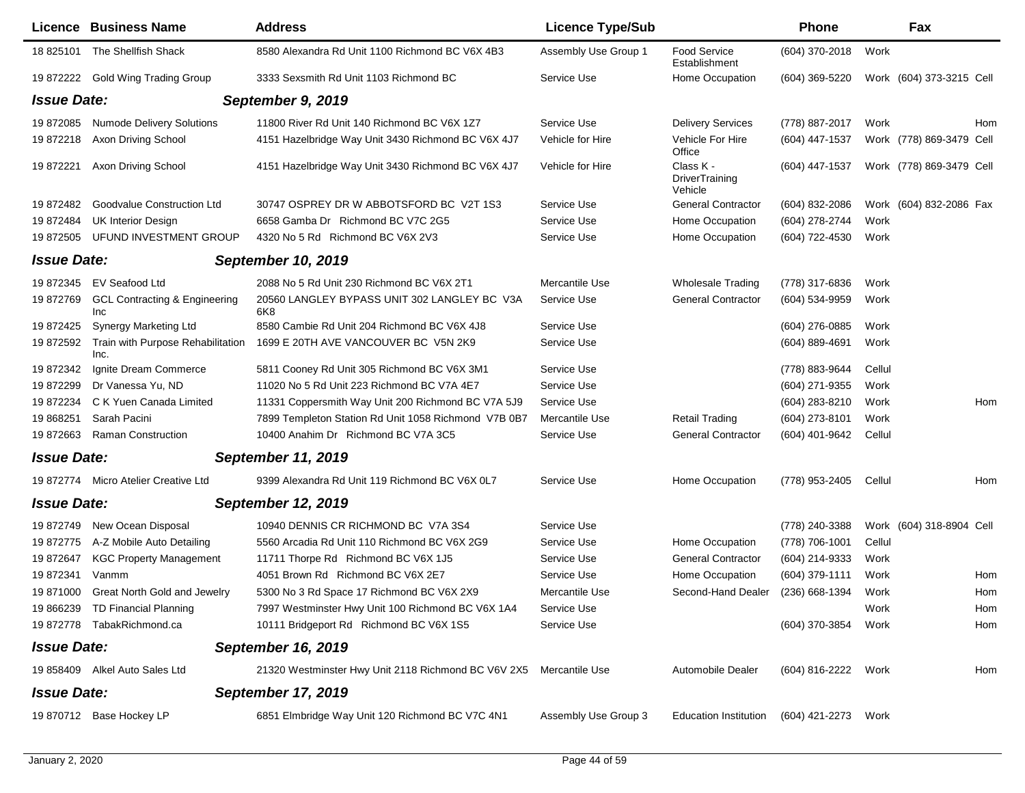|                    | <b>Licence Business Name</b>                    | <b>Address</b>                                                     | <b>Licence Type/Sub</b> |                                               | <b>Phone</b>        |        | Fax                      |     |
|--------------------|-------------------------------------------------|--------------------------------------------------------------------|-------------------------|-----------------------------------------------|---------------------|--------|--------------------------|-----|
| 18 825101          | The Shellfish Shack                             | 8580 Alexandra Rd Unit 1100 Richmond BC V6X 4B3                    | Assembly Use Group 1    | Food Service<br>Establishment                 | (604) 370-2018      | Work   |                          |     |
|                    | 19 872222 Gold Wing Trading Group               | 3333 Sexsmith Rd Unit 1103 Richmond BC                             | Service Use             | Home Occupation                               | $(604)$ 369-5220    |        | Work (604) 373-3215 Cell |     |
| <b>Issue Date:</b> |                                                 | September 9, 2019                                                  |                         |                                               |                     |        |                          |     |
| 19 872085          | <b>Numode Delivery Solutions</b>                | 11800 River Rd Unit 140 Richmond BC V6X 1Z7                        | Service Use             | <b>Delivery Services</b>                      | (778) 887-2017      | Work   |                          | Hom |
| 19872218           | <b>Axon Driving School</b>                      | 4151 Hazelbridge Way Unit 3430 Richmond BC V6X 4J7                 | Vehicle for Hire        | Vehicle For Hire<br>Office                    | (604) 447-1537      |        | Work (778) 869-3479 Cell |     |
| 19 872221          | Axon Driving School                             | 4151 Hazelbridge Way Unit 3430 Richmond BC V6X 4J7                 | Vehicle for Hire        | Class K -<br><b>DriverTraining</b><br>Vehicle | (604) 447-1537      |        | Work (778) 869-3479 Cell |     |
| 19 872482          | Goodvalue Construction Ltd                      | 30747 OSPREY DR W ABBOTSFORD BC V2T 1S3                            | Service Use             | <b>General Contractor</b>                     | (604) 832-2086      |        | Work (604) 832-2086 Fax  |     |
| 19872484           | <b>UK Interior Design</b>                       | 6658 Gamba Dr Richmond BC V7C 2G5                                  | Service Use             | Home Occupation                               | (604) 278-2744      | Work   |                          |     |
| 19 872505          | UFUND INVESTMENT GROUP                          | 4320 No 5 Rd Richmond BC V6X 2V3                                   | Service Use             | Home Occupation                               | (604) 722-4530      | Work   |                          |     |
| <b>Issue Date:</b> |                                                 | <b>September 10, 2019</b>                                          |                         |                                               |                     |        |                          |     |
| 19 872345          | EV Seafood Ltd                                  | 2088 No 5 Rd Unit 230 Richmond BC V6X 2T1                          | Mercantile Use          | <b>Wholesale Trading</b>                      | (778) 317-6836      | Work   |                          |     |
| 19872769           | <b>GCL Contracting &amp; Engineering</b><br>Inc | 20560 LANGLEY BYPASS UNIT 302 LANGLEY BC V3A<br>6K8                | Service Use             | <b>General Contractor</b>                     | (604) 534-9959      | Work   |                          |     |
| 19 872425          | <b>Synergy Marketing Ltd</b>                    | 8580 Cambie Rd Unit 204 Richmond BC V6X 4J8                        | Service Use             |                                               | (604) 276-0885      | Work   |                          |     |
| 19 872592          | Train with Purpose Rehabilitation<br>Inc.       | 1699 E 20TH AVE VANCOUVER BC V5N 2K9                               | Service Use             |                                               | (604) 889-4691      | Work   |                          |     |
| 19 872342          | Ignite Dream Commerce                           | 5811 Cooney Rd Unit 305 Richmond BC V6X 3M1                        | Service Use             |                                               | (778) 883-9644      | Cellul |                          |     |
| 19872299           | Dr Vanessa Yu, ND                               | 11020 No 5 Rd Unit 223 Richmond BC V7A 4E7                         | Service Use             |                                               | (604) 271-9355      | Work   |                          |     |
| 19872234           | C K Yuen Canada Limited                         | 11331 Coppersmith Way Unit 200 Richmond BC V7A 5J9                 | Service Use             |                                               | (604) 283-8210      | Work   |                          | Hom |
| 19 868251          | Sarah Pacini                                    | 7899 Templeton Station Rd Unit 1058 Richmond V7B 0B7               | Mercantile Use          | <b>Retail Trading</b>                         | (604) 273-8101      | Work   |                          |     |
| 19 872663          | <b>Raman Construction</b>                       | 10400 Anahim Dr Richmond BC V7A 3C5                                | Service Use             | <b>General Contractor</b>                     | (604) 401-9642      | Cellul |                          |     |
| <b>Issue Date:</b> |                                                 | <b>September 11, 2019</b>                                          |                         |                                               |                     |        |                          |     |
|                    | 19 872774 Micro Atelier Creative Ltd            | 9399 Alexandra Rd Unit 119 Richmond BC V6X 0L7                     | Service Use             | Home Occupation                               | (778) 953-2405      | Cellul |                          | Hom |
| <b>Issue Date:</b> |                                                 | <b>September 12, 2019</b>                                          |                         |                                               |                     |        |                          |     |
| 19 872749          | New Ocean Disposal                              | 10940 DENNIS CR RICHMOND BC V7A 3S4                                | Service Use             |                                               | (778) 240-3388      |        | Work (604) 318-8904 Cell |     |
| 19872775           | A-Z Mobile Auto Detailing                       | 5560 Arcadia Rd Unit 110 Richmond BC V6X 2G9                       | Service Use             | Home Occupation                               | (778) 706-1001      | Cellul |                          |     |
| 19872647           | <b>KGC Property Management</b>                  | 11711 Thorpe Rd Richmond BC V6X 1J5                                | Service Use             | <b>General Contractor</b>                     | (604) 214-9333      | Work   |                          |     |
| 19872341           | Vanmm                                           | 4051 Brown Rd Richmond BC V6X 2E7                                  | Service Use             | Home Occupation                               | (604) 379-1111      | Work   |                          | Hom |
| 19 871000          | <b>Great North Gold and Jewelry</b>             | 5300 No 3 Rd Space 17 Richmond BC V6X 2X9                          | Mercantile Use          | Second-Hand Dealer                            | (236) 668-1394      | Work   |                          | Hom |
|                    | 19 866239 TD Financial Planning                 | 7997 Westminster Hwy Unit 100 Richmond BC V6X 1A4                  | Service Use             |                                               |                     | Work   |                          | Hom |
|                    | 19 872778 TabakRichmond.ca                      | 10111 Bridgeport Rd Richmond BC V6X 1S5                            | Service Use             |                                               | (604) 370-3854      | Work   |                          | Hom |
| <b>Issue Date:</b> |                                                 | September 16, 2019                                                 |                         |                                               |                     |        |                          |     |
|                    | 19 858409 Alkel Auto Sales Ltd                  | 21320 Westminster Hwy Unit 2118 Richmond BC V6V 2X5 Mercantile Use |                         | <b>Automobile Dealer</b>                      | (604) 816-2222 Work |        |                          | Hom |
| <b>Issue Date:</b> |                                                 | <b>September 17, 2019</b>                                          |                         |                                               |                     |        |                          |     |
|                    | 19 870712 Base Hockey LP                        | 6851 Elmbridge Way Unit 120 Richmond BC V7C 4N1                    | Assembly Use Group 3    | <b>Education Institution</b>                  | (604) 421-2273      | Work   |                          |     |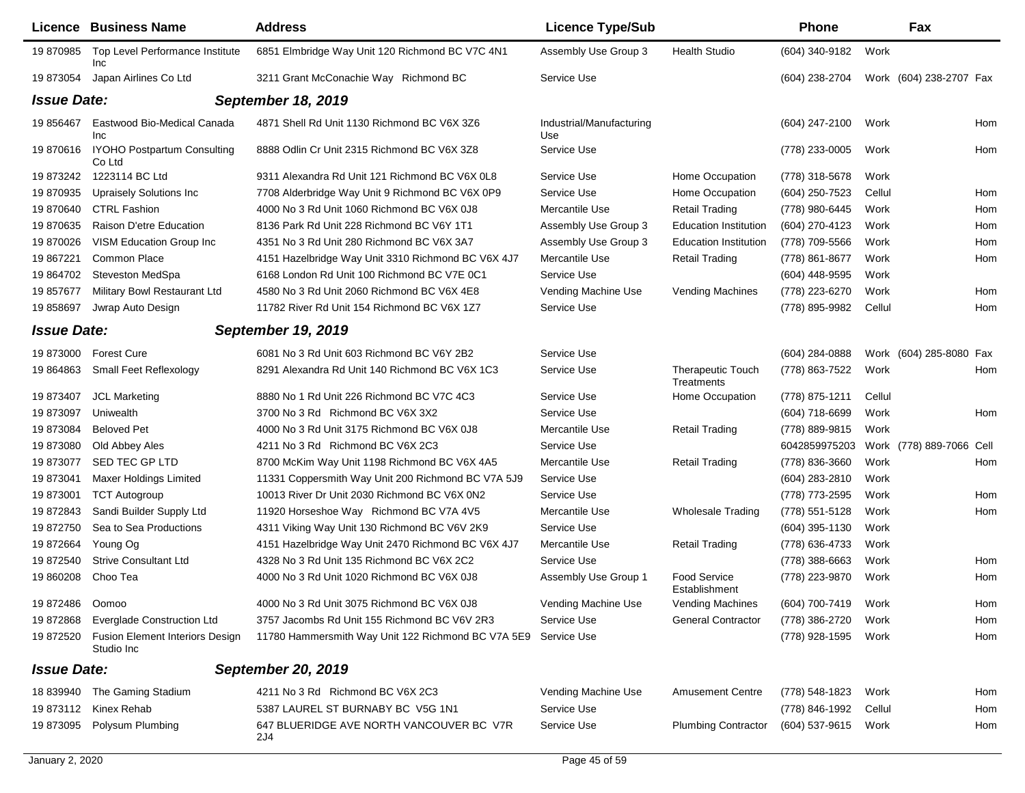|                    | <b>Licence Business Name</b>                         | <b>Address</b>                                                 | <b>Licence Type/Sub</b>         |                                        | <b>Phone</b>     |        | Fax                      |     |
|--------------------|------------------------------------------------------|----------------------------------------------------------------|---------------------------------|----------------------------------------|------------------|--------|--------------------------|-----|
| 19 870985          | Top Level Performance Institute<br><b>Inc</b>        | 6851 Elmbridge Way Unit 120 Richmond BC V7C 4N1                | Assembly Use Group 3            | <b>Health Studio</b>                   | (604) 340-9182   | Work   |                          |     |
| 19 873054          | Japan Airlines Co Ltd                                | 3211 Grant McConachie Way Richmond BC                          | Service Use                     |                                        | (604) 238-2704   |        | Work (604) 238-2707 Fax  |     |
| <b>Issue Date:</b> |                                                      | September 18, 2019                                             |                                 |                                        |                  |        |                          |     |
| 19 856467          | Eastwood Bio-Medical Canada<br>Inc                   | 4871 Shell Rd Unit 1130 Richmond BC V6X 3Z6                    | Industrial/Manufacturing<br>Use |                                        | $(604)$ 247-2100 | Work   |                          | Hom |
|                    | 19 870616 IYOHO Postpartum Consulting<br>Co Ltd      | 8888 Odlin Cr Unit 2315 Richmond BC V6X 3Z8                    | Service Use                     |                                        | (778) 233-0005   | Work   |                          | Hom |
| 19 873242          | 1223114 BC Ltd                                       | 9311 Alexandra Rd Unit 121 Richmond BC V6X 0L8                 | Service Use                     | Home Occupation                        | (778) 318-5678   | Work   |                          |     |
| 19 870935          | <b>Upraisely Solutions Inc.</b>                      | 7708 Alderbridge Way Unit 9 Richmond BC V6X 0P9                | Service Use                     | Home Occupation                        | (604) 250-7523   | Cellul |                          | Hom |
| 19 870640          | <b>CTRL Fashion</b>                                  | 4000 No 3 Rd Unit 1060 Richmond BC V6X 0J8                     | Mercantile Use                  | <b>Retail Trading</b>                  | (778) 980-6445   | Work   |                          | Hom |
| 19 870635          | Raison D'etre Education                              | 8136 Park Rd Unit 228 Richmond BC V6Y 1T1                      | Assembly Use Group 3            | <b>Education Institution</b>           | (604) 270-4123   | Work   |                          | Hom |
| 19 870026          | <b>VISM Education Group Inc.</b>                     | 4351 No 3 Rd Unit 280 Richmond BC V6X 3A7                      | Assembly Use Group 3            | <b>Education Institution</b>           | (778) 709-5566   | Work   |                          | Hom |
| 19 867221          | Common Place                                         | 4151 Hazelbridge Way Unit 3310 Richmond BC V6X 4J7             | Mercantile Use                  | Retail Trading                         | (778) 861-8677   | Work   |                          | Hom |
| 19 864702          | <b>Steveston MedSpa</b>                              | 6168 London Rd Unit 100 Richmond BC V7E 0C1                    | Service Use                     |                                        | (604) 448-9595   | Work   |                          |     |
| 19 857677          | Military Bowl Restaurant Ltd                         | 4580 No 3 Rd Unit 2060 Richmond BC V6X 4E8                     | Vending Machine Use             | Vending Machines                       | (778) 223-6270   | Work   |                          | Hom |
| 19 858697          | Jwrap Auto Design                                    | 11782 River Rd Unit 154 Richmond BC V6X 1Z7                    | Service Use                     |                                        | (778) 895-9982   | Cellul |                          | Hom |
| <b>Issue Date:</b> |                                                      | <b>September 19, 2019</b>                                      |                                 |                                        |                  |        |                          |     |
| 19 873000          | <b>Forest Cure</b>                                   | 6081 No 3 Rd Unit 603 Richmond BC V6Y 2B2                      | Service Use                     |                                        | $(604)$ 284-0888 |        | Work (604) 285-8080 Fax  |     |
| 19 864863          | Small Feet Reflexology                               | 8291 Alexandra Rd Unit 140 Richmond BC V6X 1C3                 | Service Use                     | <b>Therapeutic Touch</b><br>Treatments | (778) 863-7522   | Work   |                          | Hom |
| 19 873407          | <b>JCL Marketing</b>                                 | 8880 No 1 Rd Unit 226 Richmond BC V7C 4C3                      | Service Use                     | Home Occupation                        | (778) 875-1211   | Cellul |                          |     |
| 19 873097          | Uniwealth                                            | 3700 No 3 Rd Richmond BC V6X 3X2                               | Service Use                     |                                        | (604) 718-6699   | Work   |                          | Hom |
| 19 873084          | <b>Beloved Pet</b>                                   | 4000 No 3 Rd Unit 3175 Richmond BC V6X 0J8                     | Mercantile Use                  | <b>Retail Trading</b>                  | (778) 889-9815   | Work   |                          |     |
| 19 873080          | Old Abbey Ales                                       | 4211 No 3 Rd Richmond BC V6X 2C3                               | Service Use                     |                                        | 6042859975203    |        | Work (778) 889-7066 Cell |     |
| 19873077           | SED TEC GP LTD                                       | 8700 McKim Way Unit 1198 Richmond BC V6X 4A5                   | Mercantile Use                  | <b>Retail Trading</b>                  | (778) 836-3660   | Work   |                          | Hom |
| 19 873041          | Maxer Holdings Limited                               | 11331 Coppersmith Way Unit 200 Richmond BC V7A 5J9             | Service Use                     |                                        | (604) 283-2810   | Work   |                          |     |
| 19 873001          | <b>TCT Autogroup</b>                                 | 10013 River Dr Unit 2030 Richmond BC V6X 0N2                   | Service Use                     |                                        | (778) 773-2595   | Work   |                          | Hom |
| 19 872843          | Sandi Builder Supply Ltd                             | 11920 Horseshoe Way Richmond BC V7A 4V5                        | Mercantile Use                  | <b>Wholesale Trading</b>               | (778) 551-5128   | Work   |                          | Hom |
| 19 872750          | Sea to Sea Productions                               | 4311 Viking Way Unit 130 Richmond BC V6V 2K9                   | Service Use                     |                                        | (604) 395-1130   | Work   |                          |     |
| 19 872664          | Young Og                                             | 4151 Hazelbridge Way Unit 2470 Richmond BC V6X 4J7             | Mercantile Use                  | <b>Retail Trading</b>                  | (778) 636-4733   | Work   |                          |     |
| 19 872540          | <b>Strive Consultant Ltd</b>                         | 4328 No 3 Rd Unit 135 Richmond BC V6X 2C2                      | Service Use                     |                                        | (778) 388-6663   | Work   |                          | Hom |
| 19 860208          | Choo Tea                                             | 4000 No 3 Rd Unit 1020 Richmond BC V6X 0J8                     | Assembly Use Group 1            | <b>Food Service</b><br>Establishment   | (778) 223-9870   | Work   |                          | Hom |
| 19 872486 Oomoo    |                                                      | 4000 No 3 Rd Unit 3075 Richmond BC V6X 0J8                     | Vending Machine Use             | <b>Vending Machines</b>                | (604) 700-7419   | Work   |                          | Hom |
| 19872868           | <b>Everglade Construction Ltd</b>                    | 3757 Jacombs Rd Unit 155 Richmond BC V6V 2R3                   | Service Use                     | <b>General Contractor</b>              | (778) 386-2720   | Work   |                          | Hom |
| 19 872520          | <b>Fusion Element Interiors Design</b><br>Studio Inc | 11780 Hammersmith Way Unit 122 Richmond BC V7A 5E9 Service Use |                                 |                                        | (778) 928-1595   | Work   |                          | Hom |
| <b>Issue Date:</b> |                                                      | <b>September 20, 2019</b>                                      |                                 |                                        |                  |        |                          |     |
|                    | 18 839940 The Gaming Stadium                         | 4211 No 3 Rd Richmond BC V6X 2C3                               | Vending Machine Use             | <b>Amusement Centre</b>                | (778) 548-1823   | Work   |                          | Hom |
| 19 873112          | Kinex Rehab                                          | 5387 LAUREL ST BURNABY BC V5G 1N1                              | Service Use                     |                                        | (778) 846-1992   | Cellul |                          | Hom |
| 19 873095          | Polysum Plumbing                                     | 647 BLUERIDGE AVE NORTH VANCOUVER BC V7R<br>2J4                | Service Use                     | <b>Plumbing Contractor</b>             | (604) 537-9615   | Work   |                          | Hom |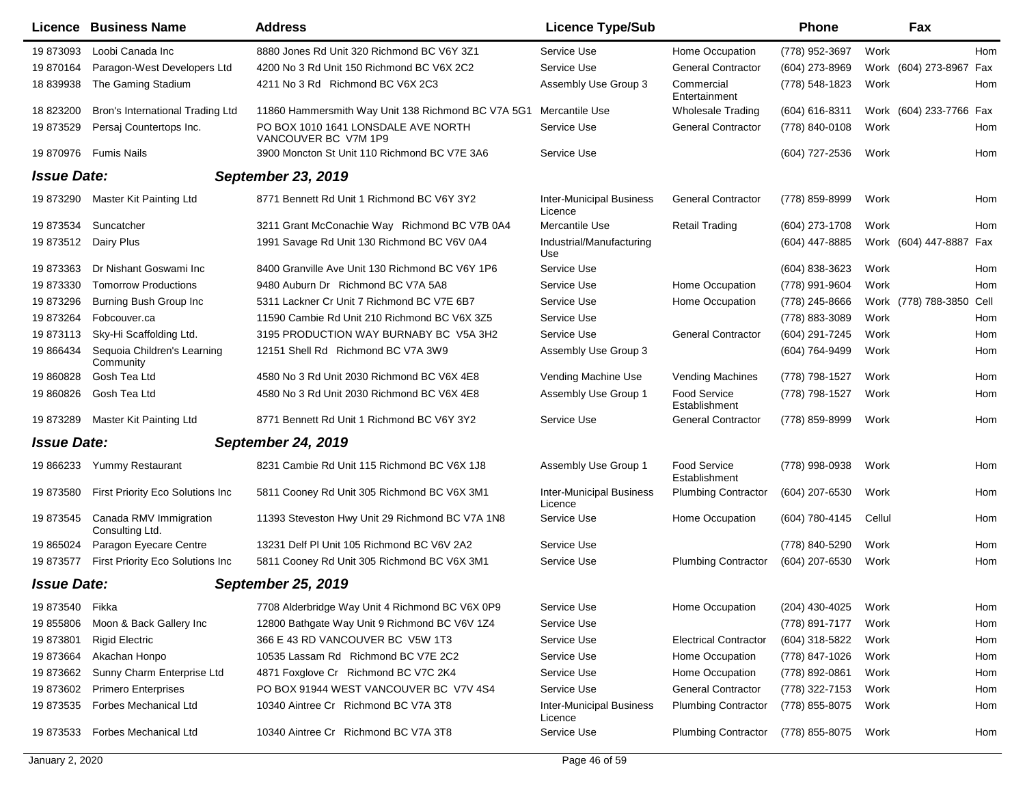|                    | <b>Licence Business Name</b>              | <b>Address</b>                                              | <b>Licence Type/Sub</b>                    |                               | <b>Phone</b>   | Fax                     |      |
|--------------------|-------------------------------------------|-------------------------------------------------------------|--------------------------------------------|-------------------------------|----------------|-------------------------|------|
| 19873093           | Loobi Canada Inc                          | 8880 Jones Rd Unit 320 Richmond BC V6Y 3Z1                  | Service Use                                | Home Occupation               | (778) 952-3697 | Work                    | Hom  |
| 19870164           | Paragon-West Developers Ltd               | 4200 No 3 Rd Unit 150 Richmond BC V6X 2C2                   | Service Use                                | <b>General Contractor</b>     | (604) 273-8969 | Work (604) 273-8967     | Fax  |
| 18 839938          | The Gaming Stadium                        | 4211 No 3 Rd Richmond BC V6X 2C3                            | Assembly Use Group 3                       | Commercial<br>Entertainment   | (778) 548-1823 | Work                    | Hom  |
| 18 823200          | Bron's International Trading Ltd          | 11860 Hammersmith Way Unit 138 Richmond BC V7A 5G1          | Mercantile Use                             | Wholesale Trading             | (604) 616-8311 | Work (604) 233-7766 Fax |      |
| 19 873529          | Persaj Countertops Inc.                   | PO BOX 1010 1641 LONSDALE AVE NORTH<br>VANCOUVER BC V7M 1P9 | Service Use                                | <b>General Contractor</b>     | (778) 840-0108 | Work                    | Hom  |
| 19 870976          | Fumis Nails                               | 3900 Moncton St Unit 110 Richmond BC V7E 3A6                | Service Use                                |                               | (604) 727-2536 | Work                    | Hom  |
| <b>Issue Date:</b> |                                           | <b>September 23, 2019</b>                                   |                                            |                               |                |                         |      |
| 19 873290          | Master Kit Painting Ltd                   | 8771 Bennett Rd Unit 1 Richmond BC V6Y 3Y2                  | <b>Inter-Municipal Business</b><br>Licence | <b>General Contractor</b>     | (778) 859-8999 | Work                    | Hom  |
| 19873534           | Suncatcher                                | 3211 Grant McConachie Way Richmond BC V7B 0A4               | Mercantile Use                             | <b>Retail Trading</b>         | (604) 273-1708 | Work                    | Hom  |
| 19 873512          | Dairy Plus                                | 1991 Savage Rd Unit 130 Richmond BC V6V 0A4                 | Industrial/Manufacturing<br>Use            |                               | (604) 447-8885 | Work (604) 447-8887     | Fax  |
| 19 873363          | Dr Nishant Goswami Inc                    | 8400 Granville Ave Unit 130 Richmond BC V6Y 1P6             | Service Use                                |                               | (604) 838-3623 | Work                    | Hom  |
| 19873330           | <b>Tomorrow Productions</b>               | 9480 Auburn Dr Richmond BC V7A 5A8                          | Service Use                                | Home Occupation               | (778) 991-9604 | Work                    | Hom  |
| 19873296           | Burning Bush Group Inc                    | 5311 Lackner Cr Unit 7 Richmond BC V7E 6B7                  | Service Use                                | Home Occupation               | (778) 245-8666 | Work (778) 788-3850     | Cell |
| 19873264           | Fobcouver.ca                              | 11590 Cambie Rd Unit 210 Richmond BC V6X 3Z5                | Service Use                                |                               | (778) 883-3089 | Work                    | Hom  |
| 19873113           | Sky-Hi Scaffolding Ltd.                   | 3195 PRODUCTION WAY BURNABY BC V5A 3H2                      | Service Use                                | <b>General Contractor</b>     | (604) 291-7245 | Work                    | Hom  |
| 19 866434          | Sequoia Children's Learning<br>Community  | 12151 Shell Rd Richmond BC V7A 3W9                          | Assembly Use Group 3                       |                               | (604) 764-9499 | Work                    | Hom  |
| 19 860828          | Gosh Tea Ltd                              | 4580 No 3 Rd Unit 2030 Richmond BC V6X 4E8                  | Vending Machine Use                        | <b>Vending Machines</b>       | (778) 798-1527 | Work                    | Hom  |
| 19 860826          | Gosh Tea Ltd                              | 4580 No 3 Rd Unit 2030 Richmond BC V6X 4E8                  | Assembly Use Group 1                       | Food Service<br>Establishment | (778) 798-1527 | Work                    | Hom  |
| 19 873289          | Master Kit Painting Ltd                   | 8771 Bennett Rd Unit 1 Richmond BC V6Y 3Y2                  | Service Use                                | <b>General Contractor</b>     | (778) 859-8999 | Work                    | Hom  |
| <b>Issue Date:</b> |                                           | <b>September 24, 2019</b>                                   |                                            |                               |                |                         |      |
| 19 866233          | Yummy Restaurant                          | 8231 Cambie Rd Unit 115 Richmond BC V6X 1J8                 | Assembly Use Group 1                       | Food Service<br>Establishment | (778) 998-0938 | Work                    | Hom  |
| 19 873580          | First Priority Eco Solutions Inc          | 5811 Cooney Rd Unit 305 Richmond BC V6X 3M1                 | <b>Inter-Municipal Business</b><br>Licence | <b>Plumbing Contractor</b>    | (604) 207-6530 | Work                    | Hom  |
| 19 873545          | Canada RMV Immigration<br>Consulting Ltd. | 11393 Steveston Hwy Unit 29 Richmond BC V7A 1N8             | Service Use                                | Home Occupation               | (604) 780-4145 | Cellul                  | Hom  |
| 19 865024          | Paragon Eyecare Centre                    | 13231 Delf PI Unit 105 Richmond BC V6V 2A2                  | Service Use                                |                               | (778) 840-5290 | Work                    | Hom  |
| 19 873577          | First Priority Eco Solutions Inc          | 5811 Cooney Rd Unit 305 Richmond BC V6X 3M1                 | Service Use                                | <b>Plumbing Contractor</b>    | (604) 207-6530 | Work                    | Hom  |
| <b>Issue Date:</b> |                                           | <b>September 25, 2019</b>                                   |                                            |                               |                |                         |      |
| 19 873540          | Fikka                                     | 7708 Alderbridge Way Unit 4 Richmond BC V6X 0P9             | Service Use                                | Home Occupation               | (204) 430-4025 | Work                    | Hom  |
| 19 855806          | Moon & Back Gallery Inc                   | 12800 Bathgate Way Unit 9 Richmond BC V6V 1Z4               | Service Use                                |                               | (778) 891-7177 | Work                    | Hom  |
| 19 873801          | <b>Rigid Electric</b>                     | 366 E 43 RD VANCOUVER BC V5W 1T3                            | Service Use                                | <b>Electrical Contractor</b>  | (604) 318-5822 | Work                    | Hom  |
| 19 873664          | Akachan Honpo                             | 10535 Lassam Rd Richmond BC V7E 2C2                         | Service Use                                | Home Occupation               | (778) 847-1026 | Work                    | Hom  |
| 19 873662          | Sunny Charm Enterprise Ltd                | 4871 Foxglove Cr Richmond BC V7C 2K4                        | Service Use                                | Home Occupation               | (778) 892-0861 | Work                    | Hom  |
| 19 873602          | <b>Primero Enterprises</b>                | PO BOX 91944 WEST VANCOUVER BC V7V 4S4                      | Service Use                                | <b>General Contractor</b>     | (778) 322-7153 | Work                    | Hom  |
| 19873535           | <b>Forbes Mechanical Ltd</b>              | 10340 Aintree Cr Richmond BC V7A 3T8                        | <b>Inter-Municipal Business</b><br>Licence | <b>Plumbing Contractor</b>    | (778) 855-8075 | Work                    | Hom  |
| 19 873533          | <b>Forbes Mechanical Ltd</b>              | 10340 Aintree Cr Richmond BC V7A 3T8                        | Service Use                                | <b>Plumbing Contractor</b>    | (778) 855-8075 | Work                    | Hom  |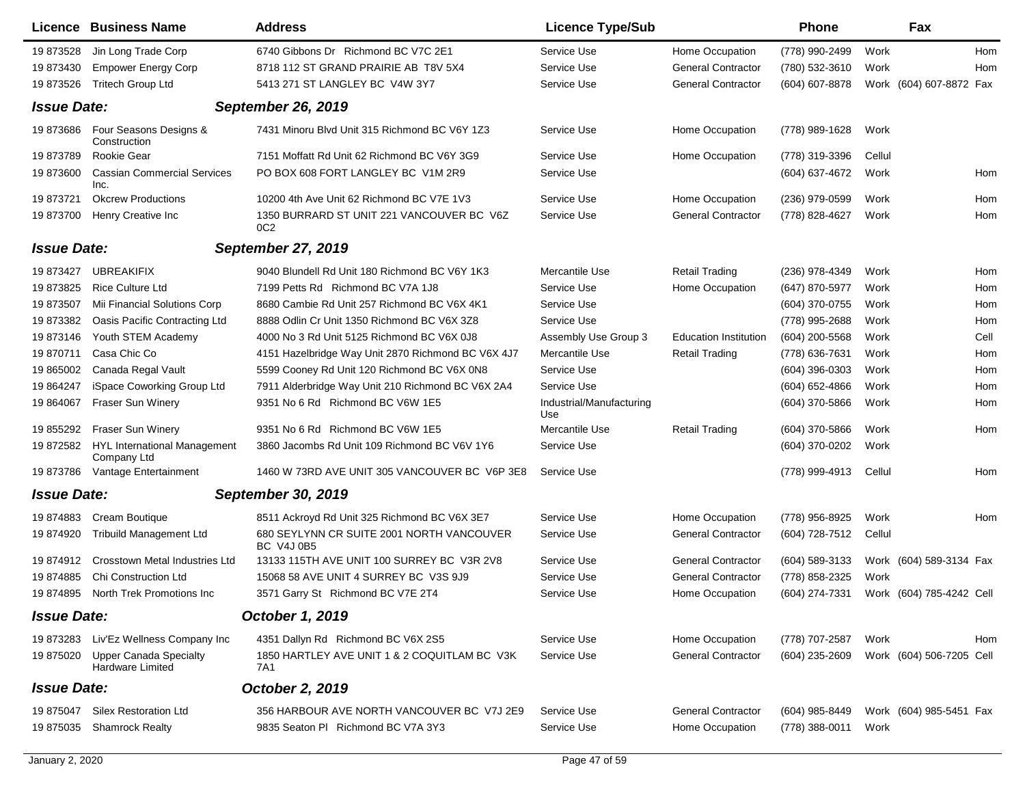|                    | Licence Business Name                                    | <b>Address</b>                                                 | <b>Licence Type/Sub</b>         |                              | <b>Phone</b>     |        | Fax                      |      |
|--------------------|----------------------------------------------------------|----------------------------------------------------------------|---------------------------------|------------------------------|------------------|--------|--------------------------|------|
| 19 873528          | Jin Long Trade Corp                                      | 6740 Gibbons Dr Richmond BC V7C 2E1                            | Service Use                     | Home Occupation              | (778) 990-2499   | Work   |                          | Hom  |
| 19 873430          | <b>Empower Energy Corp</b>                               | 8718 112 ST GRAND PRAIRIE AB T8V 5X4                           | Service Use                     | <b>General Contractor</b>    | (780) 532-3610   | Work   |                          | Hom  |
| 19 873526          | <b>Tritech Group Ltd</b>                                 | 5413 271 ST LANGLEY BC V4W 3Y7                                 | Service Use                     | <b>General Contractor</b>    | (604) 607-8878   |        | Work (604) 607-8872 Fax  |      |
| <b>Issue Date:</b> |                                                          | <b>September 26, 2019</b>                                      |                                 |                              |                  |        |                          |      |
| 19873686           | Four Seasons Designs &<br>Construction                   | 7431 Minoru Blvd Unit 315 Richmond BC V6Y 1Z3                  | Service Use                     | Home Occupation              | (778) 989-1628   | Work   |                          |      |
| 19873789           | Rookie Gear                                              | 7151 Moffatt Rd Unit 62 Richmond BC V6Y 3G9                    | Service Use                     | Home Occupation              | (778) 319-3396   | Cellul |                          |      |
| 19 873600          | <b>Cassian Commercial Services</b><br>Inc.               | PO BOX 608 FORT LANGLEY BC V1M 2R9                             | Service Use                     |                              | (604) 637-4672   | Work   |                          | Hom  |
| 19 873721          | <b>Okcrew Productions</b>                                | 10200 4th Ave Unit 62 Richmond BC V7E 1V3                      | Service Use                     | Home Occupation              | (236) 979-0599   | Work   |                          | Hom  |
| 19 873700          | Henry Creative Inc                                       | 1350 BURRARD ST UNIT 221 VANCOUVER BC V6Z<br>0C <sub>2</sub>   | Service Use                     | <b>General Contractor</b>    | (778) 828-4627   | Work   |                          | Hom  |
| <b>Issue Date:</b> |                                                          | <b>September 27, 2019</b>                                      |                                 |                              |                  |        |                          |      |
| 19 873427          | <b>UBREAKIFIX</b>                                        | 9040 Blundell Rd Unit 180 Richmond BC V6Y 1K3                  | Mercantile Use                  | <b>Retail Trading</b>        | (236) 978-4349   | Work   |                          | Hom  |
| 19 873825          | <b>Rice Culture Ltd</b>                                  | 7199 Petts Rd Richmond BC V7A 1J8                              | Service Use                     | Home Occupation              | (647) 870-5977   | Work   |                          | Hom  |
| 19873507           | Mii Financial Solutions Corp                             | 8680 Cambie Rd Unit 257 Richmond BC V6X 4K1                    | Service Use                     |                              | (604) 370-0755   | Work   |                          | Hom  |
| 19 873382          | Oasis Pacific Contracting Ltd                            | 8888 Odlin Cr Unit 1350 Richmond BC V6X 3Z8                    | Service Use                     |                              | (778) 995-2688   | Work   |                          | Hom  |
| 19 873146          | Youth STEM Academy                                       | 4000 No 3 Rd Unit 5125 Richmond BC V6X 0J8                     | Assembly Use Group 3            | <b>Education Institution</b> | (604) 200-5568   | Work   |                          | Cell |
| 19 870711          | Casa Chic Co                                             | 4151 Hazelbridge Way Unit 2870 Richmond BC V6X 4J7             | Mercantile Use                  | <b>Retail Trading</b>        | (778) 636-7631   | Work   |                          | Hom  |
| 19 865002          | Canada Regal Vault                                       | 5599 Cooney Rd Unit 120 Richmond BC V6X 0N8                    | Service Use                     |                              | $(604)$ 396-0303 | Work   |                          | Hom  |
| 19 864247          | iSpace Coworking Group Ltd                               | 7911 Alderbridge Way Unit 210 Richmond BC V6X 2A4              | Service Use                     |                              | (604) 652-4866   | Work   |                          | Hom  |
| 19 864067          | Fraser Sun Winery                                        | 9351 No 6 Rd Richmond BC V6W 1E5                               | Industrial/Manufacturing<br>Use |                              | (604) 370-5866   | Work   |                          | Hom  |
| 19 855292          | Fraser Sun Winery                                        | 9351 No 6 Rd Richmond BC V6W 1E5                               | Mercantile Use                  | <b>Retail Trading</b>        | (604) 370-5866   | Work   |                          | Hom  |
| 19 872582          | <b>HYL International Management</b><br>Company Ltd       | 3860 Jacombs Rd Unit 109 Richmond BC V6V 1Y6                   | Service Use                     |                              | (604) 370-0202   | Work   |                          |      |
| 19873786           | Vantage Entertainment                                    | 1460 W 73RD AVE UNIT 305 VANCOUVER BC V6P 3E8                  | Service Use                     |                              | (778) 999-4913   | Cellul |                          | Hom  |
| <b>Issue Date:</b> |                                                          | September 30, 2019                                             |                                 |                              |                  |        |                          |      |
| 19874883           | Cream Boutique                                           | 8511 Ackroyd Rd Unit 325 Richmond BC V6X 3E7                   | Service Use                     | Home Occupation              | (778) 956-8925   | Work   |                          | Hom  |
| 19 874920          | <b>Tribuild Management Ltd</b>                           | 680 SEYLYNN CR SUITE 2001 NORTH VANCOUVER<br><b>BC V4J 0B5</b> | Service Use                     | <b>General Contractor</b>    | (604) 728-7512   | Cellul |                          |      |
| 19874912           | <b>Crosstown Metal Industries Ltd</b>                    | 13133 115TH AVE UNIT 100 SURREY BC V3R 2V8                     | Service Use                     | <b>General Contractor</b>    | (604) 589-3133   |        | Work (604) 589-3134 Fax  |      |
| 19874885           | <b>Chi Construction Ltd</b>                              | 15068 58 AVE UNIT 4 SURREY BC V3S 9J9                          | Service Use                     | <b>General Contractor</b>    | (778) 858-2325   | Work   |                          |      |
| 19 874895          | North Trek Promotions Inc                                | 3571 Garry St Richmond BC V7E 2T4                              | Service Use                     | Home Occupation              | (604) 274-7331   |        | Work (604) 785-4242 Cell |      |
| <b>Issue Date:</b> |                                                          | October 1, 2019                                                |                                 |                              |                  |        |                          |      |
| 19 873283          | Liv'Ez Wellness Company Inc                              | 4351 Dallyn Rd Richmond BC V6X 2S5                             | Service Use                     | Home Occupation              | (778) 707-2587   | Work   |                          | Hom  |
| 19 875020          | <b>Upper Canada Specialty</b><br><b>Hardware Limited</b> | 1850 HARTLEY AVE UNIT 1 & 2 COQUITLAM BC V3K<br>7A1            | Service Use                     | <b>General Contractor</b>    | (604) 235-2609   |        | Work (604) 506-7205 Cell |      |
| <b>Issue Date:</b> |                                                          | October 2, 2019                                                |                                 |                              |                  |        |                          |      |
| 19 875047          | <b>Silex Restoration Ltd</b>                             | 356 HARBOUR AVE NORTH VANCOUVER BC V7J 2E9                     | Service Use                     | <b>General Contractor</b>    | (604) 985-8449   |        | Work (604) 985-5451 Fax  |      |
| 19 875035          | <b>Shamrock Realty</b>                                   | 9835 Seaton PI Richmond BC V7A 3Y3                             | Service Use                     | Home Occupation              | (778) 388-0011   | Work   |                          |      |
|                    |                                                          |                                                                |                                 |                              |                  |        |                          |      |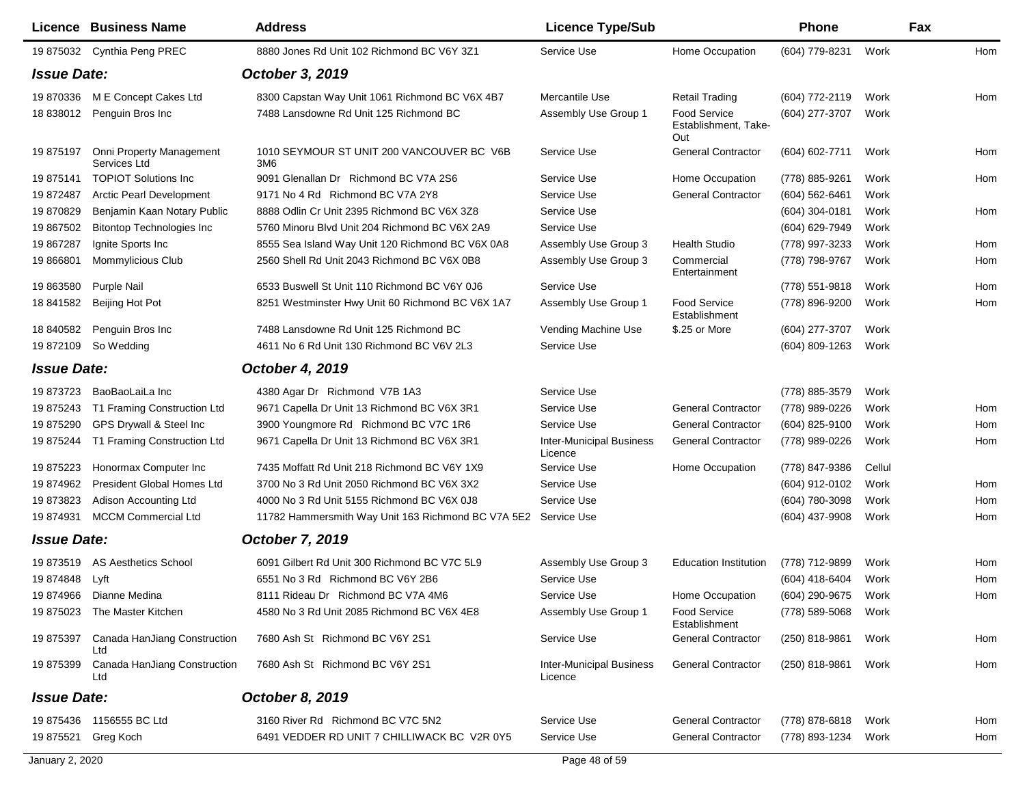|                    | Licence Business Name                    | <b>Address</b>                                     | <b>Licence Type/Sub</b>                    |                                             | <b>Phone</b>     |        | <b>Fax</b> |
|--------------------|------------------------------------------|----------------------------------------------------|--------------------------------------------|---------------------------------------------|------------------|--------|------------|
|                    | 19 875032 Cynthia Peng PREC              | 8880 Jones Rd Unit 102 Richmond BC V6Y 3Z1         | Service Use                                | Home Occupation                             | (604) 779-8231   | Work   | Hom        |
| <b>Issue Date:</b> |                                          | October 3, 2019                                    |                                            |                                             |                  |        |            |
| 19 870336          | M E Concept Cakes Ltd                    | 8300 Capstan Way Unit 1061 Richmond BC V6X 4B7     | Mercantile Use                             | <b>Retail Trading</b>                       | (604) 772-2119   | Work   | Hom        |
| 18 838012          | Penguin Bros Inc                         | 7488 Lansdowne Rd Unit 125 Richmond BC             | Assembly Use Group 1                       | Food Service<br>Establishment, Take-<br>Out | (604) 277-3707   | Work   |            |
| 19 875197          | Onni Property Management<br>Services Ltd | 1010 SEYMOUR ST UNIT 200 VANCOUVER BC V6B<br>3M6   | Service Use                                | <b>General Contractor</b>                   | (604) 602-7711   | Work   | Hom        |
| 19 875141          | <b>TOPIOT Solutions Inc</b>              | 9091 Glenallan Dr Richmond BC V7A 2S6              | Service Use                                | Home Occupation                             | (778) 885-9261   | Work   | Hom        |
| 19872487           | <b>Arctic Pearl Development</b>          | 9171 No 4 Rd Richmond BC V7A 2Y8                   | Service Use                                | <b>General Contractor</b>                   | $(604)$ 562-6461 | Work   |            |
| 19 870829          | Benjamin Kaan Notary Public              | 8888 Odlin Cr Unit 2395 Richmond BC V6X 3Z8        | Service Use                                |                                             | $(604)$ 304-0181 | Work   | Hom        |
| 19 867502          | <b>Bitontop Technologies Inc</b>         | 5760 Minoru Blvd Unit 204 Richmond BC V6X 2A9      | Service Use                                |                                             | (604) 629-7949   | Work   |            |
| 19 867287          | Ignite Sports Inc                        | 8555 Sea Island Way Unit 120 Richmond BC V6X 0A8   | Assembly Use Group 3                       | <b>Health Studio</b>                        | (778) 997-3233   | Work   | Hom        |
| 19 866801          | Mommylicious Club                        | 2560 Shell Rd Unit 2043 Richmond BC V6X 0B8        | Assembly Use Group 3                       | Commercial<br>Entertainment                 | (778) 798-9767   | Work   | Hom        |
| 19 863580          | <b>Purple Nail</b>                       | 6533 Buswell St Unit 110 Richmond BC V6Y 0J6       | Service Use                                |                                             | (778) 551-9818   | Work   | Hom        |
| 18 841582          | Beijing Hot Pot                          | 8251 Westminster Hwy Unit 60 Richmond BC V6X 1A7   | Assembly Use Group 1                       | <b>Food Service</b><br>Establishment        | (778) 896-9200   | Work   | Hom        |
| 18 840582          | Penguin Bros Inc                         | 7488 Lansdowne Rd Unit 125 Richmond BC             | Vending Machine Use                        | \$.25 or More                               | $(604)$ 277-3707 | Work   |            |
| 19 872109          | So Wedding                               | 4611 No 6 Rd Unit 130 Richmond BC V6V 2L3          | Service Use                                |                                             | (604) 809-1263   | Work   |            |
| <b>Issue Date:</b> |                                          | <b>October 4, 2019</b>                             |                                            |                                             |                  |        |            |
| 19 873723          | BaoBaoLaiLa Inc                          | 4380 Agar Dr Richmond V7B 1A3                      | Service Use                                |                                             | (778) 885-3579   | Work   |            |
| 19 875243          | T1 Framing Construction Ltd              | 9671 Capella Dr Unit 13 Richmond BC V6X 3R1        | Service Use                                | <b>General Contractor</b>                   | (778) 989-0226   | Work   | Hom        |
| 19 875290          | GPS Drywall & Steel Inc                  | 3900 Youngmore Rd Richmond BC V7C 1R6              | Service Use                                | <b>General Contractor</b>                   | (604) 825-9100   | Work   | Hom        |
| 19 875244          | T1 Framing Construction Ltd              | 9671 Capella Dr Unit 13 Richmond BC V6X 3R1        | <b>Inter-Municipal Business</b><br>Licence | <b>General Contractor</b>                   | (778) 989-0226   | Work   | Hom        |
| 19 875223          | Honormax Computer Inc                    | 7435 Moffatt Rd Unit 218 Richmond BC V6Y 1X9       | Service Use                                | Home Occupation                             | (778) 847-9386   | Cellul |            |
| 19 874962          | President Global Homes Ltd               | 3700 No 3 Rd Unit 2050 Richmond BC V6X 3X2         | Service Use                                |                                             | (604) 912-0102   | Work   | Hom        |
| 19 873823          | Adison Accounting Ltd                    | 4000 No 3 Rd Unit 5155 Richmond BC V6X 0J8         | Service Use                                |                                             | (604) 780-3098   | Work   | Hom        |
| 19 874931          | <b>MCCM Commercial Ltd</b>               | 11782 Hammersmith Way Unit 163 Richmond BC V7A 5E2 | Service Use                                |                                             | (604) 437-9908   | Work   | Hom        |
| <b>Issue Date:</b> |                                          | <b>October 7, 2019</b>                             |                                            |                                             |                  |        |            |
| 19 873519          | <b>AS Aesthetics School</b>              | 6091 Gilbert Rd Unit 300 Richmond BC V7C 5L9       | Assembly Use Group 3                       | <b>Education Institution</b>                | (778) 712-9899   | Work   | Hom        |
| 19 874848          | Lyft                                     | 6551 No 3 Rd Richmond BC V6Y 2B6                   | Service Use                                |                                             | (604) 418-6404   | Work   | Hom        |
|                    | 19 874966 Dianne Medina                  | 8111 Rideau Dr Richmond BC V7A 4M6                 | Service Use                                | Home Occupation                             | (604) 290-9675   | Work   | Hom        |
|                    | 19 875023 The Master Kitchen             | 4580 No 3 Rd Unit 2085 Richmond BC V6X 4E8         | Assembly Use Group 1                       | <b>Food Service</b><br>Establishment        | (778) 589-5068   | Work   |            |
| 19 875397          | Canada HanJiang Construction<br>Ltd      | 7680 Ash St Richmond BC V6Y 2S1                    | Service Use                                | <b>General Contractor</b>                   | (250) 818-9861   | Work   | Hom        |
| 19 875399          | Canada HanJiang Construction<br>Ltd      | 7680 Ash St Richmond BC V6Y 2S1                    | <b>Inter-Municipal Business</b><br>Licence | <b>General Contractor</b>                   | (250) 818-9861   | Work   | Hom        |
| <b>Issue Date:</b> |                                          | October 8, 2019                                    |                                            |                                             |                  |        |            |
|                    | 19 875436 1156555 BC Ltd                 | 3160 River Rd Richmond BC V7C 5N2                  | Service Use                                | <b>General Contractor</b>                   | (778) 878-6818   | Work   | Hom        |
| 19 875521          | Greg Koch                                | 6491 VEDDER RD UNIT 7 CHILLIWACK BC V2R 0Y5        | Service Use                                | <b>General Contractor</b>                   | (778) 893-1234   | Work   | Hom        |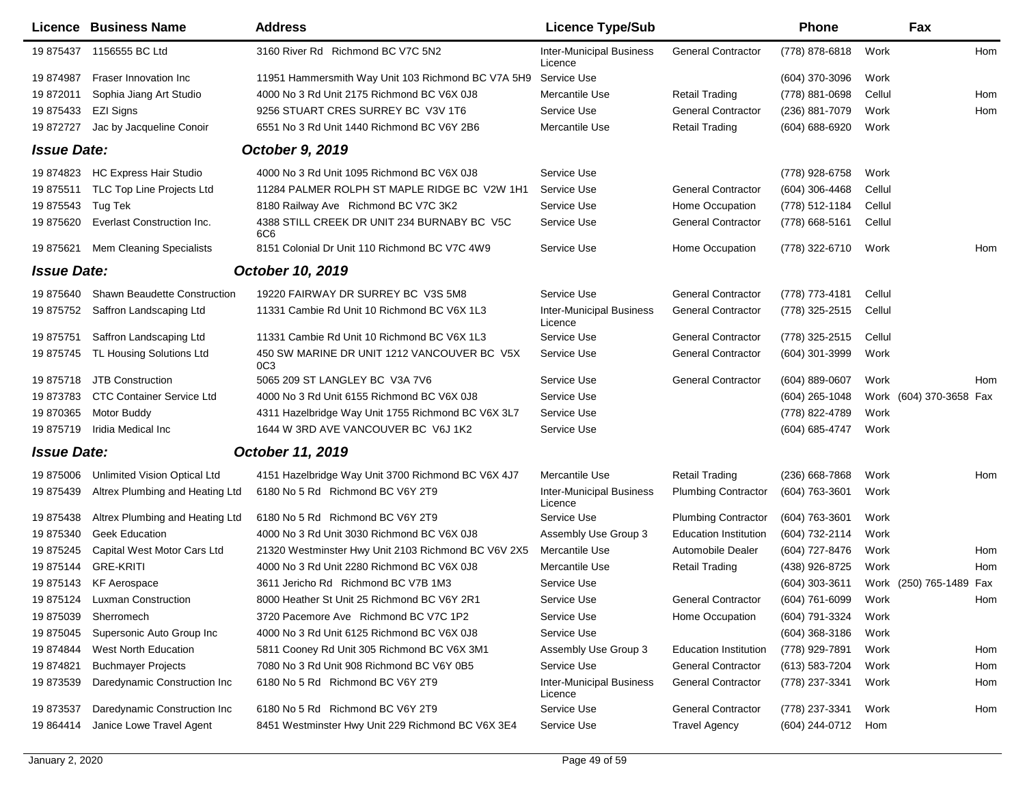|                    | Licence Business Name               | <b>Address</b>                                                 | <b>Licence Type/Sub</b>                    |                              | <b>Phone</b>        |        | Fax                     |     |
|--------------------|-------------------------------------|----------------------------------------------------------------|--------------------------------------------|------------------------------|---------------------|--------|-------------------------|-----|
|                    | 19 875437 1156555 BC Ltd            | 3160 River Rd Richmond BC V7C 5N2                              | <b>Inter-Municipal Business</b><br>Licence | <b>General Contractor</b>    | (778) 878-6818      | Work   |                         | Hom |
| 19 874987          | Fraser Innovation Inc               | 11951 Hammersmith Way Unit 103 Richmond BC V7A 5H9             | Service Use                                |                              | $(604)$ 370-3096    | Work   |                         |     |
| 19 872011          | Sophia Jiang Art Studio             | 4000 No 3 Rd Unit 2175 Richmond BC V6X 0J8                     | Mercantile Use                             | <b>Retail Trading</b>        | (778) 881-0698      | Cellul |                         | Hom |
| 19 875433          | EZI Signs                           | 9256 STUART CRES SURREY BC V3V 1T6                             | Service Use                                | <b>General Contractor</b>    | (236) 881-7079      | Work   |                         | Hom |
| 19 872727          | Jac by Jacqueline Conoir            | 6551 No 3 Rd Unit 1440 Richmond BC V6Y 2B6                     | Mercantile Use                             | Retail Trading               | $(604) 688 - 6920$  | Work   |                         |     |
| <b>Issue Date:</b> |                                     | October 9, 2019                                                |                                            |                              |                     |        |                         |     |
| 19 874823          | HC Express Hair Studio              | 4000 No 3 Rd Unit 1095 Richmond BC V6X 0J8                     | Service Use                                |                              | (778) 928-6758      | Work   |                         |     |
| 19 875511          | TLC Top Line Projects Ltd           | 11284 PALMER ROLPH ST MAPLE RIDGE BC V2W 1H1                   | Service Use                                | <b>General Contractor</b>    | $(604)$ 306-4468    | Cellul |                         |     |
| 19 875543          | Tug Tek                             | 8180 Railway Ave Richmond BC V7C 3K2                           | Service Use                                | Home Occupation              | (778) 512-1184      | Cellul |                         |     |
| 19 875620          | Everlast Construction Inc.          | 4388 STILL CREEK DR UNIT 234 BURNABY BC V5C<br>6C6             | Service Use                                | <b>General Contractor</b>    | (778) 668-5161      | Cellul |                         |     |
| 19 875621          | Mem Cleaning Specialists            | 8151 Colonial Dr Unit 110 Richmond BC V7C 4W9                  | Service Use                                | Home Occupation              | (778) 322-6710      | Work   |                         | Hom |
| <b>Issue Date:</b> |                                     | October 10, 2019                                               |                                            |                              |                     |        |                         |     |
| 19 875640          | <b>Shawn Beaudette Construction</b> | 19220 FAIRWAY DR SURREY BC V3S 5M8                             | Service Use                                | <b>General Contractor</b>    | (778) 773-4181      | Cellul |                         |     |
| 19 875752          | Saffron Landscaping Ltd             | 11331 Cambie Rd Unit 10 Richmond BC V6X 1L3                    | <b>Inter-Municipal Business</b><br>Licence | <b>General Contractor</b>    | (778) 325-2515      | Cellul |                         |     |
| 19 875751          | Saffron Landscaping Ltd             | 11331 Cambie Rd Unit 10 Richmond BC V6X 1L3                    | Service Use                                | <b>General Contractor</b>    | (778) 325-2515      | Cellul |                         |     |
| 19 875745          | TL Housing Solutions Ltd            | 450 SW MARINE DR UNIT 1212 VANCOUVER BC V5X<br>0C <sub>3</sub> | Service Use                                | <b>General Contractor</b>    | (604) 301-3999      | Work   |                         |     |
| 19 875718          | <b>JTB Construction</b>             | 5065 209 ST LANGLEY BC V3A 7V6                                 | Service Use                                | <b>General Contractor</b>    | $(604)$ 889-0607    | Work   |                         | Hom |
| 19 873783          | <b>CTC Container Service Ltd</b>    | 4000 No 3 Rd Unit 6155 Richmond BC V6X 0J8                     | Service Use                                |                              | $(604)$ 265-1048    |        | Work (604) 370-3658 Fax |     |
| 19 870365          | Motor Buddy                         | 4311 Hazelbridge Way Unit 1755 Richmond BC V6X 3L7             | Service Use                                |                              | (778) 822-4789      | Work   |                         |     |
| 19 875719          | Iridia Medical Inc                  | 1644 W 3RD AVE VANCOUVER BC V6J 1K2                            | Service Use                                |                              | (604) 685-4747      | Work   |                         |     |
| <b>Issue Date:</b> |                                     | October 11, 2019                                               |                                            |                              |                     |        |                         |     |
| 19 875006          | Unlimited Vision Optical Ltd        | 4151 Hazelbridge Way Unit 3700 Richmond BC V6X 4J7             | Mercantile Use                             | <b>Retail Trading</b>        | $(236)$ 668-7868    | Work   |                         | Hom |
| 19 875439          | Altrex Plumbing and Heating Ltd     | 6180 No 5 Rd Richmond BC V6Y 2T9                               | <b>Inter-Municipal Business</b><br>Licence | <b>Plumbing Contractor</b>   | (604) 763-3601      | Work   |                         |     |
| 19 875438          | Altrex Plumbing and Heating Ltd     | 6180 No 5 Rd Richmond BC V6Y 2T9                               | Service Use                                | <b>Plumbing Contractor</b>   | $(604)$ 763-3601    | Work   |                         |     |
| 19 875340          | Geek Education                      | 4000 No 3 Rd Unit 3030 Richmond BC V6X 0J8                     | Assembly Use Group 3                       | <b>Education Institution</b> | (604) 732-2114      | Work   |                         |     |
| 19 875245          | Capital West Motor Cars Ltd         | 21320 Westminster Hwy Unit 2103 Richmond BC V6V 2X5            | Mercantile Use                             | Automobile Dealer            | (604) 727-8476      | Work   |                         | Hom |
| 19 875144          | <b>GRE-KRITI</b>                    | 4000 No 3 Rd Unit 2280 Richmond BC V6X 0J8                     | Mercantile Use                             | <b>Retail Trading</b>        | (438) 926-8725      | Work   |                         | Hom |
| 19 875143          | KF Aerospace                        | 3611 Jericho Rd Richmond BC V7B 1M3                            | Service Use                                |                              | (604) 303-3611      |        | Work (250) 765-1489 Fax |     |
|                    | 19 875124 Luxman Construction       | 8000 Heather St Unit 25 Richmond BC V6Y 2R1                    | Service Use                                | <b>General Contractor</b>    | (604) 761-6099 Work |        |                         | Hom |
| 19 875039          | Sherromech                          | 3720 Pacemore Ave Richmond BC V7C 1P2                          | Service Use                                | Home Occupation              | (604) 791-3324      | Work   |                         |     |
| 19 875045          | Supersonic Auto Group Inc           | 4000 No 3 Rd Unit 6125 Richmond BC V6X 0J8                     | Service Use                                |                              | (604) 368-3186      | Work   |                         |     |
| 19 874844          | West North Education                | 5811 Cooney Rd Unit 305 Richmond BC V6X 3M1                    | Assembly Use Group 3                       | <b>Education Institution</b> | (778) 929-7891      | Work   |                         | Hom |
| 19 874821          | <b>Buchmayer Projects</b>           | 7080 No 3 Rd Unit 908 Richmond BC V6Y 0B5                      | Service Use                                | <b>General Contractor</b>    | (613) 583-7204      | Work   |                         | Hom |
| 19873539           | Daredynamic Construction Inc        | 6180 No 5 Rd Richmond BC V6Y 2T9                               | <b>Inter-Municipal Business</b><br>Licence | <b>General Contractor</b>    | (778) 237-3341      | Work   |                         | Hom |
| 19 873537          | Daredynamic Construction Inc        | 6180 No 5 Rd Richmond BC V6Y 2T9                               | Service Use                                | <b>General Contractor</b>    | (778) 237-3341      | Work   |                         | Hom |
| 19 864414          | Janice Lowe Travel Agent            | 8451 Westminster Hwy Unit 229 Richmond BC V6X 3E4              | Service Use                                | <b>Travel Agency</b>         | (604) 244-0712      | Hom    |                         |     |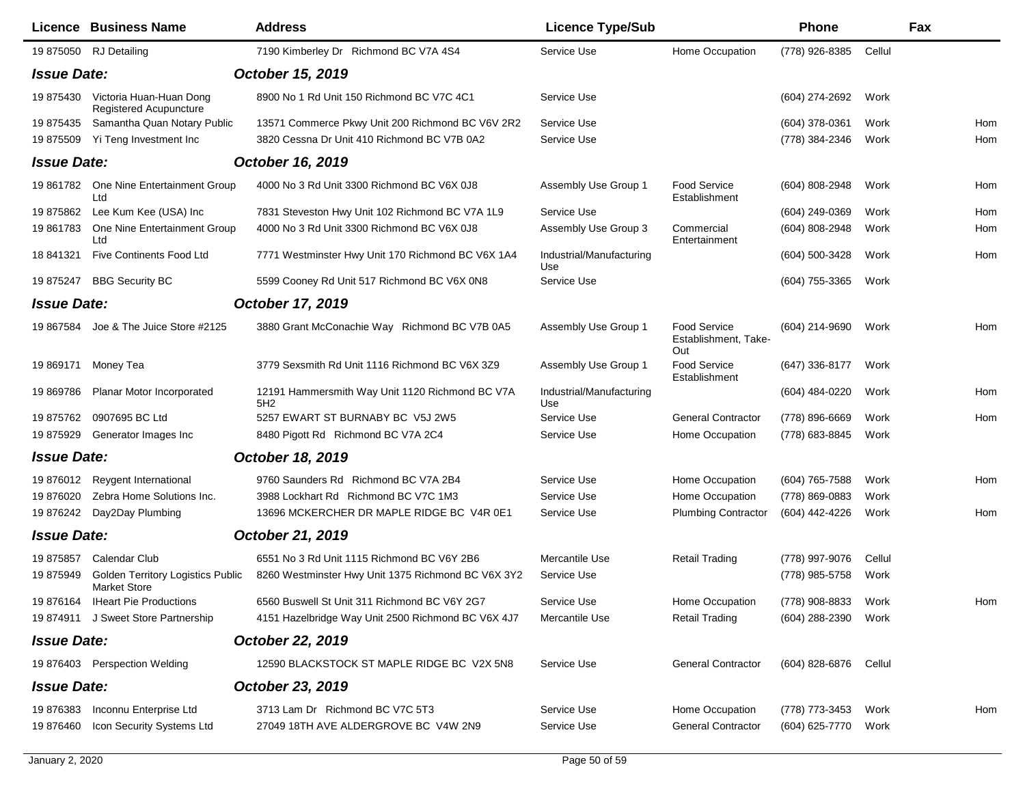|                    | <b>Licence Business Name</b>                                    | <b>Address</b>                                         | <b>Licence Type/Sub</b>         |                                                    | Phone            |        | Fax |
|--------------------|-----------------------------------------------------------------|--------------------------------------------------------|---------------------------------|----------------------------------------------------|------------------|--------|-----|
|                    | 19 875050 RJ Detailing                                          | 7190 Kimberley Dr Richmond BC V7A 4S4                  | Service Use                     | Home Occupation                                    | (778) 926-8385   | Cellul |     |
| <b>Issue Date:</b> |                                                                 | October 15, 2019                                       |                                 |                                                    |                  |        |     |
| 19 875430          | Victoria Huan-Huan Dong<br>Registered Acupuncture               | 8900 No 1 Rd Unit 150 Richmond BC V7C 4C1              | Service Use                     |                                                    | (604) 274-2692   | Work   |     |
| 19 875435          | Samantha Quan Notary Public                                     | 13571 Commerce Pkwy Unit 200 Richmond BC V6V 2R2       | Service Use                     |                                                    | (604) 378-0361   | Work   | Hom |
| 19 875509          | Yi Teng Investment Inc                                          | 3820 Cessna Dr Unit 410 Richmond BC V7B 0A2            | Service Use                     |                                                    | (778) 384-2346   | Work   | Hom |
| <b>Issue Date:</b> |                                                                 | October 16, 2019                                       |                                 |                                                    |                  |        |     |
| 19 861782          | One Nine Entertainment Group<br>Ltd                             | 4000 No 3 Rd Unit 3300 Richmond BC V6X 0J8             | Assembly Use Group 1            | Food Service<br>Establishment                      | $(604)$ 808-2948 | Work   | Hom |
| 19875862           | Lee Kum Kee (USA) Inc                                           | 7831 Steveston Hwy Unit 102 Richmond BC V7A 1L9        | Service Use                     |                                                    | $(604)$ 249-0369 | Work   | Hom |
| 19 861783          | One Nine Entertainment Group<br>Ltd                             | 4000 No 3 Rd Unit 3300 Richmond BC V6X 0J8             | Assembly Use Group 3            | Commercial<br>Entertainment                        | (604) 808-2948   | Work   | Hom |
| 18 841321          | <b>Five Continents Food Ltd</b>                                 | 7771 Westminster Hwy Unit 170 Richmond BC V6X 1A4      | Industrial/Manufacturing<br>Use |                                                    | (604) 500-3428   | Work   | Hom |
| 19 875247          | <b>BBG Security BC</b>                                          | 5599 Cooney Rd Unit 517 Richmond BC V6X 0N8            | Service Use                     |                                                    | $(604)$ 755-3365 | Work   |     |
| <b>Issue Date:</b> |                                                                 | October 17, 2019                                       |                                 |                                                    |                  |        |     |
| 19 867584          | Joe & The Juice Store #2125                                     | 3880 Grant McConachie Way Richmond BC V7B 0A5          | Assembly Use Group 1            | <b>Food Service</b><br>Establishment, Take-<br>Out | (604) 214-9690   | Work   | Hom |
| 19 869171          | Money Tea                                                       | 3779 Sexsmith Rd Unit 1116 Richmond BC V6X 3Z9         | Assembly Use Group 1            | Food Service<br>Establishment                      | (647) 336-8177   | Work   |     |
| 19 869786          | Planar Motor Incorporated                                       | 12191 Hammersmith Way Unit 1120 Richmond BC V7A<br>5H2 | Industrial/Manufacturing<br>Use |                                                    | (604) 484-0220   | Work   | Hom |
| 19875762           | 0907695 BC Ltd                                                  | 5257 EWART ST BURNABY BC V5J 2W5                       | Service Use                     | <b>General Contractor</b>                          | (778) 896-6669   | Work   | Hom |
| 19 875929          | Generator Images Inc                                            | 8480 Pigott Rd Richmond BC V7A 2C4                     | Service Use                     | Home Occupation                                    | (778) 683-8845   | Work   |     |
| <b>Issue Date:</b> |                                                                 | October 18, 2019                                       |                                 |                                                    |                  |        |     |
| 19 876012          | Reygent International                                           | 9760 Saunders Rd Richmond BC V7A 2B4                   | Service Use                     | Home Occupation                                    | (604) 765-7588   | Work   | Hom |
| 19 876020          | Zebra Home Solutions Inc.                                       | 3988 Lockhart Rd Richmond BC V7C 1M3                   | Service Use                     | Home Occupation                                    | (778) 869-0883   | Work   |     |
| 19 876242          | Day2Day Plumbing                                                | 13696 MCKERCHER DR MAPLE RIDGE BC V4R 0E1              | Service Use                     | <b>Plumbing Contractor</b>                         | (604) 442-4226   | Work   | Hom |
| <b>Issue Date:</b> |                                                                 | October 21, 2019                                       |                                 |                                                    |                  |        |     |
| 19875857           | Calendar Club                                                   | 6551 No 3 Rd Unit 1115 Richmond BC V6Y 2B6             | Mercantile Use                  | <b>Retail Trading</b>                              | (778) 997-9076   | Cellul |     |
| 19 875949          | <b>Golden Territory Logistics Public</b><br><b>Market Store</b> | 8260 Westminster Hwy Unit 1375 Richmond BC V6X 3Y2     | Service Use                     |                                                    | (778) 985-5758   | Work   |     |
|                    | 19 876164 IHeart Pie Productions                                | 6560 Buswell St Unit 311 Richmond BC V6Y 2G7           | Service Use                     | Home Occupation                                    | (778) 908-8833   | Work   | Hom |
|                    | 19 874911 J Sweet Store Partnership                             | 4151 Hazelbridge Way Unit 2500 Richmond BC V6X 4J7     | Mercantile Use                  | <b>Retail Trading</b>                              | (604) 288-2390   | Work   |     |
| <b>Issue Date:</b> |                                                                 | October 22, 2019                                       |                                 |                                                    |                  |        |     |
|                    | 19 876403 Perspection Welding                                   | 12590 BLACKSTOCK ST MAPLE RIDGE BC V2X 5N8             | Service Use                     | <b>General Contractor</b>                          | (604) 828-6876   | Cellul |     |
| <b>Issue Date:</b> |                                                                 | October 23, 2019                                       |                                 |                                                    |                  |        |     |
| 19 876383          | Inconnu Enterprise Ltd                                          | 3713 Lam Dr Richmond BC V7C 5T3                        | Service Use                     | Home Occupation                                    | (778) 773-3453   | Work   | Hom |
| 19 876460          | Icon Security Systems Ltd                                       | 27049 18TH AVE ALDERGROVE BC V4W 2N9                   | Service Use                     | <b>General Contractor</b>                          | (604) 625-7770   | Work   |     |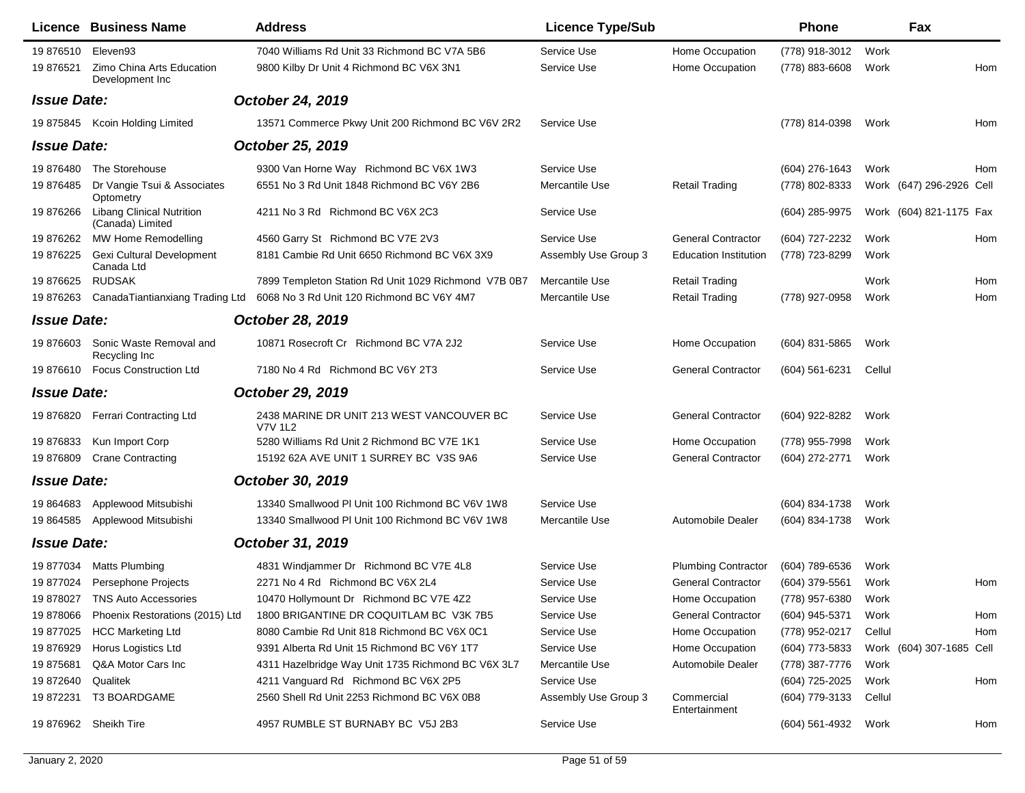|                    | <b>Licence Business Name</b>                         | <b>Address</b>                                                            | <b>Licence Type/Sub</b> |                              | <b>Phone</b>        |        | Fax                      |     |
|--------------------|------------------------------------------------------|---------------------------------------------------------------------------|-------------------------|------------------------------|---------------------|--------|--------------------------|-----|
| 19 876510 Eleven93 |                                                      | 7040 Williams Rd Unit 33 Richmond BC V7A 5B6                              | Service Use             | Home Occupation              | (778) 918-3012      | Work   |                          |     |
| 19 876521          | Zimo China Arts Education<br>Development Inc         | 9800 Kilby Dr Unit 4 Richmond BC V6X 3N1                                  | Service Use             | Home Occupation              | (778) 883-6608      | Work   |                          | Hom |
| <b>Issue Date:</b> |                                                      | October 24, 2019                                                          |                         |                              |                     |        |                          |     |
|                    | 19 875845 Kcoin Holding Limited                      | 13571 Commerce Pkwy Unit 200 Richmond BC V6V 2R2                          | Service Use             |                              | (778) 814-0398      | Work   |                          | Hom |
| <b>Issue Date:</b> |                                                      | October 25, 2019                                                          |                         |                              |                     |        |                          |     |
| 19 876480          | The Storehouse                                       | 9300 Van Horne Way Richmond BC V6X 1W3                                    | Service Use             |                              | $(604)$ 276-1643    | Work   |                          | Hom |
| 19 876485          | Dr Vangie Tsui & Associates<br>Optometry             | 6551 No 3 Rd Unit 1848 Richmond BC V6Y 2B6                                | Mercantile Use          | <b>Retail Trading</b>        | (778) 802-8333      |        | Work (647) 296-2926 Cell |     |
| 19 876266          | <b>Libang Clinical Nutrition</b><br>(Canada) Limited | 4211 No 3 Rd Richmond BC V6X 2C3                                          | Service Use             |                              | (604) 285-9975      |        | Work (604) 821-1175 Fax  |     |
| 19 876262          | MW Home Remodelling                                  | 4560 Garry St Richmond BC V7E 2V3                                         | Service Use             | <b>General Contractor</b>    | (604) 727-2232      | Work   |                          | Hom |
| 19 876225          | <b>Gexi Cultural Development</b><br>Canada Ltd       | 8181 Cambie Rd Unit 6650 Richmond BC V6X 3X9                              | Assembly Use Group 3    | <b>Education Institution</b> | (778) 723-8299      | Work   |                          |     |
| 19 876625          | <b>RUDSAK</b>                                        | 7899 Templeton Station Rd Unit 1029 Richmond V7B 0B7                      | Mercantile Use          | <b>Retail Trading</b>        |                     | Work   |                          | Hom |
| 19876263           |                                                      | CanadaTiantianxiang Trading Ltd 6068 No 3 Rd Unit 120 Richmond BC V6Y 4M7 | Mercantile Use          | <b>Retail Trading</b>        | (778) 927-0958      | Work   |                          | Hom |
| <b>Issue Date:</b> |                                                      | October 28, 2019                                                          |                         |                              |                     |        |                          |     |
| 19 876603          | Sonic Waste Removal and<br>Recycling Inc             | 10871 Rosecroft Cr Richmond BC V7A 2J2                                    | Service Use             | Home Occupation              | (604) 831-5865      | Work   |                          |     |
|                    | 19 876610 Focus Construction Ltd                     | 7180 No 4 Rd Richmond BC V6Y 2T3                                          | Service Use             | <b>General Contractor</b>    | (604) 561-6231      | Cellul |                          |     |
| <b>Issue Date:</b> |                                                      | October 29, 2019                                                          |                         |                              |                     |        |                          |     |
|                    | 19 876820 Ferrari Contracting Ltd                    | 2438 MARINE DR UNIT 213 WEST VANCOUVER BC<br>V7V 1L2                      | Service Use             | <b>General Contractor</b>    | (604) 922-8282      | Work   |                          |     |
| 19 876833          | Kun Import Corp                                      | 5280 Williams Rd Unit 2 Richmond BC V7E 1K1                               | Service Use             | Home Occupation              | (778) 955-7998      | Work   |                          |     |
| 19 876809          | <b>Crane Contracting</b>                             | 15192 62A AVE UNIT 1 SURREY BC V3S 9A6                                    | Service Use             | <b>General Contractor</b>    | (604) 272-2771      | Work   |                          |     |
| <b>Issue Date:</b> |                                                      | October 30, 2019                                                          |                         |                              |                     |        |                          |     |
| 19 864683          | Applewood Mitsubishi                                 | 13340 Smallwood PI Unit 100 Richmond BC V6V 1W8                           | Service Use             |                              | (604) 834-1738      | Work   |                          |     |
|                    | 19 864585 Applewood Mitsubishi                       | 13340 Smallwood PI Unit 100 Richmond BC V6V 1W8                           | Mercantile Use          | Automobile Dealer            | (604) 834-1738      | Work   |                          |     |
| <b>Issue Date:</b> |                                                      | October 31, 2019                                                          |                         |                              |                     |        |                          |     |
| 19 877034          | <b>Matts Plumbing</b>                                | 4831 Windjammer Dr Richmond BC V7E 4L8                                    | Service Use             | <b>Plumbing Contractor</b>   | (604) 789-6536      | Work   |                          |     |
|                    | 19 877024 Persephone Projects                        | 2271 No 4 Rd Richmond BC V6X 2L4                                          | Service Use             | <b>General Contractor</b>    | (604) 379-5561      | Work   |                          | Hom |
|                    | 19 878027 TNS Auto Accessories                       | 10470 Hollymount Dr Richmond BC V7E 4Z2                                   | Service Use             | Home Occupation              | (778) 957-6380 Work |        |                          |     |
| 19 878066          | Phoenix Restorations (2015) Ltd                      | 1800 BRIGANTINE DR COQUITLAM BC V3K 7B5                                   | Service Use             | <b>General Contractor</b>    | (604) 945-5371      | Work   |                          | Hom |
| 19 877025          | <b>HCC Marketing Ltd</b>                             | 8080 Cambie Rd Unit 818 Richmond BC V6X 0C1                               | Service Use             | Home Occupation              | (778) 952-0217      | Cellul |                          | Hom |
| 19 876929          | Horus Logistics Ltd                                  | 9391 Alberta Rd Unit 15 Richmond BC V6Y 1T7                               | Service Use             | Home Occupation              | (604) 773-5833      |        | Work (604) 307-1685 Cell |     |
| 19875681           | Q&A Motor Cars Inc                                   | 4311 Hazelbridge Way Unit 1735 Richmond BC V6X 3L7                        | Mercantile Use          | Automobile Dealer            | (778) 387-7776      | Work   |                          |     |
| 19 872640          | Qualitek                                             | 4211 Vanguard Rd Richmond BC V6X 2P5                                      | Service Use             |                              | (604) 725-2025      | Work   |                          | Hom |
| 19 872231          | T3 BOARDGAME                                         | 2560 Shell Rd Unit 2253 Richmond BC V6X 0B8                               | Assembly Use Group 3    | Commercial<br>Entertainment  | (604) 779-3133      | Cellul |                          |     |
|                    | 19 876962 Sheikh Tire                                | 4957 RUMBLE ST BURNABY BC V5J 2B3                                         | Service Use             |                              | (604) 561-4932      | Work   |                          | Hom |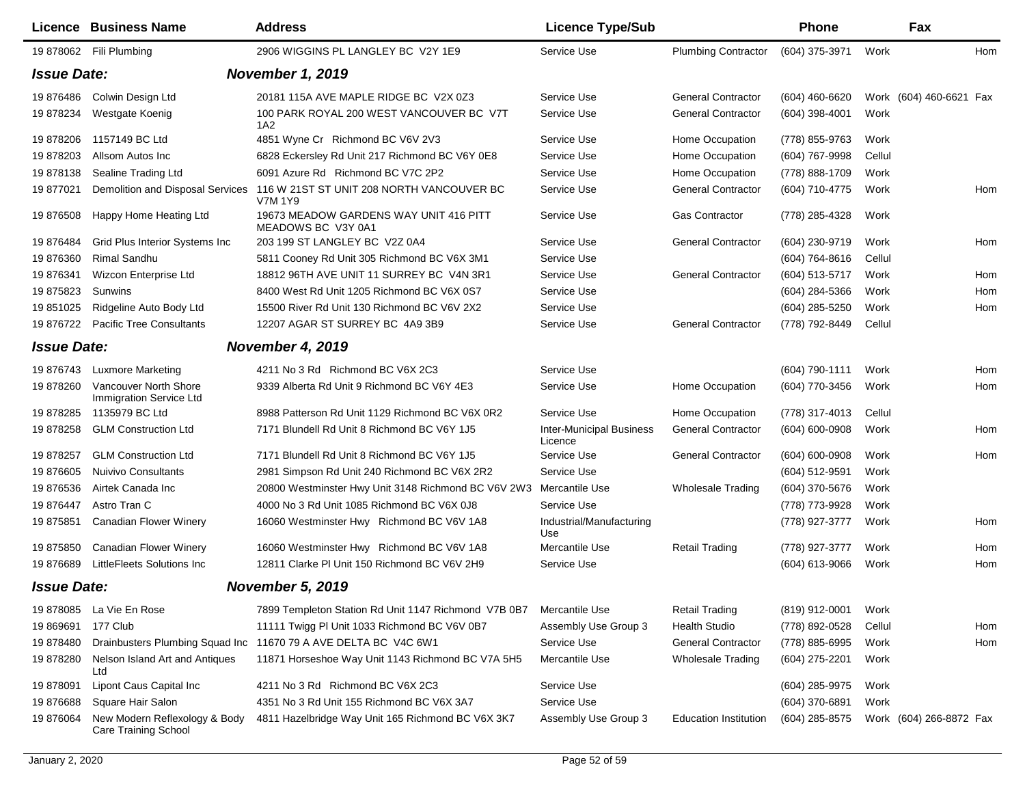|                    | <b>Licence Business Name</b>                                 | <b>Address</b>                                               | <b>Licence Type/Sub</b>                    |                              | Phone            |        | Fax                     |     |
|--------------------|--------------------------------------------------------------|--------------------------------------------------------------|--------------------------------------------|------------------------------|------------------|--------|-------------------------|-----|
|                    | 19 878062 Fili Plumbing                                      | 2906 WIGGINS PL LANGLEY BC V2Y 1E9                           | Service Use                                | <b>Plumbing Contractor</b>   | (604) 375-3971   | Work   |                         | Hom |
| <b>Issue Date:</b> |                                                              | <b>November 1, 2019</b>                                      |                                            |                              |                  |        |                         |     |
| 19876486           | Colwin Design Ltd                                            | 20181 115A AVE MAPLE RIDGE BC V2X 0Z3                        | Service Use                                | <b>General Contractor</b>    | (604) 460-6620   |        | Work (604) 460-6621 Fax |     |
| 19 878234          | Westgate Koenig                                              | 100 PARK ROYAL 200 WEST VANCOUVER BC V7T<br>1A2              | Service Use                                | <b>General Contractor</b>    | (604) 398-4001   | Work   |                         |     |
| 19 878206          | 1157149 BC Ltd                                               | 4851 Wyne Cr Richmond BC V6V 2V3                             | Service Use                                | Home Occupation              | (778) 855-9763   | Work   |                         |     |
| 19 878203          | Allsom Autos Inc                                             | 6828 Eckersley Rd Unit 217 Richmond BC V6Y 0E8               | Service Use                                | Home Occupation              | (604) 767-9998   | Cellul |                         |     |
| 19878138           | Sealine Trading Ltd                                          | 6091 Azure Rd Richmond BC V7C 2P2                            | Service Use                                | Home Occupation              | (778) 888-1709   | Work   |                         |     |
| 19 877021          | Demolition and Disposal Services                             | 116 W 21ST ST UNIT 208 NORTH VANCOUVER BC<br>V7M 1Y9         | Service Use                                | <b>General Contractor</b>    | (604) 710-4775   | Work   |                         | Hom |
| 19 876508          | Happy Home Heating Ltd                                       | 19673 MEADOW GARDENS WAY UNIT 416 PITT<br>MEADOWS BC V3Y 0A1 | Service Use                                | <b>Gas Contractor</b>        | (778) 285-4328   | Work   |                         |     |
| 19876484           | Grid Plus Interior Systems Inc.                              | 203 199 ST LANGLEY BC V2Z 0A4                                | Service Use                                | <b>General Contractor</b>    | (604) 230-9719   | Work   |                         | Hom |
| 19 876360          | <b>Rimal Sandhu</b>                                          | 5811 Cooney Rd Unit 305 Richmond BC V6X 3M1                  | Service Use                                |                              | (604) 764-8616   | Cellul |                         |     |
| 19 876341          | Wizcon Enterprise Ltd                                        | 18812 96TH AVE UNIT 11 SURREY BC V4N 3R1                     | Service Use                                | <b>General Contractor</b>    | (604) 513-5717   | Work   |                         | Hom |
| 19 875823          | Sunwins                                                      | 8400 West Rd Unit 1205 Richmond BC V6X 0S7                   | Service Use                                |                              | (604) 284-5366   | Work   |                         | Hom |
| 19 851025          | Ridgeline Auto Body Ltd                                      | 15500 River Rd Unit 130 Richmond BC V6V 2X2                  | Service Use                                |                              | (604) 285-5250   | Work   |                         | Hom |
| 19 876722          | <b>Pacific Tree Consultants</b>                              | 12207 AGAR ST SURREY BC 4A9 3B9                              | Service Use                                | <b>General Contractor</b>    | (778) 792-8449   | Cellul |                         |     |
| <b>Issue Date:</b> |                                                              | <b>November 4, 2019</b>                                      |                                            |                              |                  |        |                         |     |
| 19 876743          | <b>Luxmore Marketing</b>                                     | 4211 No 3 Rd Richmond BC V6X 2C3                             | Service Use                                |                              | (604) 790-1111   | Work   |                         | Hom |
| 19 878260          | Vancouver North Shore<br>Immigration Service Ltd             | 9339 Alberta Rd Unit 9 Richmond BC V6Y 4E3                   | Service Use                                | Home Occupation              | (604) 770-3456   | Work   |                         | Hom |
| 19878285           | 1135979 BC Ltd                                               | 8988 Patterson Rd Unit 1129 Richmond BC V6X 0R2              | Service Use                                | Home Occupation              | (778) 317-4013   | Cellul |                         |     |
| 19 878258          | <b>GLM Construction Ltd</b>                                  | 7171 Blundell Rd Unit 8 Richmond BC V6Y 1J5                  | <b>Inter-Municipal Business</b><br>Licence | <b>General Contractor</b>    | (604) 600-0908   | Work   |                         | Hom |
| 19 878257          | <b>GLM Construction Ltd</b>                                  | 7171 Blundell Rd Unit 8 Richmond BC V6Y 1J5                  | Service Use                                | <b>General Contractor</b>    | (604) 600-0908   | Work   |                         | Hom |
| 19 876605          | <b>Nuivivo Consultants</b>                                   | 2981 Simpson Rd Unit 240 Richmond BC V6X 2R2                 | Service Use                                |                              | (604) 512-9591   | Work   |                         |     |
| 19876536           | Airtek Canada Inc                                            | 20800 Westminster Hwy Unit 3148 Richmond BC V6V 2W3          | Mercantile Use                             | <b>Wholesale Trading</b>     | (604) 370-5676   | Work   |                         |     |
| 19 876447          | Astro Tran C                                                 | 4000 No 3 Rd Unit 1085 Richmond BC V6X 0J8                   | Service Use                                |                              | (778) 773-9928   | Work   |                         |     |
| 19 875851          | <b>Canadian Flower Winery</b>                                | 16060 Westminster Hwy Richmond BC V6V 1A8                    | Industrial/Manufacturing<br>Use            |                              | (778) 927-3777   | Work   |                         | Hom |
| 19 875850          | <b>Canadian Flower Winery</b>                                | 16060 Westminster Hwy Richmond BC V6V 1A8                    | Mercantile Use                             | <b>Retail Trading</b>        | (778) 927-3777   | Work   |                         | Hom |
| 19876689           | LittleFleets Solutions Inc                                   | 12811 Clarke PI Unit 150 Richmond BC V6V 2H9                 | Service Use                                |                              | (604) 613-9066   | Work   |                         | Hom |
| <b>Issue Date:</b> |                                                              | <b>November 5, 2019</b>                                      |                                            |                              |                  |        |                         |     |
| 19 878085          | La Vie En Rose                                               | 7899 Templeton Station Rd Unit 1147 Richmond V7B 0B7         | Mercantile Use                             | <b>Retail Trading</b>        | (819) 912-0001   | Work   |                         |     |
| 19 869691          | 177 Club                                                     | 11111 Twigg PI Unit 1033 Richmond BC V6V 0B7                 | Assembly Use Group 3                       | <b>Health Studio</b>         | (778) 892-0528   | Cellul |                         | Hom |
| 19 878480          | Drainbusters Plumbing Squad Inc                              | 11670 79 A AVE DELTA BC V4C 6W1                              | Service Use                                | <b>General Contractor</b>    | (778) 885-6995   | Work   |                         | Hom |
| 19878280           | Nelson Island Art and Antiques<br>Ltd                        | 11871 Horseshoe Way Unit 1143 Richmond BC V7A 5H5            | Mercantile Use                             | <b>Wholesale Trading</b>     | (604) 275-2201   | Work   |                         |     |
| 19 878091          | Lipont Caus Capital Inc                                      | 4211 No 3 Rd Richmond BC V6X 2C3                             | Service Use                                |                              | (604) 285-9975   | Work   |                         |     |
| 19876688           | Square Hair Salon                                            | 4351 No 3 Rd Unit 155 Richmond BC V6X 3A7                    | Service Use                                |                              | (604) 370-6891   | Work   |                         |     |
| 19 876064          | New Modern Reflexology & Body<br><b>Care Training School</b> | 4811 Hazelbridge Way Unit 165 Richmond BC V6X 3K7            | Assembly Use Group 3                       | <b>Education Institution</b> | $(604)$ 285-8575 |        | Work (604) 266-8872 Fax |     |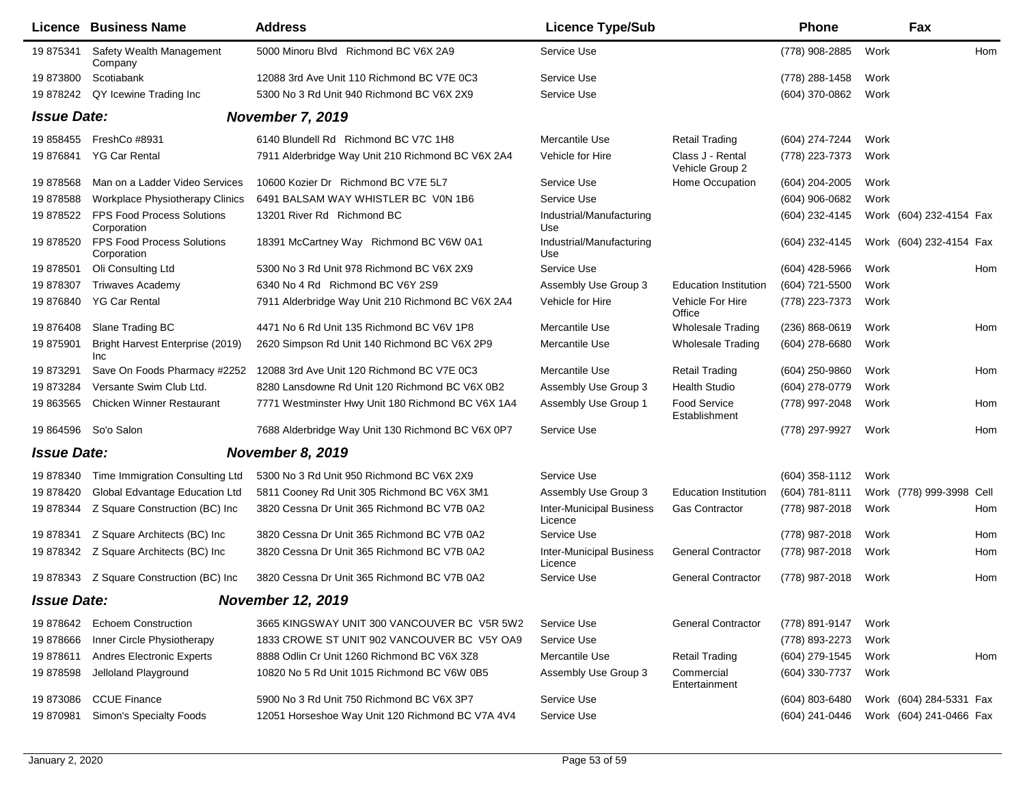|                    | Licence Business Name                            | <b>Address</b>                                    | <b>Licence Type/Sub</b>                    |                                     | <b>Phone</b>       |      | Fax                      |     |
|--------------------|--------------------------------------------------|---------------------------------------------------|--------------------------------------------|-------------------------------------|--------------------|------|--------------------------|-----|
| 19 875341          | Safety Wealth Management<br>Company              | 5000 Minoru Blvd Richmond BC V6X 2A9              | Service Use                                |                                     | (778) 908-2885     | Work |                          | Hom |
| 19 873800          | Scotiabank                                       | 12088 3rd Ave Unit 110 Richmond BC V7E 0C3        | Service Use                                |                                     | (778) 288-1458     | Work |                          |     |
| 19 878242          | QY Icewine Trading Inc                           | 5300 No 3 Rd Unit 940 Richmond BC V6X 2X9         | Service Use                                |                                     | (604) 370-0862     | Work |                          |     |
| <b>Issue Date:</b> |                                                  | November 7, 2019                                  |                                            |                                     |                    |      |                          |     |
|                    | 19 858455 FreshCo #8931                          | 6140 Blundell Rd Richmond BC V7C 1H8              | Mercantile Use                             | Retail Trading                      | (604) 274-7244     | Work |                          |     |
| 19 876841          | <b>YG Car Rental</b>                             | 7911 Alderbridge Way Unit 210 Richmond BC V6X 2A4 | Vehicle for Hire                           | Class J - Rental<br>Vehicle Group 2 | (778) 223-7373     | Work |                          |     |
| 19878568           | Man on a Ladder Video Services                   | 10600 Kozier Dr Richmond BC V7E 5L7               | Service Use                                | Home Occupation                     | (604) 204-2005     | Work |                          |     |
| 19878588           | <b>Workplace Physiotherapy Clinics</b>           | 6491 BALSAM WAY WHISTLER BC VON 1B6               | Service Use                                |                                     | (604) 906-0682     | Work |                          |     |
| 19 878522          | <b>FPS Food Process Solutions</b><br>Corporation | 13201 River Rd Richmond BC                        | Industrial/Manufacturing<br>Use            |                                     | (604) 232-4145     |      | Work (604) 232-4154 Fax  |     |
| 19 878520          | FPS Food Process Solutions<br>Corporation        | 18391 McCartney Way Richmond BC V6W 0A1           | Industrial/Manufacturing<br>Use            |                                     | (604) 232-4145     |      | Work (604) 232-4154 Fax  |     |
| 19 878501          | Oli Consulting Ltd                               | 5300 No 3 Rd Unit 978 Richmond BC V6X 2X9         | Service Use                                |                                     | $(604)$ 428-5966   | Work |                          | Hom |
| 19878307           | <b>Triwaves Academy</b>                          | 6340 No 4 Rd Richmond BC V6Y 2S9                  | Assembly Use Group 3                       | <b>Education Institution</b>        | (604) 721-5500     | Work |                          |     |
| 19876840           | <b>YG Car Rental</b>                             | 7911 Alderbridge Way Unit 210 Richmond BC V6X 2A4 | Vehicle for Hire                           | Vehicle For Hire<br>Office          | (778) 223-7373     | Work |                          |     |
| 19 876408          | Slane Trading BC                                 | 4471 No 6 Rd Unit 135 Richmond BC V6V 1P8         | Mercantile Use                             | <b>Wholesale Trading</b>            | $(236) 868 - 0619$ | Work |                          | Hom |
| 19 875901          | Bright Harvest Enterprise (2019)<br><b>Inc</b>   | 2620 Simpson Rd Unit 140 Richmond BC V6X 2P9      | Mercantile Use                             | <b>Wholesale Trading</b>            | (604) 278-6680     | Work |                          |     |
| 19873291           | Save On Foods Pharmacy #2252                     | 12088 3rd Ave Unit 120 Richmond BC V7E 0C3        | Mercantile Use                             | <b>Retail Trading</b>               | $(604)$ 250-9860   | Work |                          | Hom |
| 19873284           | Versante Swim Club Ltd.                          | 8280 Lansdowne Rd Unit 120 Richmond BC V6X 0B2    | Assembly Use Group 3                       | <b>Health Studio</b>                | (604) 278-0779     | Work |                          |     |
| 19 863565          | <b>Chicken Winner Restaurant</b>                 | 7771 Westminster Hwy Unit 180 Richmond BC V6X 1A4 | Assembly Use Group 1                       | Food Service<br>Establishment       | (778) 997-2048     | Work |                          | Hom |
|                    | 19 864596 So'o Salon                             | 7688 Alderbridge Way Unit 130 Richmond BC V6X 0P7 | Service Use                                |                                     | (778) 297-9927     | Work |                          | Hom |
| <b>Issue Date:</b> |                                                  | November 8, 2019                                  |                                            |                                     |                    |      |                          |     |
| 19 878340          | Time Immigration Consulting Ltd                  | 5300 No 3 Rd Unit 950 Richmond BC V6X 2X9         | Service Use                                |                                     | $(604)$ 358-1112   | Work |                          |     |
| 19 878420          | Global Edvantage Education Ltd                   | 5811 Cooney Rd Unit 305 Richmond BC V6X 3M1       | Assembly Use Group 3                       | <b>Education Institution</b>        | (604) 781-8111     |      | Work (778) 999-3998 Cell |     |
| 19 878344          | Z Square Construction (BC) Inc                   | 3820 Cessna Dr Unit 365 Richmond BC V7B 0A2       | <b>Inter-Municipal Business</b><br>Licence | <b>Gas Contractor</b>               | (778) 987-2018     | Work |                          | Hom |
| 19 878341          | Z Square Architects (BC) Inc                     | 3820 Cessna Dr Unit 365 Richmond BC V7B 0A2       | Service Use                                |                                     | (778) 987-2018     | Work |                          | Hom |
|                    | 19 878342  Z Square Architects (BC) Inc          | 3820 Cessna Dr Unit 365 Richmond BC V7B 0A2       | <b>Inter-Municipal Business</b><br>Licence | <b>General Contractor</b>           | (778) 987-2018     | Work |                          | Hom |
| 19 878343          | Z Square Construction (BC) Inc                   | 3820 Cessna Dr Unit 365 Richmond BC V7B 0A2       | Service Use                                | <b>General Contractor</b>           | (778) 987-2018     | Work |                          | Hom |
| <b>Issue Date:</b> |                                                  | <b>November 12, 2019</b>                          |                                            |                                     |                    |      |                          |     |
| 19 878642          | <b>Echoem Construction</b>                       | 3665 KINGSWAY UNIT 300 VANCOUVER BC V5R 5W2       | Service Use                                | <b>General Contractor</b>           | (778) 891-9147     | Work |                          |     |
| 19878666           | Inner Circle Physiotherapy                       | 1833 CROWE ST UNIT 902 VANCOUVER BC V5Y OA9       | Service Use                                |                                     | (778) 893-2273     | Work |                          |     |
| 19878611           | <b>Andres Electronic Experts</b>                 | 8888 Odlin Cr Unit 1260 Richmond BC V6X 3Z8       | Mercantile Use                             | <b>Retail Trading</b>               | (604) 279-1545     | Work |                          | Hom |
| 19878598           | Jelloland Playground                             | 10820 No 5 Rd Unit 1015 Richmond BC V6W 0B5       | Assembly Use Group 3                       | Commercial<br>Entertainment         | (604) 330-7737     | Work |                          |     |
| 19873086           | <b>CCUE Finance</b>                              | 5900 No 3 Rd Unit 750 Richmond BC V6X 3P7         | Service Use                                |                                     | (604) 803-6480     |      | Work (604) 284-5331 Fax  |     |
| 19 870981          | Simon's Specialty Foods                          | 12051 Horseshoe Way Unit 120 Richmond BC V7A 4V4  | Service Use                                |                                     | (604) 241-0446     |      | Work (604) 241-0466 Fax  |     |
|                    |                                                  |                                                   |                                            |                                     |                    |      |                          |     |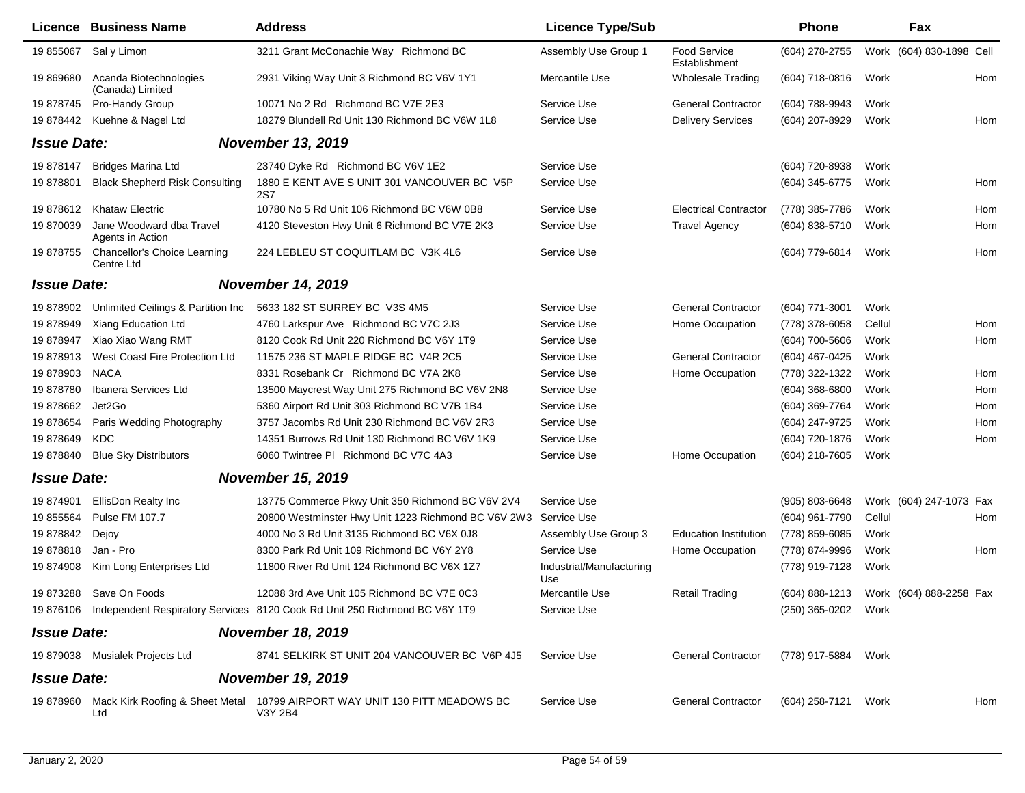|                    | <b>Licence Business Name</b>                 | <b>Address</b>                                                                                  | <b>Licence Type/Sub</b>         |                                      | <b>Phone</b>        |        | Fax                      |     |
|--------------------|----------------------------------------------|-------------------------------------------------------------------------------------------------|---------------------------------|--------------------------------------|---------------------|--------|--------------------------|-----|
| 19 855067          | Sal y Limon                                  | 3211 Grant McConachie Way Richmond BC                                                           | Assembly Use Group 1            | <b>Food Service</b><br>Establishment | (604) 278-2755      |        | Work (604) 830-1898 Cell |     |
| 19 869680          | Acanda Biotechnologies<br>(Canada) Limited   | 2931 Viking Way Unit 3 Richmond BC V6V 1Y1                                                      | Mercantile Use                  | <b>Wholesale Trading</b>             | (604) 718-0816      | Work   |                          | Hom |
| 19 878745          | Pro-Handy Group                              | 10071 No 2 Rd Richmond BC V7E 2E3                                                               | Service Use                     | <b>General Contractor</b>            | (604) 788-9943      | Work   |                          |     |
| 19 878442          | Kuehne & Nagel Ltd                           | 18279 Blundell Rd Unit 130 Richmond BC V6W 1L8                                                  | Service Use                     | <b>Delivery Services</b>             | (604) 207-8929      | Work   |                          | Hom |
| <b>Issue Date:</b> |                                              | <b>November 13, 2019</b>                                                                        |                                 |                                      |                     |        |                          |     |
| 19 878147          | <b>Bridges Marina Ltd</b>                    | 23740 Dyke Rd Richmond BC V6V 1E2                                                               | Service Use                     |                                      | (604) 720-8938      | Work   |                          |     |
| 19878801           | <b>Black Shepherd Risk Consulting</b>        | 1880 E KENT AVE S UNIT 301 VANCOUVER BC V5P<br><b>2S7</b>                                       | Service Use                     |                                      | (604) 345-6775      | Work   |                          | Hom |
| 19 878612          | <b>Khataw Electric</b>                       | 10780 No 5 Rd Unit 106 Richmond BC V6W 0B8                                                      | Service Use                     | <b>Electrical Contractor</b>         | (778) 385-7786      | Work   |                          | Hom |
| 19 870039          | Jane Woodward dba Travel<br>Agents in Action | 4120 Steveston Hwy Unit 6 Richmond BC V7E 2K3                                                   | Service Use                     | <b>Travel Agency</b>                 | (604) 838-5710      | Work   |                          | Hom |
| 19 878755          | Chancellor's Choice Learning<br>Centre Ltd   | 224 LEBLEU ST COQUITLAM BC V3K 4L6                                                              | Service Use                     |                                      | (604) 779-6814      | Work   |                          | Hom |
| <b>Issue Date:</b> |                                              | <b>November 14, 2019</b>                                                                        |                                 |                                      |                     |        |                          |     |
| 19 878902          | Unlimited Ceilings & Partition Inc           | 5633 182 ST SURREY BC V3S 4M5                                                                   | Service Use                     | <b>General Contractor</b>            | (604) 771-3001      | Work   |                          |     |
| 19 878949          | Xiang Education Ltd                          | 4760 Larkspur Ave Richmond BC V7C 2J3                                                           | Service Use                     | Home Occupation                      | (778) 378-6058      | Cellul |                          | Hom |
| 19 878947          | Xiao Xiao Wang RMT                           | 8120 Cook Rd Unit 220 Richmond BC V6Y 1T9                                                       | Service Use                     |                                      | (604) 700-5606      | Work   |                          | Hom |
| 19878913           | West Coast Fire Protection Ltd               | 11575 236 ST MAPLE RIDGE BC V4R 2C5                                                             | Service Use                     | <b>General Contractor</b>            | (604) 467-0425      | Work   |                          |     |
| 19 878903          | <b>NACA</b>                                  | 8331 Rosebank Cr Richmond BC V7A 2K8                                                            | Service Use                     | Home Occupation                      | (778) 322-1322      | Work   |                          | Hom |
| 19878780           | Ibanera Services Ltd                         | 13500 Maycrest Way Unit 275 Richmond BC V6V 2N8                                                 | Service Use                     |                                      | $(604)$ 368-6800    | Work   |                          | Hom |
| 19 878662          | Jet2Go                                       | 5360 Airport Rd Unit 303 Richmond BC V7B 1B4                                                    | Service Use                     |                                      | (604) 369-7764      | Work   |                          | Hom |
| 19 878654          | Paris Wedding Photography                    | 3757 Jacombs Rd Unit 230 Richmond BC V6V 2R3                                                    | Service Use                     |                                      | (604) 247-9725      | Work   |                          | Hom |
| 19878649           | KDC                                          | 14351 Burrows Rd Unit 130 Richmond BC V6V 1K9                                                   | Service Use                     |                                      | (604) 720-1876      | Work   |                          | Hom |
| 19 878840          | <b>Blue Sky Distributors</b>                 | 6060 Twintree PI Richmond BC V7C 4A3                                                            | Service Use                     | Home Occupation                      | (604) 218-7605      | Work   |                          |     |
| <b>Issue Date:</b> |                                              | <b>November 15, 2019</b>                                                                        |                                 |                                      |                     |        |                          |     |
| 19 874901          | EllisDon Realty Inc                          | 13775 Commerce Pkwy Unit 350 Richmond BC V6V 2V4                                                | Service Use                     |                                      | (905) 803-6648      |        | Work (604) 247-1073 Fax  |     |
| 19 855564          | Pulse FM 107.7                               | 20800 Westminster Hwy Unit 1223 Richmond BC V6V 2W3                                             | Service Use                     |                                      | (604) 961-7790      | Cellul |                          | Hom |
| 19 878842          | Dejoy                                        | 4000 No 3 Rd Unit 3135 Richmond BC V6X 0J8                                                      | Assembly Use Group 3            | <b>Education Institution</b>         | (778) 859-6085      | Work   |                          |     |
| 19878818           | Jan - Pro                                    | 8300 Park Rd Unit 109 Richmond BC V6Y 2Y8                                                       | Service Use                     | Home Occupation                      | (778) 874-9996      | Work   |                          | Hom |
| 19 874908          | Kim Long Enterprises Ltd                     | 11800 River Rd Unit 124 Richmond BC V6X 1Z7                                                     | Industrial/Manufacturing<br>Use |                                      | (778) 919-7128      | Work   |                          |     |
|                    | 19 873288 Save On Foods                      | 12088 3rd Ave Unit 105 Richmond BC V7E 0C3                                                      | Mercantile Use                  | <b>Retail Trading</b>                | $(604) 888 - 1213$  |        | Work (604) 888-2258 Fax  |     |
|                    |                                              | 19 876106 Independent Respiratory Services 8120 Cook Rd Unit 250 Richmond BC V6Y 1T9            | Service Use                     |                                      | (250) 365-0202 Work |        |                          |     |
| <b>Issue Date:</b> |                                              | <b>November 18, 2019</b>                                                                        |                                 |                                      |                     |        |                          |     |
|                    | 19 879038 Musialek Projects Ltd              | 8741 SELKIRK ST UNIT 204 VANCOUVER BC V6P 4J5                                                   | Service Use                     | <b>General Contractor</b>            | (778) 917-5884 Work |        |                          |     |
| <b>Issue Date:</b> |                                              | <b>November 19, 2019</b>                                                                        |                                 |                                      |                     |        |                          |     |
|                    | Ltd                                          | 19 878960 Mack Kirk Roofing & Sheet Metal 18799 AIRPORT WAY UNIT 130 PITT MEADOWS BC<br>V3Y 2B4 | Service Use                     | <b>General Contractor</b>            | (604) 258-7121 Work |        |                          | Hom |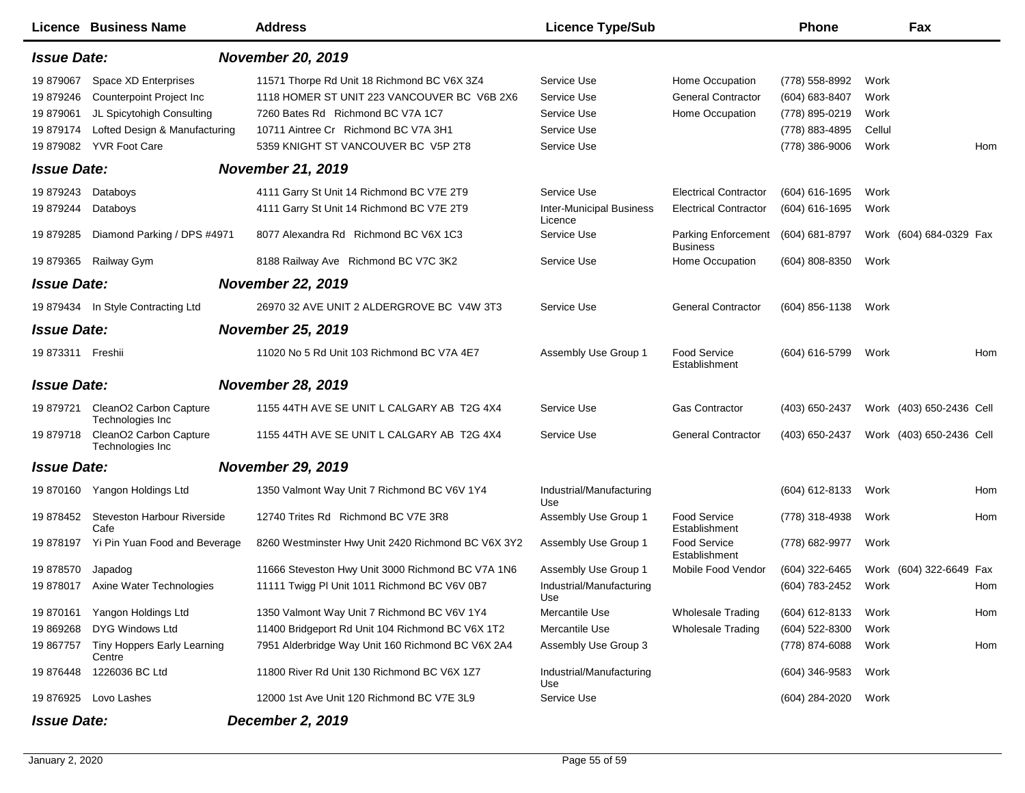| <b>Licence Business Name</b>                                                                                                                                                                                 | <b>Address</b>                                                                                                                                                                                                 | <b>Licence Type/Sub</b>                                                  |                                                                                     | <b>Phone</b>                                                                           | Fax                                     |     |  |
|--------------------------------------------------------------------------------------------------------------------------------------------------------------------------------------------------------------|----------------------------------------------------------------------------------------------------------------------------------------------------------------------------------------------------------------|--------------------------------------------------------------------------|-------------------------------------------------------------------------------------|----------------------------------------------------------------------------------------|-----------------------------------------|-----|--|
| <b>November 20, 2019</b><br><b>Issue Date:</b>                                                                                                                                                               |                                                                                                                                                                                                                |                                                                          |                                                                                     |                                                                                        |                                         |     |  |
| 19879067<br>Space XD Enterprises<br><b>Counterpoint Project Inc</b><br>19 879246<br>JL Spicytohigh Consulting<br>19 879061<br>Lofted Design & Manufacturing<br>19879174<br><b>YVR Foot Care</b><br>19 879082 | 11571 Thorpe Rd Unit 18 Richmond BC V6X 3Z4<br>1118 HOMER ST UNIT 223 VANCOUVER BC V6B 2X6<br>7260 Bates Rd Richmond BC V7A 1C7<br>10711 Aintree Cr Richmond BC V7A 3H1<br>5359 KNIGHT ST VANCOUVER BC V5P 2T8 | Service Use<br>Service Use<br>Service Use<br>Service Use<br>Service Use  | Home Occupation<br><b>General Contractor</b><br>Home Occupation                     | (778) 558-8992<br>(604) 683-8407<br>(778) 895-0219<br>(778) 883-4895<br>(778) 386-9006 | Work<br>Work<br>Work<br>Cellul<br>Work  | Hom |  |
| <b>Issue Date:</b>                                                                                                                                                                                           | <b>November 21, 2019</b>                                                                                                                                                                                       |                                                                          |                                                                                     |                                                                                        |                                         |     |  |
| 19 879243<br>Databoys<br>19 879244<br>Databoys<br>Diamond Parking / DPS #4971<br>19 879285                                                                                                                   | 4111 Garry St Unit 14 Richmond BC V7E 2T9<br>4111 Garry St Unit 14 Richmond BC V7E 2T9<br>8077 Alexandra Rd Richmond BC V6X 1C3                                                                                | Service Use<br><b>Inter-Municipal Business</b><br>Licence<br>Service Use | <b>Electrical Contractor</b><br><b>Electrical Contractor</b><br>Parking Enforcement | (604) 616-1695<br>(604) 616-1695<br>(604) 681-8797                                     | Work<br>Work<br>Work (604) 684-0329 Fax |     |  |
| 19 879365<br>Railway Gym                                                                                                                                                                                     | 8188 Railway Ave Richmond BC V7C 3K2                                                                                                                                                                           | Service Use                                                              | <b>Business</b><br>Home Occupation                                                  | (604) 808-8350                                                                         | Work                                    |     |  |
| <b>Issue Date:</b>                                                                                                                                                                                           | <b>November 22, 2019</b>                                                                                                                                                                                       |                                                                          |                                                                                     |                                                                                        |                                         |     |  |
| 19 879434 In Style Contracting Ltd                                                                                                                                                                           | 26970 32 AVE UNIT 2 ALDERGROVE BC V4W 3T3                                                                                                                                                                      | Service Use                                                              | <b>General Contractor</b>                                                           | (604) 856-1138                                                                         | Work                                    |     |  |
| <b>Issue Date:</b>                                                                                                                                                                                           | <b>November 25, 2019</b>                                                                                                                                                                                       |                                                                          |                                                                                     |                                                                                        |                                         |     |  |
| 19 873311 Freshii                                                                                                                                                                                            | 11020 No 5 Rd Unit 103 Richmond BC V7A 4E7                                                                                                                                                                     | Assembly Use Group 1                                                     | <b>Food Service</b><br>Establishment                                                | (604) 616-5799                                                                         | Work                                    | Hom |  |
| <b>Issue Date:</b>                                                                                                                                                                                           | <b>November 28, 2019</b>                                                                                                                                                                                       |                                                                          |                                                                                     |                                                                                        |                                         |     |  |
| CleanO2 Carbon Capture<br>19 879721<br>Technologies Inc                                                                                                                                                      | 1155 44TH AVE SE UNIT L CALGARY AB T2G 4X4                                                                                                                                                                     | Service Use                                                              | <b>Gas Contractor</b>                                                               | (403) 650-2437                                                                         | Work (403) 650-2436 Cell                |     |  |
| CleanO2 Carbon Capture<br>19 879718<br>Technologies Inc                                                                                                                                                      | 1155 44TH AVE SE UNIT L CALGARY AB T2G 4X4                                                                                                                                                                     | Service Use                                                              | <b>General Contractor</b>                                                           | (403) 650-2437                                                                         | Work (403) 650-2436 Cell                |     |  |
| <b>Issue Date:</b>                                                                                                                                                                                           | <b>November 29, 2019</b>                                                                                                                                                                                       |                                                                          |                                                                                     |                                                                                        |                                         |     |  |
| 19 870160 Yangon Holdings Ltd                                                                                                                                                                                | 1350 Valmont Way Unit 7 Richmond BC V6V 1Y4                                                                                                                                                                    | Industrial/Manufacturing<br>Use                                          |                                                                                     | (604) 612-8133                                                                         | Work                                    | Hom |  |
| 19 878452<br>Steveston Harbour Riverside<br>Cafe                                                                                                                                                             | 12740 Trites Rd Richmond BC V7E 3R8                                                                                                                                                                            | Assembly Use Group 1                                                     | <b>Food Service</b><br>Establishment                                                | (778) 318-4938                                                                         | Work                                    | Hom |  |
| 19 878197 Yi Pin Yuan Food and Beverage                                                                                                                                                                      | 8260 Westminster Hwy Unit 2420 Richmond BC V6X 3Y2                                                                                                                                                             | Assembly Use Group 1                                                     | <b>Food Service</b><br>Establishment                                                | (778) 682-9977                                                                         | Work                                    |     |  |
| 19878570<br>Japadog                                                                                                                                                                                          | 11666 Steveston Hwy Unit 3000 Richmond BC V7A 1N6                                                                                                                                                              | Assembly Use Group 1                                                     | Mobile Food Vendor                                                                  | (604) 322-6465                                                                         | Work (604) 322-6649 Fax                 |     |  |
| 19878017<br>Axine Water Technologies                                                                                                                                                                         | 11111 Twigg PI Unit 1011 Richmond BC V6V 0B7                                                                                                                                                                   | Industrial/Manufacturing<br>Use                                          |                                                                                     | (604) 783-2452                                                                         | Work                                    | Hom |  |
| Yangon Holdings Ltd<br>19 870161                                                                                                                                                                             | 1350 Valmont Way Unit 7 Richmond BC V6V 1Y4                                                                                                                                                                    | Mercantile Use                                                           | <b>Wholesale Trading</b>                                                            | $(604)$ 612-8133                                                                       | Work                                    | Hom |  |
| <b>DYG Windows Ltd</b><br>19 869268                                                                                                                                                                          | 11400 Bridgeport Rd Unit 104 Richmond BC V6X 1T2                                                                                                                                                               | Mercantile Use                                                           | <b>Wholesale Trading</b>                                                            | (604) 522-8300                                                                         | Work                                    |     |  |
| 19 867757<br>Tiny Hoppers Early Learning<br>Centre                                                                                                                                                           | 7951 Alderbridge Way Unit 160 Richmond BC V6X 2A4                                                                                                                                                              | Assembly Use Group 3                                                     |                                                                                     | (778) 874-6088                                                                         | Work                                    | Hom |  |
| 1226036 BC Ltd<br>19 876448                                                                                                                                                                                  | 11800 River Rd Unit 130 Richmond BC V6X 1Z7                                                                                                                                                                    | Industrial/Manufacturing<br>Use                                          |                                                                                     | $(604)$ 346-9583                                                                       | Work                                    |     |  |
| 19 876925 Lovo Lashes                                                                                                                                                                                        | 12000 1st Ave Unit 120 Richmond BC V7E 3L9                                                                                                                                                                     | Service Use                                                              |                                                                                     | (604) 284-2020                                                                         | Work                                    |     |  |
| <b>Issue Date:</b>                                                                                                                                                                                           | <b>December 2, 2019</b>                                                                                                                                                                                        |                                                                          |                                                                                     |                                                                                        |                                         |     |  |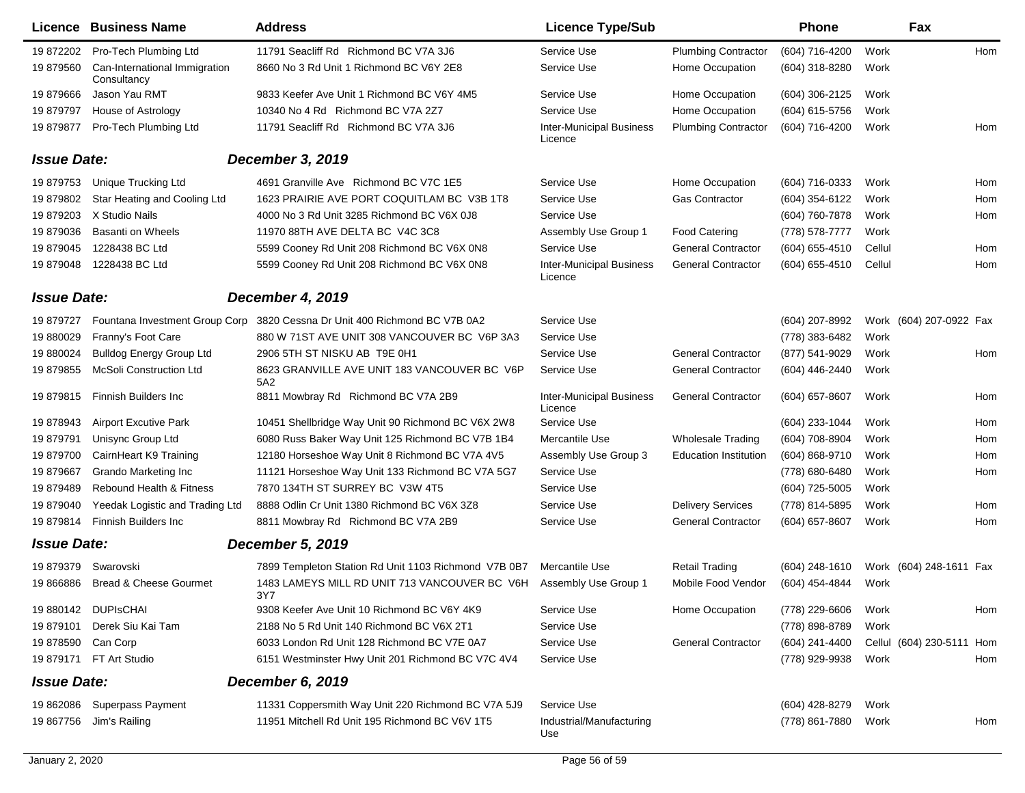|                    | <b>Licence Business Name</b>                 | <b>Address</b>                                                             | <b>Licence Type/Sub</b>                    |                              | <b>Phone</b>     |        | Fax                       |     |
|--------------------|----------------------------------------------|----------------------------------------------------------------------------|--------------------------------------------|------------------------------|------------------|--------|---------------------------|-----|
| 19 872202          | Pro-Tech Plumbing Ltd                        | 11791 Seacliff Rd Richmond BC V7A 3J6                                      | Service Use                                | <b>Plumbing Contractor</b>   | (604) 716-4200   | Work   |                           | Hom |
| 19 879560          | Can-International Immigration<br>Consultancy | 8660 No 3 Rd Unit 1 Richmond BC V6Y 2E8                                    | Service Use                                | Home Occupation              | (604) 318-8280   | Work   |                           |     |
| 19879666           | Jason Yau RMT                                | 9833 Keefer Ave Unit 1 Richmond BC V6Y 4M5                                 | Service Use                                | Home Occupation              | (604) 306-2125   | Work   |                           |     |
| 19879797           | House of Astrology                           | 10340 No 4 Rd Richmond BC V7A 2Z7                                          | Service Use                                | Home Occupation              | (604) 615-5756   | Work   |                           |     |
| 19879877           | Pro-Tech Plumbing Ltd                        | 11791 Seacliff Rd Richmond BC V7A 3J6                                      | <b>Inter-Municipal Business</b><br>Licence | <b>Plumbing Contractor</b>   | (604) 716-4200   | Work   |                           | Hom |
| <b>Issue Date:</b> |                                              | <b>December 3, 2019</b>                                                    |                                            |                              |                  |        |                           |     |
| 19 879753          | Unique Trucking Ltd                          | 4691 Granville Ave Richmond BC V7C 1E5                                     | Service Use                                | Home Occupation              | $(604)$ 716-0333 | Work   |                           | Hom |
| 19 879802          | Star Heating and Cooling Ltd                 | 1623 PRAIRIE AVE PORT COQUITLAM BC V3B 1T8                                 | Service Use                                | Gas Contractor               | (604) 354-6122   | Work   |                           | Hom |
| 19 879203          | X Studio Nails                               | 4000 No 3 Rd Unit 3285 Richmond BC V6X 0J8                                 | Service Use                                |                              | (604) 760-7878   | Work   |                           | Hom |
| 19879036           | <b>Basanti on Wheels</b>                     | 11970 88TH AVE DELTA BC V4C 3C8                                            | Assembly Use Group 1                       | <b>Food Catering</b>         | (778) 578-7777   | Work   |                           |     |
| 19 879045          | 1228438 BC Ltd                               | 5599 Cooney Rd Unit 208 Richmond BC V6X 0N8                                | Service Use                                | <b>General Contractor</b>    | (604) 655-4510   | Cellul |                           | Hom |
| 19 879048          | 1228438 BC Ltd                               | 5599 Cooney Rd Unit 208 Richmond BC V6X 0N8                                | <b>Inter-Municipal Business</b><br>Licence | <b>General Contractor</b>    | (604) 655-4510   | Cellul |                           | Hom |
| <b>Issue Date:</b> |                                              | December 4, 2019                                                           |                                            |                              |                  |        |                           |     |
| 19 879727          |                                              | Fountana Investment Group Corp 3820 Cessna Dr Unit 400 Richmond BC V7B 0A2 | Service Use                                |                              | (604) 207-8992   |        | Work (604) 207-0922 Fax   |     |
| 19 880029          | Franny's Foot Care                           | 880 W 71ST AVE UNIT 308 VANCOUVER BC V6P 3A3                               | Service Use                                |                              | (778) 383-6482   | Work   |                           |     |
| 19 880024          | <b>Bulldog Energy Group Ltd</b>              | 2906 5TH ST NISKU AB T9E 0H1                                               | Service Use                                | <b>General Contractor</b>    | (877) 541-9029   | Work   |                           | Hom |
| 19879855           | <b>McSoli Construction Ltd</b>               | 8623 GRANVILLE AVE UNIT 183 VANCOUVER BC V6P<br>5A2                        | Service Use                                | <b>General Contractor</b>    | (604) 446-2440   | Work   |                           |     |
| 19879815           | <b>Finnish Builders Inc</b>                  | 8811 Mowbray Rd Richmond BC V7A 2B9                                        | <b>Inter-Municipal Business</b><br>Licence | <b>General Contractor</b>    | $(604)$ 657-8607 | Work   |                           | Hom |
| 19 878943          | <b>Airport Excutive Park</b>                 | 10451 Shellbridge Way Unit 90 Richmond BC V6X 2W8                          | Service Use                                |                              | (604) 233-1044   | Work   |                           | Hom |
| 19879791           | Unisync Group Ltd                            | 6080 Russ Baker Way Unit 125 Richmond BC V7B 1B4                           | Mercantile Use                             | <b>Wholesale Trading</b>     | (604) 708-8904   | Work   |                           | Hom |
| 19 879700          | CairnHeart K9 Training                       | 12180 Horseshoe Way Unit 8 Richmond BC V7A 4V5                             | Assembly Use Group 3                       | <b>Education Institution</b> | (604) 868-9710   | Work   |                           | Hom |
| 19879667           | <b>Grando Marketing Inc</b>                  | 11121 Horseshoe Way Unit 133 Richmond BC V7A 5G7                           | Service Use                                |                              | (778) 680-6480   | Work   |                           | Hom |
| 19879489           | Rebound Health & Fitness                     | 7870 134TH ST SURREY BC V3W 4T5                                            | Service Use                                |                              | (604) 725-5005   | Work   |                           |     |
| 19 879040          | Yeedak Logistic and Trading Ltd              | 8888 Odlin Cr Unit 1380 Richmond BC V6X 3Z8                                | Service Use                                | <b>Delivery Services</b>     | (778) 814-5895   | Work   |                           | Hom |
| 19879814           | <b>Finnish Builders Inc.</b>                 | 8811 Mowbray Rd Richmond BC V7A 2B9                                        | Service Use                                | <b>General Contractor</b>    | (604) 657-8607   | Work   |                           | Hom |
| <b>Issue Date:</b> |                                              | <b>December 5, 2019</b>                                                    |                                            |                              |                  |        |                           |     |
| 19 879379          | Swarovski                                    | 7899 Templeton Station Rd Unit 1103 Richmond V7B 0B7                       | Mercantile Use                             | <b>Retail Trading</b>        | $(604)$ 248-1610 |        | Work (604) 248-1611 Fax   |     |
| 19 866886          | <b>Bread &amp; Cheese Gourmet</b>            | 1483 LAMEYS MILL RD UNIT 713 VANCOUVER BC V6H Assembly Use Group 1<br>3Y7  |                                            | Mobile Food Vendor           | (604) 454-4844   | Work   |                           |     |
|                    | 19 880142 DUPIsCHAI                          | 9308 Keefer Ave Unit 10 Richmond BC V6Y 4K9                                | Service Use                                | Home Occupation              | (778) 229-6606   | Work   |                           | Hom |
| 19879101           | Derek Siu Kai Tam                            | 2188 No 5 Rd Unit 140 Richmond BC V6X 2T1                                  | Service Use                                |                              | (778) 898-8789   | Work   |                           |     |
| 19 878590          | Can Corp                                     | 6033 London Rd Unit 128 Richmond BC V7E 0A7                                | Service Use                                | <b>General Contractor</b>    | (604) 241-4400   |        | Cellul (604) 230-5111 Hom |     |
| 19879171           | FT Art Studio                                | 6151 Westminster Hwy Unit 201 Richmond BC V7C 4V4                          | Service Use                                |                              | (778) 929-9938   | Work   |                           | Hom |
| <b>Issue Date:</b> |                                              | December 6, 2019                                                           |                                            |                              |                  |        |                           |     |
|                    | 19 862086 Superpass Payment                  | 11331 Coppersmith Way Unit 220 Richmond BC V7A 5J9                         | Service Use                                |                              | (604) 428-8279   | Work   |                           |     |
| 19 867756          | Jim's Railing                                | 11951 Mitchell Rd Unit 195 Richmond BC V6V 1T5                             | Industrial/Manufacturing<br>Use            |                              | (778) 861-7880   | Work   |                           | Hom |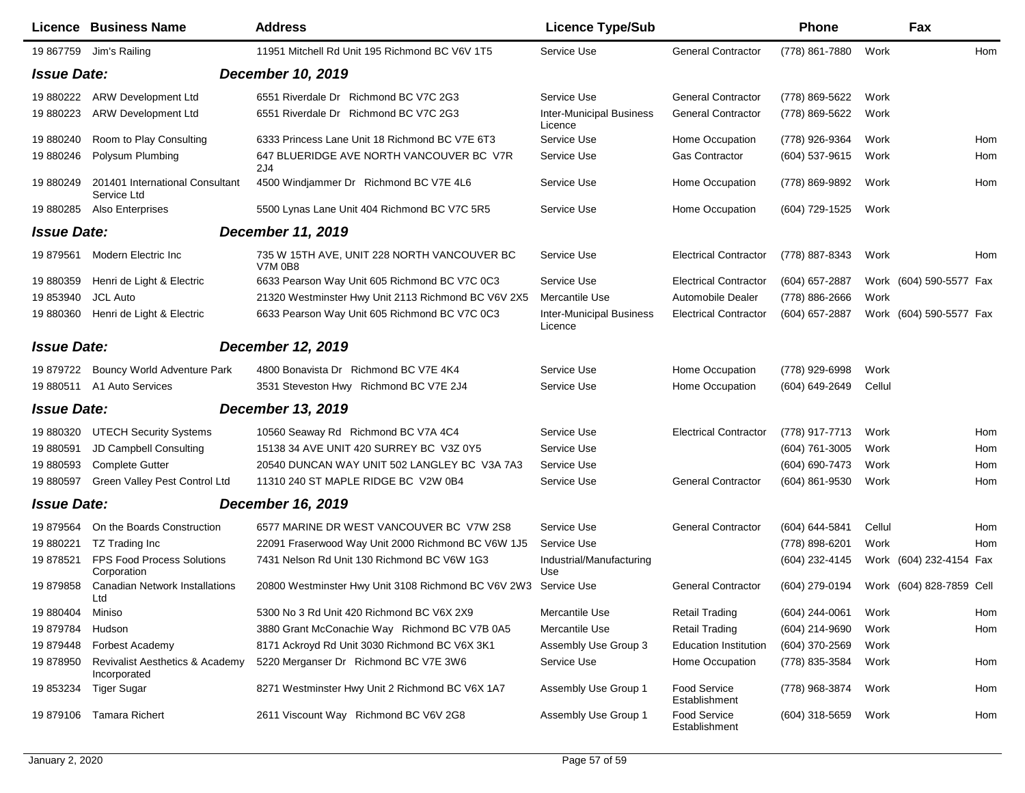|                    | Licence Business Name                           | <b>Address</b>                                                  | <b>Licence Type/Sub</b>                    |                                      | <b>Phone</b>     |        | Fax                      |     |
|--------------------|-------------------------------------------------|-----------------------------------------------------------------|--------------------------------------------|--------------------------------------|------------------|--------|--------------------------|-----|
| 19 867759          | Jim's Railing                                   | 11951 Mitchell Rd Unit 195 Richmond BC V6V 1T5                  | Service Use                                | <b>General Contractor</b>            | (778) 861-7880   | Work   |                          | Hom |
| <b>Issue Date:</b> |                                                 | December 10, 2019                                               |                                            |                                      |                  |        |                          |     |
| 19 880222          | <b>ARW Development Ltd</b>                      | 6551 Riverdale Dr Richmond BC V7C 2G3                           | Service Use                                | <b>General Contractor</b>            | (778) 869-5622   | Work   |                          |     |
| 19 880223          | <b>ARW Development Ltd</b>                      | 6551 Riverdale Dr Richmond BC V7C 2G3                           | <b>Inter-Municipal Business</b><br>Licence | <b>General Contractor</b>            | (778) 869-5622   | Work   |                          |     |
| 19 880240          | Room to Play Consulting                         | 6333 Princess Lane Unit 18 Richmond BC V7E 6T3                  | Service Use                                | Home Occupation                      | (778) 926-9364   | Work   |                          | Hom |
| 19 880246          | Polysum Plumbing                                | 647 BLUERIDGE AVE NORTH VANCOUVER BC V7R<br>2J4                 | Service Use                                | <b>Gas Contractor</b>                | (604) 537-9615   | Work   |                          | Hom |
| 19 880249          | 201401 International Consultant<br>Service Ltd  | 4500 Windjammer Dr Richmond BC V7E 4L6                          | Service Use                                | Home Occupation                      | (778) 869-9892   | Work   |                          | Hom |
| 19 880285          | Also Enterprises                                | 5500 Lynas Lane Unit 404 Richmond BC V7C 5R5                    | Service Use                                | Home Occupation                      | (604) 729-1525   | Work   |                          |     |
| <b>Issue Date:</b> |                                                 | <b>December 11, 2019</b>                                        |                                            |                                      |                  |        |                          |     |
| 19 879561          | Modern Electric Inc                             | 735 W 15TH AVE, UNIT 228 NORTH VANCOUVER BC<br><b>V7M 0B8</b>   | Service Use                                | <b>Electrical Contractor</b>         | (778) 887-8343   | Work   |                          | Hom |
| 19 880359          | Henri de Light & Electric                       | 6633 Pearson Way Unit 605 Richmond BC V7C 0C3                   | Service Use                                | <b>Electrical Contractor</b>         | (604) 657-2887   |        | Work (604) 590-5577 Fax  |     |
| 19 853940          | <b>JCL Auto</b>                                 | 21320 Westminster Hwy Unit 2113 Richmond BC V6V 2X5             | Mercantile Use                             | Automobile Dealer                    | (778) 886-2666   | Work   |                          |     |
| 19 880360          | Henri de Light & Electric                       | 6633 Pearson Way Unit 605 Richmond BC V7C 0C3                   | <b>Inter-Municipal Business</b><br>Licence | <b>Electrical Contractor</b>         | (604) 657-2887   |        | Work (604) 590-5577 Fax  |     |
| <b>Issue Date:</b> |                                                 | December 12, 2019                                               |                                            |                                      |                  |        |                          |     |
| 19 879722          | <b>Bouncy World Adventure Park</b>              | 4800 Bonavista Dr Richmond BC V7E 4K4                           | Service Use                                | Home Occupation                      | (778) 929-6998   | Work   |                          |     |
| 19 880511          | A1 Auto Services                                | 3531 Steveston Hwy Richmond BC V7E 2J4                          | Service Use                                | Home Occupation                      | (604) 649-2649   | Cellul |                          |     |
| <b>Issue Date:</b> |                                                 | <b>December 13, 2019</b>                                        |                                            |                                      |                  |        |                          |     |
| 19 880320          | <b>UTECH Security Systems</b>                   | 10560 Seaway Rd Richmond BC V7A 4C4                             | Service Use                                | <b>Electrical Contractor</b>         | (778) 917-7713   | Work   |                          | Hom |
| 19 880591          | JD Campbell Consulting                          | 15138 34 AVE UNIT 420 SURREY BC V3Z 0Y5                         | Service Use                                |                                      | (604) 761-3005   | Work   |                          | Hom |
| 19 880593          | <b>Complete Gutter</b>                          | 20540 DUNCAN WAY UNIT 502 LANGLEY BC V3A 7A3                    | Service Use                                |                                      | (604) 690-7473   | Work   |                          | Hom |
| 19 880597          | Green Valley Pest Control Ltd                   | 11310 240 ST MAPLE RIDGE BC V2W 0B4                             | Service Use                                | <b>General Contractor</b>            | (604) 861-9530   | Work   |                          | Hom |
| <b>Issue Date:</b> |                                                 | <b>December 16, 2019</b>                                        |                                            |                                      |                  |        |                          |     |
| 19 879564          | On the Boards Construction                      | 6577 MARINE DR WEST VANCOUVER BC V7W 2S8                        | Service Use                                | <b>General Contractor</b>            | (604) 644-5841   | Cellul |                          | Hom |
| 19 880221          | TZ Trading Inc                                  | 22091 Fraserwood Way Unit 2000 Richmond BC V6W 1J5              | Service Use                                |                                      | (778) 898-6201   | Work   |                          | Hom |
| 19 878521          | FPS Food Process Solutions<br>Corporation       | 7431 Nelson Rd Unit 130 Richmond BC V6W 1G3                     | Industrial/Manufacturing<br>Use            |                                      | (604) 232-4145   |        | Work (604) 232-4154 Fax  |     |
| 19 879858          | <b>Canadian Network Installations</b><br>Ltd    | 20800 Westminster Hwy Unit 3108 Richmond BC V6V 2W3 Service Use |                                            | <b>General Contractor</b>            | (604) 279-0194   |        | Work (604) 828-7859 Cell |     |
| 19 880404          | Miniso                                          | 5300 No 3 Rd Unit 420 Richmond BC V6X 2X9                       | Mercantile Use                             | <b>Retail Trading</b>                | $(604)$ 244-0061 | Work   |                          | Hom |
| 19 879784          | Hudson                                          | 3880 Grant McConachie Way Richmond BC V7B 0A5                   | Mercantile Use                             | <b>Retail Trading</b>                | (604) 214-9690   | Work   |                          | Hom |
| 19 879448          | <b>Forbest Academy</b>                          | 8171 Ackroyd Rd Unit 3030 Richmond BC V6X 3K1                   | Assembly Use Group 3                       | <b>Education Institution</b>         | (604) 370-2569   | Work   |                          |     |
| 19 878950          | Revivalist Aesthetics & Academy<br>Incorporated | 5220 Merganser Dr Richmond BC V7E 3W6                           | Service Use                                | Home Occupation                      | (778) 835-3584   | Work   |                          | Hom |
| 19 853234          | <b>Tiger Sugar</b>                              | 8271 Westminster Hwy Unit 2 Richmond BC V6X 1A7                 | Assembly Use Group 1                       | Food Service<br>Establishment        | (778) 968-3874   | Work   |                          | Hom |
| 19879106           | <b>Tamara Richert</b>                           | 2611 Viscount Way Richmond BC V6V 2G8                           | Assembly Use Group 1                       | <b>Food Service</b><br>Establishment | (604) 318-5659   | Work   |                          | Hom |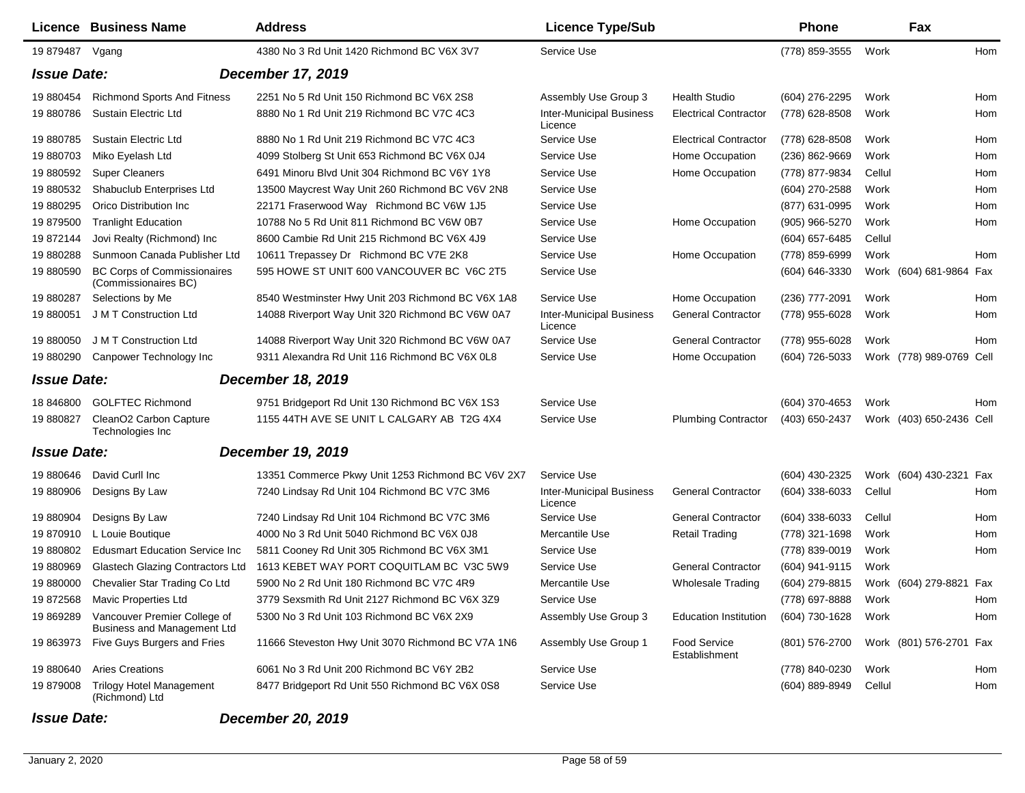|                                                | Licence Business Name                                              | <b>Address</b>                                    | <b>Licence Type/Sub</b>                    |                                      | <b>Phone</b>     |        | Fax                      |     |  |
|------------------------------------------------|--------------------------------------------------------------------|---------------------------------------------------|--------------------------------------------|--------------------------------------|------------------|--------|--------------------------|-----|--|
| 19 879487                                      | Vgang                                                              | 4380 No 3 Rd Unit 1420 Richmond BC V6X 3V7        | Service Use                                |                                      | (778) 859-3555   | Work   |                          | Hom |  |
| <b>Issue Date:</b><br><b>December 17, 2019</b> |                                                                    |                                                   |                                            |                                      |                  |        |                          |     |  |
| 19 880454                                      | Richmond Sports And Fitness                                        | 2251 No 5 Rd Unit 150 Richmond BC V6X 2S8         | Assembly Use Group 3                       | <b>Health Studio</b>                 | (604) 276-2295   | Work   |                          | Hom |  |
| 19 880786                                      | <b>Sustain Electric Ltd</b>                                        | 8880 No 1 Rd Unit 219 Richmond BC V7C 4C3         | <b>Inter-Municipal Business</b><br>Licence | <b>Electrical Contractor</b>         | (778) 628-8508   | Work   |                          | Hom |  |
| 19 880785                                      | <b>Sustain Electric Ltd</b>                                        | 8880 No 1 Rd Unit 219 Richmond BC V7C 4C3         | Service Use                                | <b>Electrical Contractor</b>         | (778) 628-8508   | Work   |                          | Hom |  |
| 19 880703                                      | Miko Eyelash Ltd                                                   | 4099 Stolberg St Unit 653 Richmond BC V6X 0J4     | Service Use                                | Home Occupation                      | $(236)$ 862-9669 | Work   |                          | Hom |  |
| 19 880592                                      | <b>Super Cleaners</b>                                              | 6491 Minoru Blvd Unit 304 Richmond BC V6Y 1Y8     | Service Use                                | Home Occupation                      | (778) 877-9834   | Cellul |                          | Hom |  |
| 19 880532                                      | Shabuclub Enterprises Ltd                                          | 13500 Maycrest Way Unit 260 Richmond BC V6V 2N8   | Service Use                                |                                      | (604) 270-2588   | Work   |                          | Hom |  |
| 19 880295                                      | Orico Distribution Inc                                             | 22171 Fraserwood Way Richmond BC V6W 1J5          | Service Use                                |                                      | (877) 631-0995   | Work   |                          | Hom |  |
| 19 879500                                      | <b>Tranlight Education</b>                                         | 10788 No 5 Rd Unit 811 Richmond BC V6W 0B7        | Service Use                                | Home Occupation                      | (905) 966-5270   | Work   |                          | Hom |  |
| 19872144                                       | Jovi Realty (Richmond) Inc                                         | 8600 Cambie Rd Unit 215 Richmond BC V6X 4J9       | Service Use                                |                                      | (604) 657-6485   | Cellul |                          |     |  |
| 19880288                                       | Sunmoon Canada Publisher Ltd                                       | 10611 Trepassey Dr Richmond BC V7E 2K8            | Service Use                                | Home Occupation                      | (778) 859-6999   | Work   |                          | Hom |  |
| 19 880590                                      | <b>BC Corps of Commissionaires</b><br>(Commissionaires BC)         | 595 HOWE ST UNIT 600 VANCOUVER BC V6C 2T5         | Service Use                                |                                      | (604) 646-3330   |        | Work (604) 681-9864 Fax  |     |  |
| 19 880287                                      | Selections by Me                                                   | 8540 Westminster Hwy Unit 203 Richmond BC V6X 1A8 | Service Use                                | Home Occupation                      | (236) 777-2091   | Work   |                          | Hom |  |
| 19 880051                                      | J M T Construction Ltd                                             | 14088 Riverport Way Unit 320 Richmond BC V6W 0A7  | <b>Inter-Municipal Business</b><br>Licence | <b>General Contractor</b>            | (778) 955-6028   | Work   |                          | Hom |  |
| 19 880050                                      | J M T Construction Ltd                                             | 14088 Riverport Way Unit 320 Richmond BC V6W 0A7  | Service Use                                | <b>General Contractor</b>            | (778) 955-6028   | Work   |                          | Hom |  |
| 19 880290                                      | Canpower Technology Inc                                            | 9311 Alexandra Rd Unit 116 Richmond BC V6X 0L8    | Service Use                                | Home Occupation                      | (604) 726-5033   |        | Work (778) 989-0769 Cell |     |  |
| <b>Issue Date:</b>                             |                                                                    | <b>December 18, 2019</b>                          |                                            |                                      |                  |        |                          |     |  |
| 18 846800                                      | <b>GOLFTEC Richmond</b>                                            | 9751 Bridgeport Rd Unit 130 Richmond BC V6X 1S3   | Service Use                                |                                      | (604) 370-4653   | Work   |                          | Hom |  |
| 19 880827                                      | CleanO2 Carbon Capture<br>Technologies Inc                         | 1155 44TH AVE SE UNIT L CALGARY AB T2G 4X4        | Service Use                                | <b>Plumbing Contractor</b>           | (403) 650-2437   |        | Work (403) 650-2436 Cell |     |  |
| <b>Issue Date:</b>                             |                                                                    | <b>December 19, 2019</b>                          |                                            |                                      |                  |        |                          |     |  |
| 19 880646                                      | David Curll Inc                                                    | 13351 Commerce Pkwy Unit 1253 Richmond BC V6V 2X7 | Service Use                                |                                      | (604) 430-2325   |        | Work (604) 430-2321      | Fax |  |
| 19 880906                                      | Designs By Law                                                     | 7240 Lindsay Rd Unit 104 Richmond BC V7C 3M6      | <b>Inter-Municipal Business</b><br>Licence | <b>General Contractor</b>            | (604) 338-6033   | Cellul |                          | Hom |  |
| 19 880904                                      | Designs By Law                                                     | 7240 Lindsay Rd Unit 104 Richmond BC V7C 3M6      | Service Use                                | <b>General Contractor</b>            | (604) 338-6033   | Cellul |                          | Hom |  |
| 19870910                                       | L Louie Boutique                                                   | 4000 No 3 Rd Unit 5040 Richmond BC V6X 0J8        | Mercantile Use                             | <b>Retail Trading</b>                | (778) 321-1698   | Work   |                          | Hom |  |
| 19 880802                                      | <b>Edusmart Education Service Inc.</b>                             | 5811 Cooney Rd Unit 305 Richmond BC V6X 3M1       | Service Use                                |                                      | (778) 839-0019   | Work   |                          | Hom |  |
| 19 880969                                      | Glastech Glazing Contractors Ltd                                   | 1613 KEBET WAY PORT COQUITLAM BC V3C 5W9          | Service Use                                | <b>General Contractor</b>            | (604) 941-9115   | Work   |                          |     |  |
| 19 880000                                      | Chevalier Star Trading Co Ltd                                      | 5900 No 2 Rd Unit 180 Richmond BC V7C 4R9         | Mercantile Use                             | <b>Wholesale Trading</b>             | (604) 279-8815   |        | Work (604) 279-8821 Fax  |     |  |
| 19872568                                       | Mavic Properties Ltd                                               | 3779 Sexsmith Rd Unit 2127 Richmond BC V6X 3Z9    | Service Use                                |                                      | (778) 697-8888   | Work   |                          | Hom |  |
| 19 869289                                      | Vancouver Premier College of<br><b>Business and Management Ltd</b> | 5300 No 3 Rd Unit 103 Richmond BC V6X 2X9         | Assembly Use Group 3                       | <b>Education Institution</b>         | (604) 730-1628   | Work   |                          | Hom |  |
| 19 863973                                      | Five Guys Burgers and Fries                                        | 11666 Steveston Hwy Unit 3070 Richmond BC V7A 1N6 | Assembly Use Group 1                       | <b>Food Service</b><br>Establishment | (801) 576-2700   |        | Work (801) 576-2701 Fax  |     |  |
| 19 880640                                      | <b>Aries Creations</b>                                             | 6061 No 3 Rd Unit 200 Richmond BC V6Y 2B2         | Service Use                                |                                      | (778) 840-0230   | Work   |                          | Hom |  |
| 19 879008                                      | <b>Trilogy Hotel Management</b><br>(Richmond) Ltd                  | 8477 Bridgeport Rd Unit 550 Richmond BC V6X 0S8   | Service Use                                |                                      | (604) 889-8949   | Cellul |                          | Hom |  |

## *Issue Date: December 20, 2019*